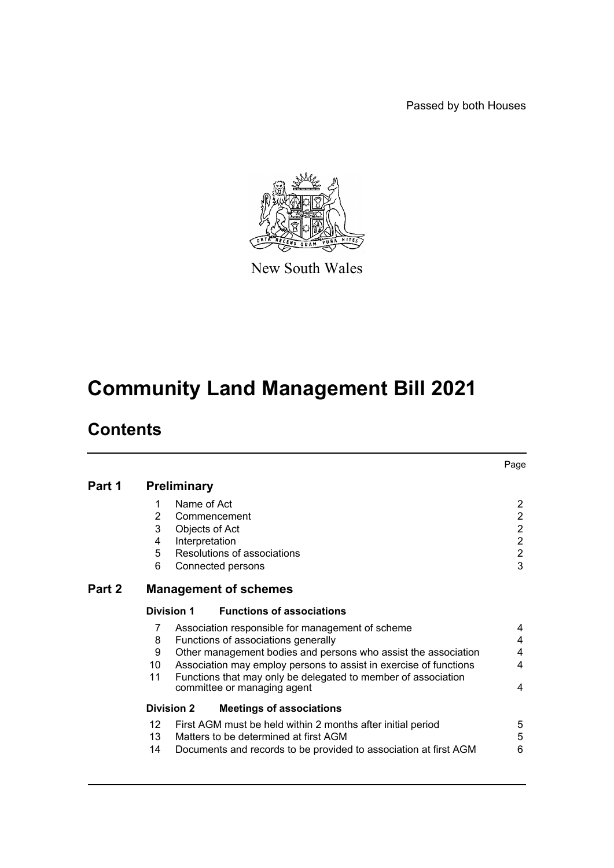Passed by both Houses



New South Wales

# **Community Land Management Bill 2021**

# **Contents**

|        |                |                                                                   | Page           |
|--------|----------------|-------------------------------------------------------------------|----------------|
| Part 1 |                | <b>Preliminary</b>                                                |                |
|        | 1              | Name of Act                                                       | $\overline{2}$ |
|        | $\overline{2}$ | Commencement                                                      | $\overline{2}$ |
|        | 3              | Objects of Act                                                    | $\overline{c}$ |
|        | 4              | Interpretation                                                    | $\overline{c}$ |
|        | 5              | Resolutions of associations                                       | $\overline{c}$ |
|        | 6              | Connected persons                                                 | 3              |
| Part 2 |                | <b>Management of schemes</b>                                      |                |
|        |                | <b>Functions of associations</b><br>Division 1                    |                |
|        | 7              | Association responsible for management of scheme                  | 4              |
|        | 8              | Functions of associations generally                               | 4              |
|        | 9              | Other management bodies and persons who assist the association    | 4              |
|        | 10             | Association may employ persons to assist in exercise of functions | 4              |
|        | 11             | Functions that may only be delegated to member of association     |                |
|        |                | committee or managing agent                                       | 4              |
|        |                | <b>Division 2</b><br><b>Meetings of associations</b>              |                |
|        | 12             | First AGM must be held within 2 months after initial period       | 5              |
|        | 13             | Matters to be determined at first AGM                             | 5              |
|        | 14             | Documents and records to be provided to association at first AGM  | 6              |
|        |                |                                                                   |                |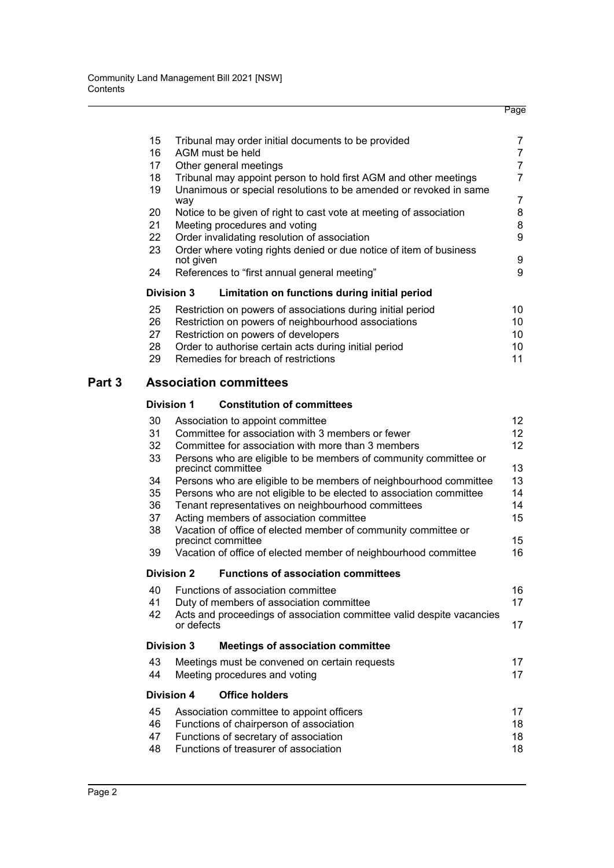| 15 | Tribunal may order initial documents to be provided                | 7  |  |  |  |
|----|--------------------------------------------------------------------|----|--|--|--|
| 16 | AGM must be held                                                   | 7  |  |  |  |
| 17 | Other general meetings                                             | 7  |  |  |  |
| 18 | Tribunal may appoint person to hold first AGM and other meetings   | 7  |  |  |  |
| 19 | Unanimous or special resolutions to be amended or revoked in same  |    |  |  |  |
|    | way                                                                | 7  |  |  |  |
| 20 | Notice to be given of right to cast vote at meeting of association | 8  |  |  |  |
| 21 | Meeting procedures and voting                                      | 8  |  |  |  |
| 22 | Order invalidating resolution of association                       |    |  |  |  |
| 23 | Order where voting rights denied or due notice of item of business |    |  |  |  |
|    | not given                                                          | 9  |  |  |  |
| 24 | References to "first annual general meeting"                       | 9  |  |  |  |
|    | <b>Division 3</b><br>Limitation on functions during initial period |    |  |  |  |
| 25 | Restriction on powers of associations during initial period        | 10 |  |  |  |
| 26 | Restriction on powers of neighbourhood associations<br>10          |    |  |  |  |
| 27 | Restriction on powers of developers<br>10                          |    |  |  |  |
| 28 | Order to authorise certain acts during initial period<br>10        |    |  |  |  |
| 29 | Remedies for breach of restrictions<br>11                          |    |  |  |  |
|    |                                                                    |    |  |  |  |

## **[Part 3 Association committees](#page-20-0)**

## **[Division 1 Constitution of committees](#page-20-1)**

| 30 | Association to appoint committee                                                       | 12               |  |  |  |
|----|----------------------------------------------------------------------------------------|------------------|--|--|--|
| 31 | Committee for association with 3 members or fewer                                      | 12               |  |  |  |
| 32 | Committee for association with more than 3 members                                     |                  |  |  |  |
| 33 | Persons who are eligible to be members of community committee or<br>precinct committee | 13               |  |  |  |
| 34 | Persons who are eligible to be members of neighbourhood committee                      | 13               |  |  |  |
| 35 | Persons who are not eligible to be elected to association committee                    | 14               |  |  |  |
| 36 | Tenant representatives on neighbourhood committees                                     | 14               |  |  |  |
| 37 | Acting members of association committee                                                | 15               |  |  |  |
| 38 | Vacation of office of elected member of community committee or<br>precinct committee   | 15 <sup>15</sup> |  |  |  |
| 39 | Vacation of office of elected member of neighbourhood committee                        | 16               |  |  |  |
|    | <b>Functions of association committees</b><br><b>Division 2</b>                        |                  |  |  |  |
| 40 | Functions of association committee                                                     | 16               |  |  |  |
| 41 | Duty of members of association committee                                               | 17               |  |  |  |
| 42 | Acts and proceedings of association committee valid despite vacancies<br>or defects    | 17               |  |  |  |
|    | <b>Division 3</b><br><b>Meetings of association committee</b>                          |                  |  |  |  |
| 43 | Meetings must be convened on certain requests                                          | 17               |  |  |  |
| 44 | Meeting procedures and voting                                                          | 17               |  |  |  |
|    | <b>Office holders</b><br>Division 4                                                    |                  |  |  |  |
| 45 | Association committee to appoint officers                                              | 17               |  |  |  |
| 46 | Functions of chairperson of association<br>18                                          |                  |  |  |  |
| 47 | Functions of secretary of association<br>18                                            |                  |  |  |  |
| 48 | Functions of treasurer of association                                                  | 18               |  |  |  |
|    |                                                                                        |                  |  |  |  |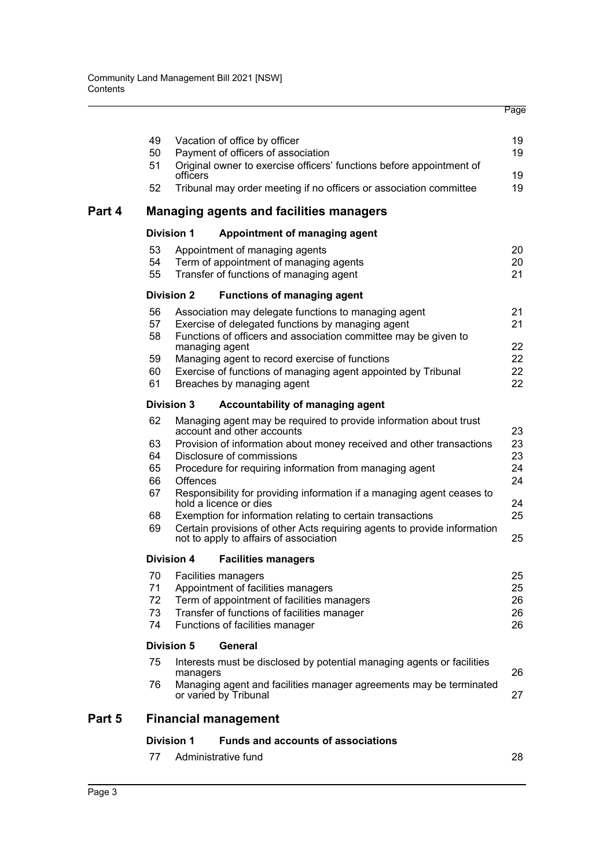|        | 49       |                   | Vacation of office by officer                                                                                      | 19       |
|--------|----------|-------------------|--------------------------------------------------------------------------------------------------------------------|----------|
|        | 50       |                   | Payment of officers of association                                                                                 | 19       |
|        | 51       |                   | Original owner to exercise officers' functions before appointment of                                               |          |
|        | 52       | officers          | Tribunal may order meeting if no officers or association committee                                                 | 19<br>19 |
| Part 4 |          |                   | <b>Managing agents and facilities managers</b>                                                                     |          |
|        |          | <b>Division 1</b> | Appointment of managing agent                                                                                      |          |
|        | 53       |                   | Appointment of managing agents                                                                                     | 20       |
|        | 54       |                   | Term of appointment of managing agents                                                                             | 20       |
|        | 55       |                   | Transfer of functions of managing agent                                                                            | 21       |
|        |          | <b>Division 2</b> | <b>Functions of managing agent</b>                                                                                 |          |
|        | 56       |                   | Association may delegate functions to managing agent                                                               | 21       |
|        | 57       |                   | Exercise of delegated functions by managing agent                                                                  | 21       |
|        | 58       |                   | Functions of officers and association committee may be given to                                                    |          |
|        |          |                   | managing agent                                                                                                     | 22       |
|        | 59       |                   | Managing agent to record exercise of functions                                                                     | 22       |
|        | 60<br>61 |                   | Exercise of functions of managing agent appointed by Tribunal                                                      | 22<br>22 |
|        |          |                   | Breaches by managing agent                                                                                         |          |
|        |          | <b>Division 3</b> | Accountability of managing agent                                                                                   |          |
|        | 62       |                   | Managing agent may be required to provide information about trust<br>account and other accounts                    | 23       |
|        | 63       |                   | Provision of information about money received and other transactions                                               | 23       |
|        | 64       |                   | Disclosure of commissions                                                                                          | 23       |
|        | 65       |                   | Procedure for requiring information from managing agent                                                            | 24       |
|        | 66       | Offences          |                                                                                                                    | 24       |
|        | 67       |                   | Responsibility for providing information if a managing agent ceases to<br>hold a licence or dies                   | 24       |
|        | 68       |                   | Exemption for information relating to certain transactions                                                         | 25       |
|        | 69       |                   | Certain provisions of other Acts requiring agents to provide information<br>not to apply to affairs of association | 25       |
|        |          | <b>Division 4</b> | <b>Facilities managers</b>                                                                                         |          |
|        | 70       |                   | Facilities managers                                                                                                | 25       |
|        | 71       |                   | Appointment of facilities managers                                                                                 | 25       |
|        | 72       |                   | Term of appointment of facilities managers                                                                         | 26       |
|        | 73       |                   | Transfer of functions of facilities manager                                                                        | 26       |
|        | 74       |                   | Functions of facilities manager                                                                                    | 26       |
|        |          | <b>Division 5</b> | General                                                                                                            |          |
|        | 75       | managers          | Interests must be disclosed by potential managing agents or facilities                                             | 26       |
|        | 76       |                   | Managing agent and facilities manager agreements may be terminated<br>or varied by Tribunal                        | 27       |
| Part 5 |          |                   | <b>Financial management</b>                                                                                        |          |
|        |          | <b>Division 1</b> | <b>Funds and accounts of associations</b>                                                                          |          |
|        | 77       |                   | Administrative fund                                                                                                | 28       |
|        |          |                   |                                                                                                                    |          |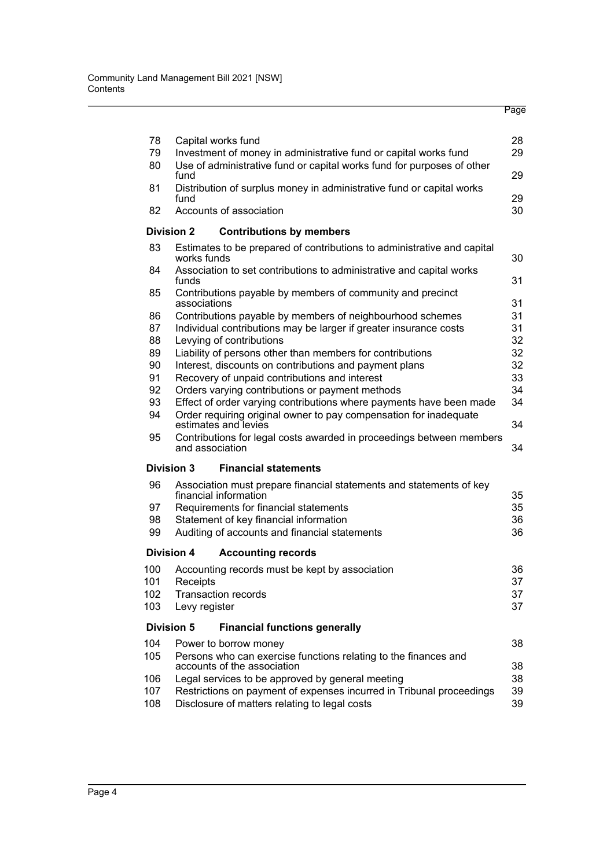| 78       | Capital works fund                                                                      | 28       |  |  |  |
|----------|-----------------------------------------------------------------------------------------|----------|--|--|--|
| 79       | Investment of money in administrative fund or capital works fund                        |          |  |  |  |
| 80       | Use of administrative fund or capital works fund for purposes of other<br>fund          | 29       |  |  |  |
| 81       | Distribution of surplus money in administrative fund or capital works                   |          |  |  |  |
|          | fund<br>29                                                                              |          |  |  |  |
| 82       | Accounts of association                                                                 | 30       |  |  |  |
|          | <b>Division 2</b><br><b>Contributions by members</b>                                    |          |  |  |  |
| 83       | Estimates to be prepared of contributions to administrative and capital<br>works funds  | 30       |  |  |  |
| 84       | Association to set contributions to administrative and capital works<br>funds           | 31       |  |  |  |
| 85       | Contributions payable by members of community and precinct                              |          |  |  |  |
|          | associations                                                                            | 31       |  |  |  |
| 86       | Contributions payable by members of neighbourhood schemes                               | 31       |  |  |  |
| 87       | Individual contributions may be larger if greater insurance costs                       | 31<br>32 |  |  |  |
| 88<br>89 | Levying of contributions<br>Liability of persons other than members for contributions   | 32       |  |  |  |
| 90       | Interest, discounts on contributions and payment plans                                  | 32       |  |  |  |
| 91       | Recovery of unpaid contributions and interest                                           | 33       |  |  |  |
| 92       | Orders varying contributions or payment methods                                         | 34       |  |  |  |
| 93       | Effect of order varying contributions where payments have been made                     | 34       |  |  |  |
| 94       | Order requiring original owner to pay compensation for inadequate                       |          |  |  |  |
|          | estimates and levies                                                                    | 34       |  |  |  |
| 95       | Contributions for legal costs awarded in proceedings between members<br>and association | 34       |  |  |  |
|          | <b>Division 3</b><br><b>Financial statements</b>                                        |          |  |  |  |
| 96       | Association must prepare financial statements and statements of key                     |          |  |  |  |
|          | financial information                                                                   | 35       |  |  |  |
| 97       | Requirements for financial statements                                                   | 35       |  |  |  |
| 98       | Statement of key financial information                                                  | 36       |  |  |  |
| 99       | Auditing of accounts and financial statements                                           | 36       |  |  |  |
|          | <b>Division 4</b><br><b>Accounting records</b>                                          |          |  |  |  |
| 100      | Accounting records must be kept by association                                          | 36       |  |  |  |
| 101      | Receipts                                                                                | 37       |  |  |  |
| 102      | <b>Transaction records</b>                                                              | 37       |  |  |  |
| 103      | Levy register                                                                           | 37       |  |  |  |
|          | <b>Division 5</b><br><b>Financial functions generally</b>                               |          |  |  |  |
| 104      | Power to borrow money                                                                   | 38       |  |  |  |
| 105      | Persons who can exercise functions relating to the finances and                         |          |  |  |  |
|          | accounts of the association                                                             | 38       |  |  |  |
| 106      | Legal services to be approved by general meeting                                        | 38       |  |  |  |
| 107      | Restrictions on payment of expenses incurred in Tribunal proceedings                    | 39       |  |  |  |
| 108      | Disclosure of matters relating to legal costs<br>39                                     |          |  |  |  |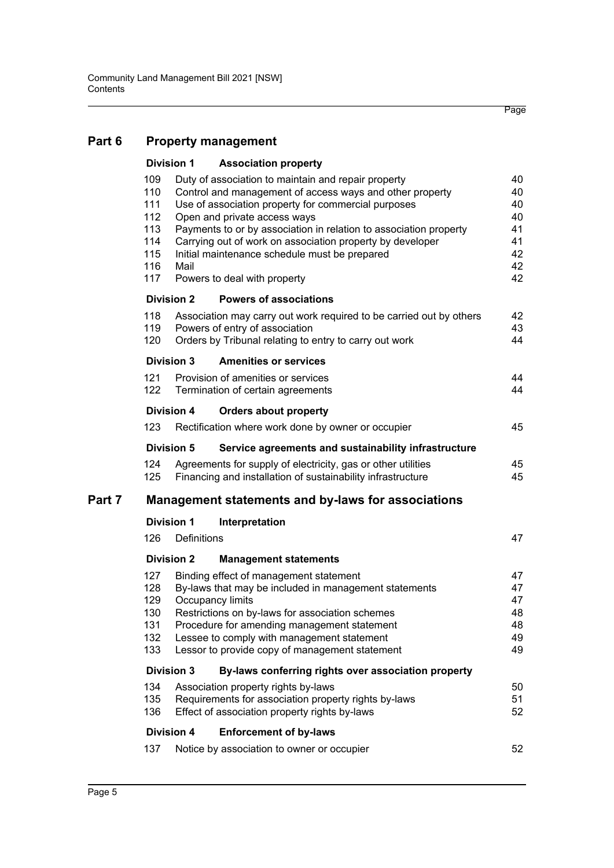# **[Part 6 Property management](#page-48-0)**

|        |                                                             | <b>Division 1</b> | <b>Association property</b>                                                                                                                                                                                                                                                                                                                                                                                               |                                                    |  |  |
|--------|-------------------------------------------------------------|-------------------|---------------------------------------------------------------------------------------------------------------------------------------------------------------------------------------------------------------------------------------------------------------------------------------------------------------------------------------------------------------------------------------------------------------------------|----------------------------------------------------|--|--|
|        | 109<br>110<br>111<br>112<br>113<br>114<br>115<br>116<br>117 | Mail              | Duty of association to maintain and repair property<br>Control and management of access ways and other property<br>Use of association property for commercial purposes<br>Open and private access ways<br>Payments to or by association in relation to association property<br>Carrying out of work on association property by developer<br>Initial maintenance schedule must be prepared<br>Powers to deal with property | 40<br>40<br>40<br>40<br>41<br>41<br>42<br>42<br>42 |  |  |
|        |                                                             | <b>Division 2</b> | <b>Powers of associations</b>                                                                                                                                                                                                                                                                                                                                                                                             |                                                    |  |  |
|        | 118<br>119<br>120                                           |                   | Association may carry out work required to be carried out by others<br>Powers of entry of association<br>Orders by Tribunal relating to entry to carry out work                                                                                                                                                                                                                                                           | 42<br>43<br>44                                     |  |  |
|        |                                                             | Division 3        | <b>Amenities or services</b>                                                                                                                                                                                                                                                                                                                                                                                              |                                                    |  |  |
|        | 121<br>122                                                  |                   | Provision of amenities or services<br>Termination of certain agreements                                                                                                                                                                                                                                                                                                                                                   | 44<br>44                                           |  |  |
|        |                                                             | <b>Division 4</b> | <b>Orders about property</b>                                                                                                                                                                                                                                                                                                                                                                                              |                                                    |  |  |
|        | 123                                                         |                   | Rectification where work done by owner or occupier                                                                                                                                                                                                                                                                                                                                                                        | 45                                                 |  |  |
|        |                                                             | <b>Division 5</b> | Service agreements and sustainability infrastructure                                                                                                                                                                                                                                                                                                                                                                      |                                                    |  |  |
|        | 124<br>125                                                  |                   | Agreements for supply of electricity, gas or other utilities<br>Financing and installation of sustainability infrastructure                                                                                                                                                                                                                                                                                               | 45<br>45                                           |  |  |
| Part 7 | <b>Management statements and by-laws for associations</b>   |                   |                                                                                                                                                                                                                                                                                                                                                                                                                           |                                                    |  |  |
|        |                                                             | <b>Division 1</b> | Interpretation                                                                                                                                                                                                                                                                                                                                                                                                            |                                                    |  |  |
|        | 126                                                         | Definitions       |                                                                                                                                                                                                                                                                                                                                                                                                                           | 47                                                 |  |  |
|        |                                                             | <b>Division 2</b> | <b>Management statements</b>                                                                                                                                                                                                                                                                                                                                                                                              |                                                    |  |  |
|        | 127<br>128<br>129<br>130<br>131<br>132<br>133               |                   | Binding effect of management statement<br>By-laws that may be included in management statements<br>Occupancy limits<br>Restrictions on by-laws for association schemes<br>Procedure for amending management statement<br>Lessee to comply with management statement<br>Lessor to provide copy of management statement                                                                                                     | 47<br>47<br>47<br>48<br>48<br>49<br>49             |  |  |
|        |                                                             | <b>Division 3</b> | By-laws conferring rights over association property                                                                                                                                                                                                                                                                                                                                                                       |                                                    |  |  |
|        | 134<br>135<br>136                                           |                   | Association property rights by-laws<br>Requirements for association property rights by-laws<br>Effect of association property rights by-laws                                                                                                                                                                                                                                                                              | 50<br>51<br>52                                     |  |  |
|        |                                                             | <b>Division 4</b> | <b>Enforcement of by-laws</b>                                                                                                                                                                                                                                                                                                                                                                                             |                                                    |  |  |
|        | 137                                                         |                   | Notice by association to owner or occupier                                                                                                                                                                                                                                                                                                                                                                                | 52                                                 |  |  |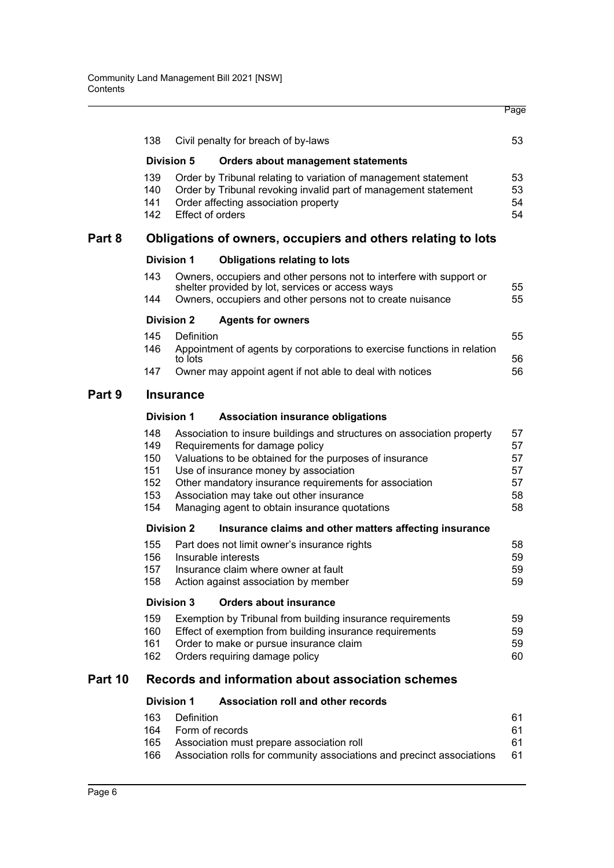|         | 138                                               |                               | Civil penalty for breach of by-laws                                                                                                                                                                                                                                                                                                                                 | 53                                     |  |  |
|---------|---------------------------------------------------|-------------------------------|---------------------------------------------------------------------------------------------------------------------------------------------------------------------------------------------------------------------------------------------------------------------------------------------------------------------------------------------------------------------|----------------------------------------|--|--|
|         |                                                   | <b>Division 5</b>             | <b>Orders about management statements</b>                                                                                                                                                                                                                                                                                                                           |                                        |  |  |
|         | 139<br>140<br>141<br>142                          | <b>Effect of orders</b>       | Order by Tribunal relating to variation of management statement<br>Order by Tribunal revoking invalid part of management statement<br>Order affecting association property                                                                                                                                                                                          | 53<br>53<br>54<br>54                   |  |  |
| Part 8  |                                                   |                               | Obligations of owners, occupiers and others relating to lots                                                                                                                                                                                                                                                                                                        |                                        |  |  |
|         |                                                   | <b>Division 1</b>             | <b>Obligations relating to lots</b>                                                                                                                                                                                                                                                                                                                                 |                                        |  |  |
|         | 143                                               |                               | Owners, occupiers and other persons not to interfere with support or<br>shelter provided by lot, services or access ways                                                                                                                                                                                                                                            | 55                                     |  |  |
|         | 144                                               |                               | Owners, occupiers and other persons not to create nuisance                                                                                                                                                                                                                                                                                                          | 55                                     |  |  |
|         |                                                   | <b>Division 2</b>             | <b>Agents for owners</b>                                                                                                                                                                                                                                                                                                                                            |                                        |  |  |
|         | 145<br>146                                        | Definition<br>to lots         | Appointment of agents by corporations to exercise functions in relation                                                                                                                                                                                                                                                                                             | 55<br>56                               |  |  |
|         | 147                                               |                               | Owner may appoint agent if not able to deal with notices                                                                                                                                                                                                                                                                                                            | 56                                     |  |  |
| Part 9  |                                                   | <b>Insurance</b>              |                                                                                                                                                                                                                                                                                                                                                                     |                                        |  |  |
|         |                                                   | <b>Division 1</b>             | <b>Association insurance obligations</b>                                                                                                                                                                                                                                                                                                                            |                                        |  |  |
|         | 148<br>149<br>150<br>151<br>152<br>153<br>154     |                               | Association to insure buildings and structures on association property<br>Requirements for damage policy<br>Valuations to be obtained for the purposes of insurance<br>Use of insurance money by association<br>Other mandatory insurance requirements for association<br>Association may take out other insurance<br>Managing agent to obtain insurance quotations | 57<br>57<br>57<br>57<br>57<br>58<br>58 |  |  |
|         |                                                   | <b>Division 2</b>             | Insurance claims and other matters affecting insurance                                                                                                                                                                                                                                                                                                              |                                        |  |  |
|         | 155<br>156<br>157<br>158                          |                               | Part does not limit owner's insurance rights<br>Insurable interests<br>Insurance claim where owner at fault<br>Action against association by member                                                                                                                                                                                                                 | 58<br>59<br>59<br>59                   |  |  |
|         |                                                   | <b>Division 3</b>             | <b>Orders about insurance</b>                                                                                                                                                                                                                                                                                                                                       |                                        |  |  |
|         | 159<br>160<br>161<br>162                          |                               | Exemption by Tribunal from building insurance requirements<br>Effect of exemption from building insurance requirements<br>Order to make or pursue insurance claim<br>Orders requiring damage policy                                                                                                                                                                 | 59<br>59<br>59<br>60                   |  |  |
| Part 10 | Records and information about association schemes |                               |                                                                                                                                                                                                                                                                                                                                                                     |                                        |  |  |
|         |                                                   | <b>Division 1</b>             | <b>Association roll and other records</b>                                                                                                                                                                                                                                                                                                                           |                                        |  |  |
|         | 163<br>164<br>165<br>166                          | Definition<br>Form of records | Association must prepare association roll<br>Association rolls for community associations and precinct associations                                                                                                                                                                                                                                                 | 61<br>61<br>61<br>61                   |  |  |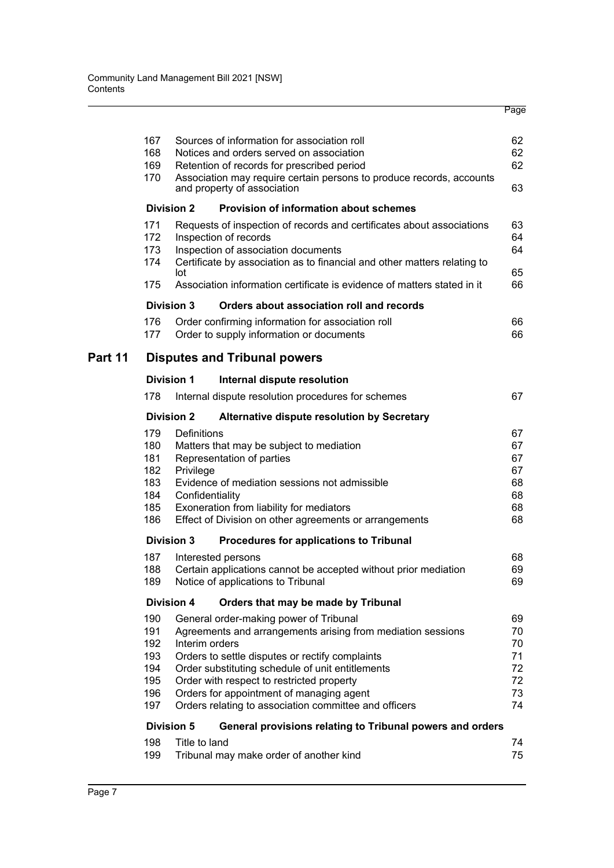|         | 167<br>168<br>169<br>170                             |                                             | Sources of information for association roll<br>Notices and orders served on association<br>Retention of records for prescribed period<br>Association may require certain persons to produce records, accounts<br>and property of association                                                                                                                   | 62<br>62<br>62<br>63                         |
|---------|------------------------------------------------------|---------------------------------------------|----------------------------------------------------------------------------------------------------------------------------------------------------------------------------------------------------------------------------------------------------------------------------------------------------------------------------------------------------------------|----------------------------------------------|
|         |                                                      | <b>Division 2</b>                           | <b>Provision of information about schemes</b>                                                                                                                                                                                                                                                                                                                  |                                              |
|         | 171<br>172<br>173<br>174<br>175                      | lot                                         | Requests of inspection of records and certificates about associations<br>Inspection of records<br>Inspection of association documents<br>Certificate by association as to financial and other matters relating to<br>Association information certificate is evidence of matters stated in it                                                                   | 63<br>64<br>64<br>65<br>66                   |
|         |                                                      |                                             |                                                                                                                                                                                                                                                                                                                                                                |                                              |
|         | 176<br>177                                           | <b>Division 3</b>                           | Orders about association roll and records<br>Order confirming information for association roll<br>Order to supply information or documents                                                                                                                                                                                                                     | 66<br>66                                     |
| Part 11 |                                                      |                                             | <b>Disputes and Tribunal powers</b>                                                                                                                                                                                                                                                                                                                            |                                              |
|         |                                                      | <b>Division 1</b>                           | Internal dispute resolution                                                                                                                                                                                                                                                                                                                                    |                                              |
|         | 178                                                  |                                             | Internal dispute resolution procedures for schemes                                                                                                                                                                                                                                                                                                             | 67                                           |
|         |                                                      | <b>Division 2</b>                           | Alternative dispute resolution by Secretary                                                                                                                                                                                                                                                                                                                    |                                              |
|         | 179<br>180<br>181<br>182<br>183<br>184<br>185<br>186 | Definitions<br>Privilege<br>Confidentiality | Matters that may be subject to mediation<br>Representation of parties<br>Evidence of mediation sessions not admissible<br>Exoneration from liability for mediators<br>Effect of Division on other agreements or arrangements                                                                                                                                   | 67<br>67<br>67<br>67<br>68<br>68<br>68<br>68 |
|         |                                                      | Division 3                                  | Procedures for applications to Tribunal                                                                                                                                                                                                                                                                                                                        |                                              |
|         | 187<br>188<br>189                                    |                                             | Interested persons<br>Certain applications cannot be accepted without prior mediation<br>Notice of applications to Tribunal                                                                                                                                                                                                                                    | 68<br>69<br>69                               |
|         |                                                      | <b>Division 4</b>                           | Orders that may be made by Tribunal                                                                                                                                                                                                                                                                                                                            |                                              |
|         | 190<br>191<br>192<br>193<br>194<br>195<br>196<br>197 | Interim orders                              | General order-making power of Tribunal<br>Agreements and arrangements arising from mediation sessions<br>Orders to settle disputes or rectify complaints<br>Order substituting schedule of unit entitlements<br>Order with respect to restricted property<br>Orders for appointment of managing agent<br>Orders relating to association committee and officers | 69<br>70<br>70<br>71<br>72<br>72<br>73<br>74 |
|         |                                                      | <b>Division 5</b>                           | General provisions relating to Tribunal powers and orders                                                                                                                                                                                                                                                                                                      |                                              |
|         | 198<br>199                                           | Title to land                               | Tribunal may make order of another kind                                                                                                                                                                                                                                                                                                                        | 74<br>75                                     |
|         |                                                      |                                             |                                                                                                                                                                                                                                                                                                                                                                |                                              |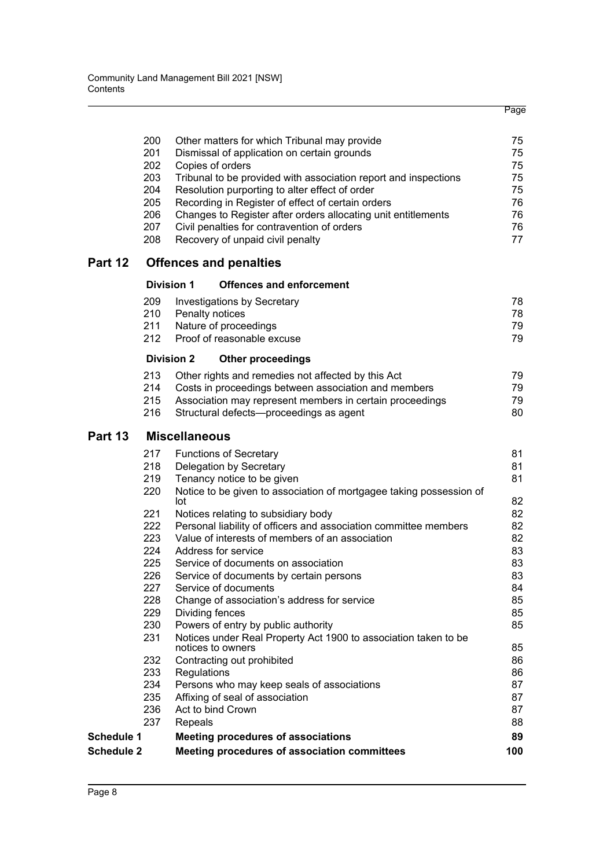|                   |     |                                                                                             | Page |
|-------------------|-----|---------------------------------------------------------------------------------------------|------|
|                   | 200 |                                                                                             | 75   |
|                   | 201 | Other matters for which Tribunal may provide<br>Dismissal of application on certain grounds | 75   |
|                   | 202 | Copies of orders                                                                            | 75   |
|                   | 203 | Tribunal to be provided with association report and inspections                             | 75   |
|                   | 204 | Resolution purporting to alter effect of order                                              | 75   |
|                   | 205 | Recording in Register of effect of certain orders                                           | 76   |
|                   | 206 | Changes to Register after orders allocating unit entitlements                               | 76   |
|                   | 207 | Civil penalties for contravention of orders                                                 | 76   |
|                   | 208 | Recovery of unpaid civil penalty                                                            | 77   |
| Part 12           |     | <b>Offences and penalties</b>                                                               |      |
|                   |     | <b>Division 1</b><br><b>Offences and enforcement</b>                                        |      |
|                   | 209 | Investigations by Secretary                                                                 | 78   |
|                   | 210 | Penalty notices                                                                             | 78   |
|                   | 211 | Nature of proceedings                                                                       | 79   |
|                   | 212 | Proof of reasonable excuse                                                                  | 79   |
|                   |     | <b>Division 2</b><br><b>Other proceedings</b>                                               |      |
|                   | 213 | Other rights and remedies not affected by this Act                                          | 79   |
|                   | 214 | Costs in proceedings between association and members                                        | 79   |
|                   | 215 | Association may represent members in certain proceedings                                    | 79   |
|                   | 216 | Structural defects-proceedings as agent                                                     | 80   |
| Part 13           |     | <b>Miscellaneous</b>                                                                        |      |
|                   | 217 | <b>Functions of Secretary</b>                                                               | 81   |
|                   | 218 | Delegation by Secretary                                                                     | 81   |
|                   | 219 | Tenancy notice to be given                                                                  | 81   |
|                   | 220 | Notice to be given to association of mortgagee taking possession of<br>lot                  | 82   |
|                   | 221 | Notices relating to subsidiary body                                                         | 82   |
|                   | 222 | Personal liability of officers and association committee members                            | 82   |
|                   | 223 | Value of interests of members of an association                                             | 82   |
|                   | 224 | Address for service                                                                         | 83   |
|                   | 225 | Service of documents on association                                                         | 83   |
|                   | 226 | Service of documents by certain persons                                                     | 83   |
|                   | 227 | Service of documents                                                                        | 84   |
|                   | 228 | Change of association's address for service                                                 | 85   |
|                   | 229 | Dividing fences                                                                             | 85   |
|                   | 230 | Powers of entry by public authority                                                         | 85   |
|                   | 231 | Notices under Real Property Act 1900 to association taken to be<br>notices to owners        | 85   |
|                   | 232 | Contracting out prohibited                                                                  | 86   |
|                   | 233 | Regulations                                                                                 | 86   |
|                   | 234 | Persons who may keep seals of associations                                                  | 87   |
|                   | 235 | Affixing of seal of association                                                             | 87   |
|                   | 236 | Act to bind Crown                                                                           | 87   |
|                   | 237 | Repeals                                                                                     | 88   |
| <b>Schedule 1</b> |     | <b>Meeting procedures of associations</b>                                                   | 89   |
| <b>Schedule 2</b> |     | Meeting procedures of association committees                                                | 100  |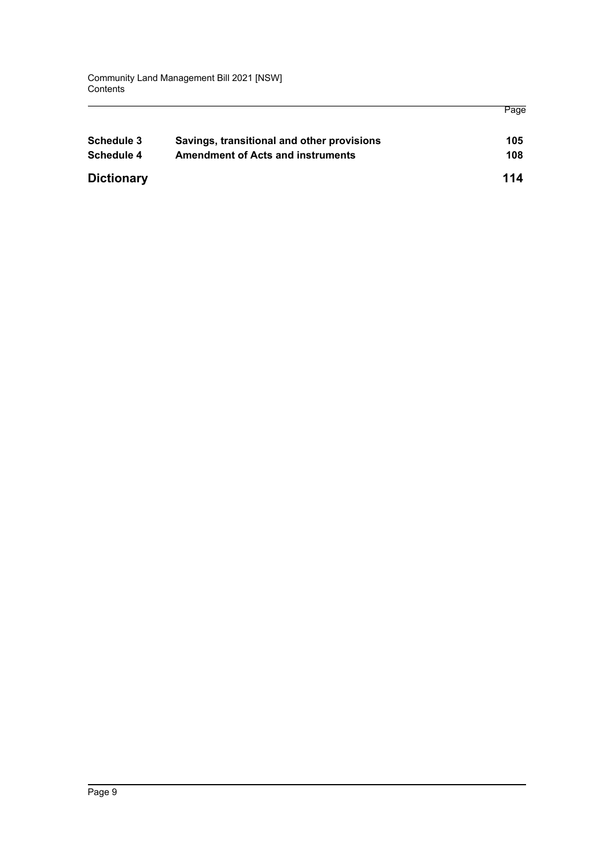| <b>Schedule 3</b> | Savings, transitional and other provisions | 105 |
|-------------------|--------------------------------------------|-----|
| Schedule 4        | <b>Amendment of Acts and instruments</b>   | 108 |
| <b>Dictionary</b> |                                            | 114 |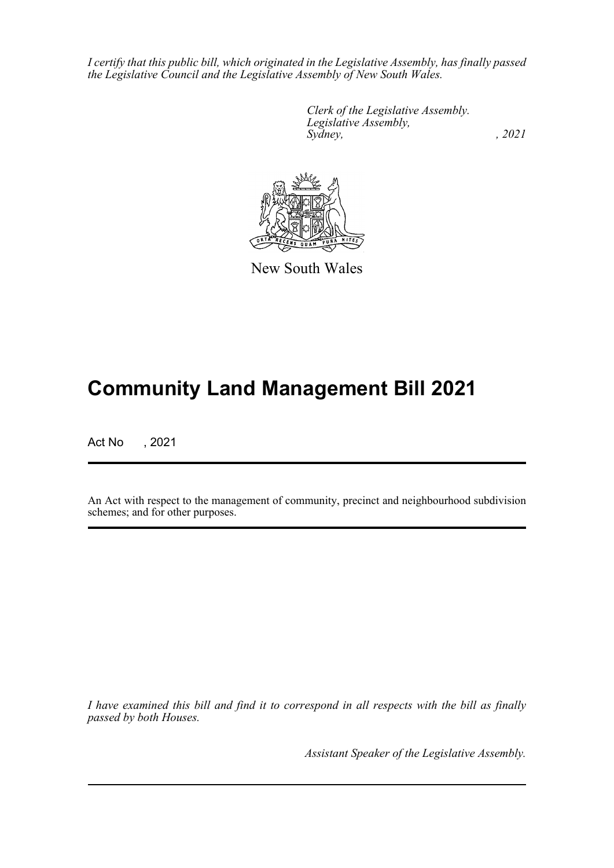*I certify that this public bill, which originated in the Legislative Assembly, has finally passed the Legislative Council and the Legislative Assembly of New South Wales.*

> *Clerk of the Legislative Assembly. Legislative Assembly, Sydney, , 2021*



New South Wales

# **Community Land Management Bill 2021**

Act No , 2021

An Act with respect to the management of community, precinct and neighbourhood subdivision schemes; and for other purposes.

*I have examined this bill and find it to correspond in all respects with the bill as finally passed by both Houses.*

*Assistant Speaker of the Legislative Assembly.*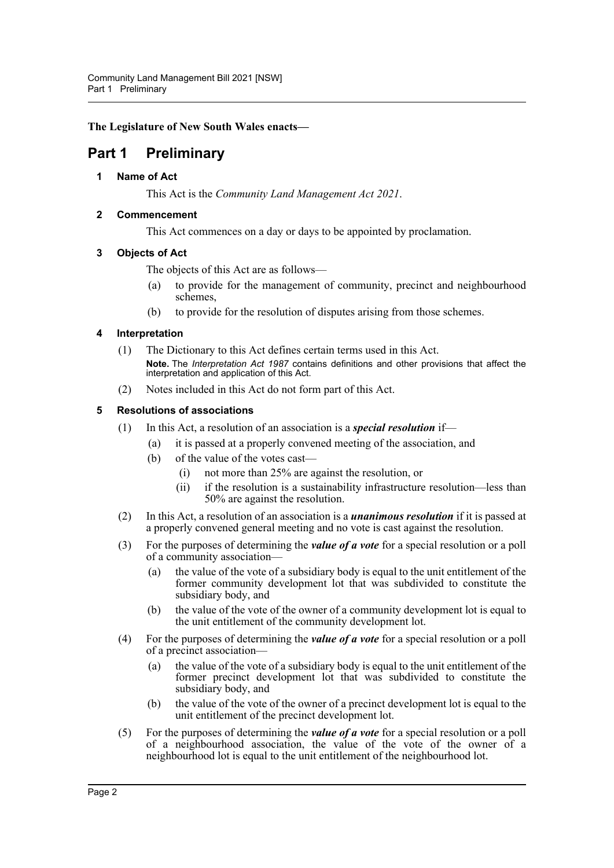**The Legislature of New South Wales enacts—**

# <span id="page-10-1"></span><span id="page-10-0"></span>**Part 1 Preliminary**

## **1 Name of Act**

This Act is the *Community Land Management Act 2021*.

## <span id="page-10-2"></span>**2 Commencement**

This Act commences on a day or days to be appointed by proclamation.

## <span id="page-10-3"></span>**3 Objects of Act**

The objects of this Act are as follows—

- (a) to provide for the management of community, precinct and neighbourhood schemes,
- (b) to provide for the resolution of disputes arising from those schemes.

## <span id="page-10-4"></span>**4 Interpretation**

- (1) The Dictionary to this Act defines certain terms used in this Act. **Note.** The *Interpretation Act 1987* contains definitions and other provisions that affect the interpretation and application of this Act.
- (2) Notes included in this Act do not form part of this Act.

## <span id="page-10-5"></span>**5 Resolutions of associations**

- (1) In this Act, a resolution of an association is a *special resolution* if—
	- (a) it is passed at a properly convened meeting of the association, and
	- (b) of the value of the votes cast—
		- (i) not more than 25% are against the resolution, or
		- (ii) if the resolution is a sustainability infrastructure resolution—less than 50% are against the resolution.
- (2) In this Act, a resolution of an association is a *unanimous resolution* if it is passed at a properly convened general meeting and no vote is cast against the resolution.
- (3) For the purposes of determining the *value of a vote* for a special resolution or a poll of a community association—
	- (a) the value of the vote of a subsidiary body is equal to the unit entitlement of the former community development lot that was subdivided to constitute the subsidiary body, and
	- (b) the value of the vote of the owner of a community development lot is equal to the unit entitlement of the community development lot.
- (4) For the purposes of determining the *value of a vote* for a special resolution or a poll of a precinct association—
	- (a) the value of the vote of a subsidiary body is equal to the unit entitlement of the former precinct development lot that was subdivided to constitute the subsidiary body, and
	- (b) the value of the vote of the owner of a precinct development lot is equal to the unit entitlement of the precinct development lot.
- (5) For the purposes of determining the *value of a vote* for a special resolution or a poll of a neighbourhood association, the value of the vote of the owner of a neighbourhood lot is equal to the unit entitlement of the neighbourhood lot.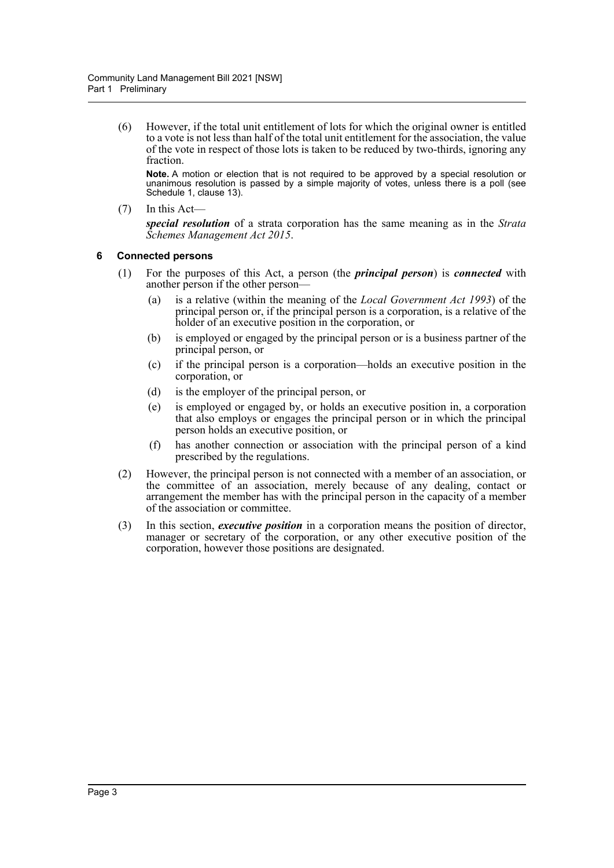(6) However, if the total unit entitlement of lots for which the original owner is entitled to a vote is not less than half of the total unit entitlement for the association, the value of the vote in respect of those lots is taken to be reduced by two-thirds, ignoring any fraction.

**Note.** A motion or election that is not required to be approved by a special resolution or unanimous resolution is passed by a simple majority of votes, unless there is a poll (see Schedule 1, clause 13).

(7) In this Act—

*special resolution* of a strata corporation has the same meaning as in the *Strata Schemes Management Act 2015*.

## <span id="page-11-0"></span>**6 Connected persons**

- (1) For the purposes of this Act, a person (the *principal person*) is *connected* with another person if the other person—
	- (a) is a relative (within the meaning of the *Local Government Act 1993*) of the principal person or, if the principal person is a corporation, is a relative of the holder of an executive position in the corporation, or
	- (b) is employed or engaged by the principal person or is a business partner of the principal person, or
	- (c) if the principal person is a corporation—holds an executive position in the corporation, or
	- (d) is the employer of the principal person, or
	- (e) is employed or engaged by, or holds an executive position in, a corporation that also employs or engages the principal person or in which the principal person holds an executive position, or
	- (f) has another connection or association with the principal person of a kind prescribed by the regulations.
- (2) However, the principal person is not connected with a member of an association, or the committee of an association, merely because of any dealing, contact or arrangement the member has with the principal person in the capacity of a member of the association or committee.
- (3) In this section, *executive position* in a corporation means the position of director, manager or secretary of the corporation, or any other executive position of the corporation, however those positions are designated.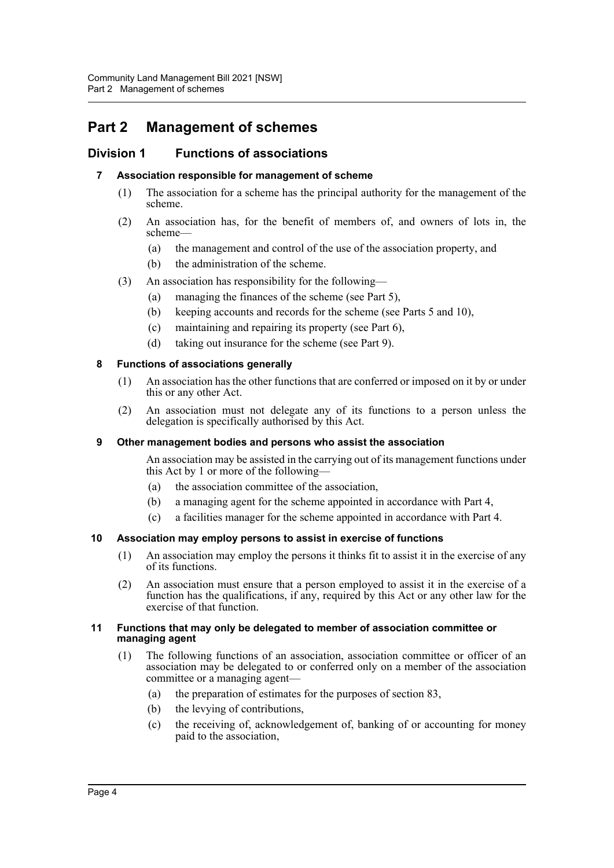# <span id="page-12-0"></span>**Part 2 Management of schemes**

## <span id="page-12-2"></span><span id="page-12-1"></span>**Division 1 Functions of associations**

## **7 Association responsible for management of scheme**

- (1) The association for a scheme has the principal authority for the management of the scheme.
- (2) An association has, for the benefit of members of, and owners of lots in, the scheme—
	- (a) the management and control of the use of the association property, and
	- (b) the administration of the scheme.
- (3) An association has responsibility for the following—
	- (a) managing the finances of the scheme (see Part 5),
	- (b) keeping accounts and records for the scheme (see Parts 5 and 10),
	- (c) maintaining and repairing its property (see Part 6),
	- (d) taking out insurance for the scheme (see Part 9).

## <span id="page-12-3"></span>**8 Functions of associations generally**

- (1) An association has the other functions that are conferred or imposed on it by or under this or any other Act.
- (2) An association must not delegate any of its functions to a person unless the delegation is specifically authorised by this Act.

## <span id="page-12-4"></span>**9 Other management bodies and persons who assist the association**

An association may be assisted in the carrying out of its management functions under this Act by 1 or more of the following—

- (a) the association committee of the association,
- (b) a managing agent for the scheme appointed in accordance with Part 4,
- (c) a facilities manager for the scheme appointed in accordance with Part 4.

## <span id="page-12-5"></span>**10 Association may employ persons to assist in exercise of functions**

- (1) An association may employ the persons it thinks fit to assist it in the exercise of any of its functions.
- (2) An association must ensure that a person employed to assist it in the exercise of a function has the qualifications, if any, required by this Act or any other law for the exercise of that function.

#### <span id="page-12-6"></span>**11 Functions that may only be delegated to member of association committee or managing agent**

- (1) The following functions of an association, association committee or officer of an association may be delegated to or conferred only on a member of the association committee or a managing agent—
	- (a) the preparation of estimates for the purposes of section 83,
	- (b) the levying of contributions,
	- (c) the receiving of, acknowledgement of, banking of or accounting for money paid to the association,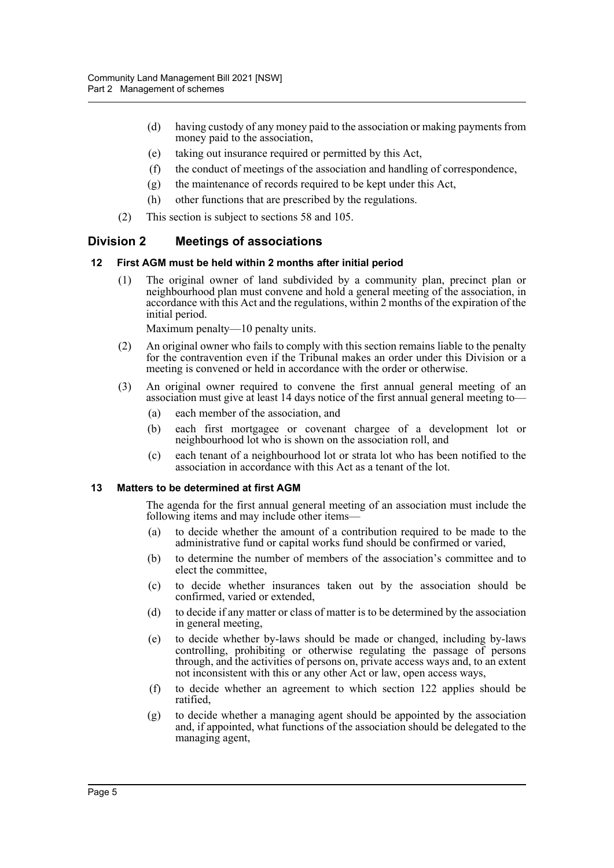- (d) having custody of any money paid to the association or making payments from money paid to the association,
- (e) taking out insurance required or permitted by this Act,
- (f) the conduct of meetings of the association and handling of correspondence,
- (g) the maintenance of records required to be kept under this Act,
- (h) other functions that are prescribed by the regulations.
- (2) This section is subject to sections 58 and 105.

## <span id="page-13-0"></span>**Division 2 Meetings of associations**

## <span id="page-13-1"></span>**12 First AGM must be held within 2 months after initial period**

(1) The original owner of land subdivided by a community plan, precinct plan or neighbourhood plan must convene and hold a general meeting of the association, in accordance with this Act and the regulations, within 2 months of the expiration of the initial period.

Maximum penalty—10 penalty units.

- (2) An original owner who fails to comply with this section remains liable to the penalty for the contravention even if the Tribunal makes an order under this Division or a meeting is convened or held in accordance with the order or otherwise.
- (3) An original owner required to convene the first annual general meeting of an association must give at least 14 days notice of the first annual general meeting to—
	- (a) each member of the association, and
	- (b) each first mortgagee or covenant chargee of a development lot or neighbourhood lot who is shown on the association roll, and
	- (c) each tenant of a neighbourhood lot or strata lot who has been notified to the association in accordance with this Act as a tenant of the lot.

## <span id="page-13-2"></span>**13 Matters to be determined at first AGM**

The agenda for the first annual general meeting of an association must include the following items and may include other items—

- (a) to decide whether the amount of a contribution required to be made to the administrative fund or capital works fund should be confirmed or varied,
- (b) to determine the number of members of the association's committee and to elect the committee,
- (c) to decide whether insurances taken out by the association should be confirmed, varied or extended,
- (d) to decide if any matter or class of matter is to be determined by the association in general meeting,
- (e) to decide whether by-laws should be made or changed, including by-laws controlling, prohibiting or otherwise regulating the passage of persons through, and the activities of persons on, private access ways and, to an extent not inconsistent with this or any other Act or law, open access ways,
- (f) to decide whether an agreement to which section 122 applies should be ratified,
- (g) to decide whether a managing agent should be appointed by the association and, if appointed, what functions of the association should be delegated to the managing agent,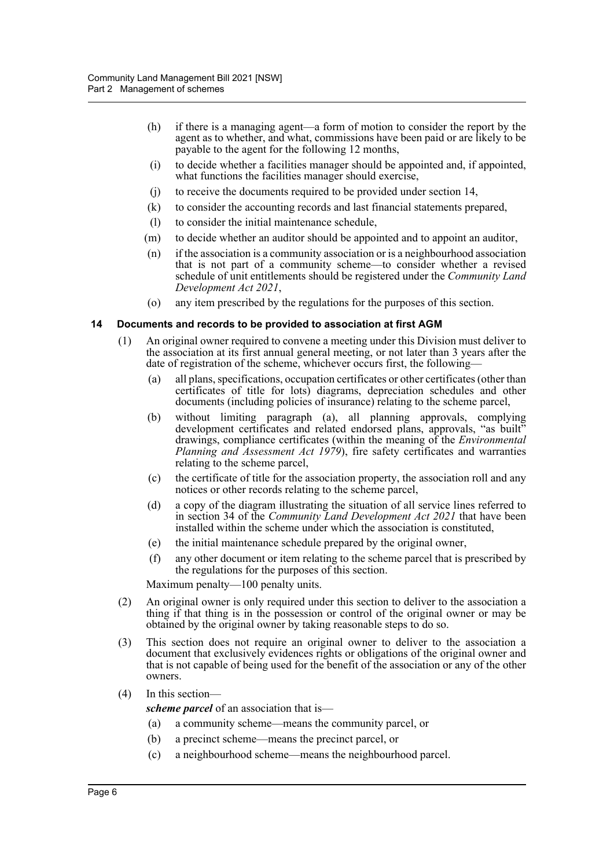- (h) if there is a managing agent—a form of motion to consider the report by the agent as to whether, and what, commissions have been paid or are likely to be payable to the agent for the following 12 months,
- (i) to decide whether a facilities manager should be appointed and, if appointed, what functions the facilities manager should exercise,
- (j) to receive the documents required to be provided under section 14,
- (k) to consider the accounting records and last financial statements prepared,
- (l) to consider the initial maintenance schedule,
- (m) to decide whether an auditor should be appointed and to appoint an auditor,
- (n) if the association is a community association or is a neighbourhood association that is not part of a community scheme—to consider whether a revised schedule of unit entitlements should be registered under the *Community Land Development Act 2021*,
- (o) any item prescribed by the regulations for the purposes of this section.

#### <span id="page-14-0"></span>**14 Documents and records to be provided to association at first AGM**

- (1) An original owner required to convene a meeting under this Division must deliver to the association at its first annual general meeting, or not later than 3 years after the date of registration of the scheme, whichever occurs first, the following—
	- (a) all plans, specifications, occupation certificates or other certificates (other than certificates of title for lots) diagrams, depreciation schedules and other documents (including policies of insurance) relating to the scheme parcel,
	- (b) without limiting paragraph (a), all planning approvals, complying development certificates and related endorsed plans, approvals, "as built" drawings, compliance certificates (within the meaning of the *Environmental Planning and Assessment Act 1979*), fire safety certificates and warranties relating to the scheme parcel,
	- (c) the certificate of title for the association property, the association roll and any notices or other records relating to the scheme parcel,
	- (d) a copy of the diagram illustrating the situation of all service lines referred to in section 34 of the *Community Land Development Act 2021* that have been installed within the scheme under which the association is constituted,
	- (e) the initial maintenance schedule prepared by the original owner,
	- (f) any other document or item relating to the scheme parcel that is prescribed by the regulations for the purposes of this section.

Maximum penalty—100 penalty units.

- (2) An original owner is only required under this section to deliver to the association a thing if that thing is in the possession or control of the original owner or may be obtained by the original owner by taking reasonable steps to do so.
- (3) This section does not require an original owner to deliver to the association a document that exclusively evidences rights or obligations of the original owner and that is not capable of being used for the benefit of the association or any of the other owners.
- (4) In this section—

*scheme parcel* of an association that is—

- (a) a community scheme—means the community parcel, or
- (b) a precinct scheme—means the precinct parcel, or
- (c) a neighbourhood scheme—means the neighbourhood parcel.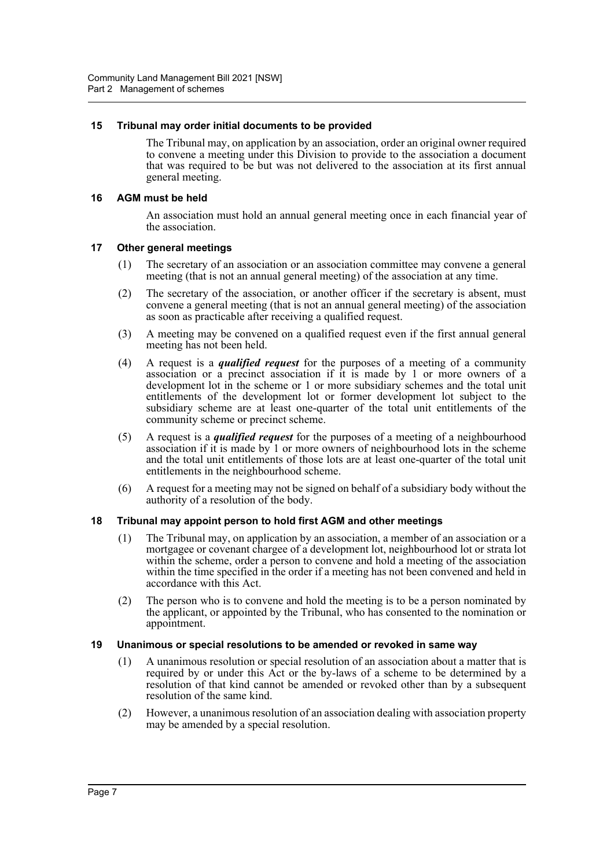## <span id="page-15-0"></span>**15 Tribunal may order initial documents to be provided**

The Tribunal may, on application by an association, order an original owner required to convene a meeting under this Division to provide to the association a document that was required to be but was not delivered to the association at its first annual general meeting.

## <span id="page-15-1"></span>**16 AGM must be held**

An association must hold an annual general meeting once in each financial year of the association.

## <span id="page-15-2"></span>**17 Other general meetings**

- (1) The secretary of an association or an association committee may convene a general meeting (that is not an annual general meeting) of the association at any time.
- (2) The secretary of the association, or another officer if the secretary is absent, must convene a general meeting (that is not an annual general meeting) of the association as soon as practicable after receiving a qualified request.
- (3) A meeting may be convened on a qualified request even if the first annual general meeting has not been held.
- (4) A request is a *qualified request* for the purposes of a meeting of a community association or a precinct association if it is made by 1 or more owners of a development lot in the scheme or 1 or more subsidiary schemes and the total unit entitlements of the development lot or former development lot subject to the subsidiary scheme are at least one-quarter of the total unit entitlements of the community scheme or precinct scheme.
- (5) A request is a *qualified request* for the purposes of a meeting of a neighbourhood association if it is made by 1 or more owners of neighbourhood lots in the scheme and the total unit entitlements of those lots are at least one-quarter of the total unit entitlements in the neighbourhood scheme.
- (6) A request for a meeting may not be signed on behalf of a subsidiary body without the authority of a resolution of the body.

## <span id="page-15-3"></span>**18 Tribunal may appoint person to hold first AGM and other meetings**

- (1) The Tribunal may, on application by an association, a member of an association or a mortgagee or covenant chargee of a development lot, neighbourhood lot or strata lot within the scheme, order a person to convene and hold a meeting of the association within the time specified in the order if a meeting has not been convened and held in accordance with this Act.
- (2) The person who is to convene and hold the meeting is to be a person nominated by the applicant, or appointed by the Tribunal, who has consented to the nomination or appointment.

## <span id="page-15-4"></span>**19 Unanimous or special resolutions to be amended or revoked in same way**

- (1) A unanimous resolution or special resolution of an association about a matter that is required by or under this Act or the by-laws of a scheme to be determined by a resolution of that kind cannot be amended or revoked other than by a subsequent resolution of the same kind.
- (2) However, a unanimous resolution of an association dealing with association property may be amended by a special resolution.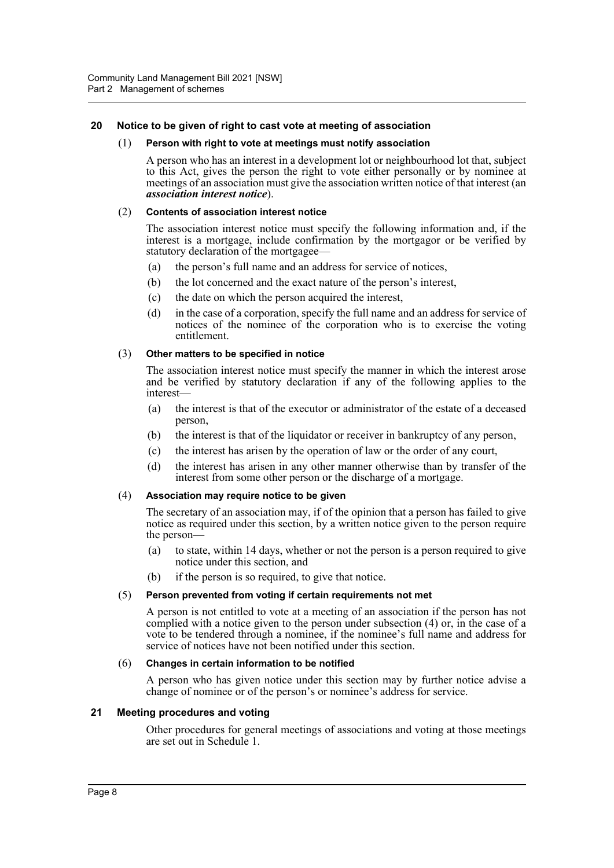## <span id="page-16-0"></span>**20 Notice to be given of right to cast vote at meeting of association**

#### (1) **Person with right to vote at meetings must notify association**

A person who has an interest in a development lot or neighbourhood lot that, subject to this Act, gives the person the right to vote either personally or by nominee at meetings of an association must give the association written notice of that interest (an *association interest notice*).

#### (2) **Contents of association interest notice**

The association interest notice must specify the following information and, if the interest is a mortgage, include confirmation by the mortgagor or be verified by statutory declaration of the mortgagee—

- (a) the person's full name and an address for service of notices,
- (b) the lot concerned and the exact nature of the person's interest,
- (c) the date on which the person acquired the interest,
- (d) in the case of a corporation, specify the full name and an address for service of notices of the nominee of the corporation who is to exercise the voting entitlement.

#### (3) **Other matters to be specified in notice**

The association interest notice must specify the manner in which the interest arose and be verified by statutory declaration if any of the following applies to the interest—

- (a) the interest is that of the executor or administrator of the estate of a deceased person,
- (b) the interest is that of the liquidator or receiver in bankruptcy of any person,
- (c) the interest has arisen by the operation of law or the order of any court,
- (d) the interest has arisen in any other manner otherwise than by transfer of the interest from some other person or the discharge of a mortgage.

#### (4) **Association may require notice to be given**

The secretary of an association may, if of the opinion that a person has failed to give notice as required under this section, by a written notice given to the person require the person—

- (a) to state, within 14 days, whether or not the person is a person required to give notice under this section, and
- (b) if the person is so required, to give that notice.

#### (5) **Person prevented from voting if certain requirements not met**

A person is not entitled to vote at a meeting of an association if the person has not complied with a notice given to the person under subsection (4) or, in the case of a vote to be tendered through a nominee, if the nominee's full name and address for service of notices have not been notified under this section.

#### (6) **Changes in certain information to be notified**

A person who has given notice under this section may by further notice advise a change of nominee or of the person's or nominee's address for service.

## <span id="page-16-1"></span>**21 Meeting procedures and voting**

Other procedures for general meetings of associations and voting at those meetings are set out in Schedule 1.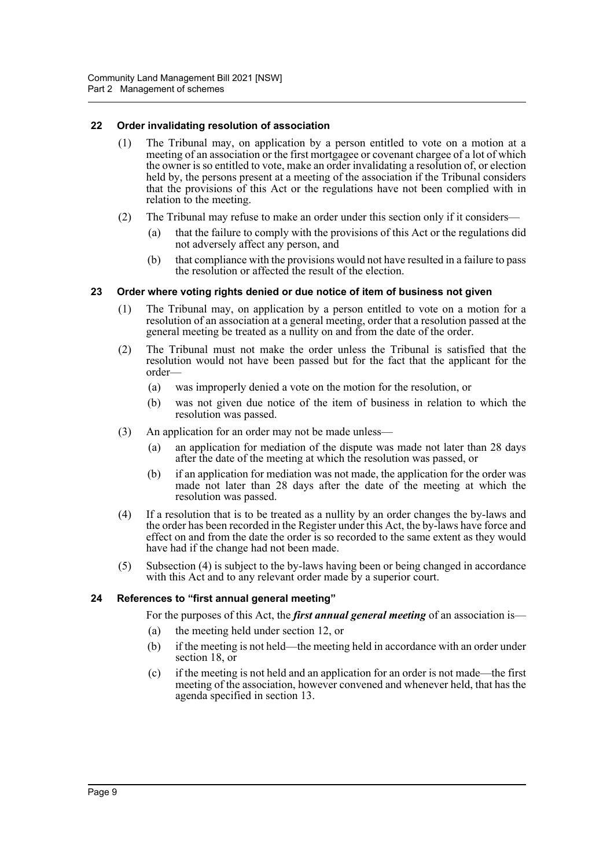## <span id="page-17-0"></span>**22 Order invalidating resolution of association**

- (1) The Tribunal may, on application by a person entitled to vote on a motion at a meeting of an association or the first mortgagee or covenant chargee of a lot of which the owner is so entitled to vote, make an order invalidating a resolution of, or election held by, the persons present at a meeting of the association if the Tribunal considers that the provisions of this Act or the regulations have not been complied with in relation to the meeting.
- (2) The Tribunal may refuse to make an order under this section only if it considers—
	- (a) that the failure to comply with the provisions of this Act or the regulations did not adversely affect any person, and
	- (b) that compliance with the provisions would not have resulted in a failure to pass the resolution or affected the result of the election.

## <span id="page-17-1"></span>**23 Order where voting rights denied or due notice of item of business not given**

- (1) The Tribunal may, on application by a person entitled to vote on a motion for a resolution of an association at a general meeting, order that a resolution passed at the general meeting be treated as a nullity on and from the date of the order.
- (2) The Tribunal must not make the order unless the Tribunal is satisfied that the resolution would not have been passed but for the fact that the applicant for the order—
	- (a) was improperly denied a vote on the motion for the resolution, or
	- (b) was not given due notice of the item of business in relation to which the resolution was passed.
- (3) An application for an order may not be made unless—
	- (a) an application for mediation of the dispute was made not later than 28 days after the date of the meeting at which the resolution was passed, or
	- (b) if an application for mediation was not made, the application for the order was made not later than 28 days after the date of the meeting at which the resolution was passed.
- (4) If a resolution that is to be treated as a nullity by an order changes the by-laws and the order has been recorded in the Register under this Act, the by-laws have force and effect on and from the date the order is so recorded to the same extent as they would have had if the change had not been made.
- (5) Subsection (4) is subject to the by-laws having been or being changed in accordance with this Act and to any relevant order made by a superior court.

## <span id="page-17-2"></span>**24 References to "first annual general meeting"**

For the purposes of this Act, the *first annual general meeting* of an association is—

- (a) the meeting held under section 12, or
- (b) if the meeting is not held—the meeting held in accordance with an order under section 18, or
- (c) if the meeting is not held and an application for an order is not made—the first meeting of the association, however convened and whenever held, that has the agenda specified in section 13.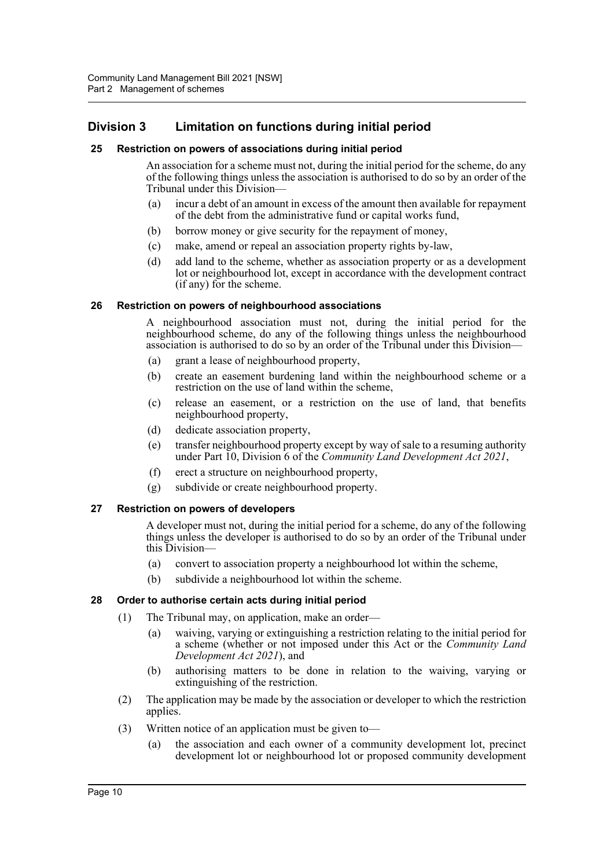## <span id="page-18-0"></span>**Division 3 Limitation on functions during initial period**

## <span id="page-18-1"></span>**25 Restriction on powers of associations during initial period**

An association for a scheme must not, during the initial period for the scheme, do any of the following things unless the association is authorised to do so by an order of the Tribunal under this Division—

- (a) incur a debt of an amount in excess of the amount then available for repayment of the debt from the administrative fund or capital works fund,
- (b) borrow money or give security for the repayment of money,
- (c) make, amend or repeal an association property rights by-law,
- (d) add land to the scheme, whether as association property or as a development lot or neighbourhood lot, except in accordance with the development contract (if any) for the scheme.

#### <span id="page-18-2"></span>**26 Restriction on powers of neighbourhood associations**

A neighbourhood association must not, during the initial period for the neighbourhood scheme, do any of the following things unless the neighbourhood association is authorised to do so by an order of the Tribunal under this Division—

- (a) grant a lease of neighbourhood property,
- (b) create an easement burdening land within the neighbourhood scheme or a restriction on the use of land within the scheme,
- (c) release an easement, or a restriction on the use of land, that benefits neighbourhood property,
- (d) dedicate association property,
- (e) transfer neighbourhood property except by way of sale to a resuming authority under Part 10, Division 6 of the *Community Land Development Act 2021*,
- (f) erect a structure on neighbourhood property,
- (g) subdivide or create neighbourhood property.

#### <span id="page-18-3"></span>**27 Restriction on powers of developers**

A developer must not, during the initial period for a scheme, do any of the following things unless the developer is authorised to do so by an order of the Tribunal under this Division—

- (a) convert to association property a neighbourhood lot within the scheme,
- (b) subdivide a neighbourhood lot within the scheme.

#### <span id="page-18-4"></span>**28 Order to authorise certain acts during initial period**

- (1) The Tribunal may, on application, make an order—
	- (a) waiving, varying or extinguishing a restriction relating to the initial period for a scheme (whether or not imposed under this Act or the *Community Land Development Act 2021*), and
	- (b) authorising matters to be done in relation to the waiving, varying or extinguishing of the restriction.
- (2) The application may be made by the association or developer to which the restriction applies.
- (3) Written notice of an application must be given to—
	- (a) the association and each owner of a community development lot, precinct development lot or neighbourhood lot or proposed community development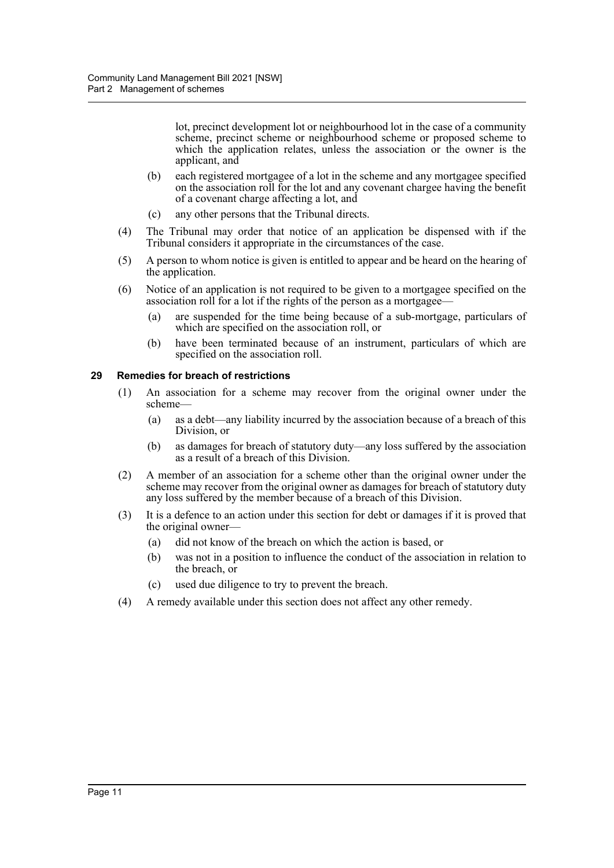lot, precinct development lot or neighbourhood lot in the case of a community scheme, precinct scheme or neighbourhood scheme or proposed scheme to which the application relates, unless the association or the owner is the applicant, and

- (b) each registered mortgagee of a lot in the scheme and any mortgagee specified on the association roll for the lot and any covenant chargee having the benefit of a covenant charge affecting a lot, and
- (c) any other persons that the Tribunal directs.
- (4) The Tribunal may order that notice of an application be dispensed with if the Tribunal considers it appropriate in the circumstances of the case.
- (5) A person to whom notice is given is entitled to appear and be heard on the hearing of the application.
- (6) Notice of an application is not required to be given to a mortgagee specified on the association roll for a lot if the rights of the person as a mortgagee-
	- (a) are suspended for the time being because of a sub-mortgage, particulars of which are specified on the association roll, or
	- (b) have been terminated because of an instrument, particulars of which are specified on the association roll.

## <span id="page-19-0"></span>**29 Remedies for breach of restrictions**

- (1) An association for a scheme may recover from the original owner under the scheme—
	- (a) as a debt—any liability incurred by the association because of a breach of this Division, or
	- (b) as damages for breach of statutory duty—any loss suffered by the association as a result of a breach of this Division.
- (2) A member of an association for a scheme other than the original owner under the scheme may recover from the original owner as damages for breach of statutory duty any loss suffered by the member because of a breach of this Division.
- (3) It is a defence to an action under this section for debt or damages if it is proved that the original owner—
	- (a) did not know of the breach on which the action is based, or
	- (b) was not in a position to influence the conduct of the association in relation to the breach, or
	- (c) used due diligence to try to prevent the breach.
- (4) A remedy available under this section does not affect any other remedy.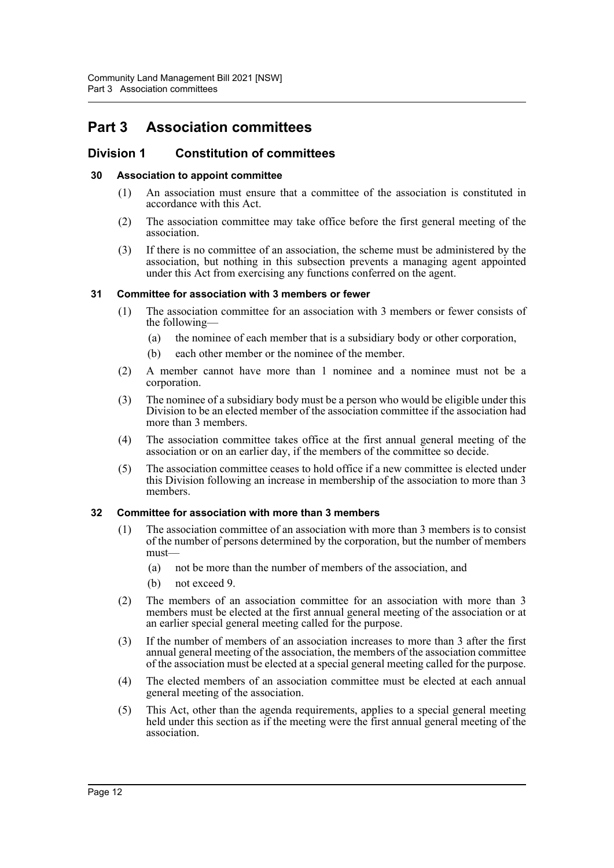# <span id="page-20-0"></span>**Part 3 Association committees**

## <span id="page-20-1"></span>**Division 1 Constitution of committees**

## <span id="page-20-2"></span>**30 Association to appoint committee**

- (1) An association must ensure that a committee of the association is constituted in accordance with this Act.
- (2) The association committee may take office before the first general meeting of the association.
- (3) If there is no committee of an association, the scheme must be administered by the association, but nothing in this subsection prevents a managing agent appointed under this Act from exercising any functions conferred on the agent.

## <span id="page-20-3"></span>**31 Committee for association with 3 members or fewer**

- (1) The association committee for an association with 3 members or fewer consists of the following—
	- (a) the nominee of each member that is a subsidiary body or other corporation,
	- (b) each other member or the nominee of the member.
- (2) A member cannot have more than 1 nominee and a nominee must not be a corporation.
- (3) The nominee of a subsidiary body must be a person who would be eligible under this Division to be an elected member of the association committee if the association had more than 3 members.
- (4) The association committee takes office at the first annual general meeting of the association or on an earlier day, if the members of the committee so decide.
- (5) The association committee ceases to hold office if a new committee is elected under this Division following an increase in membership of the association to more than 3 members.

## <span id="page-20-4"></span>**32 Committee for association with more than 3 members**

- (1) The association committee of an association with more than 3 members is to consist of the number of persons determined by the corporation, but the number of members must—
	- (a) not be more than the number of members of the association, and
	- (b) not exceed 9.
- (2) The members of an association committee for an association with more than 3 members must be elected at the first annual general meeting of the association or at an earlier special general meeting called for the purpose.
- (3) If the number of members of an association increases to more than 3 after the first annual general meeting of the association, the members of the association committee of the association must be elected at a special general meeting called for the purpose.
- (4) The elected members of an association committee must be elected at each annual general meeting of the association.
- (5) This Act, other than the agenda requirements, applies to a special general meeting held under this section as if the meeting were the first annual general meeting of the association.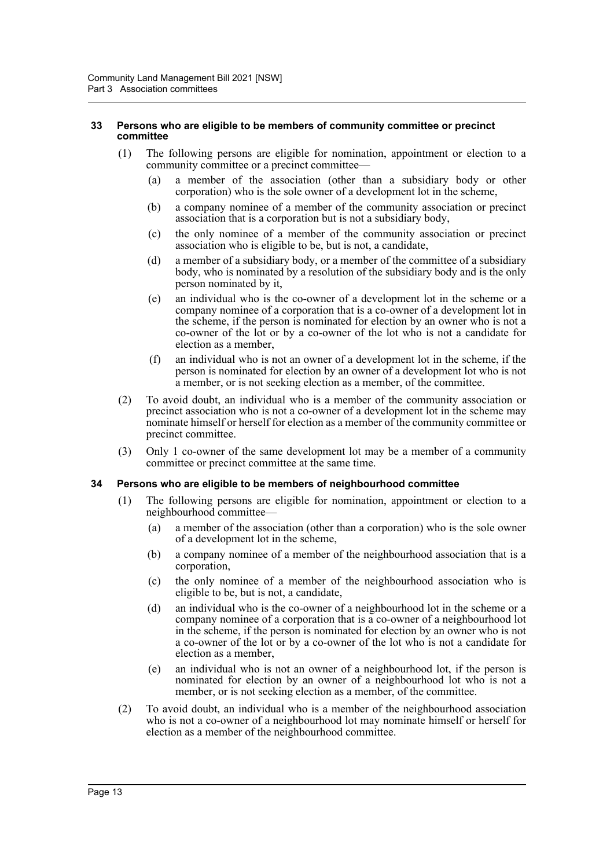#### <span id="page-21-0"></span>**33 Persons who are eligible to be members of community committee or precinct committee**

- (1) The following persons are eligible for nomination, appointment or election to a community committee or a precinct committee—
	- (a) a member of the association (other than a subsidiary body or other corporation) who is the sole owner of a development lot in the scheme,
	- (b) a company nominee of a member of the community association or precinct association that is a corporation but is not a subsidiary body,
	- (c) the only nominee of a member of the community association or precinct association who is eligible to be, but is not, a candidate,
	- (d) a member of a subsidiary body, or a member of the committee of a subsidiary body, who is nominated by a resolution of the subsidiary body and is the only person nominated by it,
	- (e) an individual who is the co-owner of a development lot in the scheme or a company nominee of a corporation that is a co-owner of a development lot in the scheme, if the person is nominated for election by an owner who is not a co-owner of the lot or by a co-owner of the lot who is not a candidate for election as a member,
	- (f) an individual who is not an owner of a development lot in the scheme, if the person is nominated for election by an owner of a development lot who is not a member, or is not seeking election as a member, of the committee.
- (2) To avoid doubt, an individual who is a member of the community association or precinct association who is not a co-owner of a development lot in the scheme may nominate himself or herself for election as a member of the community committee or precinct committee.
- (3) Only 1 co-owner of the same development lot may be a member of a community committee or precinct committee at the same time.

## <span id="page-21-1"></span>**34 Persons who are eligible to be members of neighbourhood committee**

- (1) The following persons are eligible for nomination, appointment or election to a neighbourhood committee—
	- (a) a member of the association (other than a corporation) who is the sole owner of a development lot in the scheme,
	- (b) a company nominee of a member of the neighbourhood association that is a corporation,
	- (c) the only nominee of a member of the neighbourhood association who is eligible to be, but is not, a candidate,
	- (d) an individual who is the co-owner of a neighbourhood lot in the scheme or a company nominee of a corporation that is a co-owner of a neighbourhood lot in the scheme, if the person is nominated for election by an owner who is not a co-owner of the lot or by a co-owner of the lot who is not a candidate for election as a member,
	- (e) an individual who is not an owner of a neighbourhood lot, if the person is nominated for election by an owner of a neighbourhood lot who is not a member, or is not seeking election as a member, of the committee.
- (2) To avoid doubt, an individual who is a member of the neighbourhood association who is not a co-owner of a neighbourhood lot may nominate himself or herself for election as a member of the neighbourhood committee.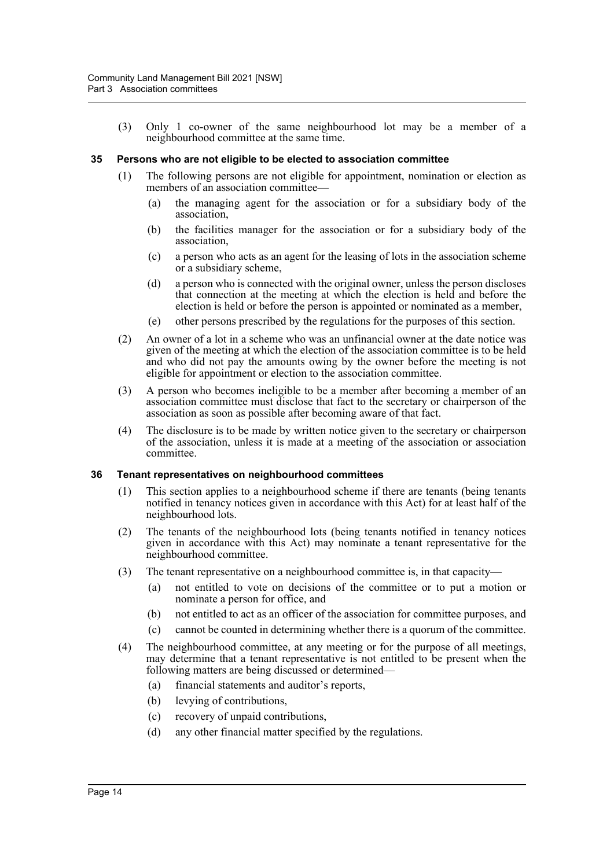(3) Only 1 co-owner of the same neighbourhood lot may be a member of a neighbourhood committee at the same time.

#### <span id="page-22-0"></span>**35 Persons who are not eligible to be elected to association committee**

- (1) The following persons are not eligible for appointment, nomination or election as members of an association committee—
	- (a) the managing agent for the association or for a subsidiary body of the association,
	- (b) the facilities manager for the association or for a subsidiary body of the association,
	- (c) a person who acts as an agent for the leasing of lots in the association scheme or a subsidiary scheme,
	- (d) a person who is connected with the original owner, unless the person discloses that connection at the meeting at which the election is held and before the election is held or before the person is appointed or nominated as a member,
	- (e) other persons prescribed by the regulations for the purposes of this section.
- (2) An owner of a lot in a scheme who was an unfinancial owner at the date notice was given of the meeting at which the election of the association committee is to be held and who did not pay the amounts owing by the owner before the meeting is not eligible for appointment or election to the association committee.
- (3) A person who becomes ineligible to be a member after becoming a member of an association committee must disclose that fact to the secretary or chairperson of the association as soon as possible after becoming aware of that fact.
- (4) The disclosure is to be made by written notice given to the secretary or chairperson of the association, unless it is made at a meeting of the association or association committee.

#### <span id="page-22-1"></span>**36 Tenant representatives on neighbourhood committees**

- (1) This section applies to a neighbourhood scheme if there are tenants (being tenants notified in tenancy notices given in accordance with this Act) for at least half of the neighbourhood lots.
- (2) The tenants of the neighbourhood lots (being tenants notified in tenancy notices given in accordance with this Act) may nominate a tenant representative for the neighbourhood committee.
- (3) The tenant representative on a neighbourhood committee is, in that capacity—
	- (a) not entitled to vote on decisions of the committee or to put a motion or nominate a person for office, and
	- (b) not entitled to act as an officer of the association for committee purposes, and
	- (c) cannot be counted in determining whether there is a quorum of the committee.
- (4) The neighbourhood committee, at any meeting or for the purpose of all meetings, may determine that a tenant representative is not entitled to be present when the following matters are being discussed or determined—
	- (a) financial statements and auditor's reports,
	- (b) levying of contributions,
	- (c) recovery of unpaid contributions,
	- (d) any other financial matter specified by the regulations.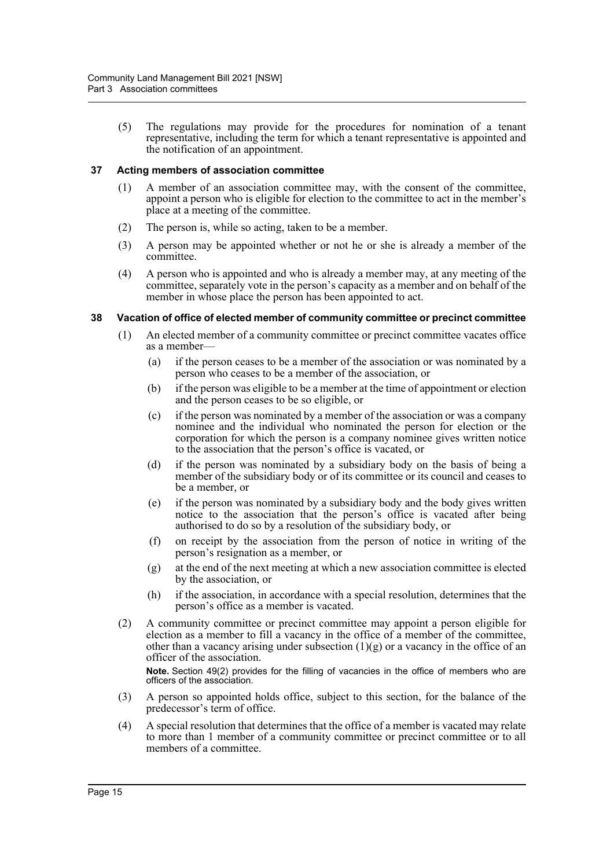(5) The regulations may provide for the procedures for nomination of a tenant representative, including the term for which a tenant representative is appointed and the notification of an appointment.

## <span id="page-23-0"></span>**37 Acting members of association committee**

- (1) A member of an association committee may, with the consent of the committee, appoint a person who is eligible for election to the committee to act in the member's place at a meeting of the committee.
- (2) The person is, while so acting, taken to be a member.
- (3) A person may be appointed whether or not he or she is already a member of the committee.
- (4) A person who is appointed and who is already a member may, at any meeting of the committee, separately vote in the person's capacity as a member and on behalf of the member in whose place the person has been appointed to act.

## <span id="page-23-1"></span>**38 Vacation of office of elected member of community committee or precinct committee**

- (1) An elected member of a community committee or precinct committee vacates office as a member—
	- (a) if the person ceases to be a member of the association or was nominated by a person who ceases to be a member of the association, or
	- (b) if the person was eligible to be a member at the time of appointment or election and the person ceases to be so eligible, or
	- (c) if the person was nominated by a member of the association or was a company nominee and the individual who nominated the person for election or the corporation for which the person is a company nominee gives written notice to the association that the person's office is vacated, or
	- (d) if the person was nominated by a subsidiary body on the basis of being a member of the subsidiary body or of its committee or its council and ceases to be a member, or
	- (e) if the person was nominated by a subsidiary body and the body gives written notice to the association that the person's office is vacated after being authorised to do so by a resolution of the subsidiary body, or
	- (f) on receipt by the association from the person of notice in writing of the person's resignation as a member, or
	- (g) at the end of the next meeting at which a new association committee is elected by the association, or
	- (h) if the association, in accordance with a special resolution, determines that the person's office as a member is vacated.
- (2) A community committee or precinct committee may appoint a person eligible for election as a member to fill a vacancy in the office of a member of the committee, other than a vacancy arising under subsection  $(1)(g)$  or a vacancy in the office of an officer of the association. **Note.** Section 49(2) provides for the filling of vacancies in the office of members who are officers of the association.
- (3) A person so appointed holds office, subject to this section, for the balance of the predecessor's term of office.
- (4) A special resolution that determines that the office of a member is vacated may relate to more than 1 member of a community committee or precinct committee or to all members of a committee.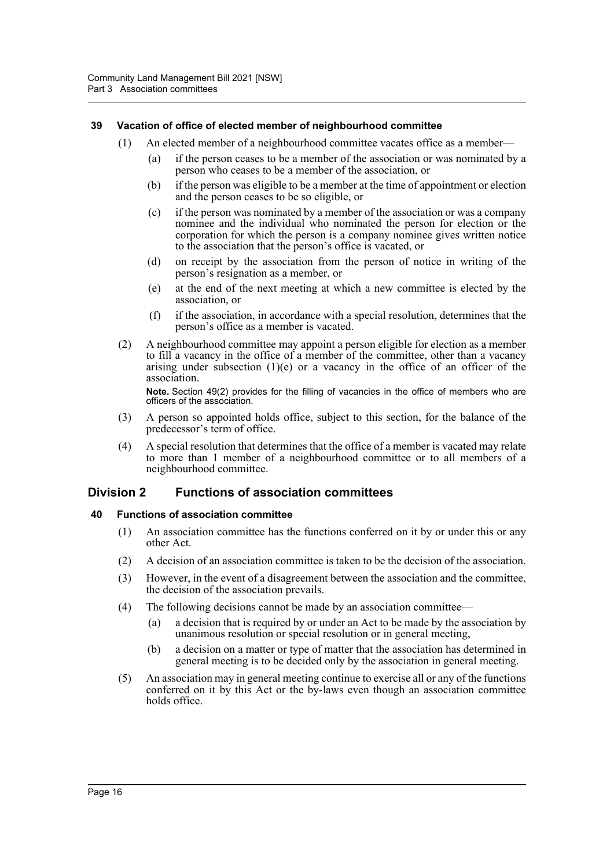## <span id="page-24-0"></span>**39 Vacation of office of elected member of neighbourhood committee**

- (1) An elected member of a neighbourhood committee vacates office as a member—
	- (a) if the person ceases to be a member of the association or was nominated by a person who ceases to be a member of the association, or
	- (b) if the person was eligible to be a member at the time of appointment or election and the person ceases to be so eligible, or
	- (c) if the person was nominated by a member of the association or was a company nominee and the individual who nominated the person for election or the corporation for which the person is a company nominee gives written notice to the association that the person's office is vacated, or
	- (d) on receipt by the association from the person of notice in writing of the person's resignation as a member, or
	- (e) at the end of the next meeting at which a new committee is elected by the association, or
	- (f) if the association, in accordance with a special resolution, determines that the person's office as a member is vacated.
- (2) A neighbourhood committee may appoint a person eligible for election as a member to fill a vacancy in the office of a member of the committee, other than a vacancy arising under subsection  $(1)(e)$  or a vacancy in the office of an officer of the association.

**Note.** Section 49(2) provides for the filling of vacancies in the office of members who are officers of the association.

- (3) A person so appointed holds office, subject to this section, for the balance of the predecessor's term of office.
- (4) A special resolution that determines that the office of a member is vacated may relate to more than 1 member of a neighbourhood committee or to all members of a neighbourhood committee.

## <span id="page-24-1"></span>**Division 2 Functions of association committees**

## <span id="page-24-2"></span>**40 Functions of association committee**

- (1) An association committee has the functions conferred on it by or under this or any other Act.
- (2) A decision of an association committee is taken to be the decision of the association.
- (3) However, in the event of a disagreement between the association and the committee, the decision of the association prevails.
- (4) The following decisions cannot be made by an association committee—
	- (a) a decision that is required by or under an Act to be made by the association by unanimous resolution or special resolution or in general meeting,
	- (b) a decision on a matter or type of matter that the association has determined in general meeting is to be decided only by the association in general meeting.
- (5) An association may in general meeting continue to exercise all or any of the functions conferred on it by this Act or the by-laws even though an association committee holds office.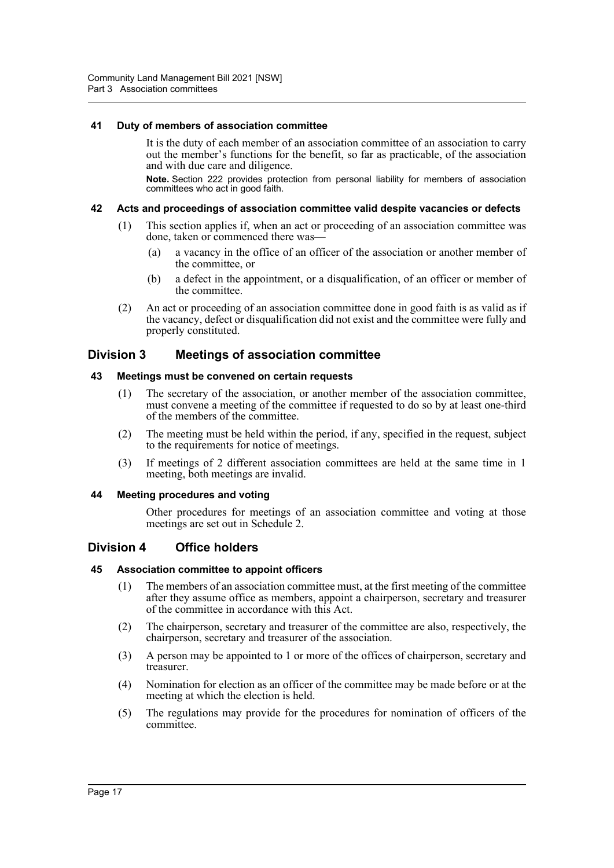## <span id="page-25-0"></span>**41 Duty of members of association committee**

It is the duty of each member of an association committee of an association to carry out the member's functions for the benefit, so far as practicable, of the association and with due care and diligence.

**Note.** Section 222 provides protection from personal liability for members of association committees who act in good faith.

## <span id="page-25-1"></span>**42 Acts and proceedings of association committee valid despite vacancies or defects**

- (1) This section applies if, when an act or proceeding of an association committee was done, taken or commenced there was—
	- (a) a vacancy in the office of an officer of the association or another member of the committee, or
	- (b) a defect in the appointment, or a disqualification, of an officer or member of the committee.
- (2) An act or proceeding of an association committee done in good faith is as valid as if the vacancy, defect or disqualification did not exist and the committee were fully and properly constituted.

## <span id="page-25-2"></span>**Division 3 Meetings of association committee**

## <span id="page-25-3"></span>**43 Meetings must be convened on certain requests**

- (1) The secretary of the association, or another member of the association committee, must convene a meeting of the committee if requested to do so by at least one-third of the members of the committee.
- (2) The meeting must be held within the period, if any, specified in the request, subject to the requirements for notice of meetings.
- (3) If meetings of 2 different association committees are held at the same time in 1 meeting, both meetings are invalid.

## <span id="page-25-4"></span>**44 Meeting procedures and voting**

Other procedures for meetings of an association committee and voting at those meetings are set out in Schedule 2.

## <span id="page-25-5"></span>**Division 4 Office holders**

## <span id="page-25-6"></span>**45 Association committee to appoint officers**

- (1) The members of an association committee must, at the first meeting of the committee after they assume office as members, appoint a chairperson, secretary and treasurer of the committee in accordance with this Act.
- (2) The chairperson, secretary and treasurer of the committee are also, respectively, the chairperson, secretary and treasurer of the association.
- (3) A person may be appointed to 1 or more of the offices of chairperson, secretary and treasurer.
- (4) Nomination for election as an officer of the committee may be made before or at the meeting at which the election is held.
- (5) The regulations may provide for the procedures for nomination of officers of the committee.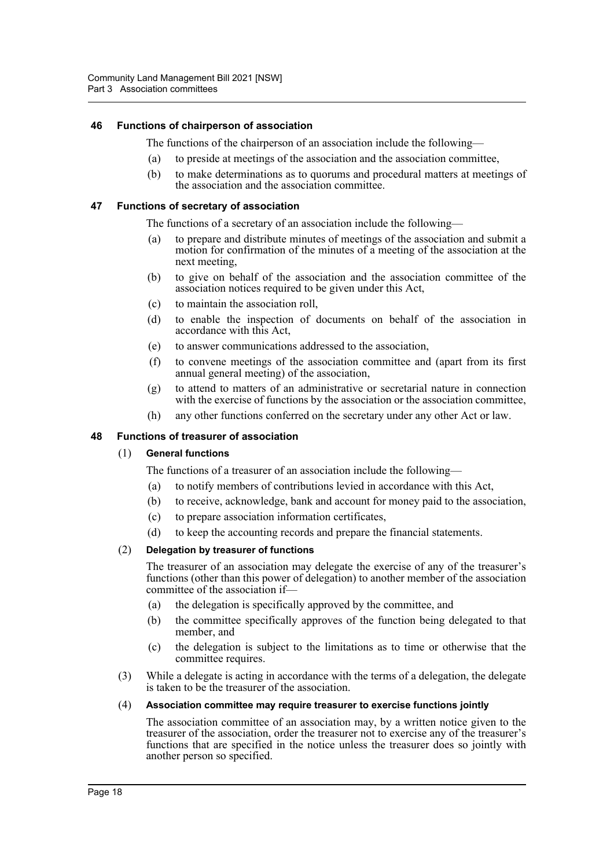## <span id="page-26-0"></span>**46 Functions of chairperson of association**

The functions of the chairperson of an association include the following—

- (a) to preside at meetings of the association and the association committee,
- (b) to make determinations as to quorums and procedural matters at meetings of the association and the association committee.

## <span id="page-26-1"></span>**47 Functions of secretary of association**

The functions of a secretary of an association include the following—

- (a) to prepare and distribute minutes of meetings of the association and submit a motion for confirmation of the minutes of a meeting of the association at the next meeting,
- (b) to give on behalf of the association and the association committee of the association notices required to be given under this Act,
- (c) to maintain the association roll,
- (d) to enable the inspection of documents on behalf of the association in accordance with this Act,
- (e) to answer communications addressed to the association,
- (f) to convene meetings of the association committee and (apart from its first annual general meeting) of the association,
- (g) to attend to matters of an administrative or secretarial nature in connection with the exercise of functions by the association or the association committee,
- (h) any other functions conferred on the secretary under any other Act or law.

#### <span id="page-26-2"></span>**48 Functions of treasurer of association**

#### (1) **General functions**

The functions of a treasurer of an association include the following—

- (a) to notify members of contributions levied in accordance with this Act,
- (b) to receive, acknowledge, bank and account for money paid to the association,
- (c) to prepare association information certificates,
- (d) to keep the accounting records and prepare the financial statements.

#### (2) **Delegation by treasurer of functions**

The treasurer of an association may delegate the exercise of any of the treasurer's functions (other than this power of delegation) to another member of the association committee of the association if—

- (a) the delegation is specifically approved by the committee, and
- (b) the committee specifically approves of the function being delegated to that member, and
- (c) the delegation is subject to the limitations as to time or otherwise that the committee requires.
- (3) While a delegate is acting in accordance with the terms of a delegation, the delegate is taken to be the treasurer of the association.

#### (4) **Association committee may require treasurer to exercise functions jointly**

The association committee of an association may, by a written notice given to the treasurer of the association, order the treasurer not to exercise any of the treasurer's functions that are specified in the notice unless the treasurer does so jointly with another person so specified.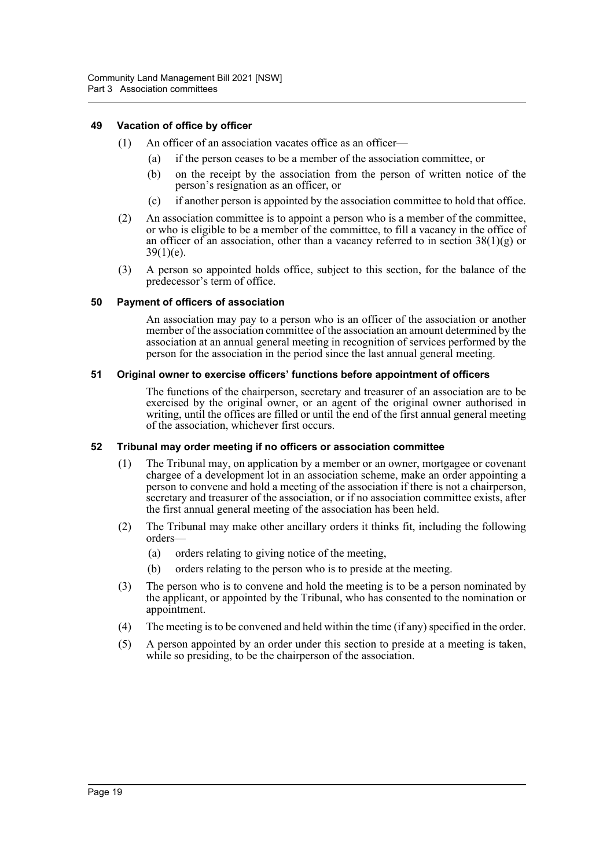## <span id="page-27-0"></span>**49 Vacation of office by officer**

- (1) An officer of an association vacates office as an officer—
	- (a) if the person ceases to be a member of the association committee, or
	- (b) on the receipt by the association from the person of written notice of the person's resignation as an officer, or
	- (c) if another person is appointed by the association committee to hold that office.
- (2) An association committee is to appoint a person who is a member of the committee, or who is eligible to be a member of the committee, to fill a vacancy in the office of an officer of an association, other than a vacancy referred to in section  $38(1)(g)$  or  $39(1)(e)$ .
- (3) A person so appointed holds office, subject to this section, for the balance of the predecessor's term of office.

## <span id="page-27-1"></span>**50 Payment of officers of association**

An association may pay to a person who is an officer of the association or another member of the association committee of the association an amount determined by the association at an annual general meeting in recognition of services performed by the person for the association in the period since the last annual general meeting.

## <span id="page-27-2"></span>**51 Original owner to exercise officers' functions before appointment of officers**

The functions of the chairperson, secretary and treasurer of an association are to be exercised by the original owner, or an agent of the original owner authorised in writing, until the offices are filled or until the end of the first annual general meeting of the association, whichever first occurs.

## <span id="page-27-3"></span>**52 Tribunal may order meeting if no officers or association committee**

- (1) The Tribunal may, on application by a member or an owner, mortgagee or covenant chargee of a development lot in an association scheme, make an order appointing a person to convene and hold a meeting of the association if there is not a chairperson, secretary and treasurer of the association, or if no association committee exists, after the first annual general meeting of the association has been held.
- (2) The Tribunal may make other ancillary orders it thinks fit, including the following orders—
	- (a) orders relating to giving notice of the meeting,
	- (b) orders relating to the person who is to preside at the meeting.
- (3) The person who is to convene and hold the meeting is to be a person nominated by the applicant, or appointed by the Tribunal, who has consented to the nomination or appointment.
- (4) The meeting is to be convened and held within the time (if any) specified in the order.
- (5) A person appointed by an order under this section to preside at a meeting is taken, while so presiding, to be the chairperson of the association.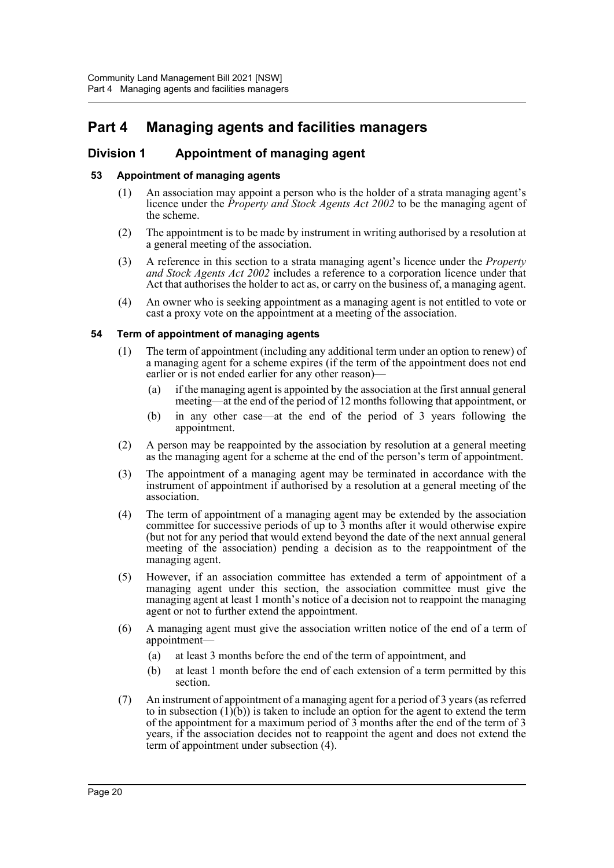# <span id="page-28-0"></span>**Part 4 Managing agents and facilities managers**

## <span id="page-28-1"></span>**Division 1 Appointment of managing agent**

## <span id="page-28-2"></span>**53 Appointment of managing agents**

- (1) An association may appoint a person who is the holder of a strata managing agent's licence under the *Property and Stock Agents Act 2002* to be the managing agent of the scheme.
- (2) The appointment is to be made by instrument in writing authorised by a resolution at a general meeting of the association.
- (3) A reference in this section to a strata managing agent's licence under the *Property and Stock Agents Act 2002* includes a reference to a corporation licence under that Act that authorises the holder to act as, or carry on the business of, a managing agent.
- (4) An owner who is seeking appointment as a managing agent is not entitled to vote or cast a proxy vote on the appointment at a meeting of the association.

## <span id="page-28-3"></span>**54 Term of appointment of managing agents**

- (1) The term of appointment (including any additional term under an option to renew) of a managing agent for a scheme expires (if the term of the appointment does not end earlier or is not ended earlier for any other reason)—
	- (a) if the managing agent is appointed by the association at the first annual general meeting—at the end of the period of 12 months following that appointment, or
	- (b) in any other case—at the end of the period of 3 years following the appointment.
- (2) A person may be reappointed by the association by resolution at a general meeting as the managing agent for a scheme at the end of the person's term of appointment.
- (3) The appointment of a managing agent may be terminated in accordance with the instrument of appointment if authorised by a resolution at a general meeting of the association.
- (4) The term of appointment of a managing agent may be extended by the association committee for successive periods of up to 3 months after it would otherwise expire (but not for any period that would extend beyond the date of the next annual general meeting of the association) pending a decision as to the reappointment of the managing agent.
- (5) However, if an association committee has extended a term of appointment of a managing agent under this section, the association committee must give the managing agent at least 1 month's notice of a decision not to reappoint the managing agent or not to further extend the appointment.
- (6) A managing agent must give the association written notice of the end of a term of appointment—
	- (a) at least 3 months before the end of the term of appointment, and
	- (b) at least 1 month before the end of each extension of a term permitted by this section.
- (7) An instrument of appointment of a managing agent for a period of 3 years (as referred to in subsection  $(1)(b)$  is taken to include an option for the agent to extend the term of the appointment for a maximum period of 3 months after the end of the term of 3 years, if the association decides not to reappoint the agent and does not extend the term of appointment under subsection (4).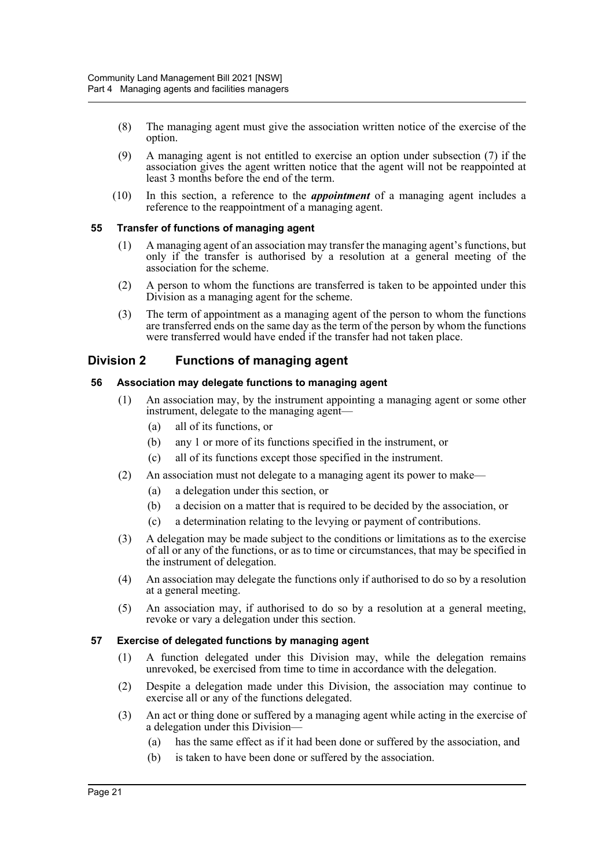- (8) The managing agent must give the association written notice of the exercise of the option.
- (9) A managing agent is not entitled to exercise an option under subsection (7) if the association gives the agent written notice that the agent will not be reappointed at least 3 months before the end of the term.
- (10) In this section, a reference to the *appointment* of a managing agent includes a reference to the reappointment of a managing agent.

## <span id="page-29-0"></span>**55 Transfer of functions of managing agent**

- (1) A managing agent of an association may transfer the managing agent's functions, but only if the transfer is authorised by a resolution at a general meeting of the association for the scheme.
- (2) A person to whom the functions are transferred is taken to be appointed under this Division as a managing agent for the scheme.
- (3) The term of appointment as a managing agent of the person to whom the functions are transferred ends on the same day as the term of the person by whom the functions were transferred would have ended if the transfer had not taken place.

## <span id="page-29-1"></span>**Division 2 Functions of managing agent**

## <span id="page-29-2"></span>**56 Association may delegate functions to managing agent**

- (1) An association may, by the instrument appointing a managing agent or some other instrument, delegate to the managing agent—
	- (a) all of its functions, or
	- (b) any 1 or more of its functions specified in the instrument, or
	- (c) all of its functions except those specified in the instrument.
- (2) An association must not delegate to a managing agent its power to make—
	- (a) a delegation under this section, or
	- (b) a decision on a matter that is required to be decided by the association, or
	- (c) a determination relating to the levying or payment of contributions.
- (3) A delegation may be made subject to the conditions or limitations as to the exercise of all or any of the functions, or as to time or circumstances, that may be specified in the instrument of delegation.
- (4) An association may delegate the functions only if authorised to do so by a resolution at a general meeting.
- (5) An association may, if authorised to do so by a resolution at a general meeting, revoke or vary a delegation under this section.

## <span id="page-29-3"></span>**57 Exercise of delegated functions by managing agent**

- (1) A function delegated under this Division may, while the delegation remains unrevoked, be exercised from time to time in accordance with the delegation.
- (2) Despite a delegation made under this Division, the association may continue to exercise all or any of the functions delegated.
- (3) An act or thing done or suffered by a managing agent while acting in the exercise of a delegation under this Division—
	- (a) has the same effect as if it had been done or suffered by the association, and
	- (b) is taken to have been done or suffered by the association.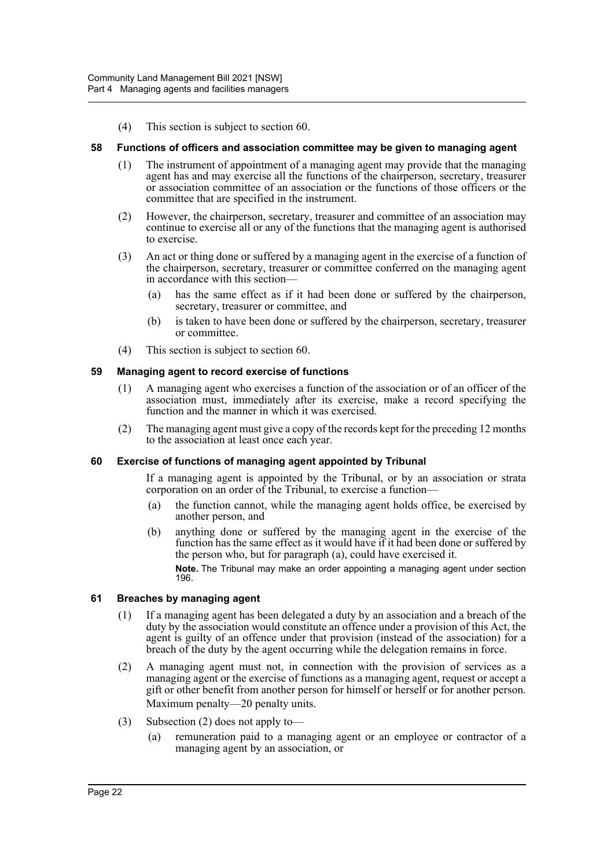(4) This section is subject to section 60.

#### <span id="page-30-0"></span>**58 Functions of officers and association committee may be given to managing agent**

- (1) The instrument of appointment of a managing agent may provide that the managing agent has and may exercise all the functions of the chairperson, secretary, treasurer or association committee of an association or the functions of those officers or the committee that are specified in the instrument.
- (2) However, the chairperson, secretary, treasurer and committee of an association may continue to exercise all or any of the functions that the managing agent is authorised to exercise.
- (3) An act or thing done or suffered by a managing agent in the exercise of a function of the chairperson, secretary, treasurer or committee conferred on the managing agent in accordance with this section—
	- (a) has the same effect as if it had been done or suffered by the chairperson, secretary, treasurer or committee, and
	- (b) is taken to have been done or suffered by the chairperson, secretary, treasurer or committee.
- (4) This section is subject to section 60.

#### <span id="page-30-1"></span>**59 Managing agent to record exercise of functions**

- (1) A managing agent who exercises a function of the association or of an officer of the association must, immediately after its exercise, make a record specifying the function and the manner in which it was exercised.
- (2) The managing agent must give a copy of the records kept for the preceding 12 months to the association at least once each year.

#### <span id="page-30-2"></span>**60 Exercise of functions of managing agent appointed by Tribunal**

If a managing agent is appointed by the Tribunal, or by an association or strata corporation on an order of the Tribunal, to exercise a function-

- (a) the function cannot, while the managing agent holds office, be exercised by another person, and
- (b) anything done or suffered by the managing agent in the exercise of the function has the same effect as it would have if it had been done or suffered by the person who, but for paragraph (a), could have exercised it.

**Note.** The Tribunal may make an order appointing a managing agent under section 196.

#### <span id="page-30-3"></span>**61 Breaches by managing agent**

- (1) If a managing agent has been delegated a duty by an association and a breach of the duty by the association would constitute an offence under a provision of this Act, the agent is guilty of an offence under that provision (instead of the association) for a breach of the duty by the agent occurring while the delegation remains in force.
- (2) A managing agent must not, in connection with the provision of services as a managing agent or the exercise of functions as a managing agent, request or accept a gift or other benefit from another person for himself or herself or for another person. Maximum penalty—20 penalty units.
- (3) Subsection (2) does not apply to—
	- (a) remuneration paid to a managing agent or an employee or contractor of a managing agent by an association, or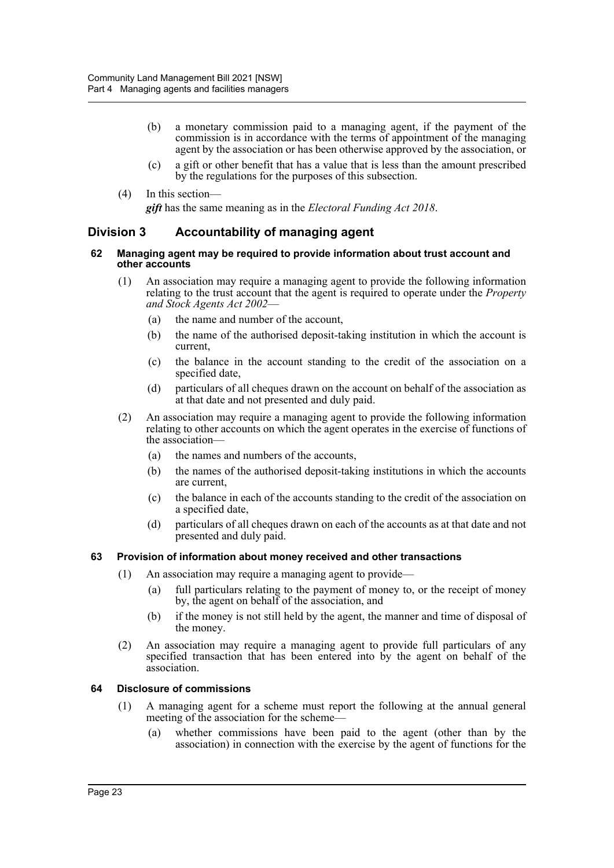- (b) a monetary commission paid to a managing agent, if the payment of the commission is in accordance with the terms of appointment of the managing agent by the association or has been otherwise approved by the association, or
- (c) a gift or other benefit that has a value that is less than the amount prescribed by the regulations for the purposes of this subsection.
- (4) In this section—

*gift* has the same meaning as in the *Electoral Funding Act 2018*.

## <span id="page-31-0"></span>**Division 3 Accountability of managing agent**

#### <span id="page-31-1"></span>**62 Managing agent may be required to provide information about trust account and other accounts**

- (1) An association may require a managing agent to provide the following information relating to the trust account that the agent is required to operate under the *Property and Stock Agents Act 2002*—
	- (a) the name and number of the account,
	- (b) the name of the authorised deposit-taking institution in which the account is current,
	- (c) the balance in the account standing to the credit of the association on a specified date,
	- (d) particulars of all cheques drawn on the account on behalf of the association as at that date and not presented and duly paid.
- (2) An association may require a managing agent to provide the following information relating to other accounts on which the agent operates in the exercise of functions of the association—
	- (a) the names and numbers of the accounts,
	- (b) the names of the authorised deposit-taking institutions in which the accounts are current,
	- (c) the balance in each of the accounts standing to the credit of the association on a specified date,
	- (d) particulars of all cheques drawn on each of the accounts as at that date and not presented and duly paid.

## <span id="page-31-2"></span>**63 Provision of information about money received and other transactions**

- (1) An association may require a managing agent to provide—
	- (a) full particulars relating to the payment of money to, or the receipt of money by, the agent on behalf of the association, and
	- (b) if the money is not still held by the agent, the manner and time of disposal of the money.
- (2) An association may require a managing agent to provide full particulars of any specified transaction that has been entered into by the agent on behalf of the association.

## <span id="page-31-3"></span>**64 Disclosure of commissions**

- (1) A managing agent for a scheme must report the following at the annual general meeting of the association for the scheme—
	- (a) whether commissions have been paid to the agent (other than by the association) in connection with the exercise by the agent of functions for the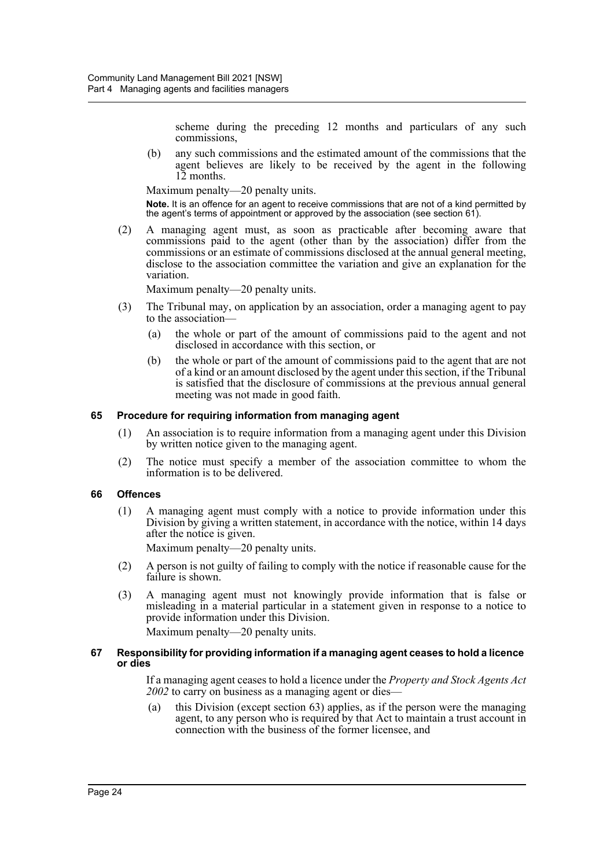scheme during the preceding 12 months and particulars of any such commissions,

(b) any such commissions and the estimated amount of the commissions that the agent believes are likely to be received by the agent in the following 12 months.

Maximum penalty—20 penalty units.

**Note.** It is an offence for an agent to receive commissions that are not of a kind permitted by the agent's terms of appointment or approved by the association (see section 61).

(2) A managing agent must, as soon as practicable after becoming aware that commissions paid to the agent (other than by the association) differ from the commissions or an estimate of commissions disclosed at the annual general meeting, disclose to the association committee the variation and give an explanation for the variation.

Maximum penalty—20 penalty units.

- (3) The Tribunal may, on application by an association, order a managing agent to pay to the association—
	- (a) the whole or part of the amount of commissions paid to the agent and not disclosed in accordance with this section, or
	- (b) the whole or part of the amount of commissions paid to the agent that are not of a kind or an amount disclosed by the agent under this section, if the Tribunal is satisfied that the disclosure of commissions at the previous annual general meeting was not made in good faith.

#### <span id="page-32-0"></span>**65 Procedure for requiring information from managing agent**

- (1) An association is to require information from a managing agent under this Division by written notice given to the managing agent.
- (2) The notice must specify a member of the association committee to whom the information is to be delivered.

#### <span id="page-32-1"></span>**66 Offences**

(1) A managing agent must comply with a notice to provide information under this Division by giving a written statement, in accordance with the notice, within 14 days after the notice is given.

Maximum penalty—20 penalty units.

- (2) A person is not guilty of failing to comply with the notice if reasonable cause for the failure is shown.
- (3) A managing agent must not knowingly provide information that is false or misleading in a material particular in a statement given in response to a notice to provide information under this Division. Maximum penalty—20 penalty units.

#### <span id="page-32-2"></span>**67 Responsibility for providing information if a managing agent ceases to hold a licence or dies**

If a managing agent ceases to hold a licence under the *Property and Stock Agents Act 2002* to carry on business as a managing agent or dies—

(a) this Division (except section 63) applies, as if the person were the managing agent, to any person who is required by that Act to maintain a trust account in connection with the business of the former licensee, and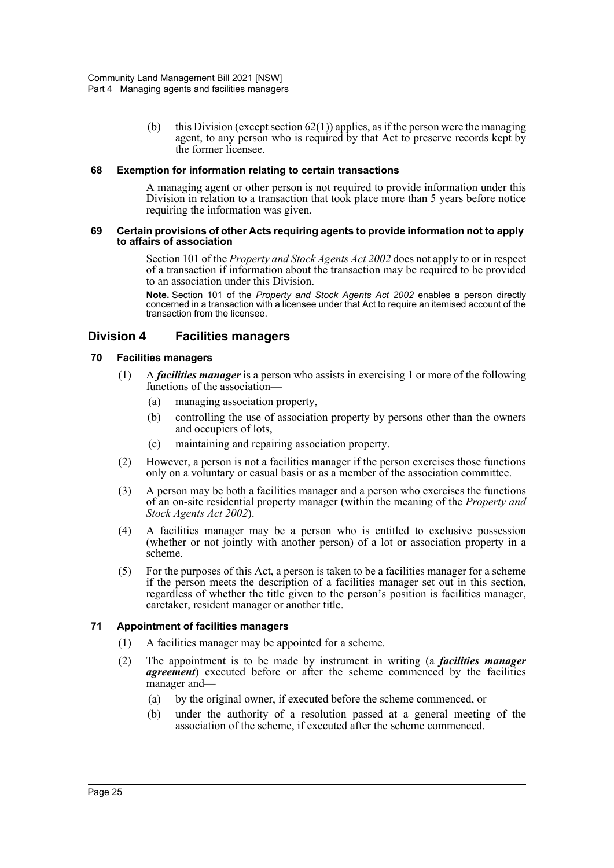(b) this Division (except section  $62(1)$ ) applies, as if the person were the managing agent, to any person who is required by that Act to preserve records kept by the former licensee.

## <span id="page-33-0"></span>**68 Exemption for information relating to certain transactions**

A managing agent or other person is not required to provide information under this Division in relation to a transaction that took place more than 5 years before notice requiring the information was given.

#### <span id="page-33-1"></span>**69 Certain provisions of other Acts requiring agents to provide information not to apply to affairs of association**

Section 101 of the *Property and Stock Agents Act 2002* does not apply to or in respect of a transaction if information about the transaction may be required to be provided to an association under this Division.

**Note.** Section 101 of the *Property and Stock Agents Act 2002* enables a person directly concerned in a transaction with a licensee under that Act to require an itemised account of the transaction from the licensee.

## <span id="page-33-2"></span>**Division 4 Facilities managers**

## <span id="page-33-3"></span>**70 Facilities managers**

- (1) A *facilities manager* is a person who assists in exercising 1 or more of the following functions of the association—
	- (a) managing association property,
	- (b) controlling the use of association property by persons other than the owners and occupiers of lots,
	- (c) maintaining and repairing association property.
- (2) However, a person is not a facilities manager if the person exercises those functions only on a voluntary or casual basis or as a member of the association committee.
- (3) A person may be both a facilities manager and a person who exercises the functions of an on-site residential property manager (within the meaning of the *Property and Stock Agents Act 2002*).
- (4) A facilities manager may be a person who is entitled to exclusive possession (whether or not jointly with another person) of a lot or association property in a scheme.
- (5) For the purposes of this Act, a person is taken to be a facilities manager for a scheme if the person meets the description of a facilities manager set out in this section, regardless of whether the title given to the person's position is facilities manager, caretaker, resident manager or another title.

## <span id="page-33-4"></span>**71 Appointment of facilities managers**

- (1) A facilities manager may be appointed for a scheme.
- (2) The appointment is to be made by instrument in writing (a *facilities manager agreement*) executed before or after the scheme commenced by the facilities manager and—
	- (a) by the original owner, if executed before the scheme commenced, or
	- (b) under the authority of a resolution passed at a general meeting of the association of the scheme, if executed after the scheme commenced.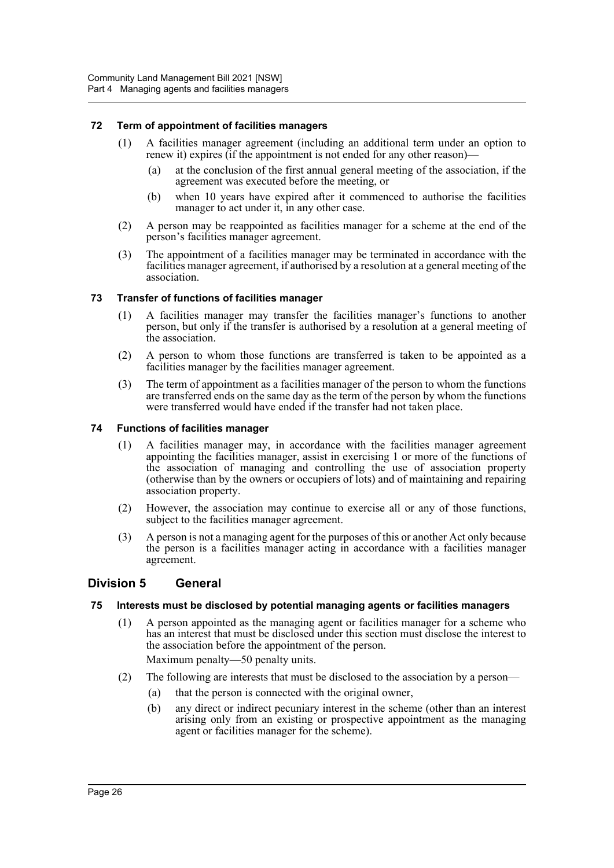## <span id="page-34-0"></span>**72 Term of appointment of facilities managers**

- (1) A facilities manager agreement (including an additional term under an option to renew it) expires (if the appointment is not ended for any other reason)—
	- (a) at the conclusion of the first annual general meeting of the association, if the agreement was executed before the meeting, or
	- (b) when 10 years have expired after it commenced to authorise the facilities manager to act under it, in any other case.
- (2) A person may be reappointed as facilities manager for a scheme at the end of the person's facilities manager agreement.
- (3) The appointment of a facilities manager may be terminated in accordance with the facilities manager agreement, if authorised by a resolution at a general meeting of the association.

## <span id="page-34-1"></span>**73 Transfer of functions of facilities manager**

- (1) A facilities manager may transfer the facilities manager's functions to another person, but only if the transfer is authorised by a resolution at a general meeting of the association.
- (2) A person to whom those functions are transferred is taken to be appointed as a facilities manager by the facilities manager agreement.
- (3) The term of appointment as a facilities manager of the person to whom the functions are transferred ends on the same day as the term of the person by whom the functions were transferred would have ended if the transfer had not taken place.

## <span id="page-34-2"></span>**74 Functions of facilities manager**

- (1) A facilities manager may, in accordance with the facilities manager agreement appointing the facilities manager, assist in exercising 1 or more of the functions of the association of managing and controlling the use of association property (otherwise than by the owners or occupiers of lots) and of maintaining and repairing association property.
- (2) However, the association may continue to exercise all or any of those functions, subject to the facilities manager agreement.
- (3) A person is not a managing agent for the purposes of this or another Act only because the person is a facilities manager acting in accordance with a facilities manager agreement.

## <span id="page-34-3"></span>**Division 5 General**

## <span id="page-34-4"></span>**75 Interests must be disclosed by potential managing agents or facilities managers**

(1) A person appointed as the managing agent or facilities manager for a scheme who has an interest that must be disclosed under this section must disclose the interest to the association before the appointment of the person.

Maximum penalty—50 penalty units.

- (2) The following are interests that must be disclosed to the association by a person—
	- (a) that the person is connected with the original owner,
	- (b) any direct or indirect pecuniary interest in the scheme (other than an interest arising only from an existing or prospective appointment as the managing agent or facilities manager for the scheme).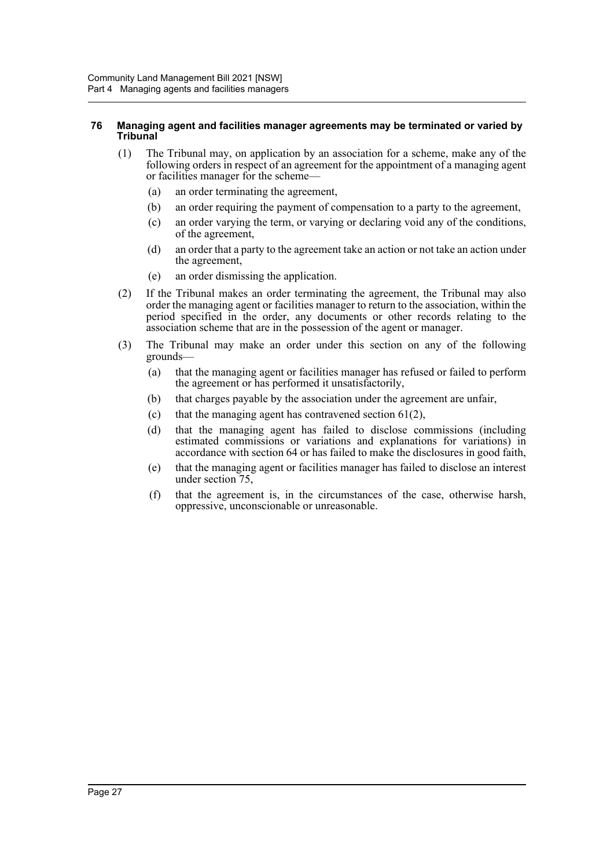#### <span id="page-35-0"></span>**76 Managing agent and facilities manager agreements may be terminated or varied by Tribunal**

- (1) The Tribunal may, on application by an association for a scheme, make any of the following orders in respect of an agreement for the appointment of a managing agent or facilities manager for the scheme—
	- (a) an order terminating the agreement,
	- (b) an order requiring the payment of compensation to a party to the agreement,
	- (c) an order varying the term, or varying or declaring void any of the conditions, of the agreement,
	- (d) an order that a party to the agreement take an action or not take an action under the agreement,
	- (e) an order dismissing the application.
- (2) If the Tribunal makes an order terminating the agreement, the Tribunal may also order the managing agent or facilities manager to return to the association, within the period specified in the order, any documents or other records relating to the association scheme that are in the possession of the agent or manager.
- (3) The Tribunal may make an order under this section on any of the following grounds—
	- (a) that the managing agent or facilities manager has refused or failed to perform the agreement or has performed it unsatisfactorily,
	- (b) that charges payable by the association under the agreement are unfair,
	- (c) that the managing agent has contravened section  $61(2)$ ,
	- (d) that the managing agent has failed to disclose commissions (including estimated commissions or variations and explanations for variations) in accordance with section 64 or has failed to make the disclosures in good faith,
	- (e) that the managing agent or facilities manager has failed to disclose an interest under section 75,
	- (f) that the agreement is, in the circumstances of the case, otherwise harsh, oppressive, unconscionable or unreasonable.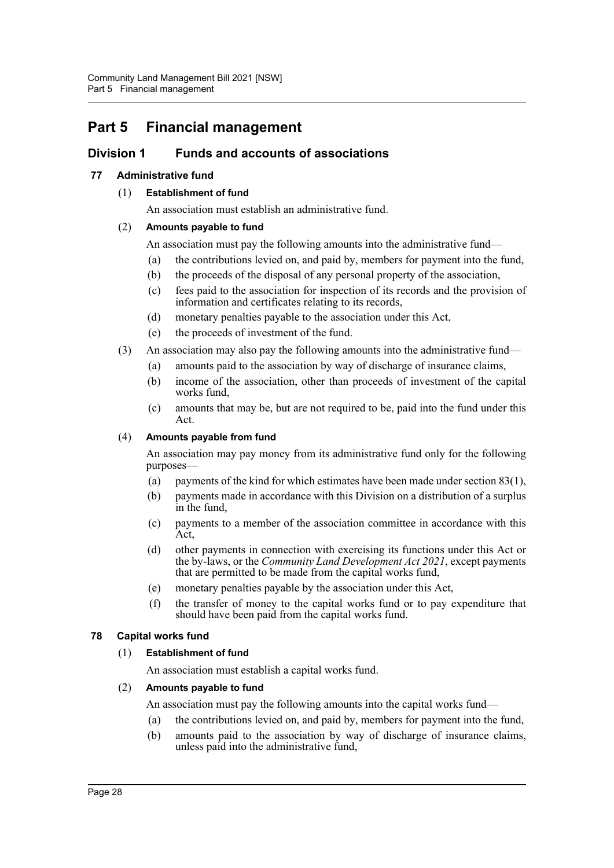# **Part 5 Financial management**

## **Division 1 Funds and accounts of associations**

## **77 Administrative fund**

## (1) **Establishment of fund**

An association must establish an administrative fund.

## (2) **Amounts payable to fund**

An association must pay the following amounts into the administrative fund—

- (a) the contributions levied on, and paid by, members for payment into the fund,
- (b) the proceeds of the disposal of any personal property of the association,
- (c) fees paid to the association for inspection of its records and the provision of information and certificates relating to its records,
- (d) monetary penalties payable to the association under this Act,
- (e) the proceeds of investment of the fund.
- (3) An association may also pay the following amounts into the administrative fund—
	- (a) amounts paid to the association by way of discharge of insurance claims,
	- (b) income of the association, other than proceeds of investment of the capital works fund,
	- (c) amounts that may be, but are not required to be, paid into the fund under this Act.

## (4) **Amounts payable from fund**

An association may pay money from its administrative fund only for the following purposes—

- (a) payments of the kind for which estimates have been made under section 83(1),
- (b) payments made in accordance with this Division on a distribution of a surplus in the fund,
- (c) payments to a member of the association committee in accordance with this Act,
- (d) other payments in connection with exercising its functions under this Act or the by-laws, or the *Community Land Development Act 2021*, except payments that are permitted to be made from the capital works fund,
- (e) monetary penalties payable by the association under this Act,
- (f) the transfer of money to the capital works fund or to pay expenditure that should have been paid from the capital works fund.

## **78 Capital works fund**

## (1) **Establishment of fund**

An association must establish a capital works fund.

## (2) **Amounts payable to fund**

An association must pay the following amounts into the capital works fund—

- (a) the contributions levied on, and paid by, members for payment into the fund,
- (b) amounts paid to the association by way of discharge of insurance claims, unless paid into the administrative fund,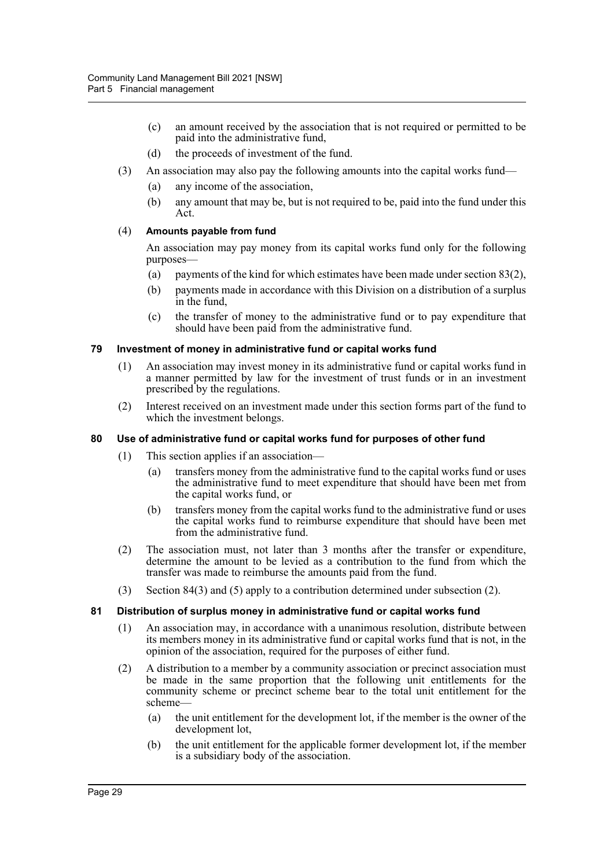- (c) an amount received by the association that is not required or permitted to be paid into the administrative fund,
- (d) the proceeds of investment of the fund.
- (3) An association may also pay the following amounts into the capital works fund—
	- (a) any income of the association,
	- (b) any amount that may be, but is not required to be, paid into the fund under this Act.

### (4) **Amounts payable from fund**

An association may pay money from its capital works fund only for the following purposes—

- (a) payments of the kind for which estimates have been made under section  $83(2)$ ,
- (b) payments made in accordance with this Division on a distribution of a surplus in the fund,
- (c) the transfer of money to the administrative fund or to pay expenditure that should have been paid from the administrative fund.

### **79 Investment of money in administrative fund or capital works fund**

- (1) An association may invest money in its administrative fund or capital works fund in a manner permitted by law for the investment of trust funds or in an investment prescribed by the regulations.
- (2) Interest received on an investment made under this section forms part of the fund to which the investment belongs.

#### **80 Use of administrative fund or capital works fund for purposes of other fund**

- (1) This section applies if an association—
	- (a) transfers money from the administrative fund to the capital works fund or uses the administrative fund to meet expenditure that should have been met from the capital works fund, or
	- (b) transfers money from the capital works fund to the administrative fund or uses the capital works fund to reimburse expenditure that should have been met from the administrative fund.
- (2) The association must, not later than 3 months after the transfer or expenditure, determine the amount to be levied as a contribution to the fund from which the transfer was made to reimburse the amounts paid from the fund.
- (3) Section 84(3) and (5) apply to a contribution determined under subsection (2).

### **81 Distribution of surplus money in administrative fund or capital works fund**

- (1) An association may, in accordance with a unanimous resolution, distribute between its members money in its administrative fund or capital works fund that is not, in the opinion of the association, required for the purposes of either fund.
- (2) A distribution to a member by a community association or precinct association must be made in the same proportion that the following unit entitlements for the community scheme or precinct scheme bear to the total unit entitlement for the scheme—
	- (a) the unit entitlement for the development lot, if the member is the owner of the development lot,
	- (b) the unit entitlement for the applicable former development lot, if the member is a subsidiary body of the association.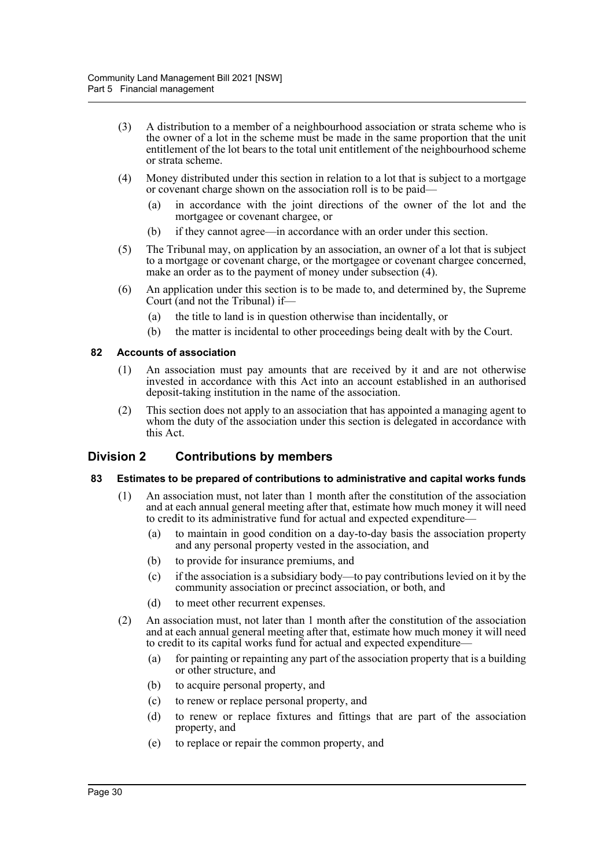- (3) A distribution to a member of a neighbourhood association or strata scheme who is the owner of a lot in the scheme must be made in the same proportion that the unit entitlement of the lot bears to the total unit entitlement of the neighbourhood scheme or strata scheme.
- (4) Money distributed under this section in relation to a lot that is subject to a mortgage or covenant charge shown on the association roll is to be paid—
	- (a) in accordance with the joint directions of the owner of the lot and the mortgagee or covenant chargee, or
	- (b) if they cannot agree—in accordance with an order under this section.
- (5) The Tribunal may, on application by an association, an owner of a lot that is subject to a mortgage or covenant charge, or the mortgagee or covenant chargee concerned, make an order as to the payment of money under subsection (4).
- (6) An application under this section is to be made to, and determined by, the Supreme Court (and not the Tribunal) if—
	- (a) the title to land is in question otherwise than incidentally, or
	- (b) the matter is incidental to other proceedings being dealt with by the Court.

### **82 Accounts of association**

- (1) An association must pay amounts that are received by it and are not otherwise invested in accordance with this Act into an account established in an authorised deposit-taking institution in the name of the association.
- (2) This section does not apply to an association that has appointed a managing agent to whom the duty of the association under this section is delegated in accordance with this Act.

## **Division 2 Contributions by members**

### **83 Estimates to be prepared of contributions to administrative and capital works funds**

- (1) An association must, not later than 1 month after the constitution of the association and at each annual general meeting after that, estimate how much money it will need to credit to its administrative fund for actual and expected expenditure—
	- (a) to maintain in good condition on a day-to-day basis the association property and any personal property vested in the association, and
	- (b) to provide for insurance premiums, and
	- (c) if the association is a subsidiary body—to pay contributions levied on it by the community association or precinct association, or both, and
	- (d) to meet other recurrent expenses.
- (2) An association must, not later than 1 month after the constitution of the association and at each annual general meeting after that, estimate how much money it will need to credit to its capital works fund for actual and expected expenditure—
	- (a) for painting or repainting any part of the association property that is a building or other structure, and
	- (b) to acquire personal property, and
	- (c) to renew or replace personal property, and
	- (d) to renew or replace fixtures and fittings that are part of the association property, and
	- (e) to replace or repair the common property, and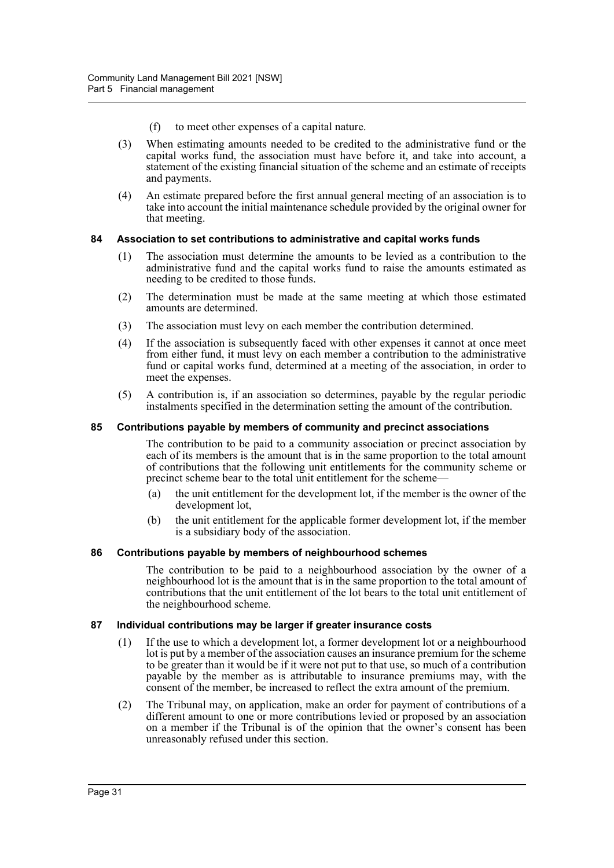- (f) to meet other expenses of a capital nature.
- (3) When estimating amounts needed to be credited to the administrative fund or the capital works fund, the association must have before it, and take into account, a statement of the existing financial situation of the scheme and an estimate of receipts and payments.
- (4) An estimate prepared before the first annual general meeting of an association is to take into account the initial maintenance schedule provided by the original owner for that meeting.

### **84 Association to set contributions to administrative and capital works funds**

- (1) The association must determine the amounts to be levied as a contribution to the administrative fund and the capital works fund to raise the amounts estimated as needing to be credited to those funds.
- (2) The determination must be made at the same meeting at which those estimated amounts are determined.
- (3) The association must levy on each member the contribution determined.
- (4) If the association is subsequently faced with other expenses it cannot at once meet from either fund, it must levy on each member a contribution to the administrative fund or capital works fund, determined at a meeting of the association, in order to meet the expenses.
- (5) A contribution is, if an association so determines, payable by the regular periodic instalments specified in the determination setting the amount of the contribution.

### **85 Contributions payable by members of community and precinct associations**

The contribution to be paid to a community association or precinct association by each of its members is the amount that is in the same proportion to the total amount of contributions that the following unit entitlements for the community scheme or precinct scheme bear to the total unit entitlement for the scheme—

- (a) the unit entitlement for the development lot, if the member is the owner of the development lot,
- (b) the unit entitlement for the applicable former development lot, if the member is a subsidiary body of the association.

### **86 Contributions payable by members of neighbourhood schemes**

The contribution to be paid to a neighbourhood association by the owner of a neighbourhood lot is the amount that is in the same proportion to the total amount of contributions that the unit entitlement of the lot bears to the total unit entitlement of the neighbourhood scheme.

### **87 Individual contributions may be larger if greater insurance costs**

- (1) If the use to which a development lot, a former development lot or a neighbourhood lot is put by a member of the association causes an insurance premium for the scheme to be greater than it would be if it were not put to that use, so much of a contribution payable by the member as is attributable to insurance premiums may, with the consent of the member, be increased to reflect the extra amount of the premium.
- (2) The Tribunal may, on application, make an order for payment of contributions of a different amount to one or more contributions levied or proposed by an association on a member if the Tribunal is of the opinion that the owner's consent has been unreasonably refused under this section.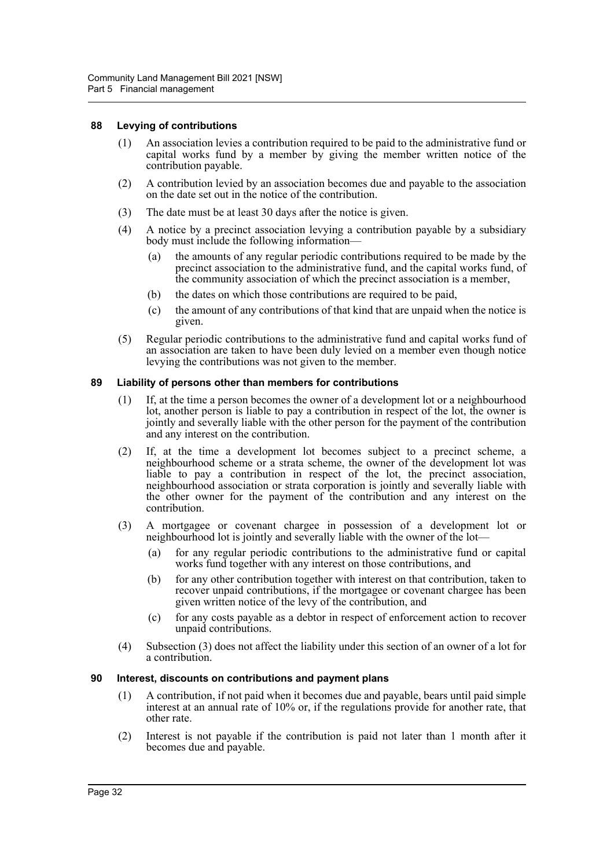#### **88 Levying of contributions**

- (1) An association levies a contribution required to be paid to the administrative fund or capital works fund by a member by giving the member written notice of the contribution payable.
- (2) A contribution levied by an association becomes due and payable to the association on the date set out in the notice of the contribution.
- (3) The date must be at least 30 days after the notice is given.
- (4) A notice by a precinct association levying a contribution payable by a subsidiary body must include the following information—
	- (a) the amounts of any regular periodic contributions required to be made by the precinct association to the administrative fund, and the capital works fund, of the community association of which the precinct association is a member,
	- (b) the dates on which those contributions are required to be paid,
	- (c) the amount of any contributions of that kind that are unpaid when the notice is given.
- (5) Regular periodic contributions to the administrative fund and capital works fund of an association are taken to have been duly levied on a member even though notice levying the contributions was not given to the member.

#### **89 Liability of persons other than members for contributions**

- (1) If, at the time a person becomes the owner of a development lot or a neighbourhood lot, another person is liable to pay a contribution in respect of the lot, the owner is jointly and severally liable with the other person for the payment of the contribution and any interest on the contribution.
- (2) If, at the time a development lot becomes subject to a precinct scheme, a neighbourhood scheme or a strata scheme, the owner of the development lot was liable to pay a contribution in respect of the lot, the precinct association, neighbourhood association or strata corporation is jointly and severally liable with the other owner for the payment of the contribution and any interest on the contribution.
- (3) A mortgagee or covenant chargee in possession of a development lot or neighbourhood lot is jointly and severally liable with the owner of the lot—
	- (a) for any regular periodic contributions to the administrative fund or capital works fund together with any interest on those contributions, and
	- (b) for any other contribution together with interest on that contribution, taken to recover unpaid contributions, if the mortgagee or covenant chargee has been given written notice of the levy of the contribution, and
	- (c) for any costs payable as a debtor in respect of enforcement action to recover unpaid contributions.
- (4) Subsection (3) does not affect the liability under this section of an owner of a lot for a contribution.

#### **90 Interest, discounts on contributions and payment plans**

- (1) A contribution, if not paid when it becomes due and payable, bears until paid simple interest at an annual rate of 10% or, if the regulations provide for another rate, that other rate.
- (2) Interest is not payable if the contribution is paid not later than 1 month after it becomes due and payable.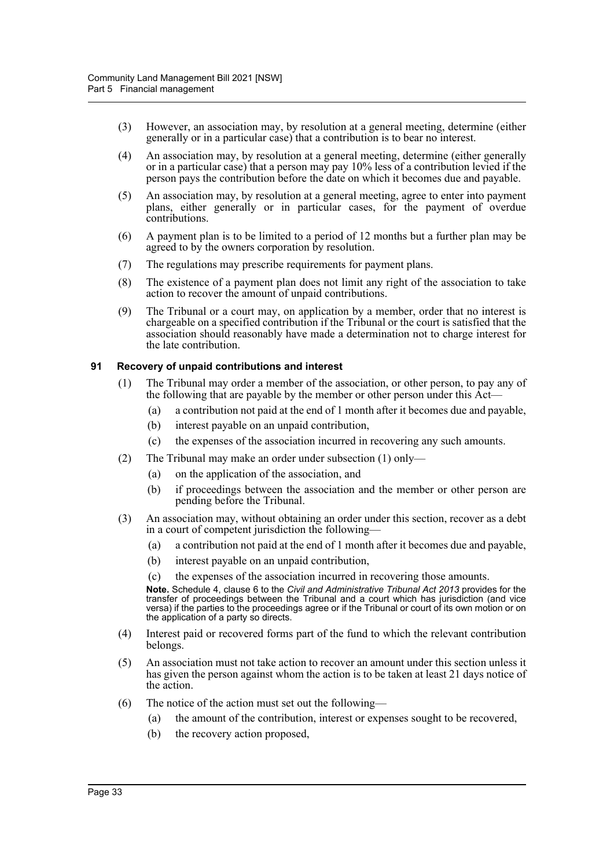- (3) However, an association may, by resolution at a general meeting, determine (either generally or in a particular case) that a contribution is to bear no interest.
- (4) An association may, by resolution at a general meeting, determine (either generally or in a particular case) that a person may pay 10% less of a contribution levied if the person pays the contribution before the date on which it becomes due and payable.
- (5) An association may, by resolution at a general meeting, agree to enter into payment plans, either generally or in particular cases, for the payment of overdue contributions.
- (6) A payment plan is to be limited to a period of 12 months but a further plan may be agreed to by the owners corporation by resolution.
- (7) The regulations may prescribe requirements for payment plans.
- (8) The existence of a payment plan does not limit any right of the association to take action to recover the amount of unpaid contributions.
- (9) The Tribunal or a court may, on application by a member, order that no interest is chargeable on a specified contribution if the Tribunal or the court is satisfied that the association should reasonably have made a determination not to charge interest for the late contribution.

### **91 Recovery of unpaid contributions and interest**

- (1) The Tribunal may order a member of the association, or other person, to pay any of the following that are payable by the member or other person under this Act—
	- (a) a contribution not paid at the end of 1 month after it becomes due and payable,
	- (b) interest payable on an unpaid contribution,
	- (c) the expenses of the association incurred in recovering any such amounts.
- (2) The Tribunal may make an order under subsection (1) only—
	- (a) on the application of the association, and
	- (b) if proceedings between the association and the member or other person are pending before the Tribunal.
- (3) An association may, without obtaining an order under this section, recover as a debt in a court of competent jurisdiction the following—
	- (a) a contribution not paid at the end of 1 month after it becomes due and payable,
	- (b) interest payable on an unpaid contribution,
	- (c) the expenses of the association incurred in recovering those amounts.

**Note.** Schedule 4, clause 6 to the *Civil and Administrative Tribunal Act 2013* provides for the transfer of proceedings between the Tribunal and a court which has jurisdiction (and vice versa) if the parties to the proceedings agree or if the Tribunal or court of its own motion or on the application of a party so directs.

- (4) Interest paid or recovered forms part of the fund to which the relevant contribution belongs.
- (5) An association must not take action to recover an amount under this section unless it has given the person against whom the action is to be taken at least 21 days notice of the action.
- (6) The notice of the action must set out the following—
	- (a) the amount of the contribution, interest or expenses sought to be recovered,
	- (b) the recovery action proposed,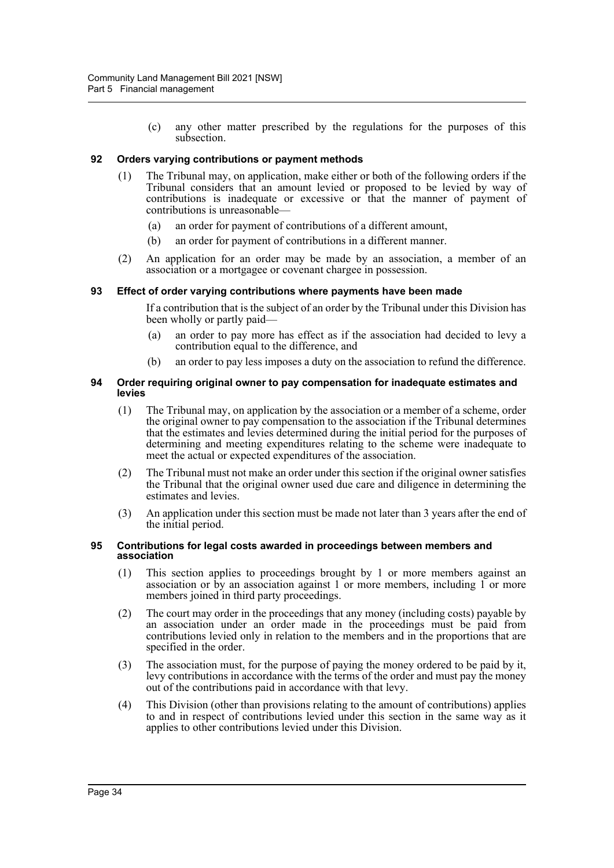(c) any other matter prescribed by the regulations for the purposes of this subsection.

### **92 Orders varying contributions or payment methods**

- (1) The Tribunal may, on application, make either or both of the following orders if the Tribunal considers that an amount levied or proposed to be levied by way of contributions is inadequate or excessive or that the manner of payment of contributions is unreasonable—
	- (a) an order for payment of contributions of a different amount,
	- (b) an order for payment of contributions in a different manner.
- (2) An application for an order may be made by an association, a member of an association or a mortgagee or covenant chargee in possession.

#### **93 Effect of order varying contributions where payments have been made**

If a contribution that is the subject of an order by the Tribunal under this Division has been wholly or partly paid—

- (a) an order to pay more has effect as if the association had decided to levy a contribution equal to the difference, and
- (b) an order to pay less imposes a duty on the association to refund the difference.

#### **94 Order requiring original owner to pay compensation for inadequate estimates and levies**

- (1) The Tribunal may, on application by the association or a member of a scheme, order the original owner to pay compensation to the association if the Tribunal determines that the estimates and levies determined during the initial period for the purposes of determining and meeting expenditures relating to the scheme were inadequate to meet the actual or expected expenditures of the association.
- (2) The Tribunal must not make an order under this section if the original owner satisfies the Tribunal that the original owner used due care and diligence in determining the estimates and levies.
- (3) An application under this section must be made not later than 3 years after the end of the initial period.

#### **95 Contributions for legal costs awarded in proceedings between members and association**

- (1) This section applies to proceedings brought by 1 or more members against an association or by an association against 1 or more members, including 1 or more members joined in third party proceedings.
- (2) The court may order in the proceedings that any money (including costs) payable by an association under an order made in the proceedings must be paid from contributions levied only in relation to the members and in the proportions that are specified in the order.
- (3) The association must, for the purpose of paying the money ordered to be paid by it, levy contributions in accordance with the terms of the order and must pay the money out of the contributions paid in accordance with that levy.
- (4) This Division (other than provisions relating to the amount of contributions) applies to and in respect of contributions levied under this section in the same way as it applies to other contributions levied under this Division.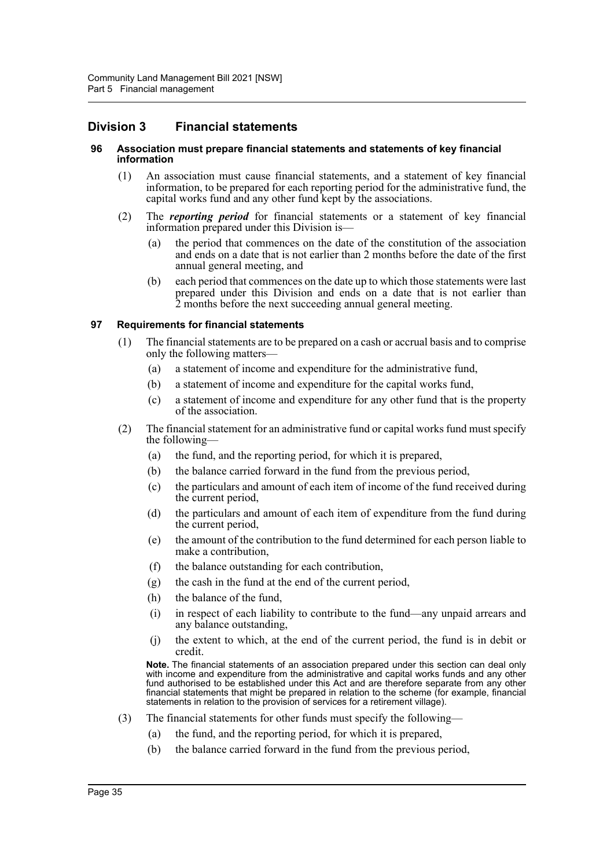## **Division 3 Financial statements**

#### **96 Association must prepare financial statements and statements of key financial information**

- (1) An association must cause financial statements, and a statement of key financial information, to be prepared for each reporting period for the administrative fund, the capital works fund and any other fund kept by the associations.
- (2) The *reporting period* for financial statements or a statement of key financial information prepared under this Division is—
	- (a) the period that commences on the date of the constitution of the association and ends on a date that is not earlier than 2 months before the date of the first annual general meeting, and
	- (b) each period that commences on the date up to which those statements were last prepared under this Division and ends on a date that is not earlier than 2 months before the next succeeding annual general meeting.

#### **97 Requirements for financial statements**

- (1) The financial statements are to be prepared on a cash or accrual basis and to comprise only the following matters—
	- (a) a statement of income and expenditure for the administrative fund,
	- (b) a statement of income and expenditure for the capital works fund,
	- (c) a statement of income and expenditure for any other fund that is the property of the association.
- (2) The financial statement for an administrative fund or capital works fund must specify the following—
	- (a) the fund, and the reporting period, for which it is prepared,
	- (b) the balance carried forward in the fund from the previous period,
	- (c) the particulars and amount of each item of income of the fund received during the current period,
	- (d) the particulars and amount of each item of expenditure from the fund during the current period,
	- (e) the amount of the contribution to the fund determined for each person liable to make a contribution,
	- (f) the balance outstanding for each contribution,
	- (g) the cash in the fund at the end of the current period,
	- (h) the balance of the fund,
	- (i) in respect of each liability to contribute to the fund—any unpaid arrears and any balance outstanding,
	- (j) the extent to which, at the end of the current period, the fund is in debit or credit.

**Note.** The financial statements of an association prepared under this section can deal only with income and expenditure from the administrative and capital works funds and any other fund authorised to be established under this Act and are therefore separate from any other financial statements that might be prepared in relation to the scheme (for example, financial statements in relation to the provision of services for a retirement village).

- (3) The financial statements for other funds must specify the following—
	- (a) the fund, and the reporting period, for which it is prepared,
	- (b) the balance carried forward in the fund from the previous period,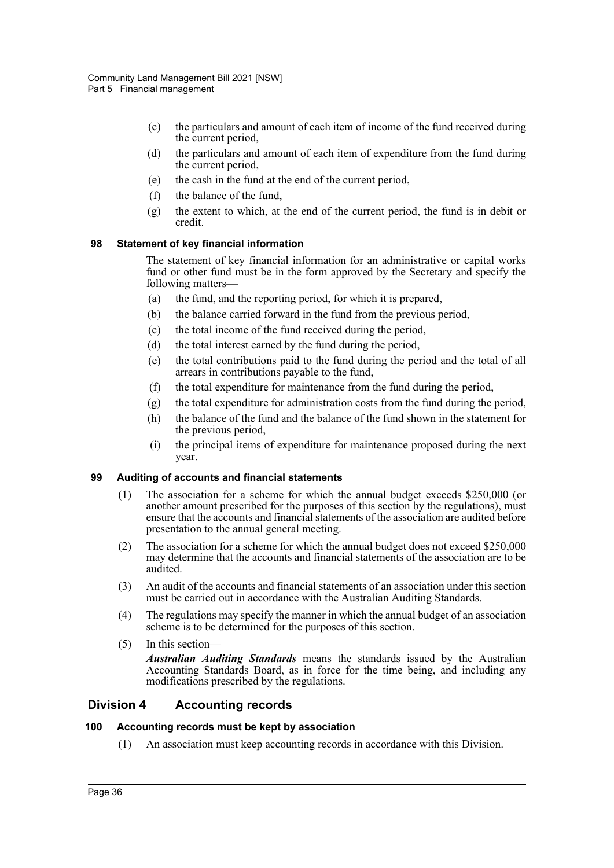- (c) the particulars and amount of each item of income of the fund received during the current period,
- (d) the particulars and amount of each item of expenditure from the fund during the current period,
- (e) the cash in the fund at the end of the current period,
- (f) the balance of the fund,
- (g) the extent to which, at the end of the current period, the fund is in debit or credit.

### **98 Statement of key financial information**

The statement of key financial information for an administrative or capital works fund or other fund must be in the form approved by the Secretary and specify the following matters—

- (a) the fund, and the reporting period, for which it is prepared,
- (b) the balance carried forward in the fund from the previous period,
- (c) the total income of the fund received during the period,
- (d) the total interest earned by the fund during the period,
- (e) the total contributions paid to the fund during the period and the total of all arrears in contributions payable to the fund,
- (f) the total expenditure for maintenance from the fund during the period,
- (g) the total expenditure for administration costs from the fund during the period,
- (h) the balance of the fund and the balance of the fund shown in the statement for the previous period,
- (i) the principal items of expenditure for maintenance proposed during the next year.

### **99 Auditing of accounts and financial statements**

- (1) The association for a scheme for which the annual budget exceeds \$250,000 (or another amount prescribed for the purposes of this section by the regulations), must ensure that the accounts and financial statements of the association are audited before presentation to the annual general meeting.
- (2) The association for a scheme for which the annual budget does not exceed \$250,000 may determine that the accounts and financial statements of the association are to be audited.
- (3) An audit of the accounts and financial statements of an association under this section must be carried out in accordance with the Australian Auditing Standards.
- (4) The regulations may specify the manner in which the annual budget of an association scheme is to be determined for the purposes of this section.
- (5) In this section—

*Australian Auditing Standards* means the standards issued by the Australian Accounting Standards Board, as in force for the time being, and including any modifications prescribed by the regulations.

## **Division 4 Accounting records**

#### **100 Accounting records must be kept by association**

(1) An association must keep accounting records in accordance with this Division.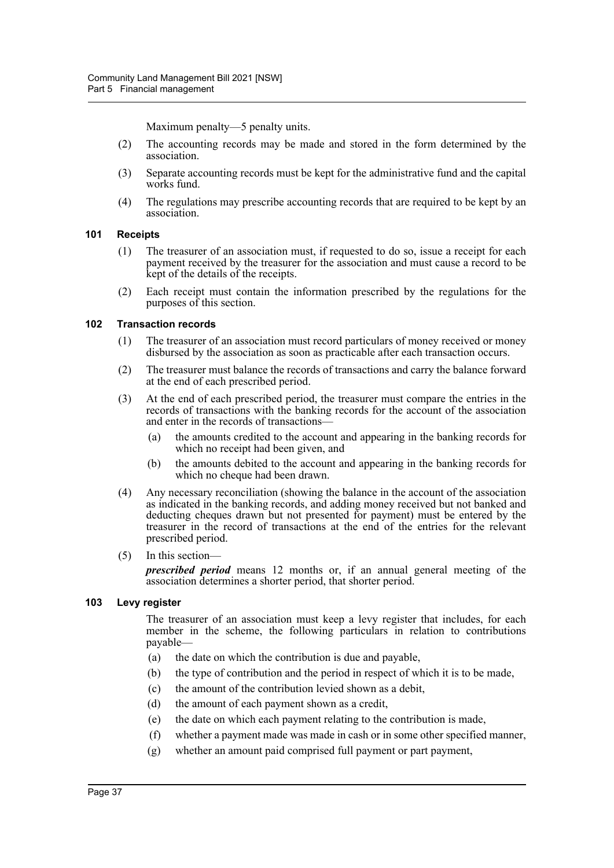Maximum penalty—5 penalty units.

- (2) The accounting records may be made and stored in the form determined by the association.
- (3) Separate accounting records must be kept for the administrative fund and the capital works fund.
- (4) The regulations may prescribe accounting records that are required to be kept by an association.

#### **101 Receipts**

- (1) The treasurer of an association must, if requested to do so, issue a receipt for each payment received by the treasurer for the association and must cause a record to be kept of the details of the receipts.
- (2) Each receipt must contain the information prescribed by the regulations for the purposes of this section.

#### **102 Transaction records**

- (1) The treasurer of an association must record particulars of money received or money disbursed by the association as soon as practicable after each transaction occurs.
- (2) The treasurer must balance the records of transactions and carry the balance forward at the end of each prescribed period.
- (3) At the end of each prescribed period, the treasurer must compare the entries in the records of transactions with the banking records for the account of the association and enter in the records of transactions—
	- (a) the amounts credited to the account and appearing in the banking records for which no receipt had been given, and
	- (b) the amounts debited to the account and appearing in the banking records for which no cheque had been drawn.
- (4) Any necessary reconciliation (showing the balance in the account of the association as indicated in the banking records, and adding money received but not banked and deducting cheques drawn but not presented for payment) must be entered by the treasurer in the record of transactions at the end of the entries for the relevant prescribed period.
- (5) In this section—

*prescribed period* means 12 months or, if an annual general meeting of the association determines a shorter period, that shorter period.

### **103 Levy register**

The treasurer of an association must keep a levy register that includes, for each member in the scheme, the following particulars in relation to contributions payable—

- (a) the date on which the contribution is due and payable,
- (b) the type of contribution and the period in respect of which it is to be made,
- (c) the amount of the contribution levied shown as a debit,
- (d) the amount of each payment shown as a credit,
- (e) the date on which each payment relating to the contribution is made,
- (f) whether a payment made was made in cash or in some other specified manner,
- (g) whether an amount paid comprised full payment or part payment,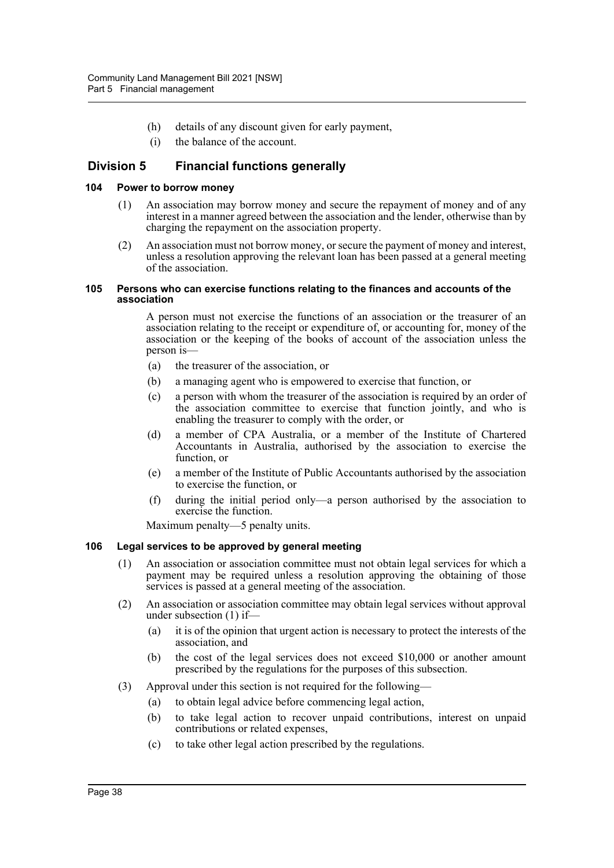- (h) details of any discount given for early payment,
- (i) the balance of the account.

## **Division 5 Financial functions generally**

#### **104 Power to borrow money**

- (1) An association may borrow money and secure the repayment of money and of any interest in a manner agreed between the association and the lender, otherwise than by charging the repayment on the association property.
- (2) An association must not borrow money, or secure the payment of money and interest, unless a resolution approving the relevant loan has been passed at a general meeting of the association.

#### **105 Persons who can exercise functions relating to the finances and accounts of the association**

A person must not exercise the functions of an association or the treasurer of an association relating to the receipt or expenditure of, or accounting for, money of the association or the keeping of the books of account of the association unless the person is—

- (a) the treasurer of the association, or
- (b) a managing agent who is empowered to exercise that function, or
- (c) a person with whom the treasurer of the association is required by an order of the association committee to exercise that function jointly, and who is enabling the treasurer to comply with the order, or
- (d) a member of CPA Australia, or a member of the Institute of Chartered Accountants in Australia, authorised by the association to exercise the function, or
- (e) a member of the Institute of Public Accountants authorised by the association to exercise the function, or
- (f) during the initial period only—a person authorised by the association to exercise the function.

Maximum penalty—5 penalty units.

### **106 Legal services to be approved by general meeting**

- (1) An association or association committee must not obtain legal services for which a payment may be required unless a resolution approving the obtaining of those services is passed at a general meeting of the association.
- (2) An association or association committee may obtain legal services without approval under subsection (1) if—
	- (a) it is of the opinion that urgent action is necessary to protect the interests of the association, and
	- (b) the cost of the legal services does not exceed \$10,000 or another amount prescribed by the regulations for the purposes of this subsection.
- (3) Approval under this section is not required for the following—
	- (a) to obtain legal advice before commencing legal action,
	- (b) to take legal action to recover unpaid contributions, interest on unpaid contributions or related expenses,
	- (c) to take other legal action prescribed by the regulations.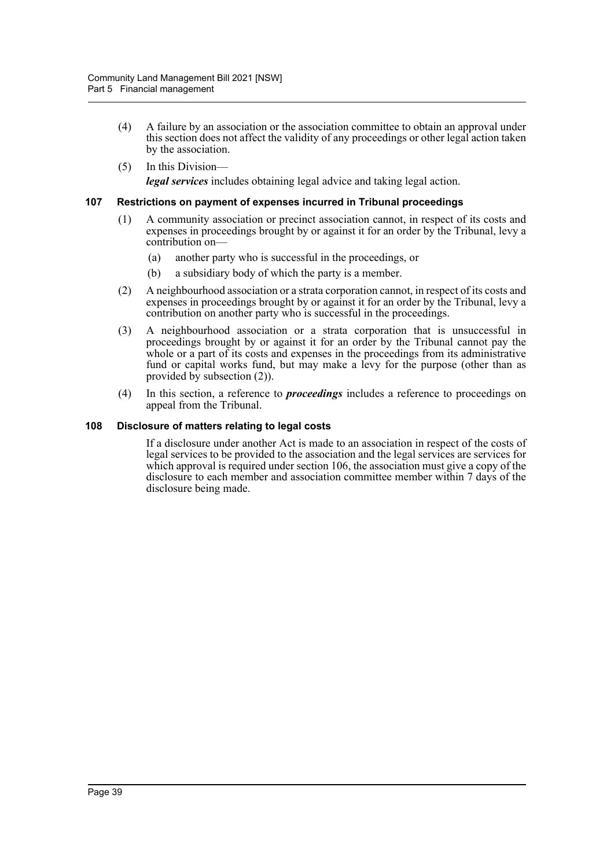- (4) A failure by an association or the association committee to obtain an approval under this section does not affect the validity of any proceedings or other legal action taken by the association.
- (5) In this Division *legal services* includes obtaining legal advice and taking legal action.

#### **107 Restrictions on payment of expenses incurred in Tribunal proceedings**

- (1) A community association or precinct association cannot, in respect of its costs and expenses in proceedings brought by or against it for an order by the Tribunal, levy a contribution on-
	- (a) another party who is successful in the proceedings, or
	- (b) a subsidiary body of which the party is a member.
- (2) A neighbourhood association or a strata corporation cannot, in respect of its costs and expenses in proceedings brought by or against it for an order by the Tribunal, levy a contribution on another party who is successful in the proceedings.
- (3) A neighbourhood association or a strata corporation that is unsuccessful in proceedings brought by or against it for an order by the Tribunal cannot pay the whole or a part of its costs and expenses in the proceedings from its administrative fund or capital works fund, but may make a levy for the purpose (other than as provided by subsection (2)).
- (4) In this section, a reference to *proceedings* includes a reference to proceedings on appeal from the Tribunal.

#### **108 Disclosure of matters relating to legal costs**

If a disclosure under another Act is made to an association in respect of the costs of legal services to be provided to the association and the legal services are services for which approval is required under section 106, the association must give a copy of the disclosure to each member and association committee member within 7 days of the disclosure being made.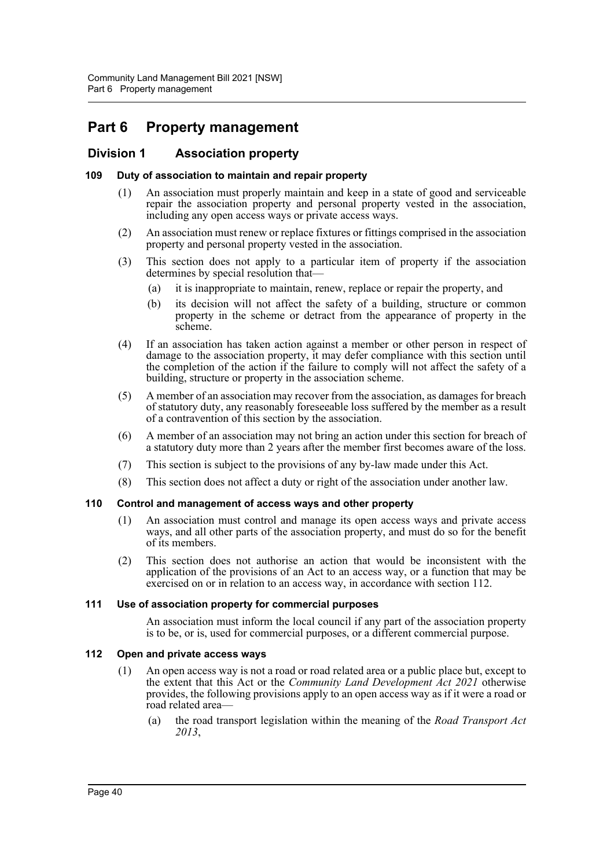# **Part 6 Property management**

## **Division 1 Association property**

## **109 Duty of association to maintain and repair property**

- (1) An association must properly maintain and keep in a state of good and serviceable repair the association property and personal property vested in the association, including any open access ways or private access ways.
- (2) An association must renew or replace fixtures or fittings comprised in the association property and personal property vested in the association.
- (3) This section does not apply to a particular item of property if the association determines by special resolution that—
	- (a) it is inappropriate to maintain, renew, replace or repair the property, and
	- (b) its decision will not affect the safety of a building, structure or common property in the scheme or detract from the appearance of property in the scheme.
- (4) If an association has taken action against a member or other person in respect of damage to the association property, it may defer compliance with this section until the completion of the action if the failure to comply will not affect the safety of a building, structure or property in the association scheme.
- (5) A member of an association may recover from the association, as damages for breach of statutory duty, any reasonably foreseeable loss suffered by the member as a result of a contravention of this section by the association.
- (6) A member of an association may not bring an action under this section for breach of a statutory duty more than 2 years after the member first becomes aware of the loss.
- (7) This section is subject to the provisions of any by-law made under this Act.
- (8) This section does not affect a duty or right of the association under another law.

### **110 Control and management of access ways and other property**

- (1) An association must control and manage its open access ways and private access ways, and all other parts of the association property, and must do so for the benefit of its members.
- (2) This section does not authorise an action that would be inconsistent with the application of the provisions of an Act to an access way, or a function that may be exercised on or in relation to an access way, in accordance with section 112.

### **111 Use of association property for commercial purposes**

An association must inform the local council if any part of the association property is to be, or is, used for commercial purposes, or a different commercial purpose.

## **112 Open and private access ways**

- (1) An open access way is not a road or road related area or a public place but, except to the extent that this Act or the *Community Land Development Act 2021* otherwise provides, the following provisions apply to an open access way as if it were a road or road related area—
	- (a) the road transport legislation within the meaning of the *Road Transport Act 2013*,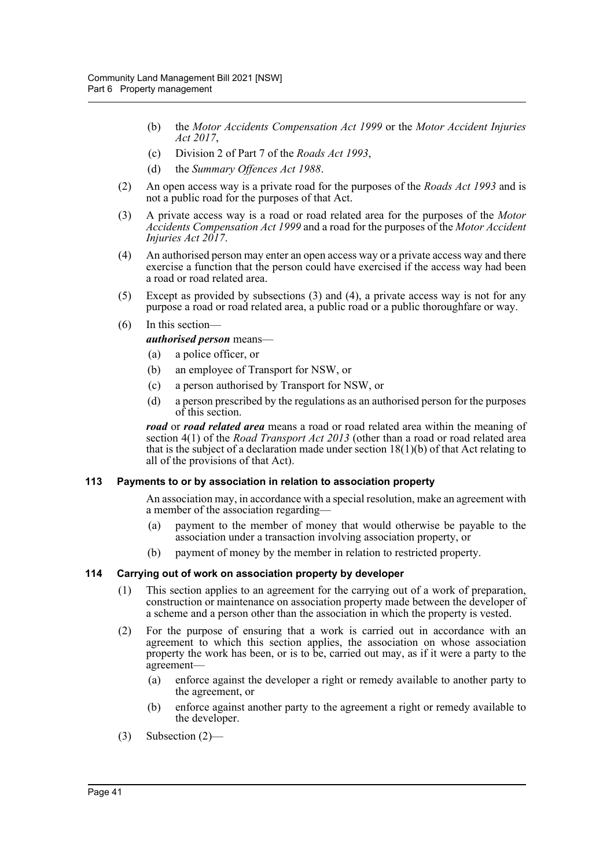- (b) the *Motor Accidents Compensation Act 1999* or the *Motor Accident Injuries Act 2017*,
- (c) Division 2 of Part 7 of the *Roads Act 1993*,
- (d) the *Summary Offences Act 1988*.
- (2) An open access way is a private road for the purposes of the *Roads Act 1993* and is not a public road for the purposes of that Act.
- (3) A private access way is a road or road related area for the purposes of the *Motor Accidents Compensation Act 1999* and a road for the purposes of the *Motor Accident Injuries Act 2017*.
- (4) An authorised person may enter an open access way or a private access way and there exercise a function that the person could have exercised if the access way had been a road or road related area.
- (5) Except as provided by subsections (3) and (4), a private access way is not for any purpose a road or road related area, a public road or a public thoroughfare or way.
- (6) In this section
	- *authorised person* means—
	- (a) a police officer, or
	- (b) an employee of Transport for NSW, or
	- (c) a person authorised by Transport for NSW, or
	- (d) a person prescribed by the regulations as an authorised person for the purposes of this section.

*road* or *road related area* means a road or road related area within the meaning of section 4(1) of the *Road Transport Act 2013* (other than a road or road related area that is the subject of a declaration made under section  $18(1)(b)$  of that Act relating to all of the provisions of that Act).

### **113 Payments to or by association in relation to association property**

An association may, in accordance with a special resolution, make an agreement with a member of the association regarding—

- (a) payment to the member of money that would otherwise be payable to the association under a transaction involving association property, or
- (b) payment of money by the member in relation to restricted property.

### **114 Carrying out of work on association property by developer**

- (1) This section applies to an agreement for the carrying out of a work of preparation, construction or maintenance on association property made between the developer of a scheme and a person other than the association in which the property is vested.
- (2) For the purpose of ensuring that a work is carried out in accordance with an agreement to which this section applies, the association on whose association property the work has been, or is to be, carried out may, as if it were a party to the agreement—
	- (a) enforce against the developer a right or remedy available to another party to the agreement, or
	- (b) enforce against another party to the agreement a right or remedy available to the developer.
- (3) Subsection (2)—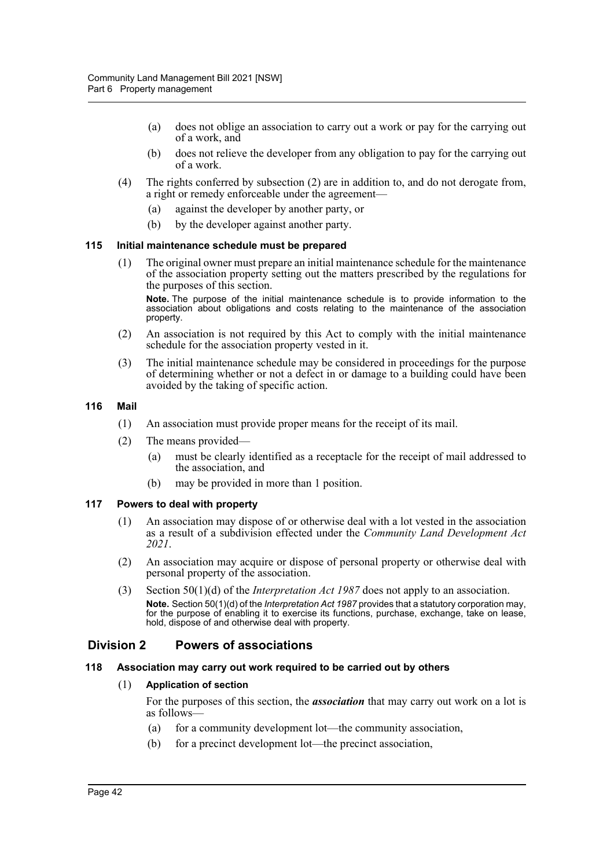- (a) does not oblige an association to carry out a work or pay for the carrying out of a work, and
- (b) does not relieve the developer from any obligation to pay for the carrying out of a work.
- (4) The rights conferred by subsection (2) are in addition to, and do not derogate from, a right or remedy enforceable under the agreement—
	- (a) against the developer by another party, or
	- (b) by the developer against another party.

#### **115 Initial maintenance schedule must be prepared**

(1) The original owner must prepare an initial maintenance schedule for the maintenance of the association property setting out the matters prescribed by the regulations for the purposes of this section.

**Note.** The purpose of the initial maintenance schedule is to provide information to the association about obligations and costs relating to the maintenance of the association property.

- (2) An association is not required by this Act to comply with the initial maintenance schedule for the association property vested in it.
- (3) The initial maintenance schedule may be considered in proceedings for the purpose of determining whether or not a defect in or damage to a building could have been avoided by the taking of specific action.

#### **116 Mail**

- (1) An association must provide proper means for the receipt of its mail.
- (2) The means provided—
	- (a) must be clearly identified as a receptacle for the receipt of mail addressed to the association, and
	- (b) may be provided in more than 1 position.

### **117 Powers to deal with property**

- (1) An association may dispose of or otherwise deal with a lot vested in the association as a result of a subdivision effected under the *Community Land Development Act 2021*.
- (2) An association may acquire or dispose of personal property or otherwise deal with personal property of the association.
- (3) Section 50(1)(d) of the *Interpretation Act 1987* does not apply to an association. **Note.** Section 50(1)(d) of the *Interpretation Act 1987* provides that a statutory corporation may, for the purpose of enabling it to exercise its functions, purchase, exchange, take on lease, hold, dispose of and otherwise deal with property.

## **Division 2 Powers of associations**

#### **118 Association may carry out work required to be carried out by others**

### (1) **Application of section**

For the purposes of this section, the *association* that may carry out work on a lot is as follows—

- (a) for a community development lot—the community association,
- (b) for a precinct development lot—the precinct association,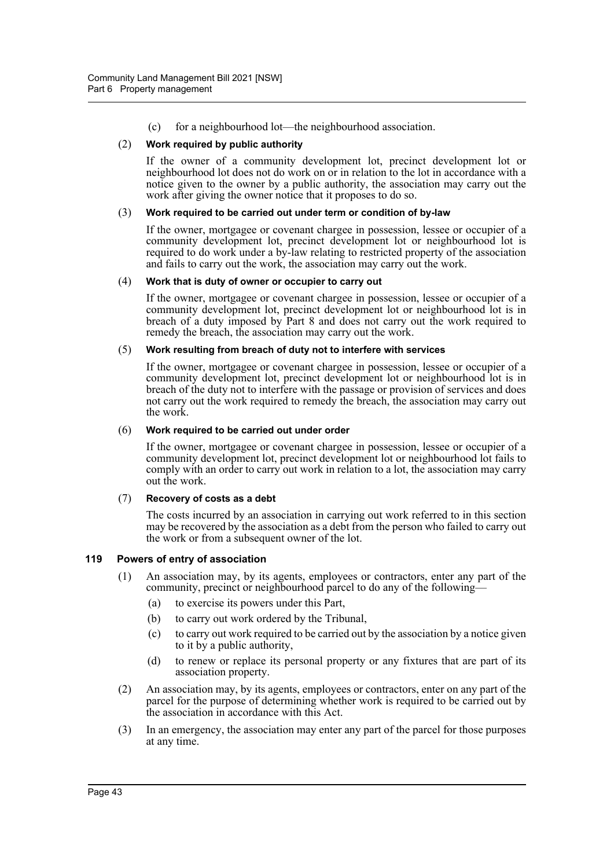(c) for a neighbourhood lot—the neighbourhood association.

## (2) **Work required by public authority**

If the owner of a community development lot, precinct development lot or neighbourhood lot does not do work on or in relation to the lot in accordance with a notice given to the owner by a public authority, the association may carry out the work after giving the owner notice that it proposes to do so.

#### (3) **Work required to be carried out under term or condition of by-law**

If the owner, mortgagee or covenant chargee in possession, lessee or occupier of a community development lot, precinct development lot or neighbourhood lot is required to do work under a by-law relating to restricted property of the association and fails to carry out the work, the association may carry out the work.

#### (4) **Work that is duty of owner or occupier to carry out**

If the owner, mortgagee or covenant chargee in possession, lessee or occupier of a community development lot, precinct development lot or neighbourhood lot is in breach of a duty imposed by Part 8 and does not carry out the work required to remedy the breach, the association may carry out the work.

#### (5) **Work resulting from breach of duty not to interfere with services**

If the owner, mortgagee or covenant chargee in possession, lessee or occupier of a community development lot, precinct development lot or neighbourhood lot is in breach of the duty not to interfere with the passage or provision of services and does not carry out the work required to remedy the breach, the association may carry out the work.

#### (6) **Work required to be carried out under order**

If the owner, mortgagee or covenant chargee in possession, lessee or occupier of a community development lot, precinct development lot or neighbourhood lot fails to comply with an order to carry out work in relation to a lot, the association may carry out the work.

### (7) **Recovery of costs as a debt**

The costs incurred by an association in carrying out work referred to in this section may be recovered by the association as a debt from the person who failed to carry out the work or from a subsequent owner of the lot.

### **119 Powers of entry of association**

- (1) An association may, by its agents, employees or contractors, enter any part of the community, precinct or neighbourhood parcel to do any of the following—
	- (a) to exercise its powers under this Part,
	- (b) to carry out work ordered by the Tribunal,
	- (c) to carry out work required to be carried out by the association by a notice given to it by a public authority,
	- (d) to renew or replace its personal property or any fixtures that are part of its association property.
- (2) An association may, by its agents, employees or contractors, enter on any part of the parcel for the purpose of determining whether work is required to be carried out by the association in accordance with this Act.
- (3) In an emergency, the association may enter any part of the parcel for those purposes at any time.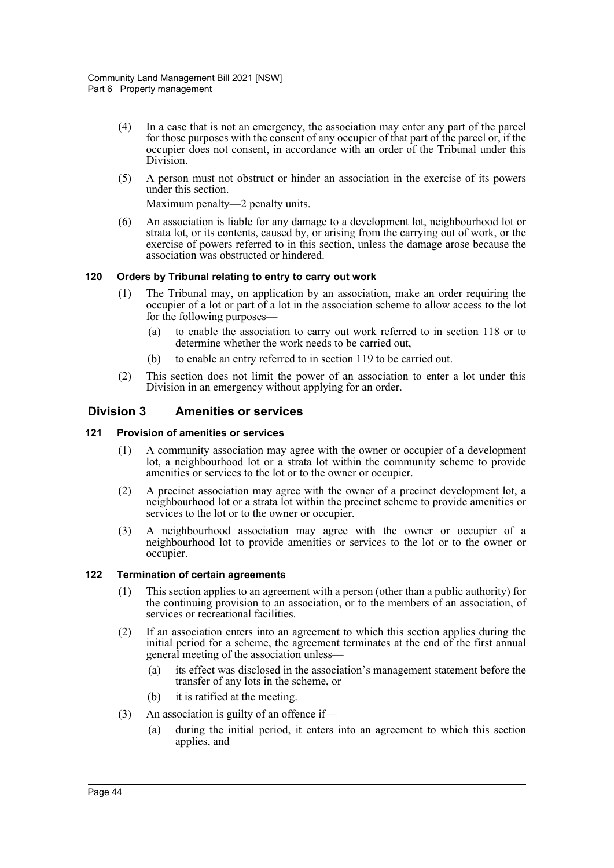- (4) In a case that is not an emergency, the association may enter any part of the parcel for those purposes with the consent of any occupier of that part of the parcel or, if the occupier does not consent, in accordance with an order of the Tribunal under this Division.
- (5) A person must not obstruct or hinder an association in the exercise of its powers under this section.

Maximum penalty—2 penalty units.

(6) An association is liable for any damage to a development lot, neighbourhood lot or strata lot, or its contents, caused by, or arising from the carrying out of work, or the exercise of powers referred to in this section, unless the damage arose because the association was obstructed or hindered.

## **120 Orders by Tribunal relating to entry to carry out work**

- (1) The Tribunal may, on application by an association, make an order requiring the occupier of a lot or part of a lot in the association scheme to allow access to the lot for the following purposes—
	- (a) to enable the association to carry out work referred to in section 118 or to determine whether the work needs to be carried out,
	- (b) to enable an entry referred to in section 119 to be carried out.
- (2) This section does not limit the power of an association to enter a lot under this Division in an emergency without applying for an order.

## **Division 3 Amenities or services**

### **121 Provision of amenities or services**

- (1) A community association may agree with the owner or occupier of a development lot, a neighbourhood lot or a strata lot within the community scheme to provide amenities or services to the lot or to the owner or occupier.
- (2) A precinct association may agree with the owner of a precinct development lot, a neighbourhood lot or a strata lot within the precinct scheme to provide amenities or services to the lot or to the owner or occupier.
- (3) A neighbourhood association may agree with the owner or occupier of a neighbourhood lot to provide amenities or services to the lot or to the owner or occupier.

### **122 Termination of certain agreements**

- (1) This section applies to an agreement with a person (other than a public authority) for the continuing provision to an association, or to the members of an association, of services or recreational facilities.
- (2) If an association enters into an agreement to which this section applies during the initial period for a scheme, the agreement terminates at the end of the first annual general meeting of the association unless—
	- (a) its effect was disclosed in the association's management statement before the transfer of any lots in the scheme, or
	- (b) it is ratified at the meeting.
- (3) An association is guilty of an offence if—
	- (a) during the initial period, it enters into an agreement to which this section applies, and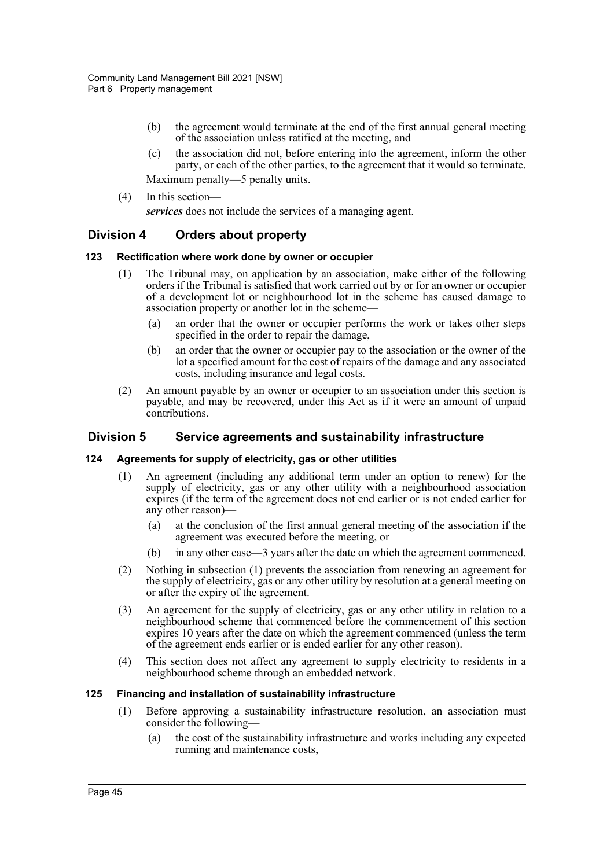- (b) the agreement would terminate at the end of the first annual general meeting of the association unless ratified at the meeting, and
- (c) the association did not, before entering into the agreement, inform the other party, or each of the other parties, to the agreement that it would so terminate.
- Maximum penalty—5 penalty units.
- (4) In this section—

*services* does not include the services of a managing agent.

## **Division 4 Orders about property**

#### **123 Rectification where work done by owner or occupier**

- (1) The Tribunal may, on application by an association, make either of the following orders if the Tribunal is satisfied that work carried out by or for an owner or occupier of a development lot or neighbourhood lot in the scheme has caused damage to association property or another lot in the scheme—
	- (a) an order that the owner or occupier performs the work or takes other steps specified in the order to repair the damage,
	- (b) an order that the owner or occupier pay to the association or the owner of the lot a specified amount for the cost of repairs of the damage and any associated costs, including insurance and legal costs.
- (2) An amount payable by an owner or occupier to an association under this section is payable, and may be recovered, under this Act as if it were an amount of unpaid contributions.

## **Division 5 Service agreements and sustainability infrastructure**

### **124 Agreements for supply of electricity, gas or other utilities**

- (1) An agreement (including any additional term under an option to renew) for the supply of electricity, gas or any other utility with a neighbourhood association expires (if the term of the agreement does not end earlier or is not ended earlier for any other reason)—
	- (a) at the conclusion of the first annual general meeting of the association if the agreement was executed before the meeting, or
	- (b) in any other case—3 years after the date on which the agreement commenced.
- (2) Nothing in subsection (1) prevents the association from renewing an agreement for the supply of electricity, gas or any other utility by resolution at a general meeting on or after the expiry of the agreement.
- (3) An agreement for the supply of electricity, gas or any other utility in relation to a neighbourhood scheme that commenced before the commencement of this section expires 10 years after the date on which the agreement commenced (unless the term of the agreement ends earlier or is ended earlier for any other reason).
- (4) This section does not affect any agreement to supply electricity to residents in a neighbourhood scheme through an embedded network.

#### **125 Financing and installation of sustainability infrastructure**

- (1) Before approving a sustainability infrastructure resolution, an association must consider the following—
	- (a) the cost of the sustainability infrastructure and works including any expected running and maintenance costs,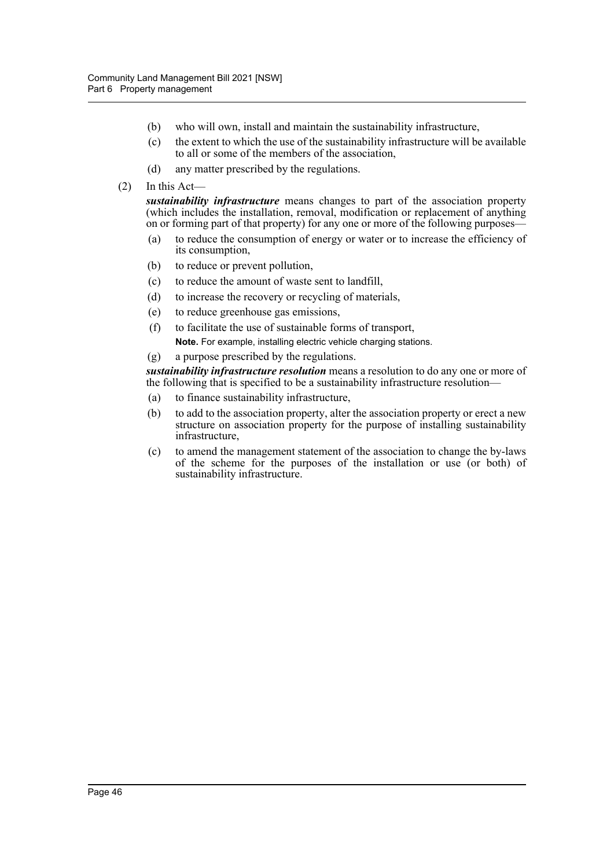- (b) who will own, install and maintain the sustainability infrastructure,
- (c) the extent to which the use of the sustainability infrastructure will be available to all or some of the members of the association,
- (d) any matter prescribed by the regulations.
- (2) In this Act—

*sustainability infrastructure* means changes to part of the association property (which includes the installation, removal, modification or replacement of anything on or forming part of that property) for any one or more of the following purposes—

- (a) to reduce the consumption of energy or water or to increase the efficiency of its consumption,
- (b) to reduce or prevent pollution,
- (c) to reduce the amount of waste sent to landfill,
- (d) to increase the recovery or recycling of materials,
- (e) to reduce greenhouse gas emissions,
- (f) to facilitate the use of sustainable forms of transport,
	- **Note.** For example, installing electric vehicle charging stations.
- (g) a purpose prescribed by the regulations.

*sustainability infrastructure resolution* means a resolution to do any one or more of the following that is specified to be a sustainability infrastructure resolution—

- (a) to finance sustainability infrastructure,
- (b) to add to the association property, alter the association property or erect a new structure on association property for the purpose of installing sustainability infrastructure,
- (c) to amend the management statement of the association to change the by-laws of the scheme for the purposes of the installation or use (or both) of sustainability infrastructure.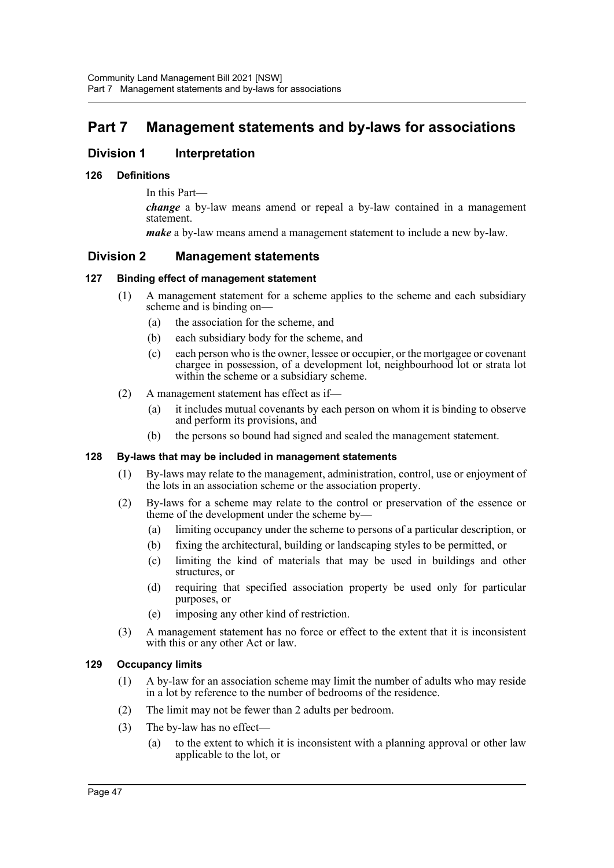# **Part 7 Management statements and by-laws for associations**

## **Division 1** Interpretation

## **126 Definitions**

In this Part—

*change* a by-law means amend or repeal a by-law contained in a management statement.

*make* a by-law means amend a management statement to include a new by-law.

## **Division 2 Management statements**

## **127 Binding effect of management statement**

- (1) A management statement for a scheme applies to the scheme and each subsidiary scheme and is binding on—
	- (a) the association for the scheme, and
	- (b) each subsidiary body for the scheme, and
	- (c) each person who is the owner, lessee or occupier, or the mortgagee or covenant chargee in possession, of a development lot, neighbourhood lot or strata lot within the scheme or a subsidiary scheme.
- (2) A management statement has effect as if—
	- (a) it includes mutual covenants by each person on whom it is binding to observe and perform its provisions, and
	- (b) the persons so bound had signed and sealed the management statement.

### **128 By-laws that may be included in management statements**

- (1) By-laws may relate to the management, administration, control, use or enjoyment of the lots in an association scheme or the association property.
- (2) By-laws for a scheme may relate to the control or preservation of the essence or theme of the development under the scheme by—
	- (a) limiting occupancy under the scheme to persons of a particular description, or
	- (b) fixing the architectural, building or landscaping styles to be permitted, or
	- (c) limiting the kind of materials that may be used in buildings and other structures, or
	- (d) requiring that specified association property be used only for particular purposes, or
	- (e) imposing any other kind of restriction.
- (3) A management statement has no force or effect to the extent that it is inconsistent with this or any other Act or law.

### **129 Occupancy limits**

- (1) A by-law for an association scheme may limit the number of adults who may reside in a lot by reference to the number of bedrooms of the residence.
- (2) The limit may not be fewer than 2 adults per bedroom.
- (3) The by-law has no effect—
	- (a) to the extent to which it is inconsistent with a planning approval or other law applicable to the lot, or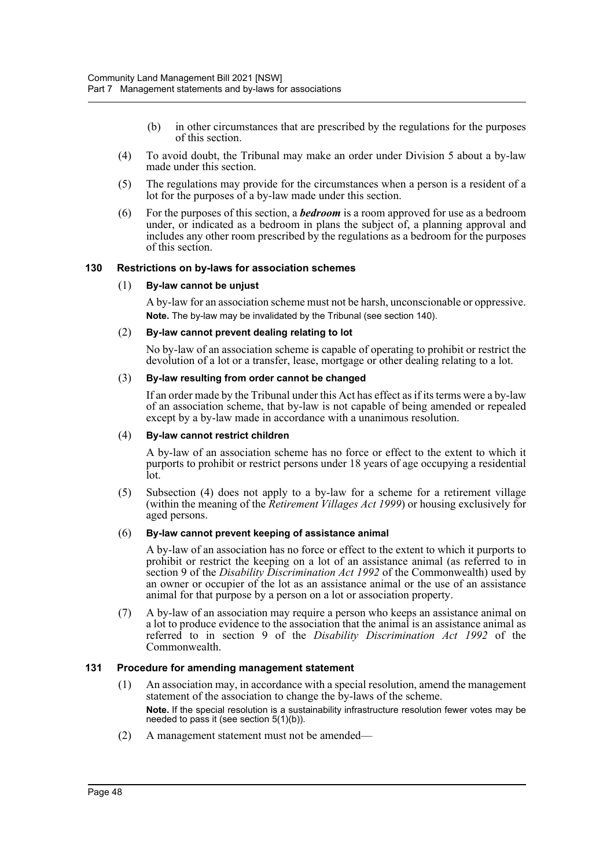- (b) in other circumstances that are prescribed by the regulations for the purposes of this section.
- (4) To avoid doubt, the Tribunal may make an order under Division 5 about a by-law made under this section.
- (5) The regulations may provide for the circumstances when a person is a resident of a lot for the purposes of a by-law made under this section.
- (6) For the purposes of this section, a *bedroom* is a room approved for use as a bedroom under, or indicated as a bedroom in plans the subject of, a planning approval and includes any other room prescribed by the regulations as a bedroom for the purposes of this section.

### **130 Restrictions on by-laws for association schemes**

#### (1) **By-law cannot be unjust**

A by-law for an association scheme must not be harsh, unconscionable or oppressive. **Note.** The by-law may be invalidated by the Tribunal (see section 140).

#### (2) **By-law cannot prevent dealing relating to lot**

No by-law of an association scheme is capable of operating to prohibit or restrict the devolution of a lot or a transfer, lease, mortgage or other dealing relating to a lot.

#### (3) **By-law resulting from order cannot be changed**

If an order made by the Tribunal under this Act has effect as if its terms were a by-law of an association scheme, that by-law is not capable of being amended or repealed except by a by-law made in accordance with a unanimous resolution.

#### (4) **By-law cannot restrict children**

A by-law of an association scheme has no force or effect to the extent to which it purports to prohibit or restrict persons under 18 years of age occupying a residential lot.

(5) Subsection (4) does not apply to a by-law for a scheme for a retirement village (within the meaning of the *Retirement Villages Act 1999*) or housing exclusively for aged persons.

### (6) **By-law cannot prevent keeping of assistance animal**

A by-law of an association has no force or effect to the extent to which it purports to prohibit or restrict the keeping on a lot of an assistance animal (as referred to in section 9 of the *Disability Discrimination Act 1992* of the Commonwealth) used by an owner or occupier of the lot as an assistance animal or the use of an assistance animal for that purpose by a person on a lot or association property.

(7) A by-law of an association may require a person who keeps an assistance animal on a lot to produce evidence to the association that the animal is an assistance animal as referred to in section 9 of the *Disability Discrimination Act 1992* of the Commonwealth.

### **131 Procedure for amending management statement**

- (1) An association may, in accordance with a special resolution, amend the management statement of the association to change the by-laws of the scheme. **Note.** If the special resolution is a sustainability infrastructure resolution fewer votes may be needed to pass it (see section 5(1)(b)).
- (2) A management statement must not be amended—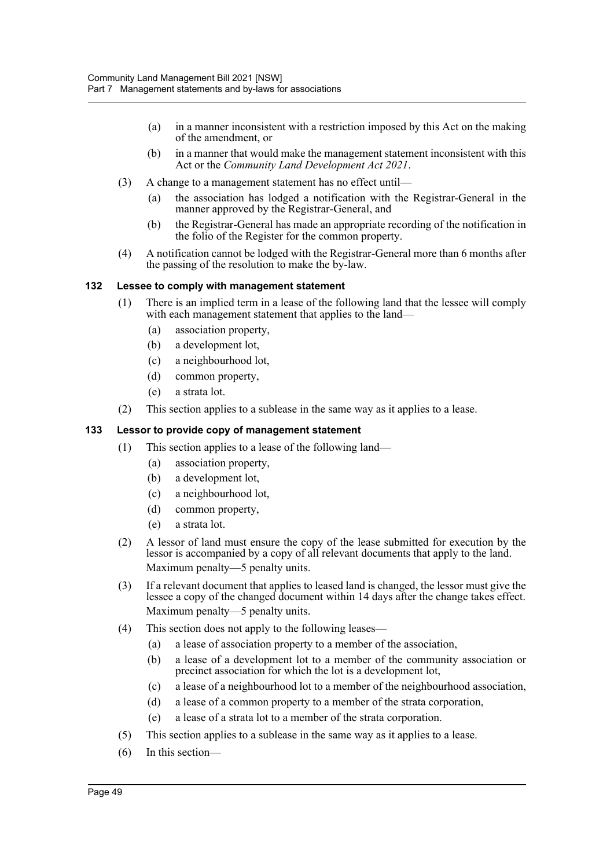- (a) in a manner inconsistent with a restriction imposed by this Act on the making of the amendment, or
- (b) in a manner that would make the management statement inconsistent with this Act or the *Community Land Development Act 2021*.
- (3) A change to a management statement has no effect until—
	- (a) the association has lodged a notification with the Registrar-General in the manner approved by the Registrar-General, and
	- (b) the Registrar-General has made an appropriate recording of the notification in the folio of the Register for the common property.
- (4) A notification cannot be lodged with the Registrar-General more than 6 months after the passing of the resolution to make the by-law.

## **132 Lessee to comply with management statement**

- (1) There is an implied term in a lease of the following land that the lessee will comply with each management statement that applies to the land—
	- (a) association property,
	- (b) a development lot,
	- (c) a neighbourhood lot,
	- (d) common property,
	- (e) a strata lot.
- (2) This section applies to a sublease in the same way as it applies to a lease.

### **133 Lessor to provide copy of management statement**

- (1) This section applies to a lease of the following land—
	- (a) association property,
	- (b) a development lot,
	- (c) a neighbourhood lot,
	- (d) common property,
	- (e) a strata lot.
- (2) A lessor of land must ensure the copy of the lease submitted for execution by the lessor is accompanied by a copy of all relevant documents that apply to the land. Maximum penalty—5 penalty units.
- (3) If a relevant document that applies to leased land is changed, the lessor must give the lessee a copy of the changed document within 14 days after the change takes effect. Maximum penalty—5 penalty units.
- (4) This section does not apply to the following leases—
	- (a) a lease of association property to a member of the association,
	- (b) a lease of a development lot to a member of the community association or precinct association for which the lot is a development lot,
	- (c) a lease of a neighbourhood lot to a member of the neighbourhood association,
	- (d) a lease of a common property to a member of the strata corporation,
	- (e) a lease of a strata lot to a member of the strata corporation.
- (5) This section applies to a sublease in the same way as it applies to a lease.
- (6) In this section—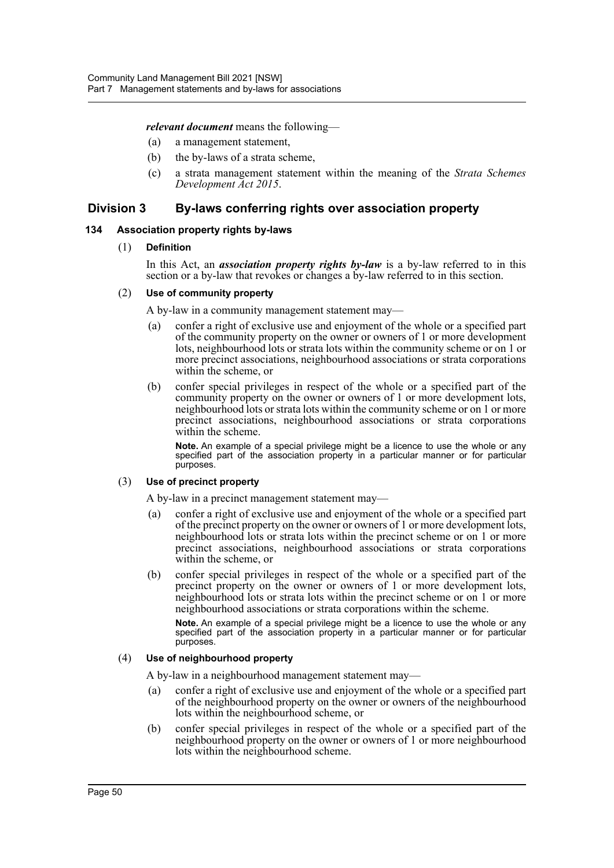*relevant document* means the following—

- (a) a management statement,
- (b) the by-laws of a strata scheme,
- (c) a strata management statement within the meaning of the *Strata Schemes Development Act 2015*.

## **Division 3 By-laws conferring rights over association property**

#### **134 Association property rights by-laws**

#### (1) **Definition**

In this Act, an *association property rights by-law* is a by-law referred to in this section or a by-law that revokes or changes a by-law referred to in this section.

### (2) **Use of community property**

A by-law in a community management statement may—

- (a) confer a right of exclusive use and enjoyment of the whole or a specified part of the community property on the owner or owners of 1 or more development lots, neighbourhood lots or strata lots within the community scheme or on 1 or more precinct associations, neighbourhood associations or strata corporations within the scheme, or
- (b) confer special privileges in respect of the whole or a specified part of the community property on the owner or owners of 1 or more development lots, neighbourhood lots or strata lots within the community scheme or on 1 or more precinct associations, neighbourhood associations or strata corporations within the scheme.

**Note.** An example of a special privilege might be a licence to use the whole or any specified part of the association property in a particular manner or for particular purposes.

## (3) **Use of precinct property**

A by-law in a precinct management statement may—

- (a) confer a right of exclusive use and enjoyment of the whole or a specified part of the precinct property on the owner or owners of 1 or more development lots, neighbourhood lots or strata lots within the precinct scheme or on 1 or more precinct associations, neighbourhood associations or strata corporations within the scheme, or
- (b) confer special privileges in respect of the whole or a specified part of the precinct property on the owner or owners of 1 or more development lots, neighbourhood lots or strata lots within the precinct scheme or on 1 or more neighbourhood associations or strata corporations within the scheme.

**Note.** An example of a special privilege might be a licence to use the whole or any specified part of the association property in a particular manner or for particular purposes.

#### (4) **Use of neighbourhood property**

A by-law in a neighbourhood management statement may—

- (a) confer a right of exclusive use and enjoyment of the whole or a specified part of the neighbourhood property on the owner or owners of the neighbourhood lots within the neighbourhood scheme, or
- (b) confer special privileges in respect of the whole or a specified part of the neighbourhood property on the owner or owners of 1 or more neighbourhood lots within the neighbourhood scheme.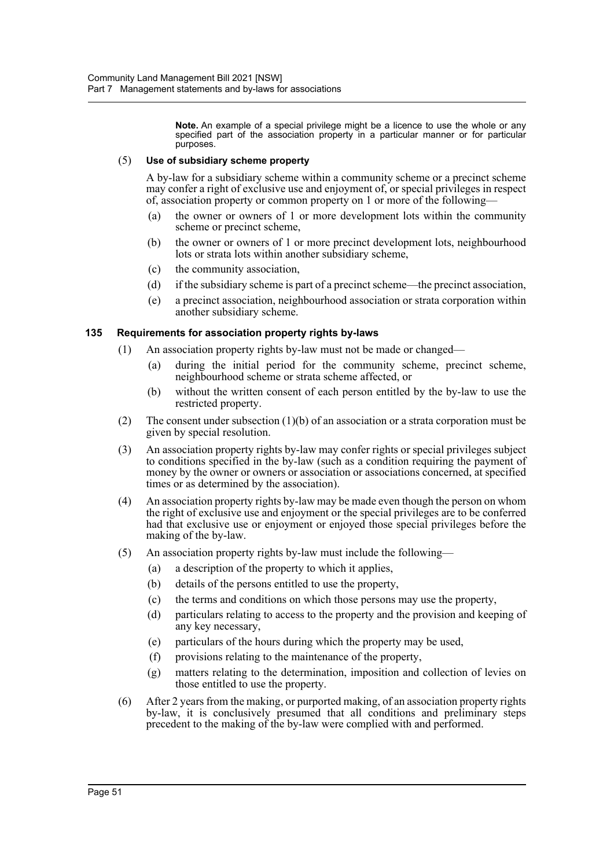**Note.** An example of a special privilege might be a licence to use the whole or any specified part of the association property in a particular manner or for particular purposes.

### (5) **Use of subsidiary scheme property**

A by-law for a subsidiary scheme within a community scheme or a precinct scheme may confer a right of exclusive use and enjoyment of, or special privileges in respect of, association property or common property on 1 or more of the following—

- (a) the owner or owners of 1 or more development lots within the community scheme or precinct scheme,
- (b) the owner or owners of 1 or more precinct development lots, neighbourhood lots or strata lots within another subsidiary scheme,
- (c) the community association,
- (d) if the subsidiary scheme is part of a precinct scheme—the precinct association,
- (e) a precinct association, neighbourhood association or strata corporation within another subsidiary scheme.

## **135 Requirements for association property rights by-laws**

- (1) An association property rights by-law must not be made or changed—
	- (a) during the initial period for the community scheme, precinct scheme, neighbourhood scheme or strata scheme affected, or
	- (b) without the written consent of each person entitled by the by-law to use the restricted property.
- (2) The consent under subsection (1)(b) of an association or a strata corporation must be given by special resolution.
- (3) An association property rights by-law may confer rights or special privileges subject to conditions specified in the by-law (such as a condition requiring the payment of money by the owner or owners or association or associations concerned, at specified times or as determined by the association).
- (4) An association property rights by-law may be made even though the person on whom the right of exclusive use and enjoyment or the special privileges are to be conferred had that exclusive use or enjoyment or enjoyed those special privileges before the making of the by-law.
- (5) An association property rights by-law must include the following—
	- (a) a description of the property to which it applies,
	- (b) details of the persons entitled to use the property,
	- (c) the terms and conditions on which those persons may use the property,
	- (d) particulars relating to access to the property and the provision and keeping of any key necessary,
	- (e) particulars of the hours during which the property may be used,
	- (f) provisions relating to the maintenance of the property,
	- (g) matters relating to the determination, imposition and collection of levies on those entitled to use the property.
- (6) After 2 years from the making, or purported making, of an association property rights by-law, it is conclusively presumed that all conditions and preliminary steps precedent to the making of the by-law were complied with and performed.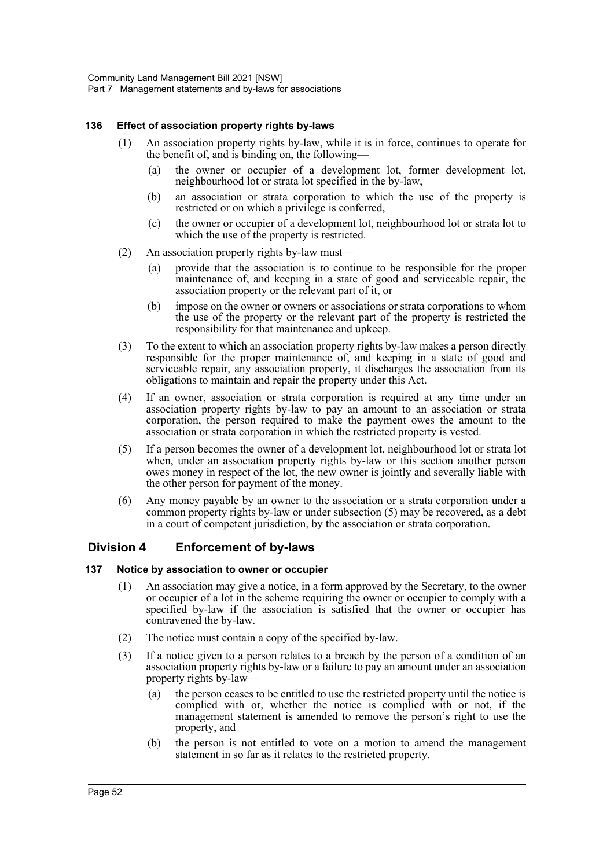### **136 Effect of association property rights by-laws**

- (1) An association property rights by-law, while it is in force, continues to operate for the benefit of, and is binding on, the following—
	- (a) the owner or occupier of a development lot, former development lot, neighbourhood lot or strata lot specified in the by-law,
	- (b) an association or strata corporation to which the use of the property is restricted or on which a privilege is conferred,
	- (c) the owner or occupier of a development lot, neighbourhood lot or strata lot to which the use of the property is restricted.
- (2) An association property rights by-law must—
	- (a) provide that the association is to continue to be responsible for the proper maintenance of, and keeping in a state of good and serviceable repair, the association property or the relevant part of it, or
	- (b) impose on the owner or owners or associations or strata corporations to whom the use of the property or the relevant part of the property is restricted the responsibility for that maintenance and upkeep.
- (3) To the extent to which an association property rights by-law makes a person directly responsible for the proper maintenance of, and keeping in a state of good and serviceable repair, any association property, it discharges the association from its obligations to maintain and repair the property under this Act.
- (4) If an owner, association or strata corporation is required at any time under an association property rights by-law to pay an amount to an association or strata corporation, the person required to make the payment owes the amount to the association or strata corporation in which the restricted property is vested.
- (5) If a person becomes the owner of a development lot, neighbourhood lot or strata lot when, under an association property rights by-law or this section another person owes money in respect of the lot, the new owner is jointly and severally liable with the other person for payment of the money.
- (6) Any money payable by an owner to the association or a strata corporation under a common property rights by-law or under subsection (5) may be recovered, as a debt in a court of competent jurisdiction, by the association or strata corporation.

## **Division 4 Enforcement of by-laws**

### **137 Notice by association to owner or occupier**

- (1) An association may give a notice, in a form approved by the Secretary, to the owner or occupier of a lot in the scheme requiring the owner or occupier to comply with a specified by-law if the association is satisfied that the owner or occupier has contravened the by-law.
- (2) The notice must contain a copy of the specified by-law.
- (3) If a notice given to a person relates to a breach by the person of a condition of an association property rights by-law or a failure to pay an amount under an association property rights by-law—
	- (a) the person ceases to be entitled to use the restricted property until the notice is complied with or, whether the notice is complied with or not, if the management statement is amended to remove the person's right to use the property, and
	- (b) the person is not entitled to vote on a motion to amend the management statement in so far as it relates to the restricted property.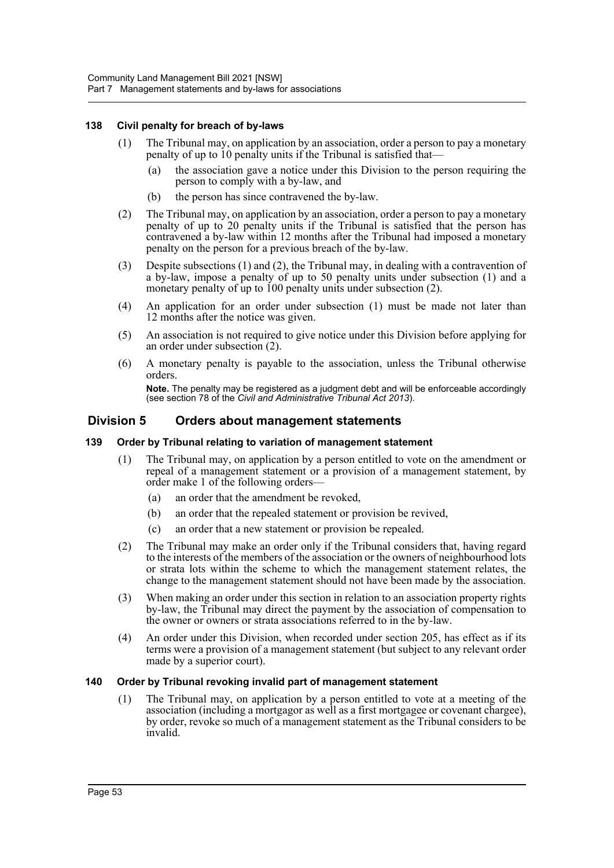### **138 Civil penalty for breach of by-laws**

- (1) The Tribunal may, on application by an association, order a person to pay a monetary penalty of up to 10 penalty units if the Tribunal is satisfied that—
	- (a) the association gave a notice under this Division to the person requiring the person to comply with a by-law, and
	- (b) the person has since contravened the by-law.
- (2) The Tribunal may, on application by an association, order a person to pay a monetary penalty of up to 20 penalty units if the Tribunal is satisfied that the person has contravened a by-law within 12 months after the Tribunal had imposed a monetary penalty on the person for a previous breach of the by-law.
- (3) Despite subsections (1) and (2), the Tribunal may, in dealing with a contravention of a by-law, impose a penalty of up to 50 penalty units under subsection (1) and a monetary penalty of up to 100 penalty units under subsection (2).
- (4) An application for an order under subsection (1) must be made not later than 12 months after the notice was given.
- (5) An association is not required to give notice under this Division before applying for an order under subsection (2).
- (6) A monetary penalty is payable to the association, unless the Tribunal otherwise orders.

**Note.** The penalty may be registered as a judgment debt and will be enforceable accordingly (see section 78 of the *Civil and Administrative Tribunal Act 2013*).

## **Division 5 Orders about management statements**

### **139 Order by Tribunal relating to variation of management statement**

- (1) The Tribunal may, on application by a person entitled to vote on the amendment or repeal of a management statement or a provision of a management statement, by order make 1 of the following orders—
	- (a) an order that the amendment be revoked,
	- (b) an order that the repealed statement or provision be revived,
	- (c) an order that a new statement or provision be repealed.
- (2) The Tribunal may make an order only if the Tribunal considers that, having regard to the interests of the members of the association or the owners of neighbourhood lots or strata lots within the scheme to which the management statement relates, the change to the management statement should not have been made by the association.
- (3) When making an order under this section in relation to an association property rights by-law, the Tribunal may direct the payment by the association of compensation to the owner or owners or strata associations referred to in the by-law.
- (4) An order under this Division, when recorded under section 205, has effect as if its terms were a provision of a management statement (but subject to any relevant order made by a superior court).

### **140 Order by Tribunal revoking invalid part of management statement**

(1) The Tribunal may, on application by a person entitled to vote at a meeting of the association (including a mortgagor as well as a first mortgagee or covenant chargee), by order, revoke so much of a management statement as the Tribunal considers to be invalid.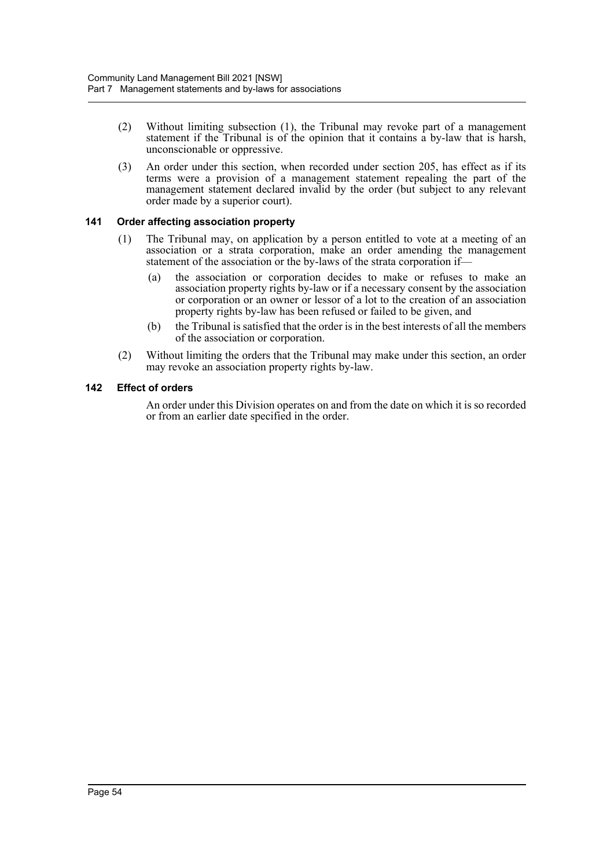- (2) Without limiting subsection (1), the Tribunal may revoke part of a management statement if the Tribunal is of the opinion that it contains a by-law that is harsh, unconscionable or oppressive.
- (3) An order under this section, when recorded under section 205, has effect as if its terms were a provision of a management statement repealing the part of the management statement declared invalid by the order (but subject to any relevant order made by a superior court).

## **141 Order affecting association property**

- (1) The Tribunal may, on application by a person entitled to vote at a meeting of an association or a strata corporation, make an order amending the management statement of the association or the by-laws of the strata corporation if—
	- (a) the association or corporation decides to make or refuses to make an association property rights by-law or if a necessary consent by the association or corporation or an owner or lessor of a lot to the creation of an association property rights by-law has been refused or failed to be given, and
	- (b) the Tribunal is satisfied that the order is in the best interests of all the members of the association or corporation.
- (2) Without limiting the orders that the Tribunal may make under this section, an order may revoke an association property rights by-law.

## **142 Effect of orders**

An order under this Division operates on and from the date on which it is so recorded or from an earlier date specified in the order.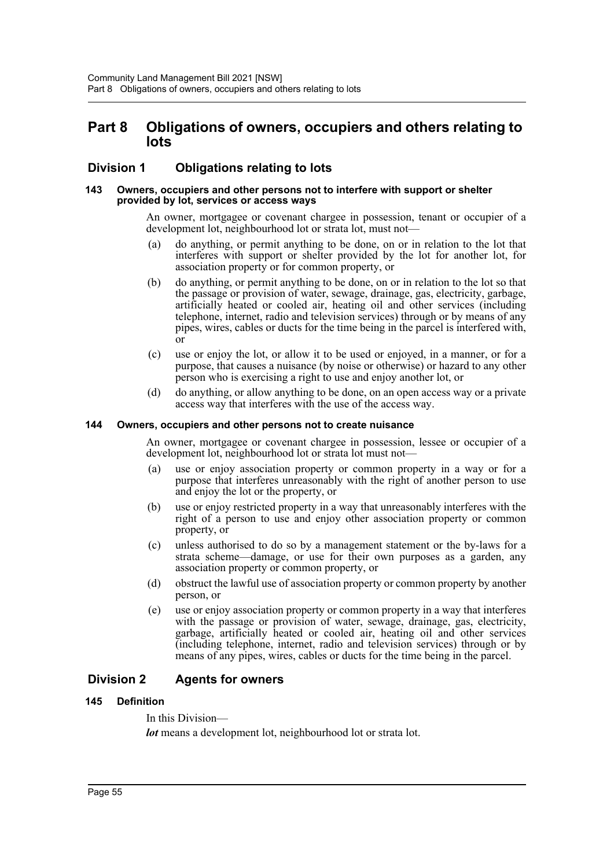## **Part 8 Obligations of owners, occupiers and others relating to lots**

## **Division 1 Obligations relating to lots**

#### **143 Owners, occupiers and other persons not to interfere with support or shelter provided by lot, services or access ways**

An owner, mortgagee or covenant chargee in possession, tenant or occupier of a development lot, neighbourhood lot or strata lot, must not—

- (a) do anything, or permit anything to be done, on or in relation to the lot that interferes with support or shelter provided by the lot for another lot, for association property or for common property, or
- (b) do anything, or permit anything to be done, on or in relation to the lot so that the passage or provision of water, sewage, drainage, gas, electricity, garbage, artificially heated or cooled air, heating oil and other services (including telephone, internet, radio and television services) through or by means of any pipes, wires, cables or ducts for the time being in the parcel is interfered with, or
- (c) use or enjoy the lot, or allow it to be used or enjoyed, in a manner, or for a purpose, that causes a nuisance (by noise or otherwise) or hazard to any other person who is exercising a right to use and enjoy another lot, or
- (d) do anything, or allow anything to be done, on an open access way or a private access way that interferes with the use of the access way.

### **144 Owners, occupiers and other persons not to create nuisance**

An owner, mortgagee or covenant chargee in possession, lessee or occupier of a development lot, neighbourhood lot or strata lot must not—

- (a) use or enjoy association property or common property in a way or for a purpose that interferes unreasonably with the right of another person to use and enjoy the lot or the property, or
- (b) use or enjoy restricted property in a way that unreasonably interferes with the right of a person to use and enjoy other association property or common property, or
- (c) unless authorised to do so by a management statement or the by-laws for a strata scheme—damage, or use for their own purposes as a garden, any association property or common property, or
- (d) obstruct the lawful use of association property or common property by another person, or
- (e) use or enjoy association property or common property in a way that interferes with the passage or provision of water, sewage, drainage, gas, electricity, garbage, artificially heated or cooled air, heating oil and other services (including telephone, internet, radio and television services) through or by means of any pipes, wires, cables or ducts for the time being in the parcel.

## **Division 2 Agents for owners**

### **145 Definition**

In this Division—

*lot* means a development lot, neighbourhood lot or strata lot.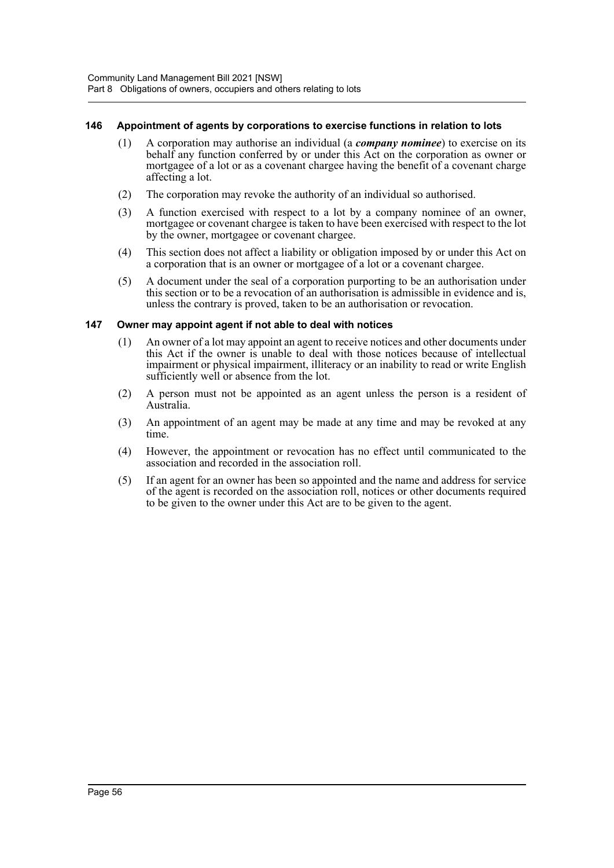### **146 Appointment of agents by corporations to exercise functions in relation to lots**

- (1) A corporation may authorise an individual (a *company nominee*) to exercise on its behalf any function conferred by or under this Act on the corporation as owner or mortgagee of a lot or as a covenant chargee having the benefit of a covenant charge affecting a lot.
- (2) The corporation may revoke the authority of an individual so authorised.
- (3) A function exercised with respect to a lot by a company nominee of an owner, mortgagee or covenant chargee is taken to have been exercised with respect to the lot by the owner, mortgagee or covenant chargee.
- (4) This section does not affect a liability or obligation imposed by or under this Act on a corporation that is an owner or mortgagee of a lot or a covenant chargee.
- (5) A document under the seal of a corporation purporting to be an authorisation under this section or to be a revocation of an authorisation is admissible in evidence and is, unless the contrary is proved, taken to be an authorisation or revocation.

## **147 Owner may appoint agent if not able to deal with notices**

- (1) An owner of a lot may appoint an agent to receive notices and other documents under this Act if the owner is unable to deal with those notices because of intellectual impairment or physical impairment, illiteracy or an inability to read or write English sufficiently well or absence from the lot.
- (2) A person must not be appointed as an agent unless the person is a resident of Australia.
- (3) An appointment of an agent may be made at any time and may be revoked at any time.
- (4) However, the appointment or revocation has no effect until communicated to the association and recorded in the association roll.
- (5) If an agent for an owner has been so appointed and the name and address for service of the agent is recorded on the association roll, notices or other documents required to be given to the owner under this Act are to be given to the agent.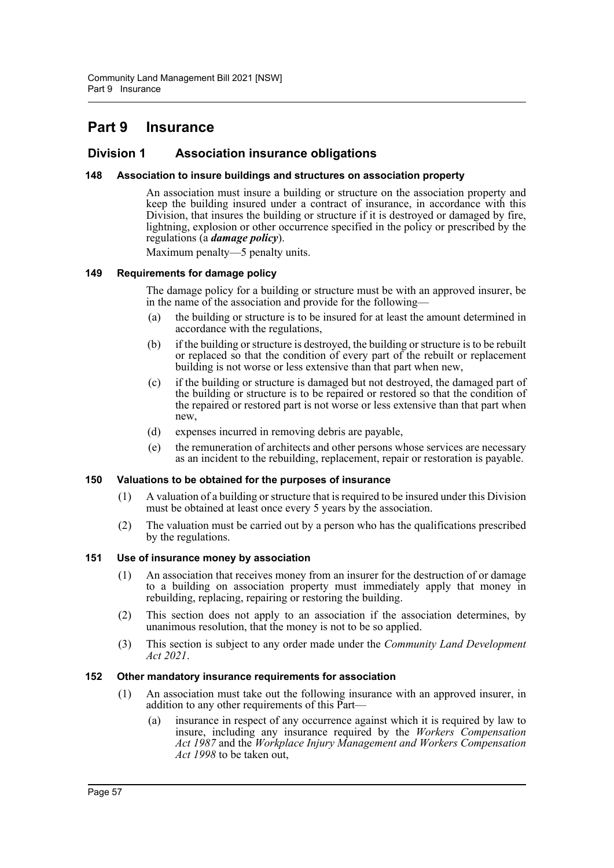# **Part 9 Insurance**

## **Division 1 Association insurance obligations**

### **148 Association to insure buildings and structures on association property**

An association must insure a building or structure on the association property and keep the building insured under a contract of insurance, in accordance with this Division, that insures the building or structure if it is destroyed or damaged by fire, lightning, explosion or other occurrence specified in the policy or prescribed by the regulations (a *damage policy*).

Maximum penalty—5 penalty units.

#### **149 Requirements for damage policy**

The damage policy for a building or structure must be with an approved insurer, be in the name of the association and provide for the following—

- (a) the building or structure is to be insured for at least the amount determined in accordance with the regulations,
- (b) if the building or structure is destroyed, the building or structure is to be rebuilt or replaced so that the condition of every part of the rebuilt or replacement building is not worse or less extensive than that part when new,
- (c) if the building or structure is damaged but not destroyed, the damaged part of the building or structure is to be repaired or restored so that the condition of the repaired or restored part is not worse or less extensive than that part when new,
- (d) expenses incurred in removing debris are payable,
- (e) the remuneration of architects and other persons whose services are necessary as an incident to the rebuilding, replacement, repair or restoration is payable.

#### **150 Valuations to be obtained for the purposes of insurance**

- (1) A valuation of a building or structure that is required to be insured under this Division must be obtained at least once every 5 years by the association.
- (2) The valuation must be carried out by a person who has the qualifications prescribed by the regulations.

### **151 Use of insurance money by association**

- (1) An association that receives money from an insurer for the destruction of or damage to a building on association property must immediately apply that money in rebuilding, replacing, repairing or restoring the building.
- (2) This section does not apply to an association if the association determines, by unanimous resolution, that the money is not to be so applied.
- (3) This section is subject to any order made under the *Community Land Development Act 2021*.

### **152 Other mandatory insurance requirements for association**

- (1) An association must take out the following insurance with an approved insurer, in addition to any other requirements of this Part—
	- (a) insurance in respect of any occurrence against which it is required by law to insure, including any insurance required by the *Workers Compensation Act 1987* and the *Workplace Injury Management and Workers Compensation Act 1998* to be taken out,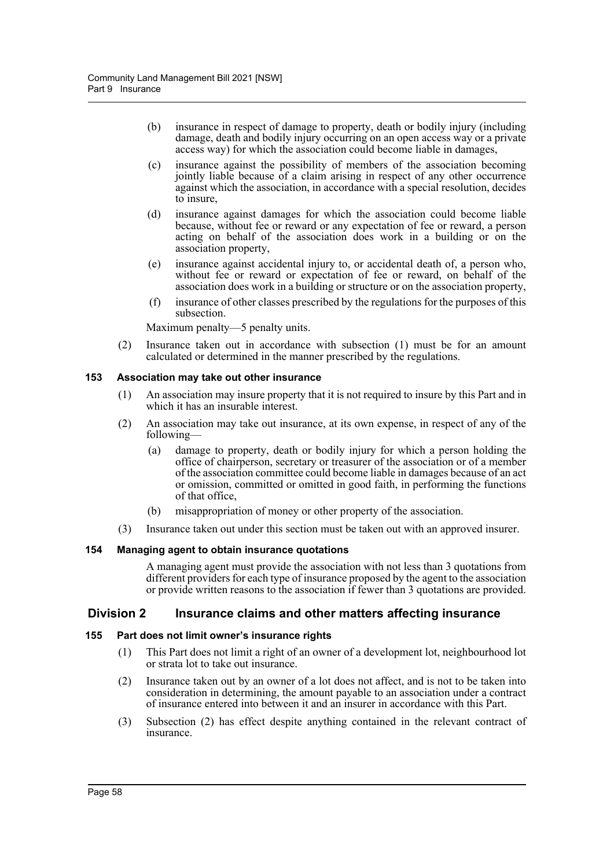- (b) insurance in respect of damage to property, death or bodily injury (including damage, death and bodily injury occurring on an open access way or a private access way) for which the association could become liable in damages,
- (c) insurance against the possibility of members of the association becoming jointly liable because of a claim arising in respect of any other occurrence against which the association, in accordance with a special resolution, decides to insure,
- (d) insurance against damages for which the association could become liable because, without fee or reward or any expectation of fee or reward, a person acting on behalf of the association does work in a building or on the association property,
- (e) insurance against accidental injury to, or accidental death of, a person who, without fee or reward or expectation of fee or reward, on behalf of the association does work in a building or structure or on the association property,
- (f) insurance of other classes prescribed by the regulations for the purposes of this subsection.

Maximum penalty—5 penalty units.

(2) Insurance taken out in accordance with subsection (1) must be for an amount calculated or determined in the manner prescribed by the regulations.

### **153 Association may take out other insurance**

- (1) An association may insure property that it is not required to insure by this Part and in which it has an insurable interest.
- (2) An association may take out insurance, at its own expense, in respect of any of the following—
	- (a) damage to property, death or bodily injury for which a person holding the office of chairperson, secretary or treasurer of the association or of a member of the association committee could become liable in damages because of an act or omission, committed or omitted in good faith, in performing the functions of that office,
	- (b) misappropriation of money or other property of the association.
- (3) Insurance taken out under this section must be taken out with an approved insurer.

## **154 Managing agent to obtain insurance quotations**

A managing agent must provide the association with not less than 3 quotations from different providers for each type of insurance proposed by the agent to the association or provide written reasons to the association if fewer than 3 quotations are provided.

## **Division 2 Insurance claims and other matters affecting insurance**

### **155 Part does not limit owner's insurance rights**

- (1) This Part does not limit a right of an owner of a development lot, neighbourhood lot or strata lot to take out insurance.
- (2) Insurance taken out by an owner of a lot does not affect, and is not to be taken into consideration in determining, the amount payable to an association under a contract of insurance entered into between it and an insurer in accordance with this Part.
- (3) Subsection (2) has effect despite anything contained in the relevant contract of insurance.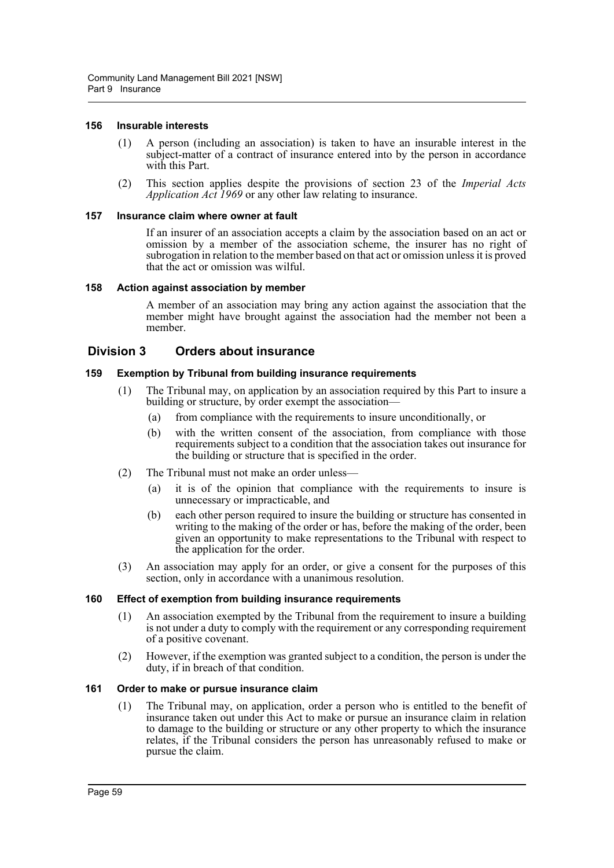#### **156 Insurable interests**

- (1) A person (including an association) is taken to have an insurable interest in the subject-matter of a contract of insurance entered into by the person in accordance with this Part.
- (2) This section applies despite the provisions of section 23 of the *Imperial Acts Application Act 1969* or any other law relating to insurance.

#### **157 Insurance claim where owner at fault**

If an insurer of an association accepts a claim by the association based on an act or omission by a member of the association scheme, the insurer has no right of subrogation in relation to the member based on that act or omission unless it is proved that the act or omission was wilful.

#### **158 Action against association by member**

A member of an association may bring any action against the association that the member might have brought against the association had the member not been a member.

## **Division 3 Orders about insurance**

#### **159 Exemption by Tribunal from building insurance requirements**

- (1) The Tribunal may, on application by an association required by this Part to insure a building or structure, by order exempt the association—
	- (a) from compliance with the requirements to insure unconditionally, or
	- (b) with the written consent of the association, from compliance with those requirements subject to a condition that the association takes out insurance for the building or structure that is specified in the order.
- (2) The Tribunal must not make an order unless—
	- (a) it is of the opinion that compliance with the requirements to insure is unnecessary or impracticable, and
	- (b) each other person required to insure the building or structure has consented in writing to the making of the order or has, before the making of the order, been given an opportunity to make representations to the Tribunal with respect to the application for the order.
- (3) An association may apply for an order, or give a consent for the purposes of this section, only in accordance with a unanimous resolution.

### **160 Effect of exemption from building insurance requirements**

- (1) An association exempted by the Tribunal from the requirement to insure a building is not under a duty to comply with the requirement or any corresponding requirement of a positive covenant.
- (2) However, if the exemption was granted subject to a condition, the person is under the duty, if in breach of that condition.

#### **161 Order to make or pursue insurance claim**

(1) The Tribunal may, on application, order a person who is entitled to the benefit of insurance taken out under this Act to make or pursue an insurance claim in relation to damage to the building or structure or any other property to which the insurance relates, if the Tribunal considers the person has unreasonably refused to make or pursue the claim.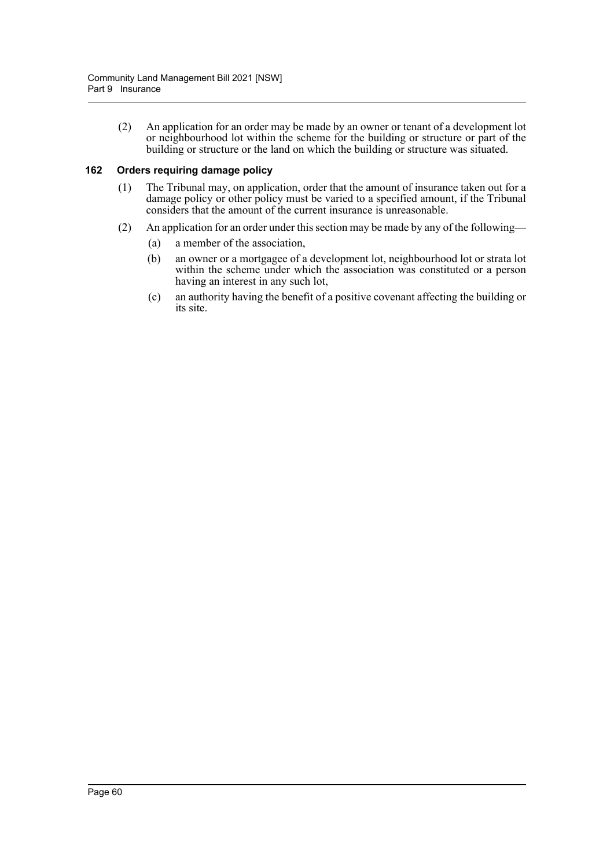(2) An application for an order may be made by an owner or tenant of a development lot or neighbourhood lot within the scheme for the building or structure or part of the building or structure or the land on which the building or structure was situated.

## **162 Orders requiring damage policy**

- (1) The Tribunal may, on application, order that the amount of insurance taken out for a damage policy or other policy must be varied to a specified amount, if the Tribunal considers that the amount of the current insurance is unreasonable.
- (2) An application for an order under this section may be made by any of the following—
	- (a) a member of the association,
	- (b) an owner or a mortgagee of a development lot, neighbourhood lot or strata lot within the scheme under which the association was constituted or a person having an interest in any such lot,
	- (c) an authority having the benefit of a positive covenant affecting the building or its site.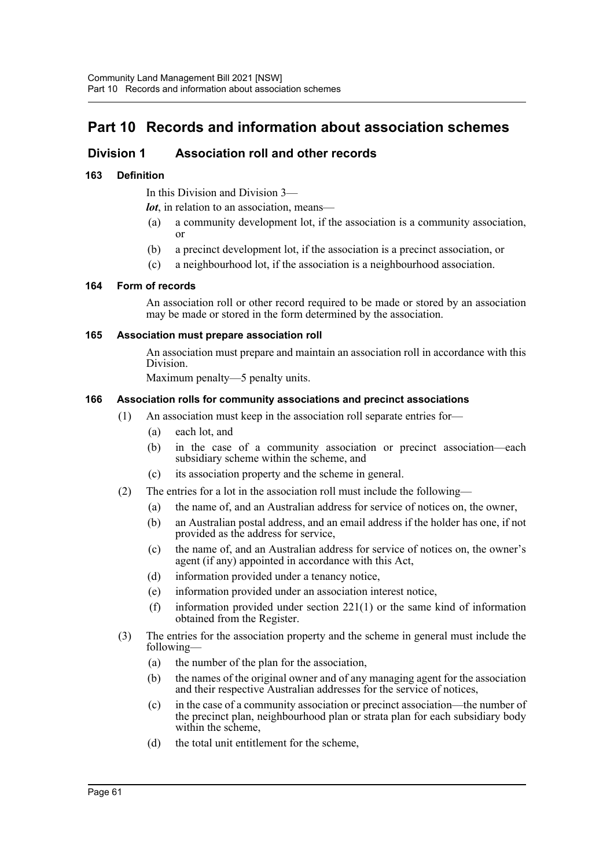# **Part 10 Records and information about association schemes**

## **Division 1 Association roll and other records**

## **163 Definition**

In this Division and Division 3—

*lot*, in relation to an association, means—

- (a) a community development lot, if the association is a community association, or
- (b) a precinct development lot, if the association is a precinct association, or
- (c) a neighbourhood lot, if the association is a neighbourhood association.

### **164 Form of records**

An association roll or other record required to be made or stored by an association may be made or stored in the form determined by the association.

### **165 Association must prepare association roll**

An association must prepare and maintain an association roll in accordance with this Division.

Maximum penalty—5 penalty units.

### **166 Association rolls for community associations and precinct associations**

- (1) An association must keep in the association roll separate entries for—
	- (a) each lot, and
	- (b) in the case of a community association or precinct association—each subsidiary scheme within the scheme, and
	- (c) its association property and the scheme in general.
- (2) The entries for a lot in the association roll must include the following—
	- (a) the name of, and an Australian address for service of notices on, the owner,
	- (b) an Australian postal address, and an email address if the holder has one, if not provided as the address for service,
	- (c) the name of, and an Australian address for service of notices on, the owner's agent (if any) appointed in accordance with this Act,
	- (d) information provided under a tenancy notice,
	- (e) information provided under an association interest notice,
	- (f) information provided under section 221(1) or the same kind of information obtained from the Register.
- (3) The entries for the association property and the scheme in general must include the following—
	- (a) the number of the plan for the association,
	- (b) the names of the original owner and of any managing agent for the association and their respective Australian addresses for the service of notices,
	- (c) in the case of a community association or precinct association—the number of the precinct plan, neighbourhood plan or strata plan for each subsidiary body within the scheme,
	- (d) the total unit entitlement for the scheme,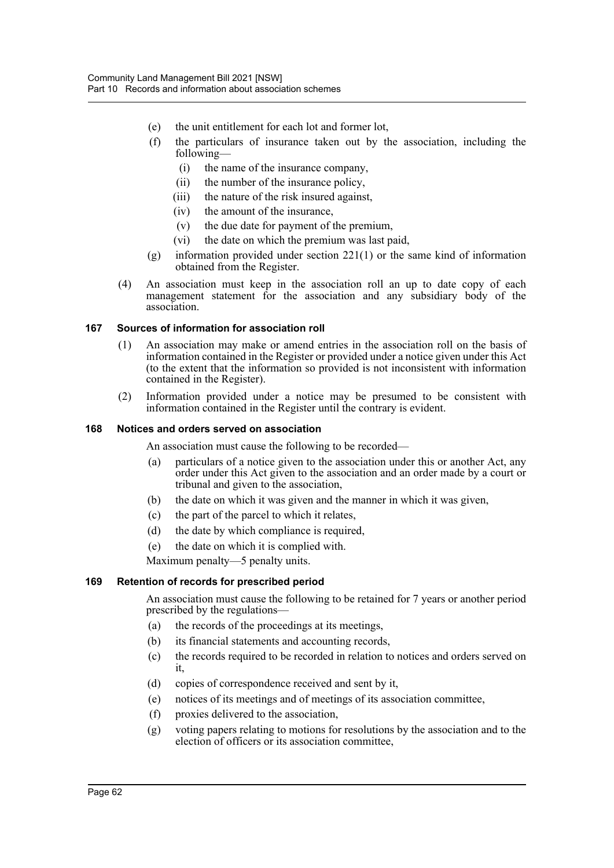- (e) the unit entitlement for each lot and former lot,
- (f) the particulars of insurance taken out by the association, including the following—
	- (i) the name of the insurance company,
	- (ii) the number of the insurance policy,
	- (iii) the nature of the risk insured against,
	- (iv) the amount of the insurance,
	- (v) the due date for payment of the premium,
	- (vi) the date on which the premium was last paid,
- (g) information provided under section 221(1) or the same kind of information obtained from the Register.
- (4) An association must keep in the association roll an up to date copy of each management statement for the association and any subsidiary body of the association.

#### **167 Sources of information for association roll**

- (1) An association may make or amend entries in the association roll on the basis of information contained in the Register or provided under a notice given under this Act (to the extent that the information so provided is not inconsistent with information contained in the Register).
- (2) Information provided under a notice may be presumed to be consistent with information contained in the Register until the contrary is evident.

#### **168 Notices and orders served on association**

An association must cause the following to be recorded—

- (a) particulars of a notice given to the association under this or another Act, any order under this Act given to the association and an order made by a court or tribunal and given to the association,
- (b) the date on which it was given and the manner in which it was given,
- (c) the part of the parcel to which it relates,
- (d) the date by which compliance is required,
- (e) the date on which it is complied with.

Maximum penalty—5 penalty units.

### **169 Retention of records for prescribed period**

An association must cause the following to be retained for 7 years or another period prescribed by the regulations—

- (a) the records of the proceedings at its meetings,
- (b) its financial statements and accounting records,
- (c) the records required to be recorded in relation to notices and orders served on it,
- (d) copies of correspondence received and sent by it,
- (e) notices of its meetings and of meetings of its association committee,
- (f) proxies delivered to the association,
- (g) voting papers relating to motions for resolutions by the association and to the election of officers or its association committee,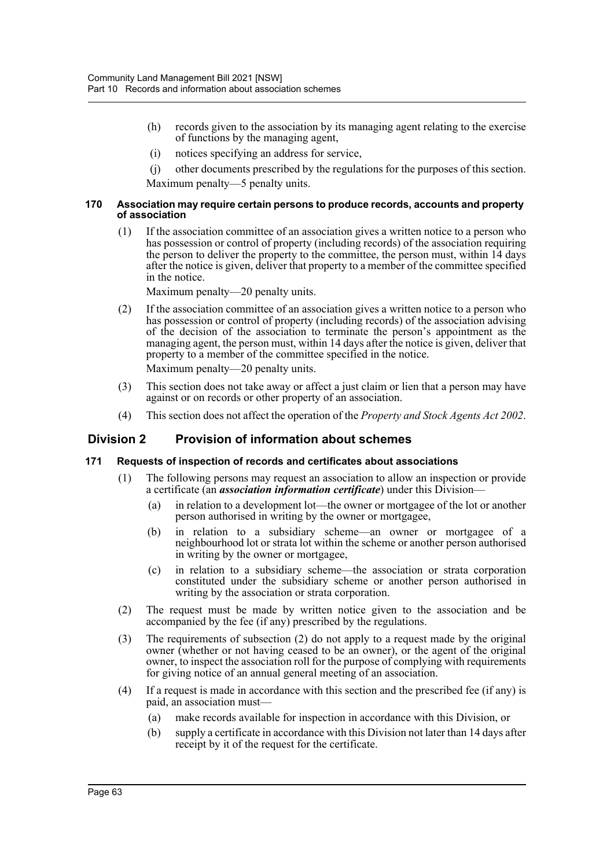- (h) records given to the association by its managing agent relating to the exercise of functions by the managing agent,
- (i) notices specifying an address for service,
- (j) other documents prescribed by the regulations for the purposes of this section. Maximum penalty—5 penalty units.

#### **170 Association may require certain persons to produce records, accounts and property of association**

(1) If the association committee of an association gives a written notice to a person who has possession or control of property (including records) of the association requiring the person to deliver the property to the committee, the person must, within 14 days after the notice is given, deliver that property to a member of the committee specified in the notice.

Maximum penalty—20 penalty units.

- (2) If the association committee of an association gives a written notice to a person who has possession or control of property (including records) of the association advising of the decision of the association to terminate the person's appointment as the managing agent, the person must, within 14 days after the notice is given, deliver that property to a member of the committee specified in the notice. Maximum penalty—20 penalty units.
- (3) This section does not take away or affect a just claim or lien that a person may have against or on records or other property of an association.
- (4) This section does not affect the operation of the *Property and Stock Agents Act 2002*.

## **Division 2 Provision of information about schemes**

## **171 Requests of inspection of records and certificates about associations**

- (1) The following persons may request an association to allow an inspection or provide a certificate (an *association information certificate*) under this Division—
	- (a) in relation to a development lot—the owner or mortgagee of the lot or another person authorised in writing by the owner or mortgagee,
	- (b) in relation to a subsidiary scheme—an owner or mortgagee of a neighbourhood lot or strata lot within the scheme or another person authorised in writing by the owner or mortgagee,
	- (c) in relation to a subsidiary scheme—the association or strata corporation constituted under the subsidiary scheme or another person authorised in writing by the association or strata corporation.
- (2) The request must be made by written notice given to the association and be accompanied by the fee (if any) prescribed by the regulations.
- (3) The requirements of subsection (2) do not apply to a request made by the original owner (whether or not having ceased to be an owner), or the agent of the original owner, to inspect the association roll for the purpose of complying with requirements for giving notice of an annual general meeting of an association.
- (4) If a request is made in accordance with this section and the prescribed fee (if any) is paid, an association must—
	- (a) make records available for inspection in accordance with this Division, or
	- (b) supply a certificate in accordance with this Division not later than 14 days after receipt by it of the request for the certificate.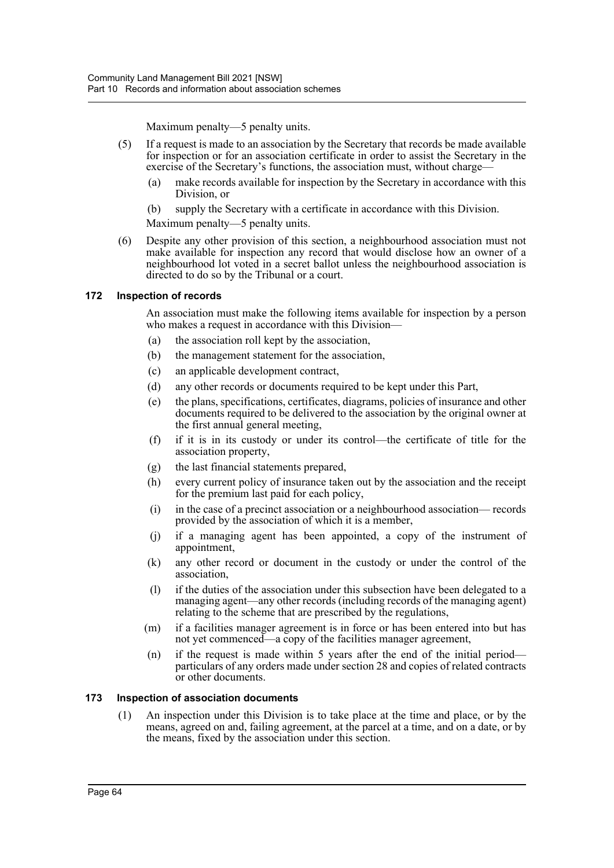Maximum penalty—5 penalty units.

- (5) If a request is made to an association by the Secretary that records be made available for inspection or for an association certificate in order to assist the Secretary in the exercise of the Secretary's functions, the association must, without charge—
	- (a) make records available for inspection by the Secretary in accordance with this Division, or
	- (b) supply the Secretary with a certificate in accordance with this Division.

Maximum penalty—5 penalty units.

(6) Despite any other provision of this section, a neighbourhood association must not make available for inspection any record that would disclose how an owner of a neighbourhood lot voted in a secret ballot unless the neighbourhood association is directed to do so by the Tribunal or a court.

# **172 Inspection of records**

An association must make the following items available for inspection by a person who makes a request in accordance with this Division—

- (a) the association roll kept by the association,
- (b) the management statement for the association,
- (c) an applicable development contract,
- (d) any other records or documents required to be kept under this Part,
- (e) the plans, specifications, certificates, diagrams, policies of insurance and other documents required to be delivered to the association by the original owner at the first annual general meeting,
- (f) if it is in its custody or under its control—the certificate of title for the association property,
- (g) the last financial statements prepared,
- (h) every current policy of insurance taken out by the association and the receipt for the premium last paid for each policy,
- (i) in the case of a precinct association or a neighbourhood association— records provided by the association of which it is a member,
- (j) if a managing agent has been appointed, a copy of the instrument of appointment,
- (k) any other record or document in the custody or under the control of the association,
- (l) if the duties of the association under this subsection have been delegated to a managing agent—any other records (including records of the managing agent) relating to the scheme that are prescribed by the regulations,
- (m) if a facilities manager agreement is in force or has been entered into but has not yet commenced—a copy of the facilities manager agreement,
- (n) if the request is made within 5 years after the end of the initial period particulars of any orders made under section 28 and copies of related contracts or other documents.

# **173 Inspection of association documents**

(1) An inspection under this Division is to take place at the time and place, or by the means, agreed on and, failing agreement, at the parcel at a time, and on a date, or by the means, fixed by the association under this section.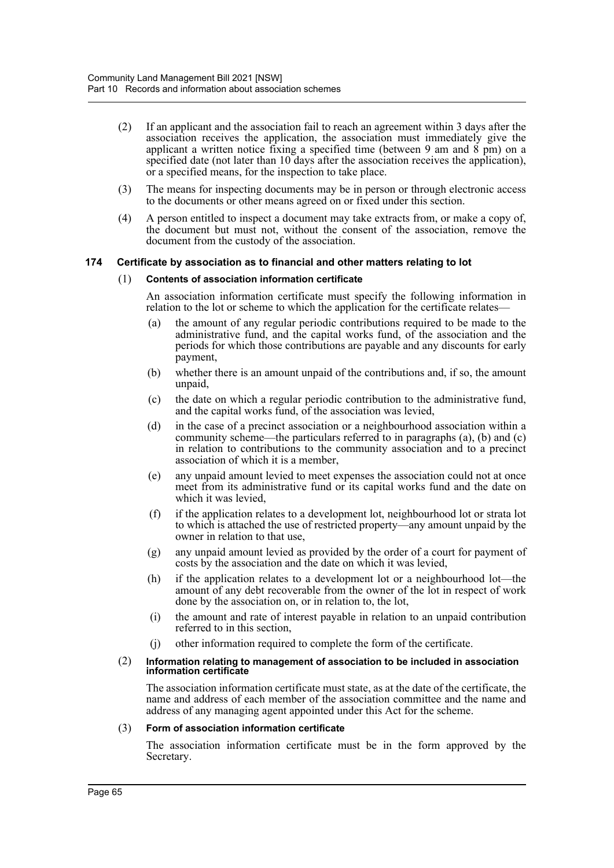- (2) If an applicant and the association fail to reach an agreement within 3 days after the association receives the application, the association must immediately give the applicant a written notice fixing a specified time (between 9 am and 8 pm) on a specified date (not later than 10 days after the association receives the application), or a specified means, for the inspection to take place.
- (3) The means for inspecting documents may be in person or through electronic access to the documents or other means agreed on or fixed under this section.
- (4) A person entitled to inspect a document may take extracts from, or make a copy of, the document but must not, without the consent of the association, remove the document from the custody of the association.

# **174 Certificate by association as to financial and other matters relating to lot**

#### (1) **Contents of association information certificate**

An association information certificate must specify the following information in relation to the lot or scheme to which the application for the certificate relates—

- (a) the amount of any regular periodic contributions required to be made to the administrative fund, and the capital works fund, of the association and the periods for which those contributions are payable and any discounts for early payment,
- (b) whether there is an amount unpaid of the contributions and, if so, the amount unpaid,
- (c) the date on which a regular periodic contribution to the administrative fund, and the capital works fund, of the association was levied,
- (d) in the case of a precinct association or a neighbourhood association within a community scheme—the particulars referred to in paragraphs (a), (b) and (c) in relation to contributions to the community association and to a precinct association of which it is a member,
- (e) any unpaid amount levied to meet expenses the association could not at once meet from its administrative fund or its capital works fund and the date on which it was levied,
- (f) if the application relates to a development lot, neighbourhood lot or strata lot to which is attached the use of restricted property—any amount unpaid by the owner in relation to that use,
- (g) any unpaid amount levied as provided by the order of a court for payment of costs by the association and the date on which it was levied,
- (h) if the application relates to a development lot or a neighbourhood lot—the amount of any debt recoverable from the owner of the lot in respect of work done by the association on, or in relation to, the lot,
- (i) the amount and rate of interest payable in relation to an unpaid contribution referred to in this section,
- (j) other information required to complete the form of the certificate.

#### (2) **Information relating to management of association to be included in association information certificate**

The association information certificate must state, as at the date of the certificate, the name and address of each member of the association committee and the name and address of any managing agent appointed under this Act for the scheme.

#### (3) **Form of association information certificate**

The association information certificate must be in the form approved by the Secretary.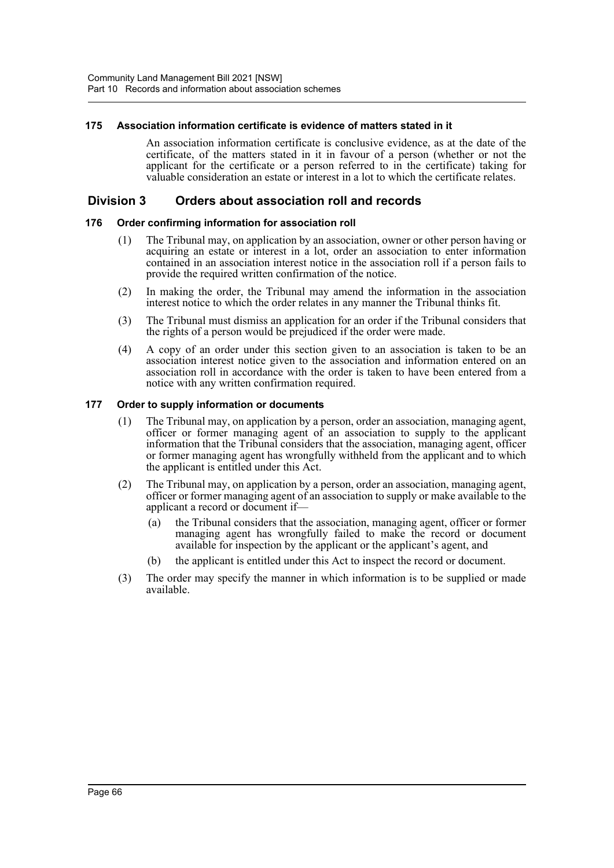## **175 Association information certificate is evidence of matters stated in it**

An association information certificate is conclusive evidence, as at the date of the certificate, of the matters stated in it in favour of a person (whether or not the applicant for the certificate or a person referred to in the certificate) taking for valuable consideration an estate or interest in a lot to which the certificate relates.

# **Division 3 Orders about association roll and records**

# **176 Order confirming information for association roll**

- (1) The Tribunal may, on application by an association, owner or other person having or acquiring an estate or interest in a lot, order an association to enter information contained in an association interest notice in the association roll if a person fails to provide the required written confirmation of the notice.
- (2) In making the order, the Tribunal may amend the information in the association interest notice to which the order relates in any manner the Tribunal thinks fit.
- (3) The Tribunal must dismiss an application for an order if the Tribunal considers that the rights of a person would be prejudiced if the order were made.
- (4) A copy of an order under this section given to an association is taken to be an association interest notice given to the association and information entered on an association roll in accordance with the order is taken to have been entered from a notice with any written confirmation required.

#### **177 Order to supply information or documents**

- (1) The Tribunal may, on application by a person, order an association, managing agent, officer or former managing agent of an association to supply to the applicant information that the Tribunal considers that the association, managing agent, officer or former managing agent has wrongfully withheld from the applicant and to which the applicant is entitled under this Act.
- (2) The Tribunal may, on application by a person, order an association, managing agent, officer or former managing agent of an association to supply or make available to the applicant a record or document if—
	- (a) the Tribunal considers that the association, managing agent, officer or former managing agent has wrongfully failed to make the record or document available for inspection by the applicant or the applicant's agent, and
	- (b) the applicant is entitled under this Act to inspect the record or document.
- (3) The order may specify the manner in which information is to be supplied or made available.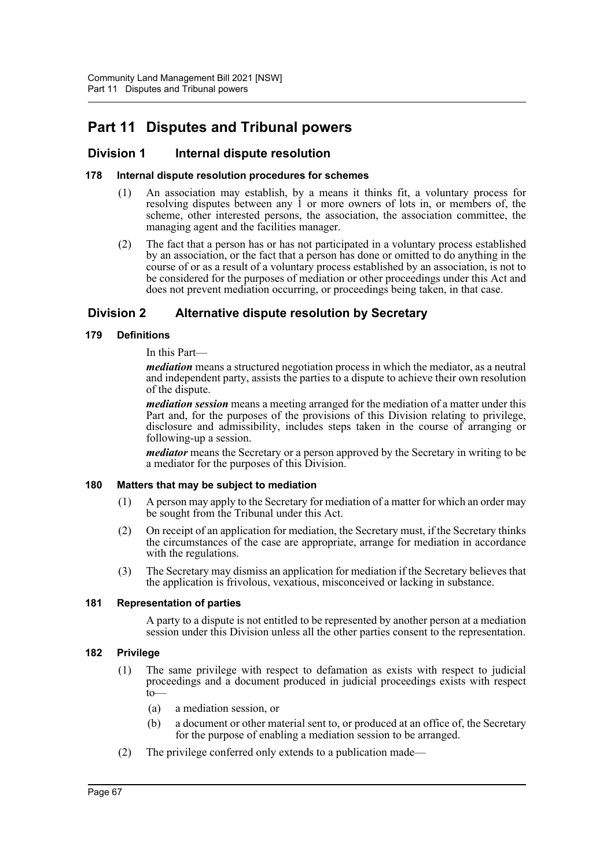# **Part 11 Disputes and Tribunal powers**

# **Division 1 Internal dispute resolution**

# **178 Internal dispute resolution procedures for schemes**

- (1) An association may establish, by a means it thinks fit, a voluntary process for resolving disputes between any 1 or more owners of lots in, or members of, the scheme, other interested persons, the association, the association committee, the managing agent and the facilities manager.
- (2) The fact that a person has or has not participated in a voluntary process established by an association, or the fact that a person has done or omitted to do anything in the course of or as a result of a voluntary process established by an association, is not to be considered for the purposes of mediation or other proceedings under this Act and does not prevent mediation occurring, or proceedings being taken, in that case.

# **Division 2 Alternative dispute resolution by Secretary**

# **179 Definitions**

# In this Part—

*mediation* means a structured negotiation process in which the mediator, as a neutral and independent party, assists the parties to a dispute to achieve their own resolution of the dispute.

*mediation session* means a meeting arranged for the mediation of a matter under this Part and, for the purposes of the provisions of this Division relating to privilege, disclosure and admissibility, includes steps taken in the course of arranging or following-up a session.

*mediator* means the Secretary or a person approved by the Secretary in writing to be a mediator for the purposes of this Division.

# **180 Matters that may be subject to mediation**

- (1) A person may apply to the Secretary for mediation of a matter for which an order may be sought from the Tribunal under this Act.
- (2) On receipt of an application for mediation, the Secretary must, if the Secretary thinks the circumstances of the case are appropriate, arrange for mediation in accordance with the regulations.
- (3) The Secretary may dismiss an application for mediation if the Secretary believes that the application is frivolous, vexatious, misconceived or lacking in substance.

# **181 Representation of parties**

A party to a dispute is not entitled to be represented by another person at a mediation session under this Division unless all the other parties consent to the representation.

# **182 Privilege**

- (1) The same privilege with respect to defamation as exists with respect to judicial proceedings and a document produced in judicial proceedings exists with respect to—
	- (a) a mediation session, or
	- (b) a document or other material sent to, or produced at an office of, the Secretary for the purpose of enabling a mediation session to be arranged.
- (2) The privilege conferred only extends to a publication made—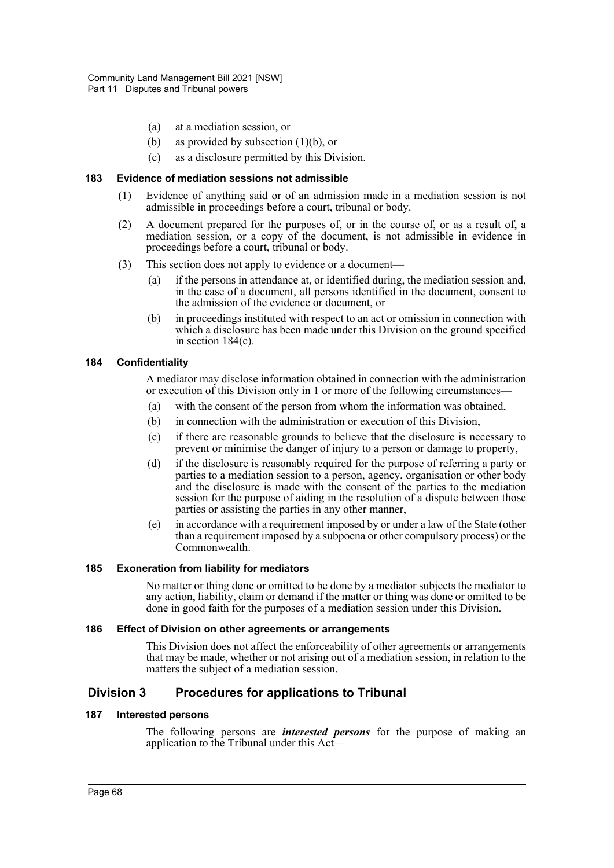- (a) at a mediation session, or
- (b) as provided by subsection (1)(b), or
- (c) as a disclosure permitted by this Division.

## **183 Evidence of mediation sessions not admissible**

- (1) Evidence of anything said or of an admission made in a mediation session is not admissible in proceedings before a court, tribunal or body.
- (2) A document prepared for the purposes of, or in the course of, or as a result of, a mediation session, or a copy of the document, is not admissible in evidence in proceedings before a court, tribunal or body.
- (3) This section does not apply to evidence or a document—
	- (a) if the persons in attendance at, or identified during, the mediation session and, in the case of a document, all persons identified in the document, consent to the admission of the evidence or document, or
	- (b) in proceedings instituted with respect to an act or omission in connection with which a disclosure has been made under this Division on the ground specified in section 184(c).

#### **184 Confidentiality**

A mediator may disclose information obtained in connection with the administration or execution of this Division only in 1 or more of the following circumstances—

- (a) with the consent of the person from whom the information was obtained,
- (b) in connection with the administration or execution of this Division,
- (c) if there are reasonable grounds to believe that the disclosure is necessary to prevent or minimise the danger of injury to a person or damage to property,
- (d) if the disclosure is reasonably required for the purpose of referring a party or parties to a mediation session to a person, agency, organisation or other body and the disclosure is made with the consent of the parties to the mediation session for the purpose of aiding in the resolution of a dispute between those parties or assisting the parties in any other manner,
- (e) in accordance with a requirement imposed by or under a law of the State (other than a requirement imposed by a subpoena or other compulsory process) or the Commonwealth.

# **185 Exoneration from liability for mediators**

No matter or thing done or omitted to be done by a mediator subjects the mediator to any action, liability, claim or demand if the matter or thing was done or omitted to be done in good faith for the purposes of a mediation session under this Division.

#### **186 Effect of Division on other agreements or arrangements**

This Division does not affect the enforceability of other agreements or arrangements that may be made, whether or not arising out of a mediation session, in relation to the matters the subject of a mediation session.

# **Division 3 Procedures for applications to Tribunal**

# **187 Interested persons**

The following persons are *interested persons* for the purpose of making an application to the Tribunal under this Act—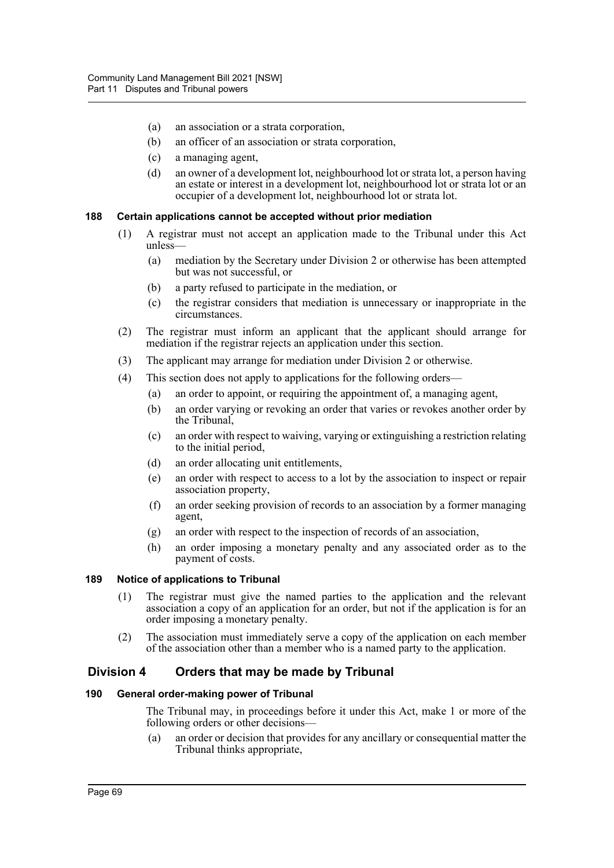- (a) an association or a strata corporation,
- (b) an officer of an association or strata corporation,
- (c) a managing agent,
- (d) an owner of a development lot, neighbourhood lot or strata lot, a person having an estate or interest in a development lot, neighbourhood lot or strata lot or an occupier of a development lot, neighbourhood lot or strata lot.

#### **188 Certain applications cannot be accepted without prior mediation**

- (1) A registrar must not accept an application made to the Tribunal under this Act unless—
	- (a) mediation by the Secretary under Division 2 or otherwise has been attempted but was not successful, or
	- (b) a party refused to participate in the mediation, or
	- (c) the registrar considers that mediation is unnecessary or inappropriate in the circumstances.
- (2) The registrar must inform an applicant that the applicant should arrange for mediation if the registrar rejects an application under this section.
- (3) The applicant may arrange for mediation under Division 2 or otherwise.
- (4) This section does not apply to applications for the following orders—
	- (a) an order to appoint, or requiring the appointment of, a managing agent,
	- (b) an order varying or revoking an order that varies or revokes another order by the Tribunal,
	- (c) an order with respect to waiving, varying or extinguishing a restriction relating to the initial period,
	- (d) an order allocating unit entitlements,
	- (e) an order with respect to access to a lot by the association to inspect or repair association property,
	- (f) an order seeking provision of records to an association by a former managing agent,
	- (g) an order with respect to the inspection of records of an association,
	- (h) an order imposing a monetary penalty and any associated order as to the payment of costs.

# **189 Notice of applications to Tribunal**

- (1) The registrar must give the named parties to the application and the relevant association a copy of an application for an order, but not if the application is for an order imposing a monetary penalty.
- (2) The association must immediately serve a copy of the application on each member of the association other than a member who is a named party to the application.

# **Division 4 Orders that may be made by Tribunal**

# **190 General order-making power of Tribunal**

The Tribunal may, in proceedings before it under this Act, make 1 or more of the following orders or other decisions—

(a) an order or decision that provides for any ancillary or consequential matter the Tribunal thinks appropriate,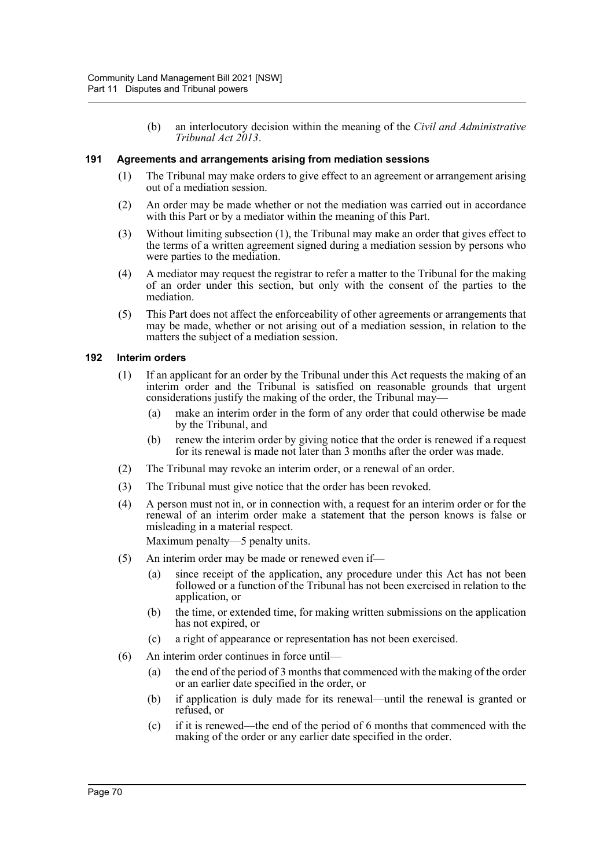(b) an interlocutory decision within the meaning of the *Civil and Administrative Tribunal Act 2013*.

# **191 Agreements and arrangements arising from mediation sessions**

- (1) The Tribunal may make orders to give effect to an agreement or arrangement arising out of a mediation session.
- (2) An order may be made whether or not the mediation was carried out in accordance with this Part or by a mediator within the meaning of this Part.
- (3) Without limiting subsection (1), the Tribunal may make an order that gives effect to the terms of a written agreement signed during a mediation session by persons who were parties to the mediation.
- (4) A mediator may request the registrar to refer a matter to the Tribunal for the making of an order under this section, but only with the consent of the parties to the mediation.
- (5) This Part does not affect the enforceability of other agreements or arrangements that may be made, whether or not arising out of a mediation session, in relation to the matters the subject of a mediation session.

#### **192 Interim orders**

- (1) If an applicant for an order by the Tribunal under this Act requests the making of an interim order and the Tribunal is satisfied on reasonable grounds that urgent considerations justify the making of the order, the Tribunal may—
	- (a) make an interim order in the form of any order that could otherwise be made by the Tribunal, and
	- (b) renew the interim order by giving notice that the order is renewed if a request for its renewal is made not later than 3 months after the order was made.
- (2) The Tribunal may revoke an interim order, or a renewal of an order.
- (3) The Tribunal must give notice that the order has been revoked.
- (4) A person must not in, or in connection with, a request for an interim order or for the renewal of an interim order make a statement that the person knows is false or misleading in a material respect.

Maximum penalty—5 penalty units.

- (5) An interim order may be made or renewed even if—
	- (a) since receipt of the application, any procedure under this Act has not been followed or a function of the Tribunal has not been exercised in relation to the application, or
	- (b) the time, or extended time, for making written submissions on the application has not expired, or
	- (c) a right of appearance or representation has not been exercised.
- (6) An interim order continues in force until—
	- (a) the end of the period of 3 months that commenced with the making of the order or an earlier date specified in the order, or
	- (b) if application is duly made for its renewal—until the renewal is granted or refused, or
	- (c) if it is renewed—the end of the period of 6 months that commenced with the making of the order or any earlier date specified in the order.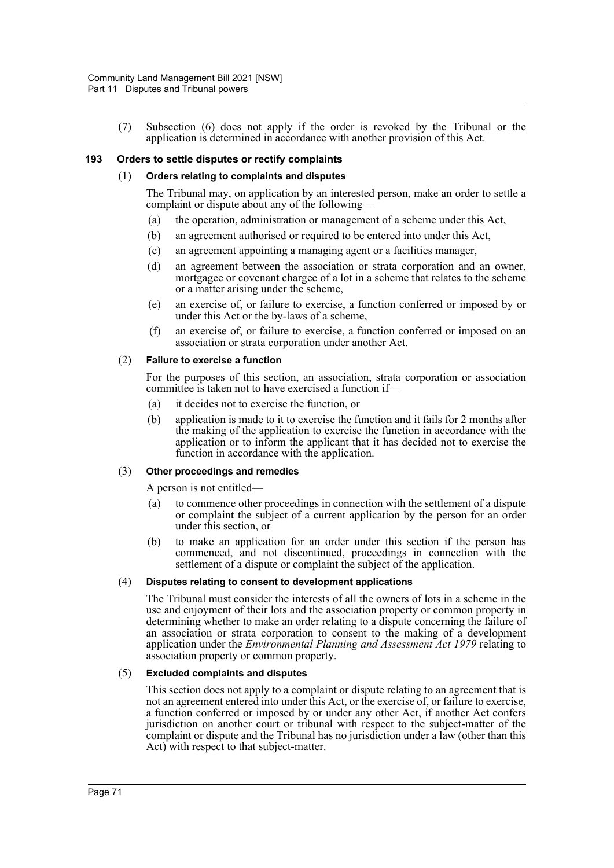(7) Subsection (6) does not apply if the order is revoked by the Tribunal or the application is determined in accordance with another provision of this Act.

# **193 Orders to settle disputes or rectify complaints**

#### (1) **Orders relating to complaints and disputes**

The Tribunal may, on application by an interested person, make an order to settle a complaint or dispute about any of the following—

- (a) the operation, administration or management of a scheme under this Act,
- (b) an agreement authorised or required to be entered into under this Act,
- (c) an agreement appointing a managing agent or a facilities manager,
- (d) an agreement between the association or strata corporation and an owner, mortgagee or covenant chargee of a lot in a scheme that relates to the scheme or a matter arising under the scheme,
- (e) an exercise of, or failure to exercise, a function conferred or imposed by or under this Act or the by-laws of a scheme,
- (f) an exercise of, or failure to exercise, a function conferred or imposed on an association or strata corporation under another Act.

#### (2) **Failure to exercise a function**

For the purposes of this section, an association, strata corporation or association committee is taken not to have exercised a function if—

- (a) it decides not to exercise the function, or
- (b) application is made to it to exercise the function and it fails for 2 months after the making of the application to exercise the function in accordance with the application or to inform the applicant that it has decided not to exercise the function in accordance with the application.

#### (3) **Other proceedings and remedies**

A person is not entitled—

- (a) to commence other proceedings in connection with the settlement of a dispute or complaint the subject of a current application by the person for an order under this section, or
- (b) to make an application for an order under this section if the person has commenced, and not discontinued, proceedings in connection with the settlement of a dispute or complaint the subject of the application.

#### (4) **Disputes relating to consent to development applications**

The Tribunal must consider the interests of all the owners of lots in a scheme in the use and enjoyment of their lots and the association property or common property in determining whether to make an order relating to a dispute concerning the failure of an association or strata corporation to consent to the making of a development application under the *Environmental Planning and Assessment Act 1979* relating to association property or common property.

#### (5) **Excluded complaints and disputes**

This section does not apply to a complaint or dispute relating to an agreement that is not an agreement entered into under this Act, or the exercise of, or failure to exercise, a function conferred or imposed by or under any other Act, if another Act confers jurisdiction on another court or tribunal with respect to the subject-matter of the complaint or dispute and the Tribunal has no jurisdiction under a law (other than this Act) with respect to that subject-matter.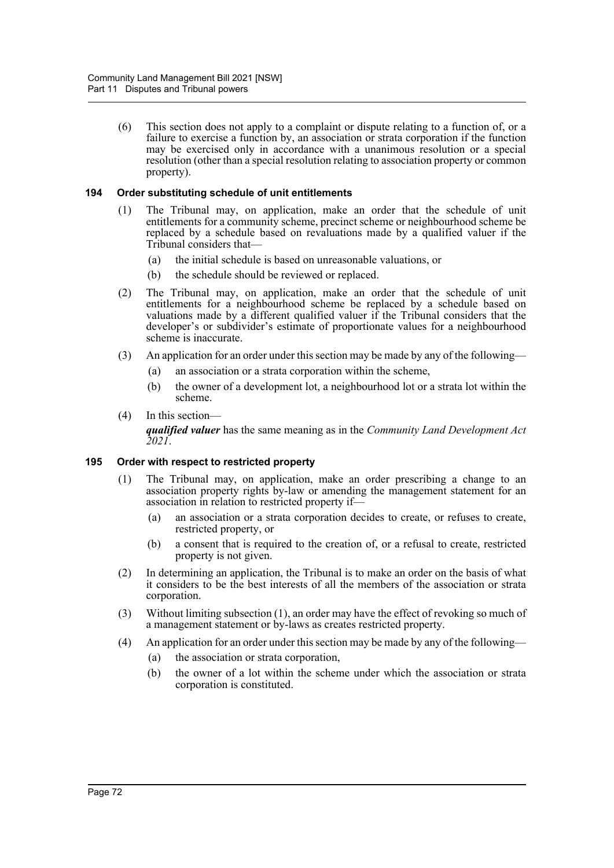(6) This section does not apply to a complaint or dispute relating to a function of, or a failure to exercise a function by, an association or strata corporation if the function may be exercised only in accordance with a unanimous resolution or a special resolution (other than a special resolution relating to association property or common property).

# **194 Order substituting schedule of unit entitlements**

- (1) The Tribunal may, on application, make an order that the schedule of unit entitlements for a community scheme, precinct scheme or neighbourhood scheme be replaced by a schedule based on revaluations made by a qualified valuer if the Tribunal considers that—
	- (a) the initial schedule is based on unreasonable valuations, or
	- (b) the schedule should be reviewed or replaced.
- (2) The Tribunal may, on application, make an order that the schedule of unit entitlements for a neighbourhood scheme be replaced by a schedule based on valuations made by a different qualified valuer if the Tribunal considers that the developer's or subdivider's estimate of proportionate values for a neighbourhood scheme is inaccurate.
- (3) An application for an order under this section may be made by any of the following—
	- (a) an association or a strata corporation within the scheme,
	- (b) the owner of a development lot, a neighbourhood lot or a strata lot within the scheme.
- (4) In this section—

*qualified valuer* has the same meaning as in the *Community Land Development Act 2021*.

# **195 Order with respect to restricted property**

- (1) The Tribunal may, on application, make an order prescribing a change to an association property rights by-law or amending the management statement for an association in relation to restricted property if—
	- (a) an association or a strata corporation decides to create, or refuses to create, restricted property, or
	- (b) a consent that is required to the creation of, or a refusal to create, restricted property is not given.
- (2) In determining an application, the Tribunal is to make an order on the basis of what it considers to be the best interests of all the members of the association or strata corporation.
- (3) Without limiting subsection (1), an order may have the effect of revoking so much of a management statement or by-laws as creates restricted property.
- (4) An application for an order under this section may be made by any of the following—
	- (a) the association or strata corporation,
	- (b) the owner of a lot within the scheme under which the association or strata corporation is constituted.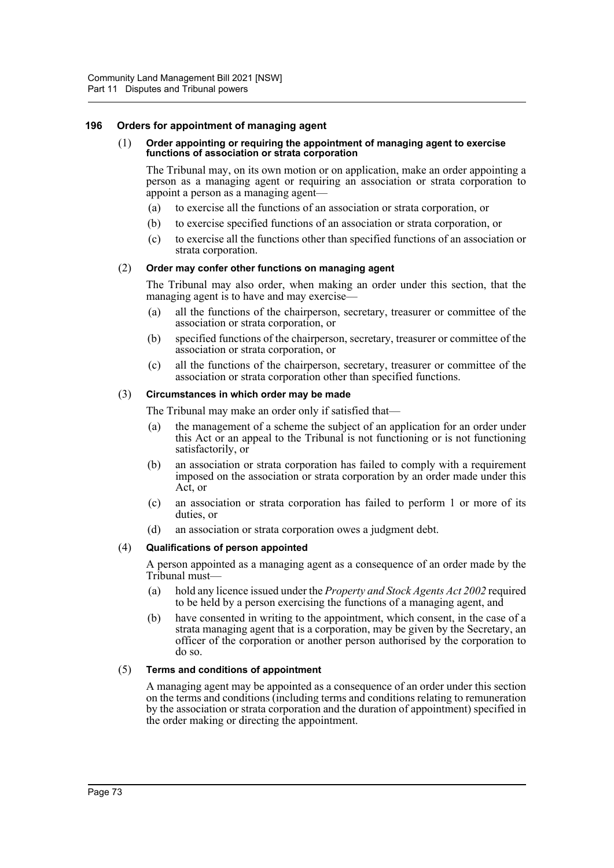# **196 Orders for appointment of managing agent**

#### (1) **Order appointing or requiring the appointment of managing agent to exercise functions of association or strata corporation**

The Tribunal may, on its own motion or on application, make an order appointing a person as a managing agent or requiring an association or strata corporation to appoint a person as a managing agent—

- (a) to exercise all the functions of an association or strata corporation, or
- (b) to exercise specified functions of an association or strata corporation, or
- (c) to exercise all the functions other than specified functions of an association or strata corporation.

#### (2) **Order may confer other functions on managing agent**

The Tribunal may also order, when making an order under this section, that the managing agent is to have and may exercise—

- (a) all the functions of the chairperson, secretary, treasurer or committee of the association or strata corporation, or
- (b) specified functions of the chairperson, secretary, treasurer or committee of the association or strata corporation, or
- (c) all the functions of the chairperson, secretary, treasurer or committee of the association or strata corporation other than specified functions.

#### (3) **Circumstances in which order may be made**

The Tribunal may make an order only if satisfied that—

- (a) the management of a scheme the subject of an application for an order under this Act or an appeal to the Tribunal is not functioning or is not functioning satisfactorily, or
- (b) an association or strata corporation has failed to comply with a requirement imposed on the association or strata corporation by an order made under this Act, or
- (c) an association or strata corporation has failed to perform 1 or more of its duties, or
- (d) an association or strata corporation owes a judgment debt.

# (4) **Qualifications of person appointed**

A person appointed as a managing agent as a consequence of an order made by the Tribunal must—

- (a) hold any licence issued under the *Property and Stock Agents Act 2002* required to be held by a person exercising the functions of a managing agent, and
- (b) have consented in writing to the appointment, which consent, in the case of a strata managing agent that is a corporation, may be given by the Secretary, an officer of the corporation or another person authorised by the corporation to do so.

#### (5) **Terms and conditions of appointment**

A managing agent may be appointed as a consequence of an order under this section on the terms and conditions (including terms and conditions relating to remuneration by the association or strata corporation and the duration of appointment) specified in the order making or directing the appointment.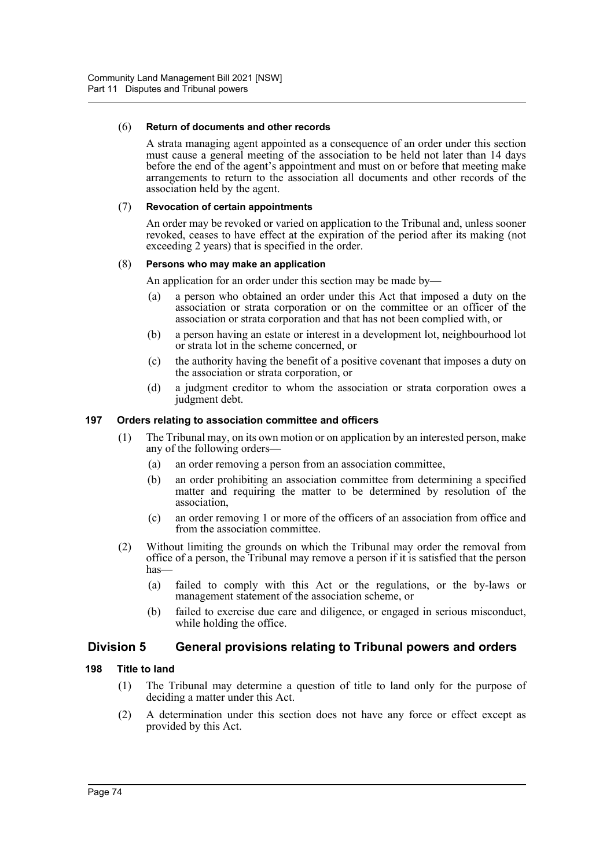#### (6) **Return of documents and other records**

A strata managing agent appointed as a consequence of an order under this section must cause a general meeting of the association to be held not later than 14 days before the end of the agent's appointment and must on or before that meeting make arrangements to return to the association all documents and other records of the association held by the agent.

#### (7) **Revocation of certain appointments**

An order may be revoked or varied on application to the Tribunal and, unless sooner revoked, ceases to have effect at the expiration of the period after its making (not exceeding 2 years) that is specified in the order.

# (8) **Persons who may make an application**

An application for an order under this section may be made by—

- (a) a person who obtained an order under this Act that imposed a duty on the association or strata corporation or on the committee or an officer of the association or strata corporation and that has not been complied with, or
- (b) a person having an estate or interest in a development lot, neighbourhood lot or strata lot in the scheme concerned, or
- (c) the authority having the benefit of a positive covenant that imposes a duty on the association or strata corporation, or
- (d) a judgment creditor to whom the association or strata corporation owes a judgment debt.

# **197 Orders relating to association committee and officers**

- (1) The Tribunal may, on its own motion or on application by an interested person, make any of the following orders—
	- (a) an order removing a person from an association committee,
	- (b) an order prohibiting an association committee from determining a specified matter and requiring the matter to be determined by resolution of the association,
	- (c) an order removing 1 or more of the officers of an association from office and from the association committee.
- (2) Without limiting the grounds on which the Tribunal may order the removal from office of a person, the Tribunal may remove a person if it is satisfied that the person has—
	- (a) failed to comply with this Act or the regulations, or the by-laws or management statement of the association scheme, or
	- (b) failed to exercise due care and diligence, or engaged in serious misconduct, while holding the office.

# **Division 5 General provisions relating to Tribunal powers and orders**

# **198 Title to land**

- (1) The Tribunal may determine a question of title to land only for the purpose of deciding a matter under this Act.
- (2) A determination under this section does not have any force or effect except as provided by this Act.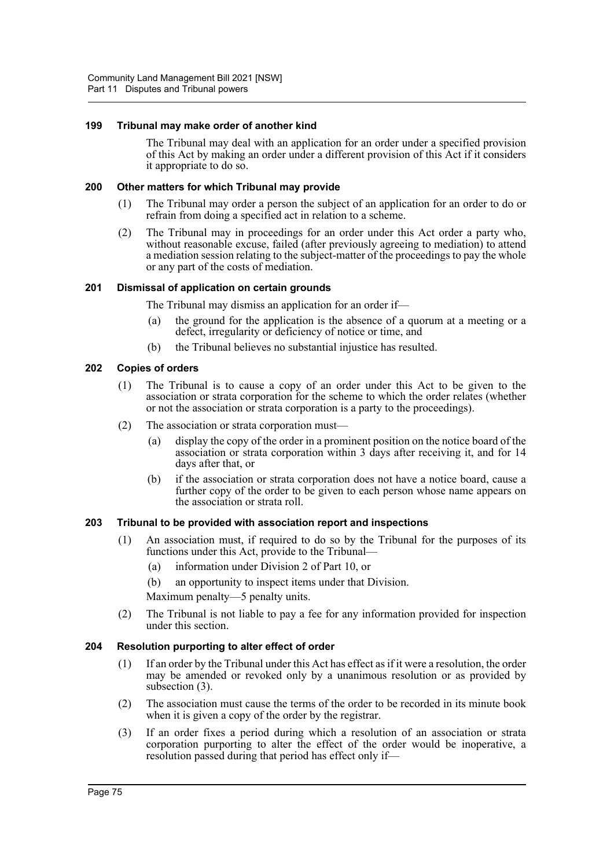# **199 Tribunal may make order of another kind**

The Tribunal may deal with an application for an order under a specified provision of this Act by making an order under a different provision of this Act if it considers it appropriate to do so.

## **200 Other matters for which Tribunal may provide**

- (1) The Tribunal may order a person the subject of an application for an order to do or refrain from doing a specified act in relation to a scheme.
- (2) The Tribunal may in proceedings for an order under this Act order a party who, without reasonable excuse, failed (after previously agreeing to mediation) to attend a mediation session relating to the subject-matter of the proceedings to pay the whole or any part of the costs of mediation.

## **201 Dismissal of application on certain grounds**

The Tribunal may dismiss an application for an order if—

- (a) the ground for the application is the absence of a quorum at a meeting or a defect, irregularity or deficiency of notice or time, and
- (b) the Tribunal believes no substantial injustice has resulted.

#### **202 Copies of orders**

- (1) The Tribunal is to cause a copy of an order under this Act to be given to the association or strata corporation for the scheme to which the order relates (whether or not the association or strata corporation is a party to the proceedings).
- (2) The association or strata corporation must—
	- (a) display the copy of the order in a prominent position on the notice board of the association or strata corporation within 3 days after receiving it, and for 14 days after that, or
	- (b) if the association or strata corporation does not have a notice board, cause a further copy of the order to be given to each person whose name appears on the association or strata roll.

# **203 Tribunal to be provided with association report and inspections**

- (1) An association must, if required to do so by the Tribunal for the purposes of its functions under this Act, provide to the Tribunal—
	- (a) information under Division 2 of Part 10, or
	- (b) an opportunity to inspect items under that Division.
	- Maximum penalty—5 penalty units.
- (2) The Tribunal is not liable to pay a fee for any information provided for inspection under this section.

#### **204 Resolution purporting to alter effect of order**

- (1) If an order by the Tribunal under this Act has effect as if it were a resolution, the order may be amended or revoked only by a unanimous resolution or as provided by subsection (3).
- (2) The association must cause the terms of the order to be recorded in its minute book when it is given a copy of the order by the registrar.
- (3) If an order fixes a period during which a resolution of an association or strata corporation purporting to alter the effect of the order would be inoperative, a resolution passed during that period has effect only if—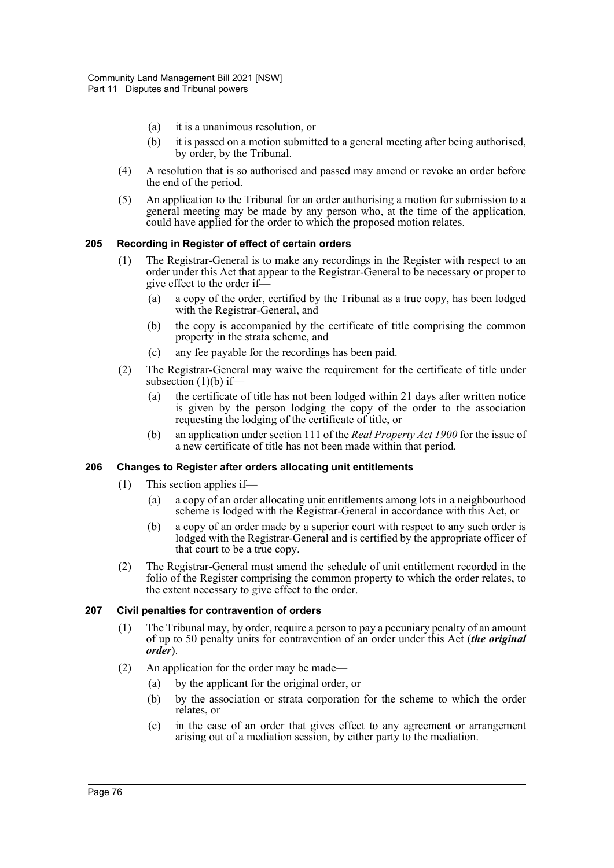- (a) it is a unanimous resolution, or
- (b) it is passed on a motion submitted to a general meeting after being authorised, by order, by the Tribunal.
- (4) A resolution that is so authorised and passed may amend or revoke an order before the end of the period.
- (5) An application to the Tribunal for an order authorising a motion for submission to a general meeting may be made by any person who, at the time of the application, could have applied for the order to which the proposed motion relates.

## **205 Recording in Register of effect of certain orders**

- (1) The Registrar-General is to make any recordings in the Register with respect to an order under this Act that appear to the Registrar-General to be necessary or proper to give effect to the order if—
	- (a) a copy of the order, certified by the Tribunal as a true copy, has been lodged with the Registrar-General, and
	- (b) the copy is accompanied by the certificate of title comprising the common property in the strata scheme, and
	- (c) any fee payable for the recordings has been paid.
- (2) The Registrar-General may waive the requirement for the certificate of title under subsection  $(1)(b)$  if-
	- (a) the certificate of title has not been lodged within 21 days after written notice is given by the person lodging the copy of the order to the association requesting the lodging of the certificate of title, or
	- (b) an application under section 111 of the *Real Property Act 1900* for the issue of a new certificate of title has not been made within that period.

# **206 Changes to Register after orders allocating unit entitlements**

- (1) This section applies if—
	- (a) a copy of an order allocating unit entitlements among lots in a neighbourhood scheme is lodged with the Registrar-General in accordance with this Act, or
	- (b) a copy of an order made by a superior court with respect to any such order is lodged with the Registrar-General and is certified by the appropriate officer of that court to be a true copy.
- (2) The Registrar-General must amend the schedule of unit entitlement recorded in the folio of the Register comprising the common property to which the order relates, to the extent necessary to give effect to the order.

#### **207 Civil penalties for contravention of orders**

- (1) The Tribunal may, by order, require a person to pay a pecuniary penalty of an amount of up to 50 penalty units for contravention of an order under this Act (*the original order*).
- (2) An application for the order may be made—
	- (a) by the applicant for the original order, or
	- (b) by the association or strata corporation for the scheme to which the order relates, or
	- (c) in the case of an order that gives effect to any agreement or arrangement arising out of a mediation session, by either party to the mediation.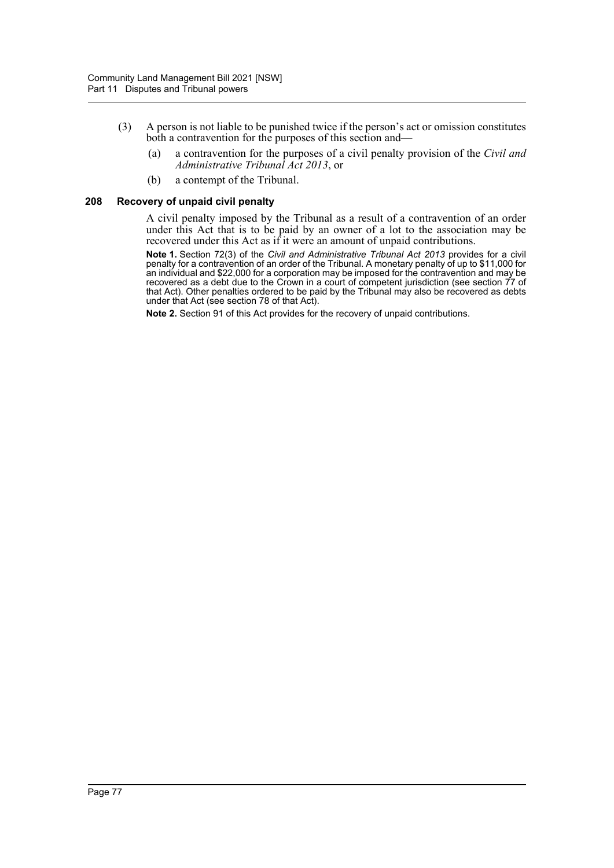- (3) A person is not liable to be punished twice if the person's act or omission constitutes both a contravention for the purposes of this section and—
	- (a) a contravention for the purposes of a civil penalty provision of the *Civil and Administrative Tribunal Act 2013*, or
	- (b) a contempt of the Tribunal.

#### **208 Recovery of unpaid civil penalty**

A civil penalty imposed by the Tribunal as a result of a contravention of an order under this Act that is to be paid by an owner of a lot to the association may be recovered under this Act as if it were an amount of unpaid contributions.

**Note 1.** Section 72(3) of the *Civil and Administrative Tribunal Act 2013* provides for a civil penalty for a contravention of an order of the Tribunal. A monetary penalty of up to \$11,000 for an individual and \$22,000 for a corporation may be imposed for the contravention and may be imposed for the contravention and recovered as a debt due to the Crown in a court of competent jurisdiction (see section 77 of that Act). Other penalties ordered to be paid by the Tribunal may also be recovered as debts under that Act (see section 78 of that Act).

**Note 2.** Section 91 of this Act provides for the recovery of unpaid contributions.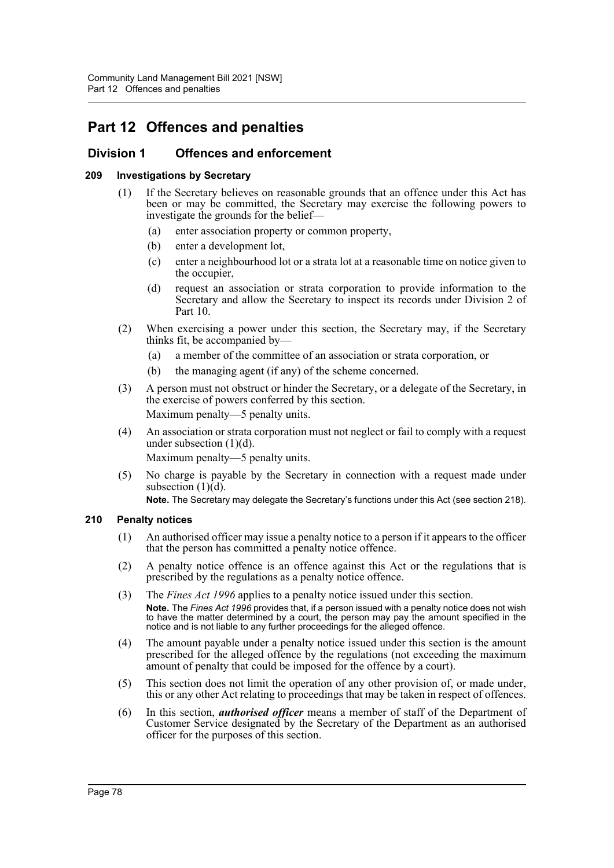# **Part 12 Offences and penalties**

# **Division 1 Offences and enforcement**

# **209 Investigations by Secretary**

- (1) If the Secretary believes on reasonable grounds that an offence under this Act has been or may be committed, the Secretary may exercise the following powers to investigate the grounds for the belief—
	- (a) enter association property or common property,
	- (b) enter a development lot,
	- (c) enter a neighbourhood lot or a strata lot at a reasonable time on notice given to the occupier,
	- (d) request an association or strata corporation to provide information to the Secretary and allow the Secretary to inspect its records under Division 2 of Part 10.
- (2) When exercising a power under this section, the Secretary may, if the Secretary thinks fit, be accompanied by—
	- (a) a member of the committee of an association or strata corporation, or
	- (b) the managing agent (if any) of the scheme concerned.
- (3) A person must not obstruct or hinder the Secretary, or a delegate of the Secretary, in the exercise of powers conferred by this section. Maximum penalty—5 penalty units.
- (4) An association or strata corporation must not neglect or fail to comply with a request under subsection  $(1)(d)$ .

Maximum penalty—5 penalty units.

(5) No charge is payable by the Secretary in connection with a request made under subsection  $(1)\overline{(d)}$ .

**Note.** The Secretary may delegate the Secretary's functions under this Act (see section 218).

# **210 Penalty notices**

- (1) An authorised officer may issue a penalty notice to a person if it appears to the officer that the person has committed a penalty notice offence.
- (2) A penalty notice offence is an offence against this Act or the regulations that is prescribed by the regulations as a penalty notice offence.
- (3) The *Fines Act 1996* applies to a penalty notice issued under this section. **Note.** The *Fines Act 1996* provides that, if a person issued with a penalty notice does not wish to have the matter determined by a court, the person may pay the amount specified in the notice and is not liable to any further proceedings for the alleged offence.
- (4) The amount payable under a penalty notice issued under this section is the amount prescribed for the alleged offence by the regulations (not exceeding the maximum amount of penalty that could be imposed for the offence by a court).
- (5) This section does not limit the operation of any other provision of, or made under, this or any other Act relating to proceedings that may be taken in respect of offences.
- (6) In this section, *authorised officer* means a member of staff of the Department of Customer Service designated by the Secretary of the Department as an authorised officer for the purposes of this section.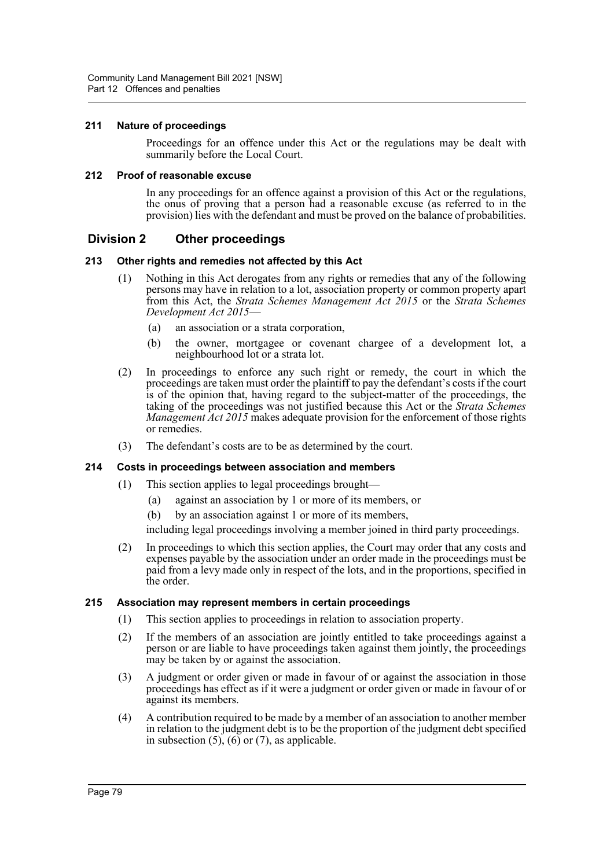# **211 Nature of proceedings**

Proceedings for an offence under this Act or the regulations may be dealt with summarily before the Local Court.

# **212 Proof of reasonable excuse**

In any proceedings for an offence against a provision of this Act or the regulations, the onus of proving that a person had a reasonable excuse (as referred to in the provision) lies with the defendant and must be proved on the balance of probabilities.

# **Division 2 Other proceedings**

# **213 Other rights and remedies not affected by this Act**

- (1) Nothing in this Act derogates from any rights or remedies that any of the following persons may have in relation to a lot, association property or common property apart from this Act, the *Strata Schemes Management Act 2015* or the *Strata Schemes Development Act 2015*—
	- (a) an association or a strata corporation,
	- (b) the owner, mortgagee or covenant chargee of a development lot, a neighbourhood lot or a strata lot.
- (2) In proceedings to enforce any such right or remedy, the court in which the proceedings are taken must order the plaintiff to pay the defendant's costs if the court is of the opinion that, having regard to the subject-matter of the proceedings, the taking of the proceedings was not justified because this Act or the *Strata Schemes Management Act 2015* makes adequate provision for the enforcement of those rights or remedies.
- (3) The defendant's costs are to be as determined by the court.

# **214 Costs in proceedings between association and members**

- (1) This section applies to legal proceedings brought—
	- (a) against an association by 1 or more of its members, or
	- (b) by an association against 1 or more of its members,

including legal proceedings involving a member joined in third party proceedings.

(2) In proceedings to which this section applies, the Court may order that any costs and expenses payable by the association under an order made in the proceedings must be paid from a levy made only in respect of the lots, and in the proportions, specified in the order.

# **215 Association may represent members in certain proceedings**

- (1) This section applies to proceedings in relation to association property.
- (2) If the members of an association are jointly entitled to take proceedings against a person or are liable to have proceedings taken against them jointly, the proceedings may be taken by or against the association.
- (3) A judgment or order given or made in favour of or against the association in those proceedings has effect as if it were a judgment or order given or made in favour of or against its members.
- (4) A contribution required to be made by a member of an association to another member in relation to the judgment debt is to be the proportion of the judgment debt specified in subsection  $(5)$ ,  $(6)$  or  $(7)$ , as applicable.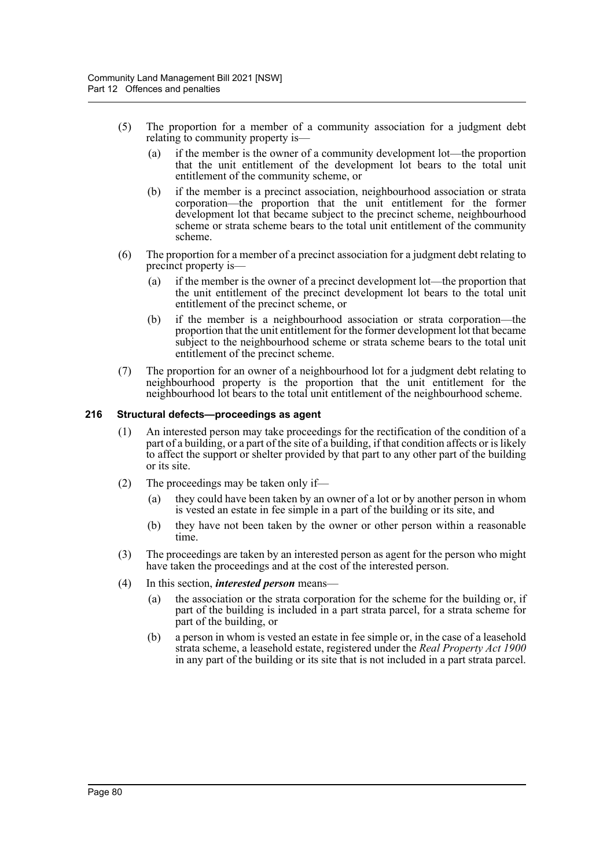- (5) The proportion for a member of a community association for a judgment debt relating to community property is—
	- (a) if the member is the owner of a community development lot—the proportion that the unit entitlement of the development lot bears to the total unit entitlement of the community scheme, or
	- (b) if the member is a precinct association, neighbourhood association or strata corporation—the proportion that the unit entitlement for the former development lot that became subject to the precinct scheme, neighbourhood scheme or strata scheme bears to the total unit entitlement of the community scheme.
- (6) The proportion for a member of a precinct association for a judgment debt relating to precinct property is—
	- (a) if the member is the owner of a precinct development lot—the proportion that the unit entitlement of the precinct development lot bears to the total unit entitlement of the precinct scheme, or
	- (b) if the member is a neighbourhood association or strata corporation—the proportion that the unit entitlement for the former development lot that became subject to the neighbourhood scheme or strata scheme bears to the total unit entitlement of the precinct scheme.
- (7) The proportion for an owner of a neighbourhood lot for a judgment debt relating to neighbourhood property is the proportion that the unit entitlement for the neighbourhood lot bears to the total unit entitlement of the neighbourhood scheme.

# **216 Structural defects—proceedings as agent**

- (1) An interested person may take proceedings for the rectification of the condition of a part of a building, or a part of the site of a building, if that condition affects or is likely to affect the support or shelter provided by that part to any other part of the building or its site.
- (2) The proceedings may be taken only if—
	- (a) they could have been taken by an owner of a lot or by another person in whom is vested an estate in fee simple in a part of the building or its site, and
	- (b) they have not been taken by the owner or other person within a reasonable time.
- (3) The proceedings are taken by an interested person as agent for the person who might have taken the proceedings and at the cost of the interested person.
- (4) In this section, *interested person* means—
	- (a) the association or the strata corporation for the scheme for the building or, if part of the building is included in a part strata parcel, for a strata scheme for part of the building, or
	- (b) a person in whom is vested an estate in fee simple or, in the case of a leasehold strata scheme, a leasehold estate, registered under the *Real Property Act 1900* in any part of the building or its site that is not included in a part strata parcel.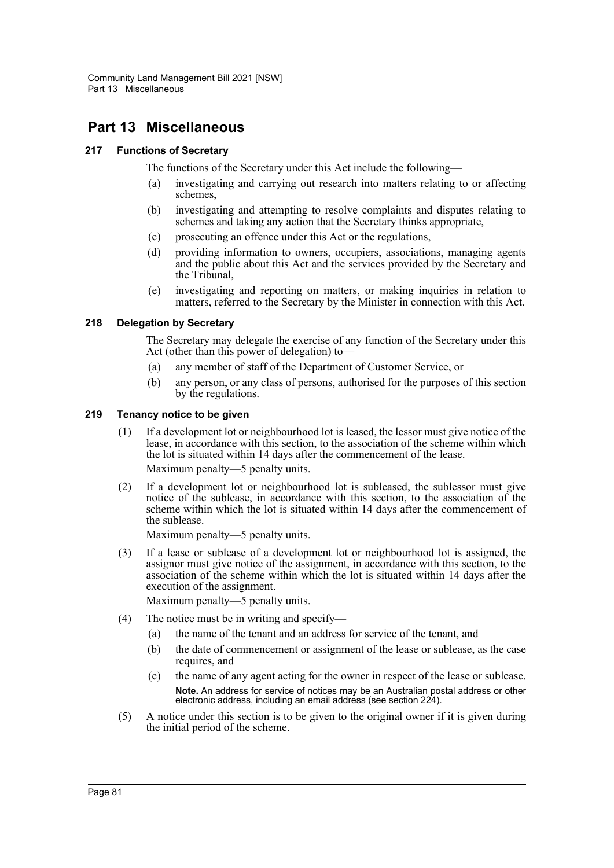# **Part 13 Miscellaneous**

# **217 Functions of Secretary**

The functions of the Secretary under this Act include the following—

- (a) investigating and carrying out research into matters relating to or affecting schemes,
- (b) investigating and attempting to resolve complaints and disputes relating to schemes and taking any action that the Secretary thinks appropriate,
- (c) prosecuting an offence under this Act or the regulations,
- (d) providing information to owners, occupiers, associations, managing agents and the public about this Act and the services provided by the Secretary and the Tribunal,
- (e) investigating and reporting on matters, or making inquiries in relation to matters, referred to the Secretary by the Minister in connection with this Act.

# **218 Delegation by Secretary**

The Secretary may delegate the exercise of any function of the Secretary under this Act (other than this power of delegation) to—

- (a) any member of staff of the Department of Customer Service, or
- (b) any person, or any class of persons, authorised for the purposes of this section by the regulations.

# **219 Tenancy notice to be given**

- (1) If a development lot or neighbourhood lot is leased, the lessor must give notice of the lease, in accordance with this section, to the association of the scheme within which the lot is situated within 14 days after the commencement of the lease. Maximum penalty—5 penalty units.
- (2) If a development lot or neighbourhood lot is subleased, the sublessor must give notice of the sublease, in accordance with this section, to the association of the scheme within which the lot is situated within 14 days after the commencement of the sublease.

Maximum penalty—5 penalty units.

(3) If a lease or sublease of a development lot or neighbourhood lot is assigned, the assignor must give notice of the assignment, in accordance with this section, to the association of the scheme within which the lot is situated within 14 days after the execution of the assignment.

Maximum penalty—5 penalty units.

- (4) The notice must be in writing and specify—
	- (a) the name of the tenant and an address for service of the tenant, and
	- (b) the date of commencement or assignment of the lease or sublease, as the case requires, and
	- (c) the name of any agent acting for the owner in respect of the lease or sublease. **Note.** An address for service of notices may be an Australian postal address or other electronic address, including an email address (see section 224).
- (5) A notice under this section is to be given to the original owner if it is given during the initial period of the scheme.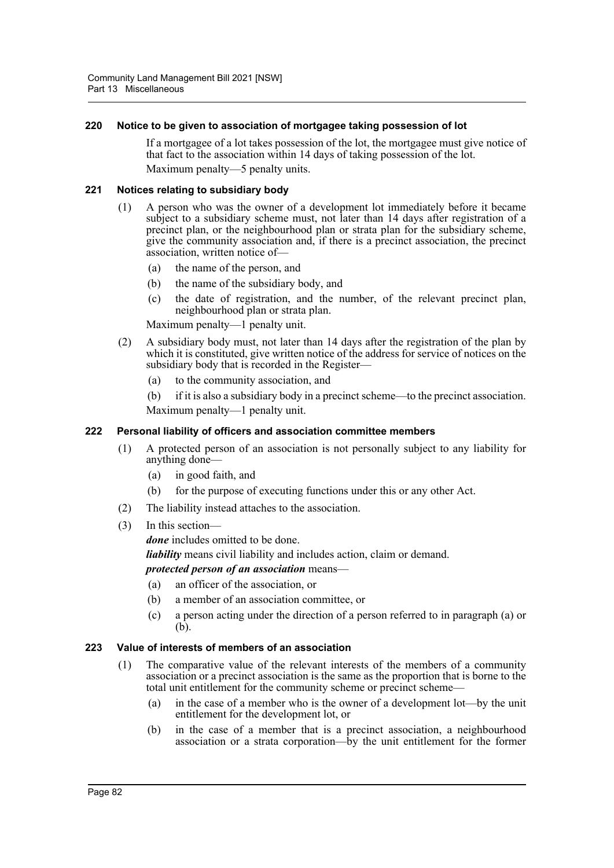# **220 Notice to be given to association of mortgagee taking possession of lot**

If a mortgagee of a lot takes possession of the lot, the mortgagee must give notice of that fact to the association within 14 days of taking possession of the lot. Maximum penalty—5 penalty units.

# **221 Notices relating to subsidiary body**

- (1) A person who was the owner of a development lot immediately before it became subject to a subsidiary scheme must, not later than 14 days after registration of a precinct plan, or the neighbourhood plan or strata plan for the subsidiary scheme, give the community association and, if there is a precinct association, the precinct association, written notice of—
	- (a) the name of the person, and
	- (b) the name of the subsidiary body, and
	- (c) the date of registration, and the number, of the relevant precinct plan, neighbourhood plan or strata plan.

Maximum penalty—1 penalty unit.

- (2) A subsidiary body must, not later than 14 days after the registration of the plan by which it is constituted, give written notice of the address for service of notices on the subsidiary body that is recorded in the Register—
	- (a) to the community association, and

(b) if it is also a subsidiary body in a precinct scheme—to the precinct association. Maximum penalty—1 penalty unit.

## **222 Personal liability of officers and association committee members**

- (1) A protected person of an association is not personally subject to any liability for anything done—
	- (a) in good faith, and
	- (b) for the purpose of executing functions under this or any other Act.
- (2) The liability instead attaches to the association.
- (3) In this section—

*done* includes omitted to be done.

*liability* means civil liability and includes action, claim or demand.

# *protected person of an association* means—

- (a) an officer of the association, or
- (b) a member of an association committee, or
- (c) a person acting under the direction of a person referred to in paragraph (a) or (b).

# **223 Value of interests of members of an association**

- (1) The comparative value of the relevant interests of the members of a community association or a precinct association is the same as the proportion that is borne to the total unit entitlement for the community scheme or precinct scheme—
	- (a) in the case of a member who is the owner of a development lot—by the unit entitlement for the development lot, or
	- (b) in the case of a member that is a precinct association, a neighbourhood association or a strata corporation—by the unit entitlement for the former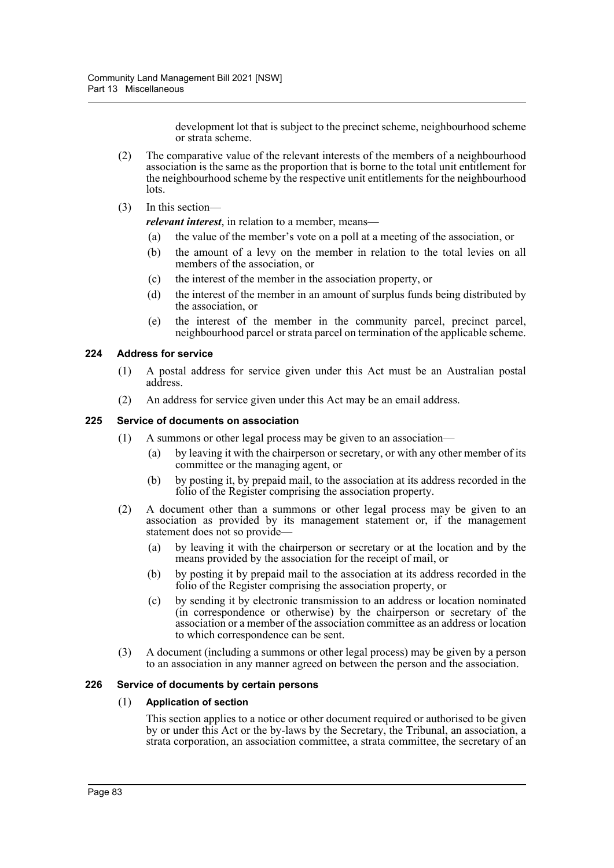development lot that is subject to the precinct scheme, neighbourhood scheme or strata scheme.

- (2) The comparative value of the relevant interests of the members of a neighbourhood association is the same as the proportion that is borne to the total unit entitlement for the neighbourhood scheme by the respective unit entitlements for the neighbourhood lots.
- (3) In this section—

*relevant interest*, in relation to a member, means—

- (a) the value of the member's vote on a poll at a meeting of the association, or
- (b) the amount of a levy on the member in relation to the total levies on all members of the association, or
- (c) the interest of the member in the association property, or
- (d) the interest of the member in an amount of surplus funds being distributed by the association, or
- (e) the interest of the member in the community parcel, precinct parcel, neighbourhood parcel or strata parcel on termination of the applicable scheme.

# **224 Address for service**

- (1) A postal address for service given under this Act must be an Australian postal address.
- (2) An address for service given under this Act may be an email address.

# **225 Service of documents on association**

- (1) A summons or other legal process may be given to an association—
	- (a) by leaving it with the chairperson or secretary, or with any other member of its committee or the managing agent, or
	- (b) by posting it, by prepaid mail, to the association at its address recorded in the folio of the Register comprising the association property.
- (2) A document other than a summons or other legal process may be given to an association as provided by its management statement or, if the management statement does not so provide—
	- (a) by leaving it with the chairperson or secretary or at the location and by the means provided by the association for the receipt of mail, or
	- (b) by posting it by prepaid mail to the association at its address recorded in the folio of the Register comprising the association property, or
	- (c) by sending it by electronic transmission to an address or location nominated (in correspondence or otherwise) by the chairperson or secretary of the association or a member of the association committee as an address or location to which correspondence can be sent.
- (3) A document (including a summons or other legal process) may be given by a person to an association in any manner agreed on between the person and the association.

# **226 Service of documents by certain persons**

# (1) **Application of section**

This section applies to a notice or other document required or authorised to be given by or under this Act or the by-laws by the Secretary, the Tribunal, an association, a strata corporation, an association committee, a strata committee, the secretary of an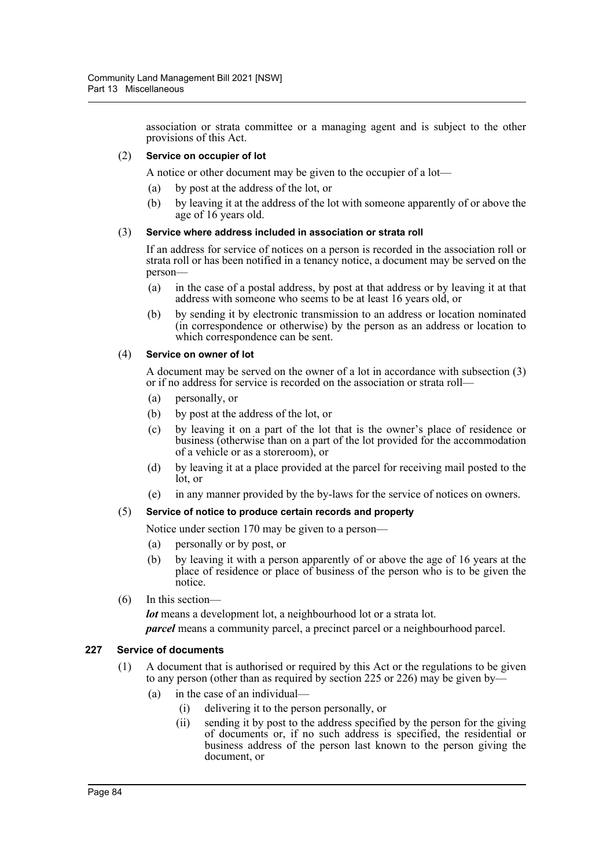association or strata committee or a managing agent and is subject to the other provisions of this Act.

## (2) **Service on occupier of lot**

A notice or other document may be given to the occupier of a lot—

- (a) by post at the address of the lot, or
- (b) by leaving it at the address of the lot with someone apparently of or above the age of 16 years old.

# (3) **Service where address included in association or strata roll**

If an address for service of notices on a person is recorded in the association roll or strata roll or has been notified in a tenancy notice, a document may be served on the person—

- (a) in the case of a postal address, by post at that address or by leaving it at that address with someone who seems to be at least 16 years old, or
- (b) by sending it by electronic transmission to an address or location nominated (in correspondence or otherwise) by the person as an address or location to which correspondence can be sent.

#### (4) **Service on owner of lot**

A document may be served on the owner of a lot in accordance with subsection (3) or if no address for service is recorded on the association or strata roll—

- (a) personally, or
- (b) by post at the address of the lot, or
- (c) by leaving it on a part of the lot that is the owner's place of residence or business (otherwise than on a part of the lot provided for the accommodation of a vehicle or as a storeroom), or
- (d) by leaving it at a place provided at the parcel for receiving mail posted to the lot, or
- (e) in any manner provided by the by-laws for the service of notices on owners.

# (5) **Service of notice to produce certain records and property**

Notice under section 170 may be given to a person—

- (a) personally or by post, or
- (b) by leaving it with a person apparently of or above the age of 16 years at the place of residence or place of business of the person who is to be given the notice.
- (6) In this section—

*lot* means a development lot, a neighbourhood lot or a strata lot. *parcel* means a community parcel, a precinct parcel or a neighbourhood parcel.

#### **227 Service of documents**

- (1) A document that is authorised or required by this Act or the regulations to be given to any person (other than as required by section 225 or 226) may be given by—
	- (a) in the case of an individual—
		- (i) delivering it to the person personally, or
		- (ii) sending it by post to the address specified by the person for the giving of documents or, if no such address is specified, the residential or business address of the person last known to the person giving the document, or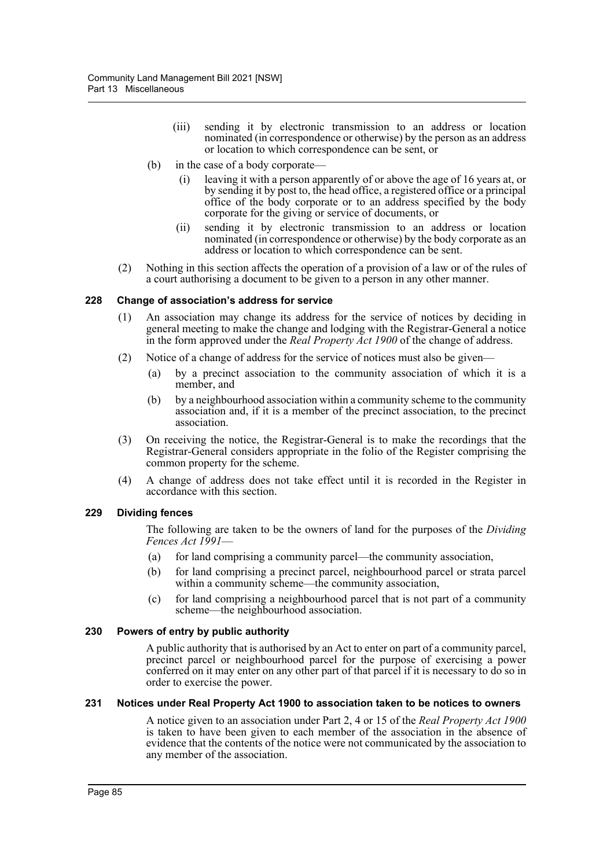- (iii) sending it by electronic transmission to an address or location nominated (in correspondence or otherwise) by the person as an address or location to which correspondence can be sent, or
- (b) in the case of a body corporate—
	- (i) leaving it with a person apparently of or above the age of 16 years at, or by sending it by post to, the head office, a registered office or a principal office of the body corporate or to an address specified by the body corporate for the giving or service of documents, or
	- (ii) sending it by electronic transmission to an address or location nominated (in correspondence or otherwise) by the body corporate as an address or location to which correspondence can be sent.
- (2) Nothing in this section affects the operation of a provision of a law or of the rules of a court authorising a document to be given to a person in any other manner.

# **228 Change of association's address for service**

- (1) An association may change its address for the service of notices by deciding in general meeting to make the change and lodging with the Registrar-General a notice in the form approved under the *Real Property Act 1900* of the change of address.
- (2) Notice of a change of address for the service of notices must also be given—
	- (a) by a precinct association to the community association of which it is a member, and
	- (b) by a neighbourhood association within a community scheme to the community association and, if it is a member of the precinct association, to the precinct association.
- (3) On receiving the notice, the Registrar-General is to make the recordings that the Registrar-General considers appropriate in the folio of the Register comprising the common property for the scheme.
- (4) A change of address does not take effect until it is recorded in the Register in accordance with this section.

# **229 Dividing fences**

The following are taken to be the owners of land for the purposes of the *Dividing Fences Act 1991*—

- (a) for land comprising a community parcel—the community association,
- (b) for land comprising a precinct parcel, neighbourhood parcel or strata parcel within a community scheme—the community association,
- (c) for land comprising a neighbourhood parcel that is not part of a community scheme—the neighbourhood association.

# **230 Powers of entry by public authority**

A public authority that is authorised by an Act to enter on part of a community parcel, precinct parcel or neighbourhood parcel for the purpose of exercising a power conferred on it may enter on any other part of that parcel if it is necessary to do so in order to exercise the power.

#### **231 Notices under Real Property Act 1900 to association taken to be notices to owners**

A notice given to an association under Part 2, 4 or 15 of the *Real Property Act 1900* is taken to have been given to each member of the association in the absence of evidence that the contents of the notice were not communicated by the association to any member of the association.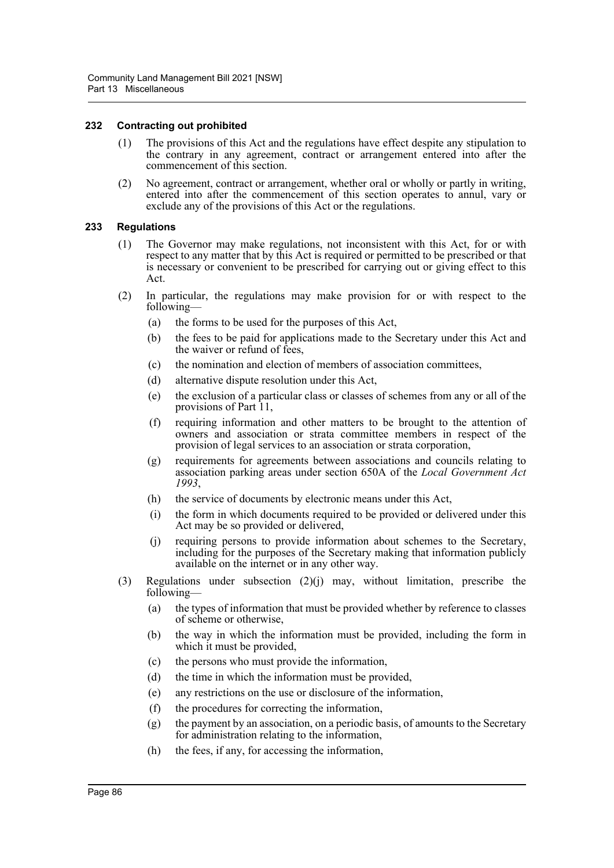## **232 Contracting out prohibited**

- (1) The provisions of this Act and the regulations have effect despite any stipulation to the contrary in any agreement, contract or arrangement entered into after the commencement of this section.
- (2) No agreement, contract or arrangement, whether oral or wholly or partly in writing, entered into after the commencement of this section operates to annul, vary or exclude any of the provisions of this Act or the regulations.

#### **233 Regulations**

- (1) The Governor may make regulations, not inconsistent with this Act, for or with respect to any matter that by this Act is required or permitted to be prescribed or that is necessary or convenient to be prescribed for carrying out or giving effect to this Act.
- (2) In particular, the regulations may make provision for or with respect to the following—
	- (a) the forms to be used for the purposes of this Act,
	- (b) the fees to be paid for applications made to the Secretary under this Act and the waiver or refund of fees.
	- (c) the nomination and election of members of association committees,
	- (d) alternative dispute resolution under this Act,
	- (e) the exclusion of a particular class or classes of schemes from any or all of the provisions of Part 11,
	- (f) requiring information and other matters to be brought to the attention of owners and association or strata committee members in respect of the provision of legal services to an association or strata corporation,
	- (g) requirements for agreements between associations and councils relating to association parking areas under section 650A of the *Local Government Act 1993*,
	- (h) the service of documents by electronic means under this Act,
	- (i) the form in which documents required to be provided or delivered under this Act may be so provided or delivered,
	- (j) requiring persons to provide information about schemes to the Secretary, including for the purposes of the Secretary making that information publicly available on the internet or in any other way.
- (3) Regulations under subsection (2)(j) may, without limitation, prescribe the following—
	- (a) the types of information that must be provided whether by reference to classes of scheme or otherwise,
	- (b) the way in which the information must be provided, including the form in which it must be provided,
	- (c) the persons who must provide the information,
	- (d) the time in which the information must be provided,
	- (e) any restrictions on the use or disclosure of the information,
	- (f) the procedures for correcting the information,
	- (g) the payment by an association, on a periodic basis, of amounts to the Secretary for administration relating to the information,
	- (h) the fees, if any, for accessing the information,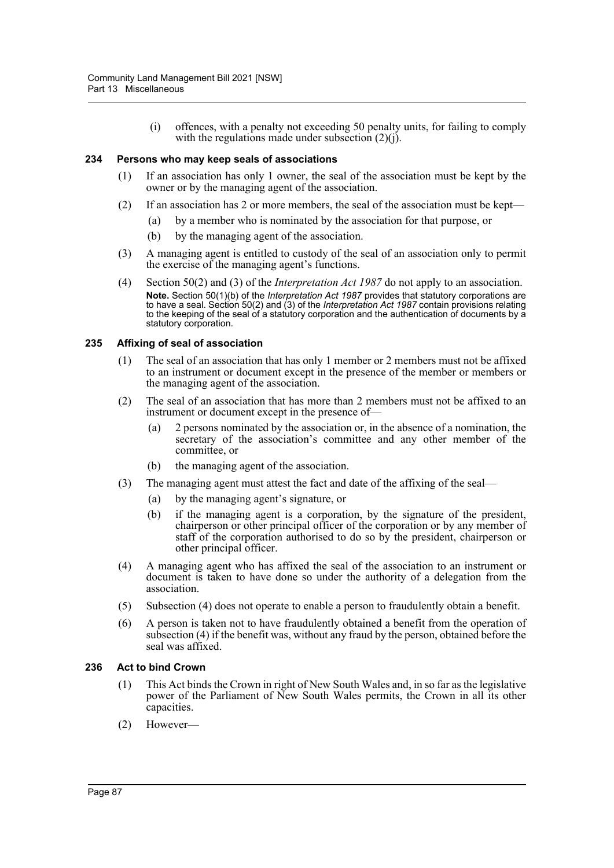(i) offences, with a penalty not exceeding 50 penalty units, for failing to comply with the regulations made under subsection  $(2)(i)$ .

## **234 Persons who may keep seals of associations**

- (1) If an association has only 1 owner, the seal of the association must be kept by the owner or by the managing agent of the association.
- (2) If an association has 2 or more members, the seal of the association must be kept—
	- (a) by a member who is nominated by the association for that purpose, or
	- (b) by the managing agent of the association.
- (3) A managing agent is entitled to custody of the seal of an association only to permit the exercise of the managing agent's functions.
- (4) Section 50(2) and (3) of the *Interpretation Act 1987* do not apply to an association. **Note.** Section 50(1)(b) of the *Interpretation Act 1987* provides that statutory corporations are to have a seal. Section 50(2) and (3) of the *Interpretation Act 1987* contain provisions relating to the keeping of the seal of a statutory corporation and the authentication of documents by a statutory corporation.

# **235 Affixing of seal of association**

- (1) The seal of an association that has only 1 member or 2 members must not be affixed to an instrument or document except in the presence of the member or members or the managing agent of the association.
- (2) The seal of an association that has more than 2 members must not be affixed to an instrument or document except in the presence of—
	- (a) 2 persons nominated by the association or, in the absence of a nomination, the secretary of the association's committee and any other member of the committee, or
	- (b) the managing agent of the association.
- (3) The managing agent must attest the fact and date of the affixing of the seal—
	- (a) by the managing agent's signature, or
	- (b) if the managing agent is a corporation, by the signature of the president, chairperson or other principal officer of the corporation or by any member of staff of the corporation authorised to do so by the president, chairperson or other principal officer.
- (4) A managing agent who has affixed the seal of the association to an instrument or document is taken to have done so under the authority of a delegation from the association.
- (5) Subsection (4) does not operate to enable a person to fraudulently obtain a benefit.
- (6) A person is taken not to have fraudulently obtained a benefit from the operation of subsection (4) if the benefit was, without any fraud by the person, obtained before the seal was affixed.

# **236 Act to bind Crown**

- (1) This Act binds the Crown in right of New South Wales and, in so far as the legislative power of the Parliament of New South Wales permits, the Crown in all its other capacities.
- (2) However—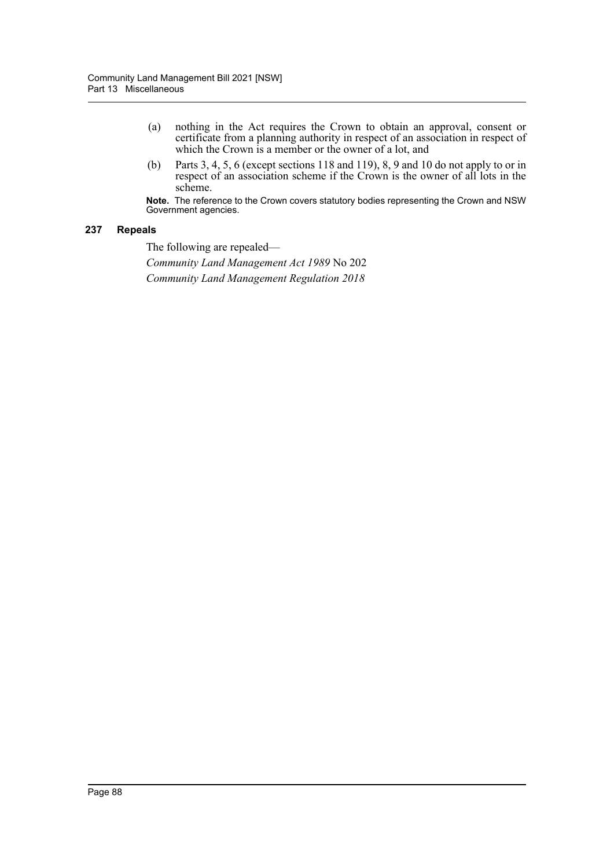- (a) nothing in the Act requires the Crown to obtain an approval, consent or certificate from a planning authority in respect of an association in respect of which the Crown is a member or the owner of a lot, and
- (b) Parts 3, 4, 5, 6 (except sections 118 and 119), 8, 9 and 10 do not apply to or in respect of an association scheme if the Crown is the owner of all lots in the scheme.

**Note.** The reference to the Crown covers statutory bodies representing the Crown and NSW Government agencies.

# **237 Repeals**

The following are repealed—

*Community Land Management Act 1989* No 202 *Community Land Management Regulation 2018*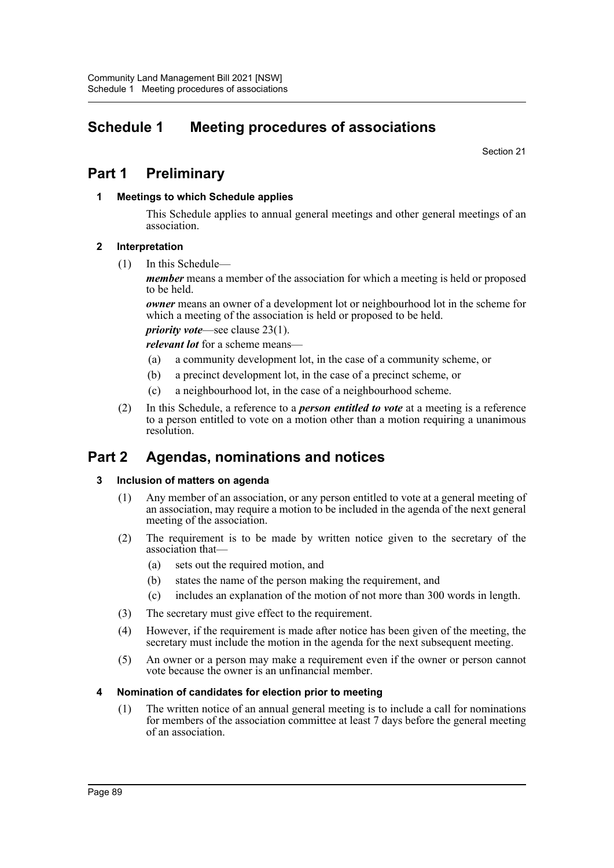# **Schedule 1 Meeting procedures of associations**

Section 21

# **Part 1 Preliminary**

# **1 Meetings to which Schedule applies**

This Schedule applies to annual general meetings and other general meetings of an association.

# **2 Interpretation**

(1) In this Schedule—

*member* means a member of the association for which a meeting is held or proposed to be held.

*owner* means an owner of a development lot or neighbourhood lot in the scheme for which a meeting of the association is held or proposed to be held.

*priority vote*—see clause 23(1).

*relevant lot* for a scheme means—

- (a) a community development lot, in the case of a community scheme, or
- (b) a precinct development lot, in the case of a precinct scheme, or
- (c) a neighbourhood lot, in the case of a neighbourhood scheme.
- (2) In this Schedule, a reference to a *person entitled to vote* at a meeting is a reference to a person entitled to vote on a motion other than a motion requiring a unanimous resolution.

# **Part 2 Agendas, nominations and notices**

# **3 Inclusion of matters on agenda**

- (1) Any member of an association, or any person entitled to vote at a general meeting of an association, may require a motion to be included in the agenda of the next general meeting of the association.
- (2) The requirement is to be made by written notice given to the secretary of the association that—
	- (a) sets out the required motion, and
	- (b) states the name of the person making the requirement, and
	- (c) includes an explanation of the motion of not more than 300 words in length.
- (3) The secretary must give effect to the requirement.
- (4) However, if the requirement is made after notice has been given of the meeting, the secretary must include the motion in the agenda for the next subsequent meeting.
- (5) An owner or a person may make a requirement even if the owner or person cannot vote because the owner is an unfinancial member.

# **4 Nomination of candidates for election prior to meeting**

(1) The written notice of an annual general meeting is to include a call for nominations for members of the association committee at least 7 days before the general meeting of an association.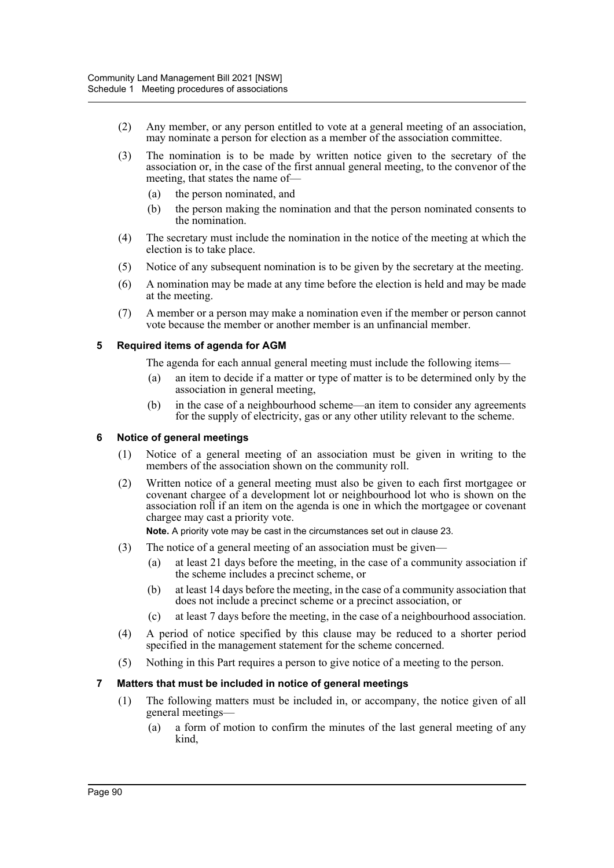- (2) Any member, or any person entitled to vote at a general meeting of an association, may nominate a person for election as a member of the association committee.
- (3) The nomination is to be made by written notice given to the secretary of the association or, in the case of the first annual general meeting, to the convenor of the meeting, that states the name of—
	- (a) the person nominated, and
	- (b) the person making the nomination and that the person nominated consents to the nomination.
- (4) The secretary must include the nomination in the notice of the meeting at which the election is to take place.
- (5) Notice of any subsequent nomination is to be given by the secretary at the meeting.
- (6) A nomination may be made at any time before the election is held and may be made at the meeting.
- (7) A member or a person may make a nomination even if the member or person cannot vote because the member or another member is an unfinancial member.

# **5 Required items of agenda for AGM**

The agenda for each annual general meeting must include the following items—

- (a) an item to decide if a matter or type of matter is to be determined only by the association in general meeting,
- (b) in the case of a neighbourhood scheme—an item to consider any agreements for the supply of electricity, gas or any other utility relevant to the scheme.

# **6 Notice of general meetings**

- (1) Notice of a general meeting of an association must be given in writing to the members of the association shown on the community roll.
- (2) Written notice of a general meeting must also be given to each first mortgagee or covenant chargee of a development lot or neighbourhood lot who is shown on the association roll if an item on the agenda is one in which the mortgagee or covenant chargee may cast a priority vote.

**Note.** A priority vote may be cast in the circumstances set out in clause 23.

- (3) The notice of a general meeting of an association must be given—
	- (a) at least 21 days before the meeting, in the case of a community association if the scheme includes a precinct scheme, or
	- (b) at least 14 days before the meeting, in the case of a community association that does not include a precinct scheme or a precinct association, or
	- (c) at least 7 days before the meeting, in the case of a neighbourhood association.
- (4) A period of notice specified by this clause may be reduced to a shorter period specified in the management statement for the scheme concerned.
- (5) Nothing in this Part requires a person to give notice of a meeting to the person.

# **7 Matters that must be included in notice of general meetings**

- (1) The following matters must be included in, or accompany, the notice given of all general meetings—
	- (a) a form of motion to confirm the minutes of the last general meeting of any kind,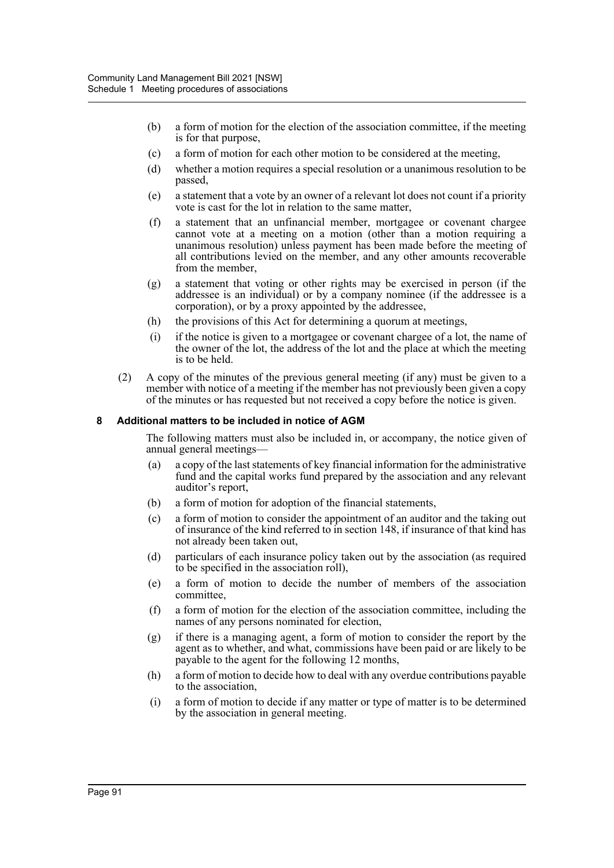- (b) a form of motion for the election of the association committee, if the meeting is for that purpose,
- (c) a form of motion for each other motion to be considered at the meeting,
- (d) whether a motion requires a special resolution or a unanimous resolution to be passed,
- (e) a statement that a vote by an owner of a relevant lot does not count if a priority vote is cast for the lot in relation to the same matter,
- (f) a statement that an unfinancial member, mortgagee or covenant chargee cannot vote at a meeting on a motion (other than a motion requiring a unanimous resolution) unless payment has been made before the meeting of all contributions levied on the member, and any other amounts recoverable from the member,
- (g) a statement that voting or other rights may be exercised in person (if the addressee is an individual) or by a company nominee (if the addressee is a corporation), or by a proxy appointed by the addressee,
- (h) the provisions of this Act for determining a quorum at meetings,
- (i) if the notice is given to a mortgagee or covenant chargee of a lot, the name of the owner of the lot, the address of the lot and the place at which the meeting is to be held.
- (2) A copy of the minutes of the previous general meeting (if any) must be given to a member with notice of a meeting if the member has not previously been given a copy of the minutes or has requested but not received a copy before the notice is given.

#### **8 Additional matters to be included in notice of AGM**

The following matters must also be included in, or accompany, the notice given of annual general meetings—

- (a) a copy of the last statements of key financial information for the administrative fund and the capital works fund prepared by the association and any relevant auditor's report,
- (b) a form of motion for adoption of the financial statements,
- (c) a form of motion to consider the appointment of an auditor and the taking out of insurance of the kind referred to in section 148, if insurance of that kind has not already been taken out,
- (d) particulars of each insurance policy taken out by the association (as required to be specified in the association roll),
- (e) a form of motion to decide the number of members of the association committee,
- (f) a form of motion for the election of the association committee, including the names of any persons nominated for election,
- (g) if there is a managing agent, a form of motion to consider the report by the agent as to whether, and what, commissions have been paid or are likely to be payable to the agent for the following 12 months,
- (h) a form of motion to decide how to deal with any overdue contributions payable to the association,
- (i) a form of motion to decide if any matter or type of matter is to be determined by the association in general meeting.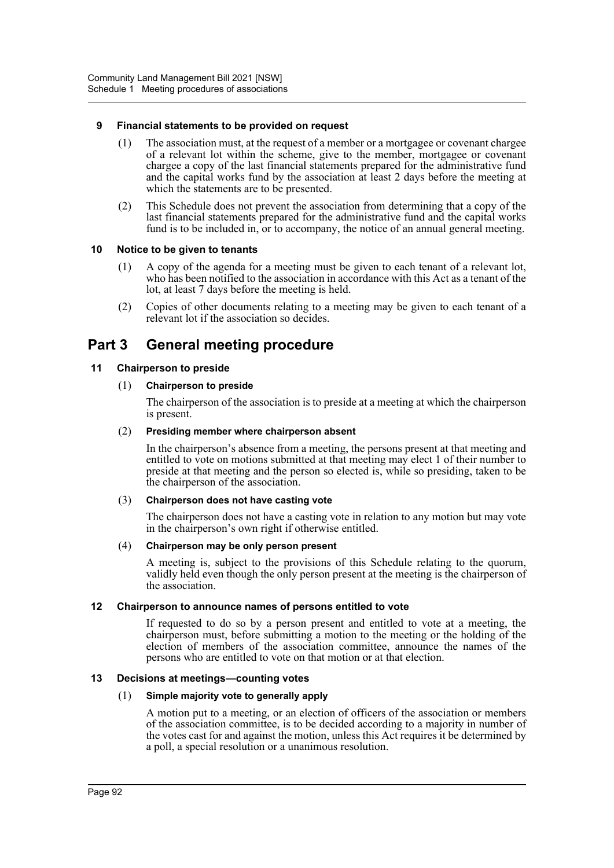# **9 Financial statements to be provided on request**

- (1) The association must, at the request of a member or a mortgagee or covenant chargee of a relevant lot within the scheme, give to the member, mortgagee or covenant chargee a copy of the last financial statements prepared for the administrative fund and the capital works fund by the association at least 2 days before the meeting at which the statements are to be presented.
- (2) This Schedule does not prevent the association from determining that a copy of the last financial statements prepared for the administrative fund and the capital works fund is to be included in, or to accompany, the notice of an annual general meeting.

# **10 Notice to be given to tenants**

- (1) A copy of the agenda for a meeting must be given to each tenant of a relevant lot, who has been notified to the association in accordance with this Act as a tenant of the lot, at least 7 days before the meeting is held.
- (2) Copies of other documents relating to a meeting may be given to each tenant of a relevant lot if the association so decides.

# **Part 3 General meeting procedure**

# **11 Chairperson to preside**

# (1) **Chairperson to preside**

The chairperson of the association is to preside at a meeting at which the chairperson is present.

## (2) **Presiding member where chairperson absent**

In the chairperson's absence from a meeting, the persons present at that meeting and entitled to vote on motions submitted at that meeting may elect 1 of their number to preside at that meeting and the person so elected is, while so presiding, taken to be the chairperson of the association.

# (3) **Chairperson does not have casting vote**

The chairperson does not have a casting vote in relation to any motion but may vote in the chairperson's own right if otherwise entitled.

# (4) **Chairperson may be only person present**

A meeting is, subject to the provisions of this Schedule relating to the quorum, validly held even though the only person present at the meeting is the chairperson of the association.

# **12 Chairperson to announce names of persons entitled to vote**

If requested to do so by a person present and entitled to vote at a meeting, the chairperson must, before submitting a motion to the meeting or the holding of the election of members of the association committee, announce the names of the persons who are entitled to vote on that motion or at that election.

# **13 Decisions at meetings—counting votes**

# (1) **Simple majority vote to generally apply**

A motion put to a meeting, or an election of officers of the association or members of the association committee, is to be decided according to a majority in number of the votes cast for and against the motion, unless this Act requires it be determined by a poll, a special resolution or a unanimous resolution.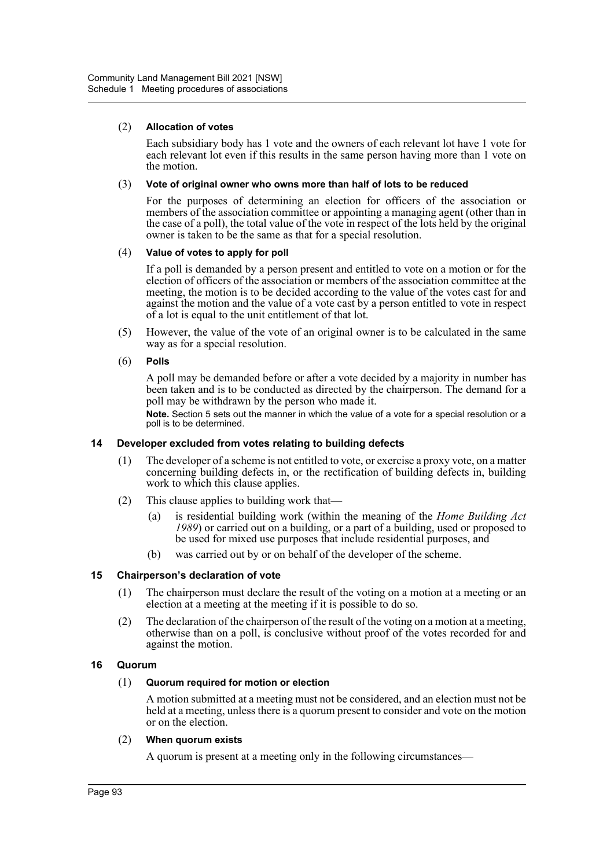## (2) **Allocation of votes**

Each subsidiary body has 1 vote and the owners of each relevant lot have 1 vote for each relevant lot even if this results in the same person having more than 1 vote on the motion.

#### (3) **Vote of original owner who owns more than half of lots to be reduced**

For the purposes of determining an election for officers of the association or members of the association committee or appointing a managing agent (other than in the case of a poll), the total value of the vote in respect of the lots held by the original owner is taken to be the same as that for a special resolution.

#### (4) **Value of votes to apply for poll**

If a poll is demanded by a person present and entitled to vote on a motion or for the election of officers of the association or members of the association committee at the meeting, the motion is to be decided according to the value of the votes cast for and against the motion and the value of a vote cast by a person entitled to vote in respect of a lot is equal to the unit entitlement of that lot.

(5) However, the value of the vote of an original owner is to be calculated in the same way as for a special resolution.

#### (6) **Polls**

A poll may be demanded before or after a vote decided by a majority in number has been taken and is to be conducted as directed by the chairperson. The demand for a poll may be withdrawn by the person who made it.

**Note.** Section 5 sets out the manner in which the value of a vote for a special resolution or a poll is to be determined.

# **14 Developer excluded from votes relating to building defects**

- (1) The developer of a scheme is not entitled to vote, or exercise a proxy vote, on a matter concerning building defects in, or the rectification of building defects in, building work to which this clause applies.
- (2) This clause applies to building work that—
	- (a) is residential building work (within the meaning of the *Home Building Act 1989*) or carried out on a building, or a part of a building, used or proposed to be used for mixed use purposes that include residential purposes, and
	- (b) was carried out by or on behalf of the developer of the scheme.

# **15 Chairperson's declaration of vote**

- (1) The chairperson must declare the result of the voting on a motion at a meeting or an election at a meeting at the meeting if it is possible to do so.
- (2) The declaration of the chairperson of the result of the voting on a motion at a meeting, otherwise than on a poll, is conclusive without proof of the votes recorded for and against the motion.

# **16 Quorum**

# (1) **Quorum required for motion or election**

A motion submitted at a meeting must not be considered, and an election must not be held at a meeting, unless there is a quorum present to consider and vote on the motion or on the election.

#### (2) **When quorum exists**

A quorum is present at a meeting only in the following circumstances—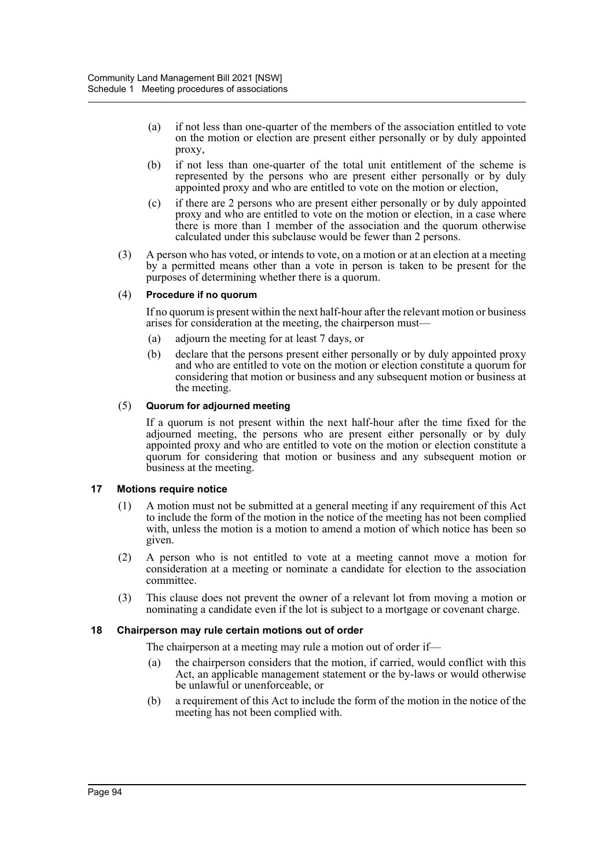- (a) if not less than one-quarter of the members of the association entitled to vote on the motion or election are present either personally or by duly appointed proxy,
- (b) if not less than one-quarter of the total unit entitlement of the scheme is represented by the persons who are present either personally or by duly appointed proxy and who are entitled to vote on the motion or election,
- (c) if there are 2 persons who are present either personally or by duly appointed proxy and who are entitled to vote on the motion or election, in a case where there is more than 1 member of the association and the quorum otherwise calculated under this subclause would be fewer than 2 persons.
- (3) A person who has voted, or intends to vote, on a motion or at an election at a meeting by a permitted means other than a vote in person is taken to be present for the purposes of determining whether there is a quorum.

# (4) **Procedure if no quorum**

If no quorum is present within the next half-hour after the relevant motion or business arises for consideration at the meeting, the chairperson must—

- (a) adjourn the meeting for at least 7 days, or
- (b) declare that the persons present either personally or by duly appointed proxy and who are entitled to vote on the motion or election constitute a quorum for considering that motion or business and any subsequent motion or business at the meeting.

#### (5) **Quorum for adjourned meeting**

If a quorum is not present within the next half-hour after the time fixed for the adjourned meeting, the persons who are present either personally or by duly appointed proxy and who are entitled to vote on the motion or election constitute a quorum for considering that motion or business and any subsequent motion or business at the meeting.

#### **17 Motions require notice**

- (1) A motion must not be submitted at a general meeting if any requirement of this Act to include the form of the motion in the notice of the meeting has not been complied with, unless the motion is a motion to amend a motion of which notice has been so given.
- (2) A person who is not entitled to vote at a meeting cannot move a motion for consideration at a meeting or nominate a candidate for election to the association committee.
- (3) This clause does not prevent the owner of a relevant lot from moving a motion or nominating a candidate even if the lot is subject to a mortgage or covenant charge.

# **18 Chairperson may rule certain motions out of order**

The chairperson at a meeting may rule a motion out of order if—

- (a) the chairperson considers that the motion, if carried, would conflict with this Act, an applicable management statement or the by-laws or would otherwise be unlawful or unenforceable, or
- (b) a requirement of this Act to include the form of the motion in the notice of the meeting has not been complied with.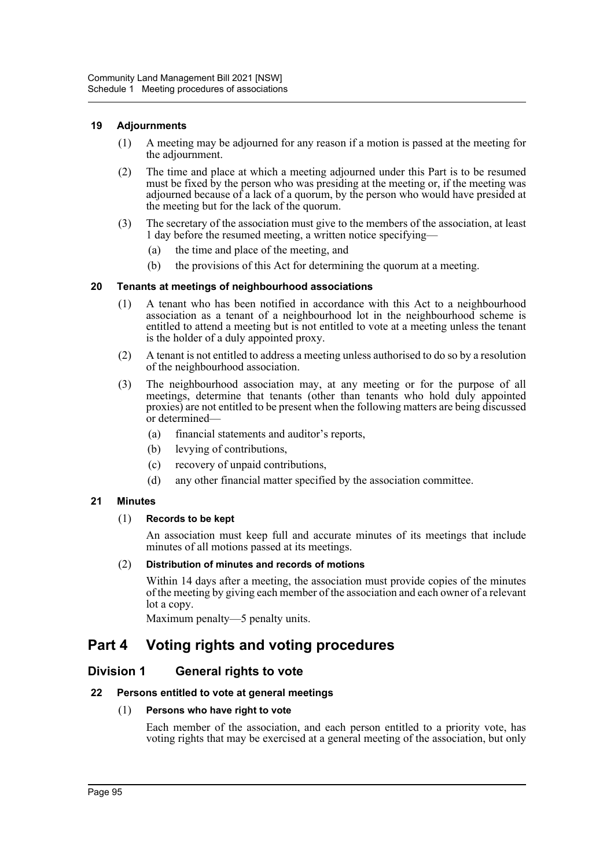# **19 Adjournments**

- (1) A meeting may be adjourned for any reason if a motion is passed at the meeting for the adjournment.
- (2) The time and place at which a meeting adjourned under this Part is to be resumed must be fixed by the person who was presiding at the meeting or, if the meeting was adjourned because of a lack of a quorum, by the person who would have presided at the meeting but for the lack of the quorum.
- (3) The secretary of the association must give to the members of the association, at least 1 day before the resumed meeting, a written notice specifying—
	- (a) the time and place of the meeting, and
	- (b) the provisions of this Act for determining the quorum at a meeting.

# **20 Tenants at meetings of neighbourhood associations**

- (1) A tenant who has been notified in accordance with this Act to a neighbourhood association as a tenant of a neighbourhood lot in the neighbourhood scheme is entitled to attend a meeting but is not entitled to vote at a meeting unless the tenant is the holder of a duly appointed proxy.
- (2) A tenant is not entitled to address a meeting unless authorised to do so by a resolution of the neighbourhood association.
- (3) The neighbourhood association may, at any meeting or for the purpose of all meetings, determine that tenants (other than tenants who hold duly appointed proxies) are not entitled to be present when the following matters are being discussed or determined—
	- (a) financial statements and auditor's reports,
	- (b) levying of contributions,
	- (c) recovery of unpaid contributions,
	- (d) any other financial matter specified by the association committee.

# **21 Minutes**

# (1) **Records to be kept**

An association must keep full and accurate minutes of its meetings that include minutes of all motions passed at its meetings.

# (2) **Distribution of minutes and records of motions**

Within 14 days after a meeting, the association must provide copies of the minutes of the meeting by giving each member of the association and each owner of a relevant lot a copy.

Maximum penalty—5 penalty units.

# **Part 4 Voting rights and voting procedures**

# **Division 1 General rights to vote**

# **22 Persons entitled to vote at general meetings**

# (1) **Persons who have right to vote**

Each member of the association, and each person entitled to a priority vote, has voting rights that may be exercised at a general meeting of the association, but only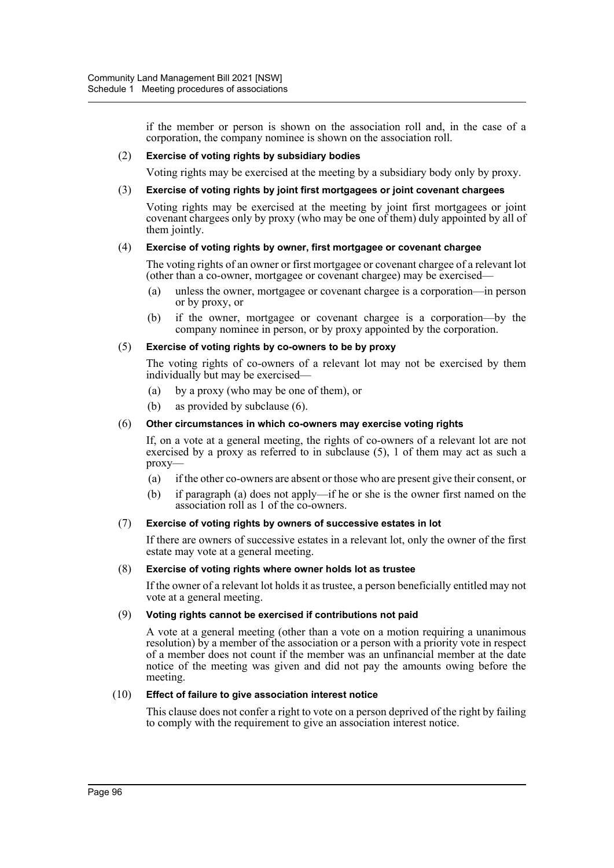if the member or person is shown on the association roll and, in the case of a corporation, the company nominee is shown on the association roll.

#### (2) **Exercise of voting rights by subsidiary bodies**

Voting rights may be exercised at the meeting by a subsidiary body only by proxy.

#### (3) **Exercise of voting rights by joint first mortgagees or joint covenant chargees**

Voting rights may be exercised at the meeting by joint first mortgagees or joint covenant chargees only by proxy (who may be one of them) duly appointed by all of them jointly.

# (4) **Exercise of voting rights by owner, first mortgagee or covenant chargee**

The voting rights of an owner or first mortgagee or covenant chargee of a relevant lot (other than a co-owner, mortgagee or covenant chargee) may be exercised—

- (a) unless the owner, mortgagee or covenant chargee is a corporation—in person or by proxy, or
- (b) if the owner, mortgagee or covenant chargee is a corporation—by the company nominee in person, or by proxy appointed by the corporation.

#### (5) **Exercise of voting rights by co-owners to be by proxy**

The voting rights of co-owners of a relevant lot may not be exercised by them individually but may be exercised—

- (a) by a proxy (who may be one of them), or
- (b) as provided by subclause (6).

#### (6) **Other circumstances in which co-owners may exercise voting rights**

If, on a vote at a general meeting, the rights of co-owners of a relevant lot are not exercised by a proxy as referred to in subclause (5), 1 of them may act as such a proxy—

- (a) if the other co-owners are absent or those who are present give their consent, or
- (b) if paragraph (a) does not apply—if he or she is the owner first named on the association roll as 1 of the co-owners.

#### (7) **Exercise of voting rights by owners of successive estates in lot**

If there are owners of successive estates in a relevant lot, only the owner of the first estate may vote at a general meeting.

#### (8) **Exercise of voting rights where owner holds lot as trustee**

If the owner of a relevant lot holds it as trustee, a person beneficially entitled may not vote at a general meeting.

#### (9) **Voting rights cannot be exercised if contributions not paid**

A vote at a general meeting (other than a vote on a motion requiring a unanimous resolution) by a member of the association or a person with a priority vote in respect of a member does not count if the member was an unfinancial member at the date notice of the meeting was given and did not pay the amounts owing before the meeting.

#### (10) **Effect of failure to give association interest notice**

This clause does not confer a right to vote on a person deprived of the right by failing to comply with the requirement to give an association interest notice.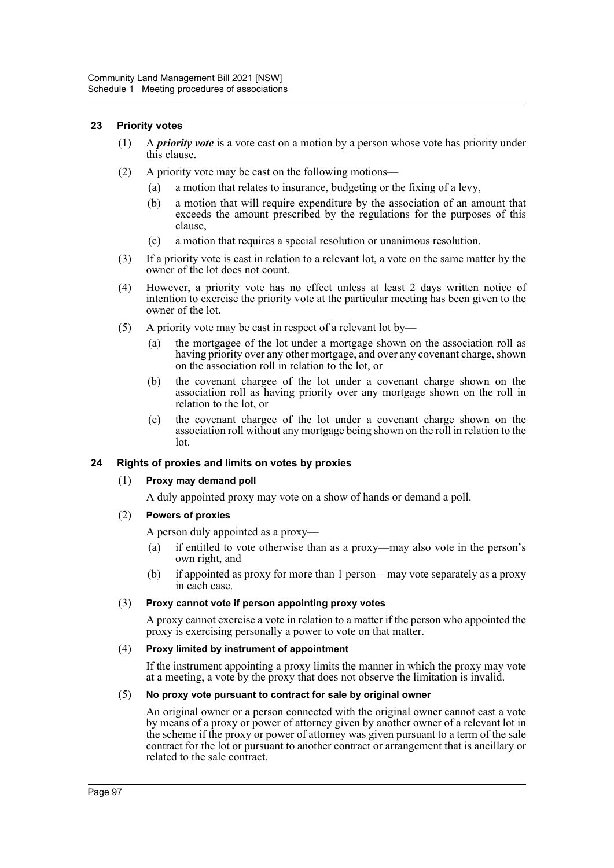## **23 Priority votes**

- (1) A *priority vote* is a vote cast on a motion by a person whose vote has priority under this clause.
- (2) A priority vote may be cast on the following motions—
	- (a) a motion that relates to insurance, budgeting or the fixing of a levy,
	- (b) a motion that will require expenditure by the association of an amount that exceeds the amount prescribed by the regulations for the purposes of this clause,
	- (c) a motion that requires a special resolution or unanimous resolution.
- (3) If a priority vote is cast in relation to a relevant lot, a vote on the same matter by the owner of the lot does not count.
- (4) However, a priority vote has no effect unless at least 2 days written notice of intention to exercise the priority vote at the particular meeting has been given to the owner of the lot.
- (5) A priority vote may be cast in respect of a relevant lot by—
	- (a) the mortgagee of the lot under a mortgage shown on the association roll as having priority over any other mortgage, and over any covenant charge, shown on the association roll in relation to the lot, or
	- (b) the covenant chargee of the lot under a covenant charge shown on the association roll as having priority over any mortgage shown on the roll in relation to the lot, or
	- (c) the covenant chargee of the lot under a covenant charge shown on the association roll without any mortgage being shown on the roll in relation to the lot.

# **24 Rights of proxies and limits on votes by proxies**

#### (1) **Proxy may demand poll**

A duly appointed proxy may vote on a show of hands or demand a poll.

(2) **Powers of proxies**

A person duly appointed as a proxy—

- (a) if entitled to vote otherwise than as a proxy—may also vote in the person's own right, and
- (b) if appointed as proxy for more than 1 person—may vote separately as a proxy in each case.

### (3) **Proxy cannot vote if person appointing proxy votes**

A proxy cannot exercise a vote in relation to a matter if the person who appointed the proxy is exercising personally a power to vote on that matter.

#### (4) **Proxy limited by instrument of appointment**

If the instrument appointing a proxy limits the manner in which the proxy may vote at a meeting, a vote by the proxy that does not observe the limitation is invalid.

#### (5) **No proxy vote pursuant to contract for sale by original owner**

An original owner or a person connected with the original owner cannot cast a vote by means of a proxy or power of attorney given by another owner of a relevant lot in the scheme if the proxy or power of attorney was given pursuant to a term of the sale contract for the lot or pursuant to another contract or arrangement that is ancillary or related to the sale contract.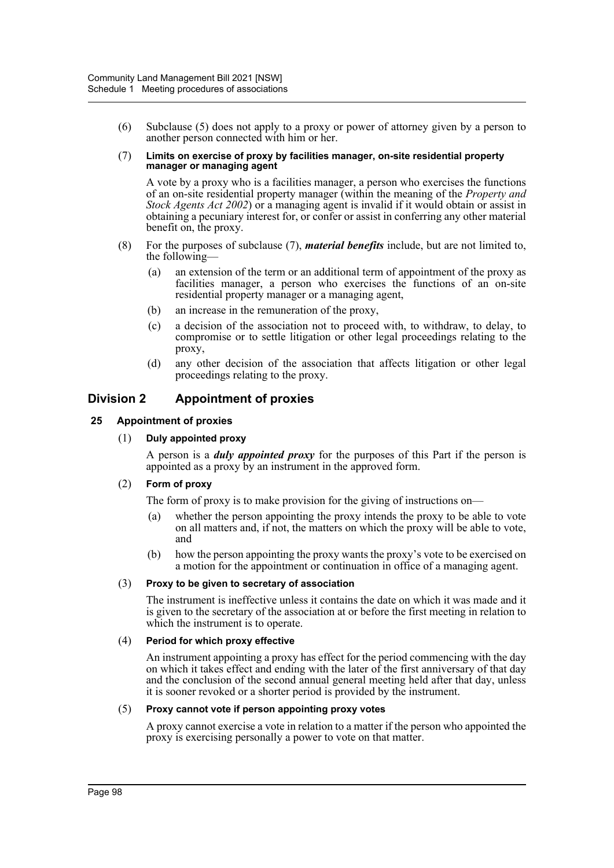(6) Subclause (5) does not apply to a proxy or power of attorney given by a person to another person connected with him or her.

#### (7) **Limits on exercise of proxy by facilities manager, on-site residential property manager or managing agent**

A vote by a proxy who is a facilities manager, a person who exercises the functions of an on-site residential property manager (within the meaning of the *Property and Stock Agents Act 2002*) or a managing agent is invalid if it would obtain or assist in obtaining a pecuniary interest for, or confer or assist in conferring any other material benefit on, the proxy.

- (8) For the purposes of subclause (7), *material benefits* include, but are not limited to, the following—
	- (a) an extension of the term or an additional term of appointment of the proxy as facilities manager, a person who exercises the functions of an on-site residential property manager or a managing agent,
	- (b) an increase in the remuneration of the proxy,
	- (c) a decision of the association not to proceed with, to withdraw, to delay, to compromise or to settle litigation or other legal proceedings relating to the proxy,
	- (d) any other decision of the association that affects litigation or other legal proceedings relating to the proxy.

# **Division 2 Appointment of proxies**

# **25 Appointment of proxies**

## (1) **Duly appointed proxy**

A person is a *duly appointed proxy* for the purposes of this Part if the person is appointed as a proxy by an instrument in the approved form.

# (2) **Form of proxy**

The form of proxy is to make provision for the giving of instructions on—

- (a) whether the person appointing the proxy intends the proxy to be able to vote on all matters and, if not, the matters on which the proxy will be able to vote, and
- (b) how the person appointing the proxy wants the proxy's vote to be exercised on a motion for the appointment or continuation in office of a managing agent.

#### (3) **Proxy to be given to secretary of association**

The instrument is ineffective unless it contains the date on which it was made and it is given to the secretary of the association at or before the first meeting in relation to which the instrument is to operate.

#### (4) **Period for which proxy effective**

An instrument appointing a proxy has effect for the period commencing with the day on which it takes effect and ending with the later of the first anniversary of that day and the conclusion of the second annual general meeting held after that day, unless it is sooner revoked or a shorter period is provided by the instrument.

#### (5) **Proxy cannot vote if person appointing proxy votes**

A proxy cannot exercise a vote in relation to a matter if the person who appointed the proxy is exercising personally a power to vote on that matter.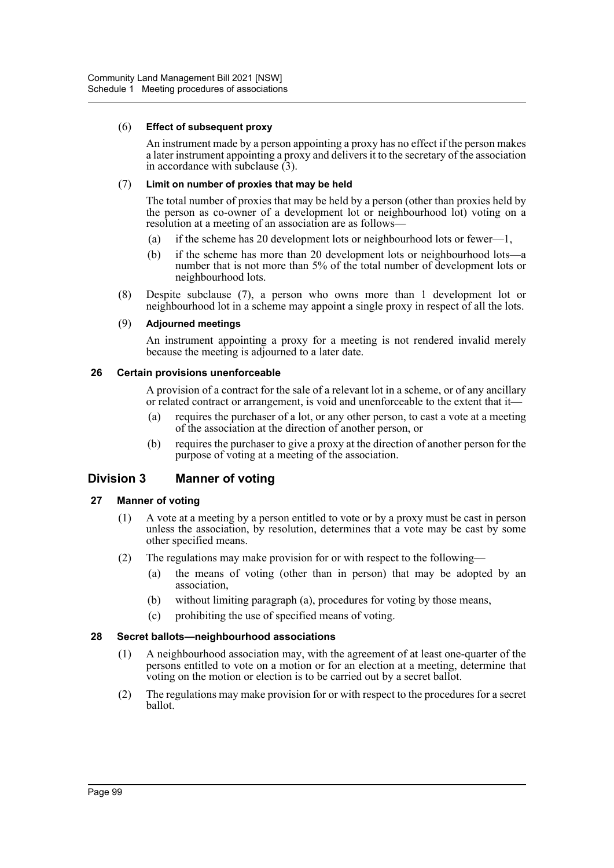## (6) **Effect of subsequent proxy**

An instrument made by a person appointing a proxy has no effect if the person makes a later instrument appointing a proxy and delivers it to the secretary of the association in accordance with subclause  $(3)$ .

#### (7) **Limit on number of proxies that may be held**

The total number of proxies that may be held by a person (other than proxies held by the person as co-owner of a development lot or neighbourhood lot) voting on a resolution at a meeting of an association are as follows—

- (a) if the scheme has 20 development lots or neighbourhood lots or fewer—1,
- (b) if the scheme has more than 20 development lots or neighbourhood lots—a number that is not more than 5% of the total number of development lots or neighbourhood lots.
- (8) Despite subclause (7), a person who owns more than 1 development lot or neighbourhood lot in a scheme may appoint a single proxy in respect of all the lots.

#### (9) **Adjourned meetings**

An instrument appointing a proxy for a meeting is not rendered invalid merely because the meeting is adjourned to a later date.

#### **26 Certain provisions unenforceable**

A provision of a contract for the sale of a relevant lot in a scheme, or of any ancillary or related contract or arrangement, is void and unenforceable to the extent that it—

- (a) requires the purchaser of a lot, or any other person, to cast a vote at a meeting of the association at the direction of another person, or
- (b) requires the purchaser to give a proxy at the direction of another person for the purpose of voting at a meeting of the association.

# **Division 3 Manner of voting**

# **27 Manner of voting**

- (1) A vote at a meeting by a person entitled to vote or by a proxy must be cast in person unless the association, by resolution, determines that a vote may be cast by some other specified means.
- (2) The regulations may make provision for or with respect to the following—
	- (a) the means of voting (other than in person) that may be adopted by an association,
	- (b) without limiting paragraph (a), procedures for voting by those means,
	- (c) prohibiting the use of specified means of voting.

# **28 Secret ballots—neighbourhood associations**

- (1) A neighbourhood association may, with the agreement of at least one-quarter of the persons entitled to vote on a motion or for an election at a meeting, determine that voting on the motion or election is to be carried out by a secret ballot.
- (2) The regulations may make provision for or with respect to the procedures for a secret ballot.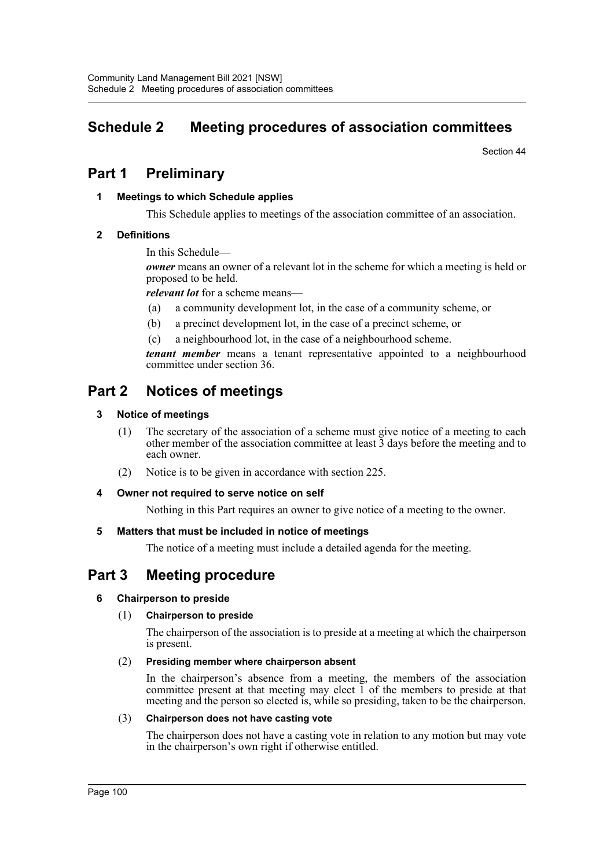# **Schedule 2 Meeting procedures of association committees**

Section 44

# **Part 1 Preliminary**

## **1 Meetings to which Schedule applies**

This Schedule applies to meetings of the association committee of an association.

## **2 Definitions**

In this Schedule—

*owner* means an owner of a relevant lot in the scheme for which a meeting is held or proposed to be held.

*relevant lot* for a scheme means—

- (a) a community development lot, in the case of a community scheme, or
- (b) a precinct development lot, in the case of a precinct scheme, or
- (c) a neighbourhood lot, in the case of a neighbourhood scheme.

*tenant member* means a tenant representative appointed to a neighbourhood committee under section 36.

# **Part 2 Notices of meetings**

## **3 Notice of meetings**

- (1) The secretary of the association of a scheme must give notice of a meeting to each other member of the association committee at least 3 days before the meeting and to each owner.
- (2) Notice is to be given in accordance with section 225.

#### **4 Owner not required to serve notice on self**

Nothing in this Part requires an owner to give notice of a meeting to the owner.

#### **5 Matters that must be included in notice of meetings**

The notice of a meeting must include a detailed agenda for the meeting.

## **Part 3 Meeting procedure**

#### **6 Chairperson to preside**

#### (1) **Chairperson to preside**

The chairperson of the association is to preside at a meeting at which the chairperson is present.

#### (2) **Presiding member where chairperson absent**

In the chairperson's absence from a meeting, the members of the association committee present at that meeting may elect 1 of the members to preside at that meeting and the person so elected is, while so presiding, taken to be the chairperson.

#### (3) **Chairperson does not have casting vote**

The chairperson does not have a casting vote in relation to any motion but may vote in the chairperson's own right if otherwise entitled.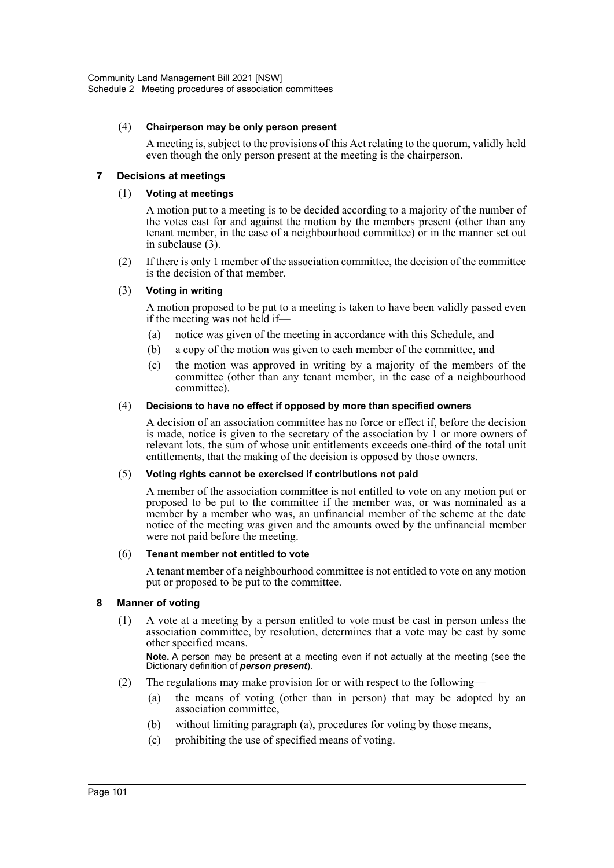#### (4) **Chairperson may be only person present**

A meeting is, subject to the provisions of this Act relating to the quorum, validly held even though the only person present at the meeting is the chairperson.

#### **7 Decisions at meetings**

#### (1) **Voting at meetings**

A motion put to a meeting is to be decided according to a majority of the number of the votes cast for and against the motion by the members present (other than any tenant member, in the case of a neighbourhood committee) or in the manner set out in subclause (3).

(2) If there is only 1 member of the association committee, the decision of the committee is the decision of that member.

#### (3) **Voting in writing**

A motion proposed to be put to a meeting is taken to have been validly passed even if the meeting was not held if—

- (a) notice was given of the meeting in accordance with this Schedule, and
- (b) a copy of the motion was given to each member of the committee, and
- (c) the motion was approved in writing by a majority of the members of the committee (other than any tenant member, in the case of a neighbourhood committee).

#### (4) **Decisions to have no effect if opposed by more than specified owners**

A decision of an association committee has no force or effect if, before the decision is made, notice is given to the secretary of the association by 1 or more owners of relevant lots, the sum of whose unit entitlements exceeds one-third of the total unit entitlements, that the making of the decision is opposed by those owners.

#### (5) **Voting rights cannot be exercised if contributions not paid**

A member of the association committee is not entitled to vote on any motion put or proposed to be put to the committee if the member was, or was nominated as a member by a member who was, an unfinancial member of the scheme at the date notice of the meeting was given and the amounts owed by the unfinancial member were not paid before the meeting.

#### (6) **Tenant member not entitled to vote**

A tenant member of a neighbourhood committee is not entitled to vote on any motion put or proposed to be put to the committee.

#### **8 Manner of voting**

(1) A vote at a meeting by a person entitled to vote must be cast in person unless the association committee, by resolution, determines that a vote may be cast by some other specified means.

**Note.** A person may be present at a meeting even if not actually at the meeting (see the Dictionary definition of *person present*).

- (2) The regulations may make provision for or with respect to the following—
	- (a) the means of voting (other than in person) that may be adopted by an association committee,
	- (b) without limiting paragraph (a), procedures for voting by those means,
	- (c) prohibiting the use of specified means of voting.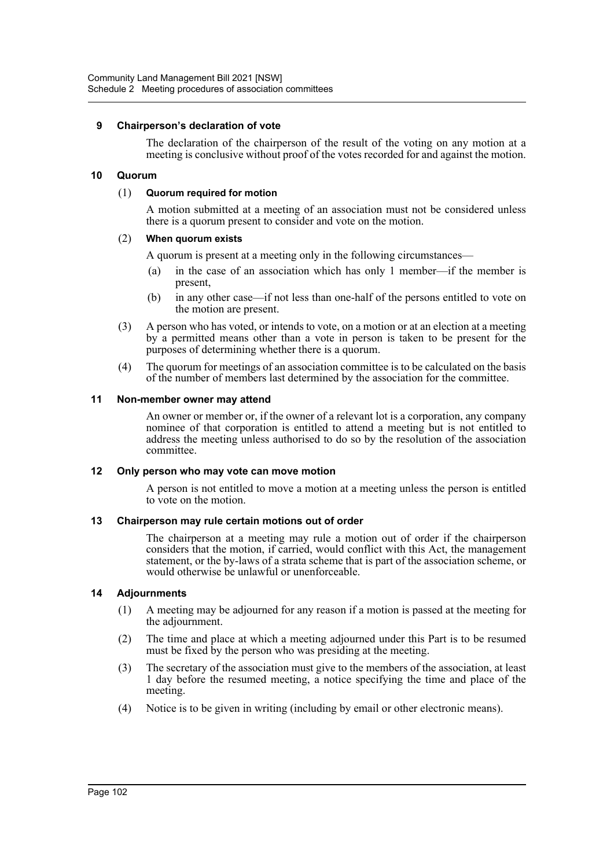#### **9 Chairperson's declaration of vote**

The declaration of the chairperson of the result of the voting on any motion at a meeting is conclusive without proof of the votes recorded for and against the motion.

#### **10 Quorum**

#### (1) **Quorum required for motion**

A motion submitted at a meeting of an association must not be considered unless there is a quorum present to consider and vote on the motion.

#### (2) **When quorum exists**

A quorum is present at a meeting only in the following circumstances—

- (a) in the case of an association which has only 1 member—if the member is present,
- (b) in any other case—if not less than one-half of the persons entitled to vote on the motion are present.
- (3) A person who has voted, or intends to vote, on a motion or at an election at a meeting by a permitted means other than a vote in person is taken to be present for the purposes of determining whether there is a quorum.
- (4) The quorum for meetings of an association committee is to be calculated on the basis of the number of members last determined by the association for the committee.

#### **11 Non-member owner may attend**

An owner or member or, if the owner of a relevant lot is a corporation, any company nominee of that corporation is entitled to attend a meeting but is not entitled to address the meeting unless authorised to do so by the resolution of the association committee.

#### **12 Only person who may vote can move motion**

A person is not entitled to move a motion at a meeting unless the person is entitled to vote on the motion.

#### **13 Chairperson may rule certain motions out of order**

The chairperson at a meeting may rule a motion out of order if the chairperson considers that the motion, if carried, would conflict with this Act, the management statement, or the by-laws of a strata scheme that is part of the association scheme, or would otherwise be unlawful or unenforceable.

#### **14 Adjournments**

- (1) A meeting may be adjourned for any reason if a motion is passed at the meeting for the adjournment.
- (2) The time and place at which a meeting adjourned under this Part is to be resumed must be fixed by the person who was presiding at the meeting.
- (3) The secretary of the association must give to the members of the association, at least 1 day before the resumed meeting, a notice specifying the time and place of the meeting.
- (4) Notice is to be given in writing (including by email or other electronic means).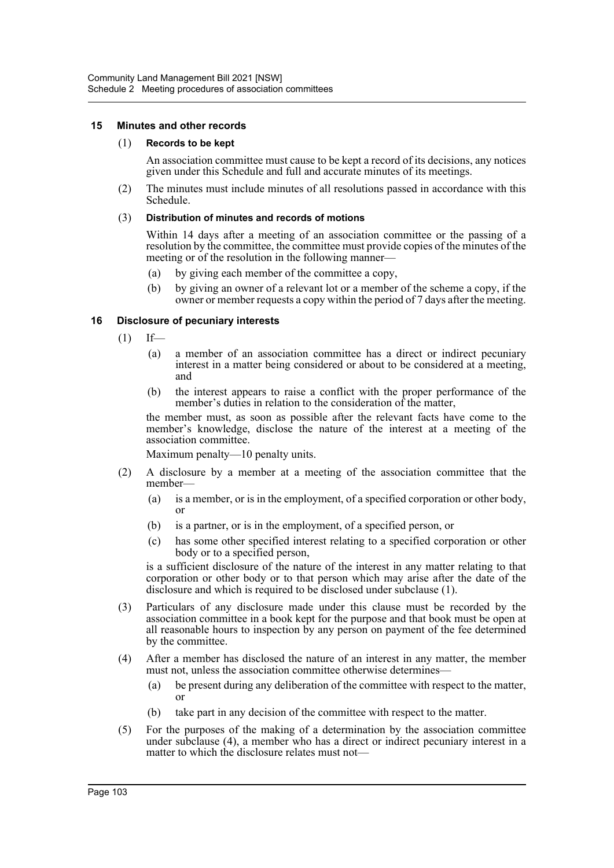#### **15 Minutes and other records**

#### (1) **Records to be kept**

An association committee must cause to be kept a record of its decisions, any notices given under this Schedule and full and accurate minutes of its meetings.

(2) The minutes must include minutes of all resolutions passed in accordance with this Schedule.

#### (3) **Distribution of minutes and records of motions**

Within 14 days after a meeting of an association committee or the passing of a resolution by the committee, the committee must provide copies of the minutes of the meeting or of the resolution in the following manner—

- (a) by giving each member of the committee a copy,
- (b) by giving an owner of a relevant lot or a member of the scheme a copy, if the owner or member requests a copy within the period of 7 days after the meeting.

#### **16 Disclosure of pecuniary interests**

- $(1)$  If—
	- (a) a member of an association committee has a direct or indirect pecuniary interest in a matter being considered or about to be considered at a meeting, and
	- (b) the interest appears to raise a conflict with the proper performance of the member's duties in relation to the consideration of the matter,

the member must, as soon as possible after the relevant facts have come to the member's knowledge, disclose the nature of the interest at a meeting of the association committee.

Maximum penalty—10 penalty units.

- (2) A disclosure by a member at a meeting of the association committee that the member—
	- (a) is a member, or is in the employment, of a specified corporation or other body, or
	- (b) is a partner, or is in the employment, of a specified person, or
	- (c) has some other specified interest relating to a specified corporation or other body or to a specified person,

is a sufficient disclosure of the nature of the interest in any matter relating to that corporation or other body or to that person which may arise after the date of the disclosure and which is required to be disclosed under subclause (1).

- (3) Particulars of any disclosure made under this clause must be recorded by the association committee in a book kept for the purpose and that book must be open at all reasonable hours to inspection by any person on payment of the fee determined by the committee.
- (4) After a member has disclosed the nature of an interest in any matter, the member must not, unless the association committee otherwise determines—
	- (a) be present during any deliberation of the committee with respect to the matter, or
	- (b) take part in any decision of the committee with respect to the matter.
- (5) For the purposes of the making of a determination by the association committee under subclause (4), a member who has a direct or indirect pecuniary interest in a matter to which the disclosure relates must not—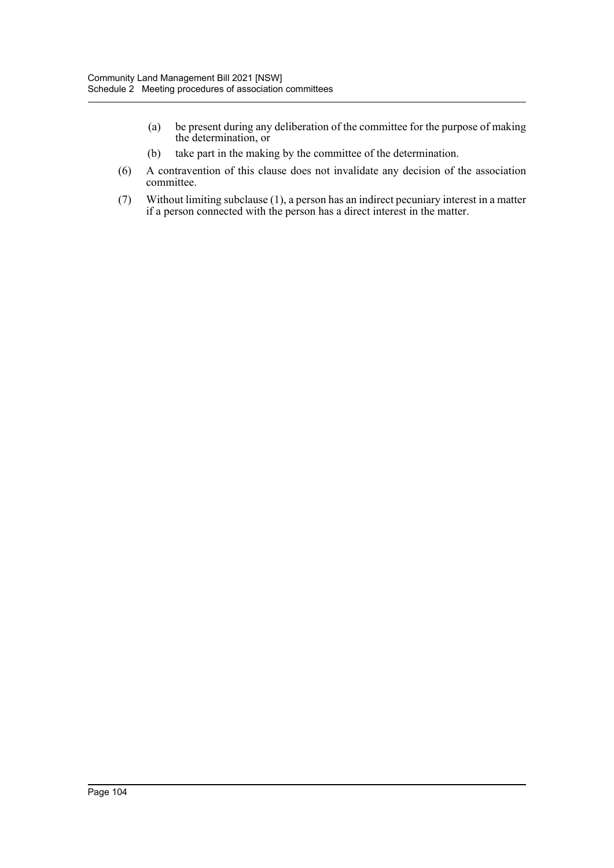- (a) be present during any deliberation of the committee for the purpose of making the determination, or
- (b) take part in the making by the committee of the determination.
- (6) A contravention of this clause does not invalidate any decision of the association committee.
- (7) Without limiting subclause (1), a person has an indirect pecuniary interest in a matter if a person connected with the person has a direct interest in the matter.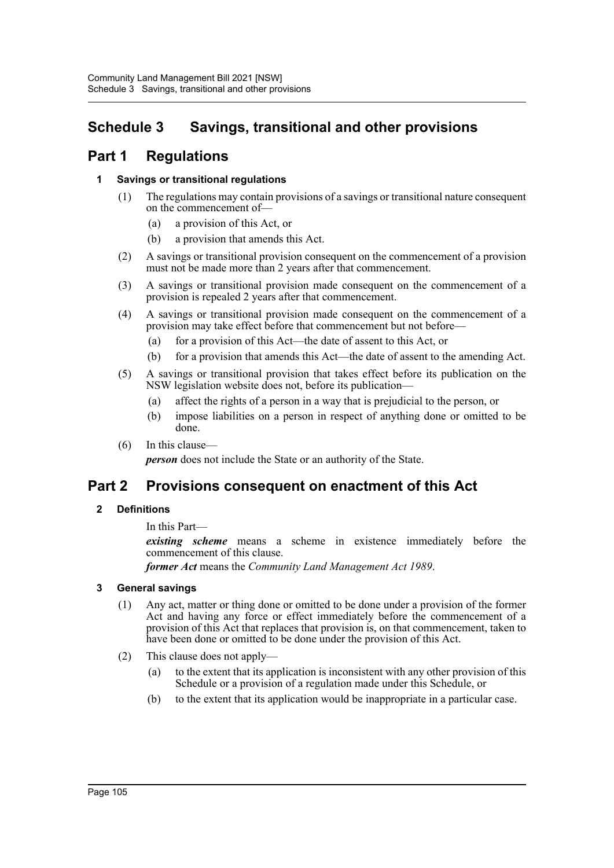# **Schedule 3 Savings, transitional and other provisions**

# **Part 1 Regulations**

## **1 Savings or transitional regulations**

- (1) The regulations may contain provisions of a savings or transitional nature consequent on the commencement of—
	- (a) a provision of this Act, or
	- (b) a provision that amends this Act.
- (2) A savings or transitional provision consequent on the commencement of a provision must not be made more than 2 years after that commencement.
- (3) A savings or transitional provision made consequent on the commencement of a provision is repealed 2 years after that commencement.
- (4) A savings or transitional provision made consequent on the commencement of a provision may take effect before that commencement but not before—
	- (a) for a provision of this Act—the date of assent to this Act, or
	- (b) for a provision that amends this Act—the date of assent to the amending Act.
- (5) A savings or transitional provision that takes effect before its publication on the NSW legislation website does not, before its publication—
	- (a) affect the rights of a person in a way that is prejudicial to the person, or
	- (b) impose liabilities on a person in respect of anything done or omitted to be done.
- (6) In this clause—

*person* does not include the State or an authority of the State.

## **Part 2 Provisions consequent on enactment of this Act**

## **2 Definitions**

In this Part—

*existing scheme* means a scheme in existence immediately before the commencement of this clause.

*former Act* means the *Community Land Management Act 1989*.

## **3 General savings**

- (1) Any act, matter or thing done or omitted to be done under a provision of the former Act and having any force or effect immediately before the commencement of a provision of this Act that replaces that provision is, on that commencement, taken to have been done or omitted to be done under the provision of this Act.
- (2) This clause does not apply—
	- (a) to the extent that its application is inconsistent with any other provision of this Schedule or a provision of a regulation made under this Schedule, or
	- (b) to the extent that its application would be inappropriate in a particular case.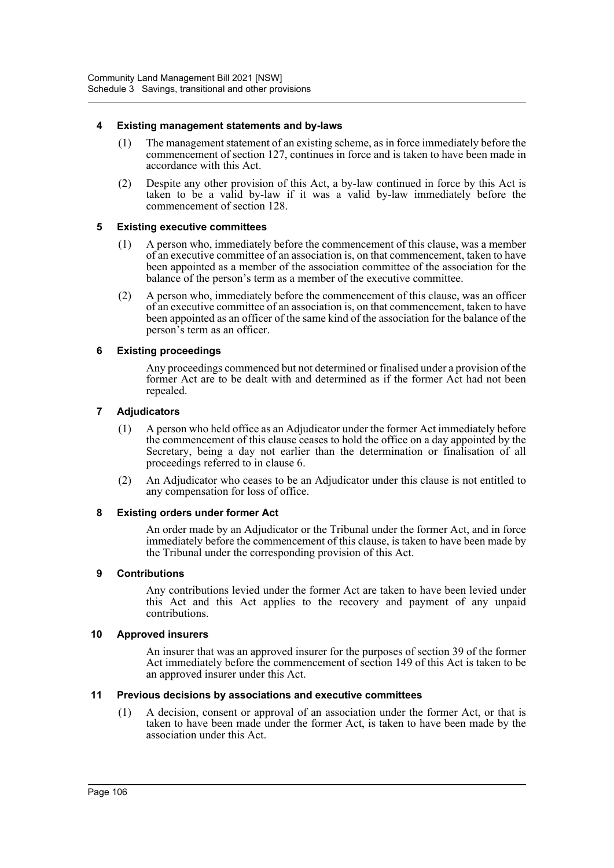#### **4 Existing management statements and by-laws**

- (1) The management statement of an existing scheme, as in force immediately before the commencement of section 127, continues in force and is taken to have been made in accordance with this Act.
- (2) Despite any other provision of this Act, a by-law continued in force by this Act is taken to be a valid by-law if it was a valid by-law immediately before the commencement of section 128.

#### **5 Existing executive committees**

- (1) A person who, immediately before the commencement of this clause, was a member of an executive committee of an association is, on that commencement, taken to have been appointed as a member of the association committee of the association for the balance of the person's term as a member of the executive committee.
- (2) A person who, immediately before the commencement of this clause, was an officer of an executive committee of an association is, on that commencement, taken to have been appointed as an officer of the same kind of the association for the balance of the person's term as an officer.

#### **6 Existing proceedings**

Any proceedings commenced but not determined or finalised under a provision of the former Act are to be dealt with and determined as if the former Act had not been repealed.

#### **7 Adjudicators**

- (1) A person who held office as an Adjudicator under the former Act immediately before the commencement of this clause ceases to hold the office on a day appointed by the Secretary, being a day not earlier than the determination or finalisation of all proceedings referred to in clause 6.
- (2) An Adjudicator who ceases to be an Adjudicator under this clause is not entitled to any compensation for loss of office.

#### **8 Existing orders under former Act**

An order made by an Adjudicator or the Tribunal under the former Act, and in force immediately before the commencement of this clause, is taken to have been made by the Tribunal under the corresponding provision of this Act.

#### **9 Contributions**

Any contributions levied under the former Act are taken to have been levied under this Act and this Act applies to the recovery and payment of any unpaid contributions.

#### **10 Approved insurers**

An insurer that was an approved insurer for the purposes of section 39 of the former Act immediately before the commencement of section 149 of this Act is taken to be an approved insurer under this Act.

#### **11 Previous decisions by associations and executive committees**

(1) A decision, consent or approval of an association under the former Act, or that is taken to have been made under the former Act, is taken to have been made by the association under this Act.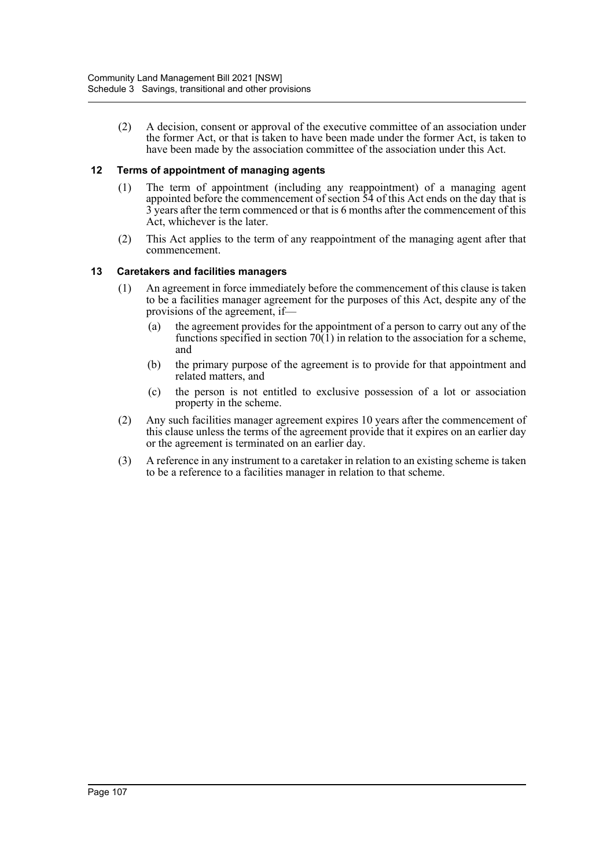(2) A decision, consent or approval of the executive committee of an association under the former Act, or that is taken to have been made under the former Act, is taken to have been made by the association committee of the association under this Act.

### **12 Terms of appointment of managing agents**

- (1) The term of appointment (including any reappointment) of a managing agent appointed before the commencement of section  $\overline{54}$  of this Act ends on the day that is 3 years after the term commenced or that is 6 months after the commencement of this Act, whichever is the later.
- (2) This Act applies to the term of any reappointment of the managing agent after that commencement.

#### **13 Caretakers and facilities managers**

- (1) An agreement in force immediately before the commencement of this clause is taken to be a facilities manager agreement for the purposes of this Act, despite any of the provisions of the agreement, if—
	- (a) the agreement provides for the appointment of a person to carry out any of the functions specified in section  $70(1)$  in relation to the association for a scheme, and
	- (b) the primary purpose of the agreement is to provide for that appointment and related matters, and
	- (c) the person is not entitled to exclusive possession of a lot or association property in the scheme.
- (2) Any such facilities manager agreement expires 10 years after the commencement of this clause unless the terms of the agreement provide that it expires on an earlier day or the agreement is terminated on an earlier day.
- (3) A reference in any instrument to a caretaker in relation to an existing scheme is taken to be a reference to a facilities manager in relation to that scheme.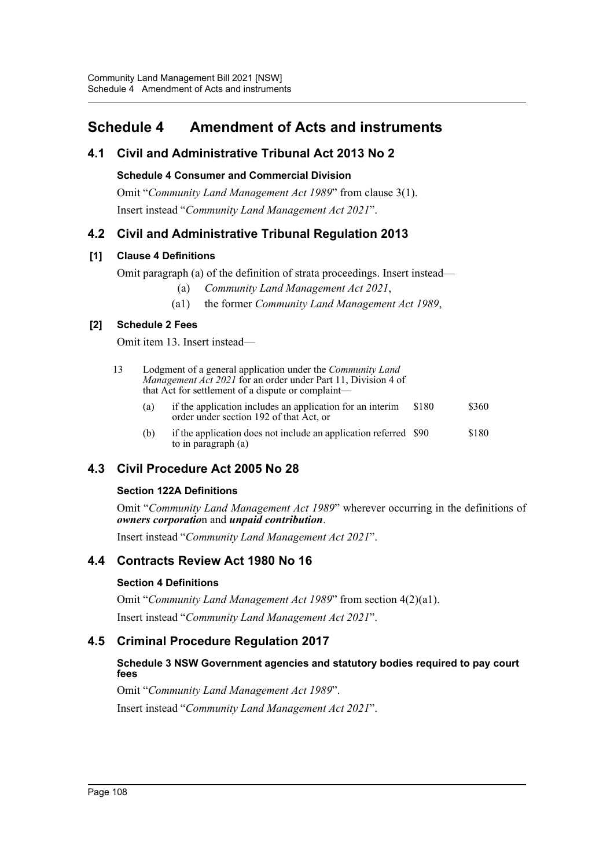# **Schedule 4 Amendment of Acts and instruments**

## **4.1 Civil and Administrative Tribunal Act 2013 No 2**

**Schedule 4 Consumer and Commercial Division**

Omit "*Community Land Management Act 1989*" from clause 3(1). Insert instead "*Community Land Management Act 2021*".

## **4.2 Civil and Administrative Tribunal Regulation 2013**

## **[1] Clause 4 Definitions**

Omit paragraph (a) of the definition of strata proceedings. Insert instead—

- (a) *Community Land Management Act 2021*,
- (a1) the former *Community Land Management Act 1989*,

## **[2] Schedule 2 Fees**

Omit item 13. Insert instead—

- 13 Lodgment of a general application under the *Community Land Management Act 2021* for an order under Part 11, Division 4 of that Act for settlement of a dispute or complaint—
	- (a) if the application includes an application for an interim order under section 192 of that Act, or \$180 \$360
	- (b) if the application does not include an application referred \$90 to in paragraph (a) \$180

## **4.3 Civil Procedure Act 2005 No 28**

## **Section 122A Definitions**

Omit "*Community Land Management Act 1989*" wherever occurring in the definitions of *owners corporatio*n and *unpaid contribution*.

Insert instead "*Community Land Management Act 2021*".

## **4.4 Contracts Review Act 1980 No 16**

## **Section 4 Definitions**

Omit "*Community Land Management Act 1989*" from section 4(2)(a1). Insert instead "*Community Land Management Act 2021*".

## **4.5 Criminal Procedure Regulation 2017**

## **Schedule 3 NSW Government agencies and statutory bodies required to pay court fees**

Omit "*Community Land Management Act 1989*".

Insert instead "*Community Land Management Act 2021*".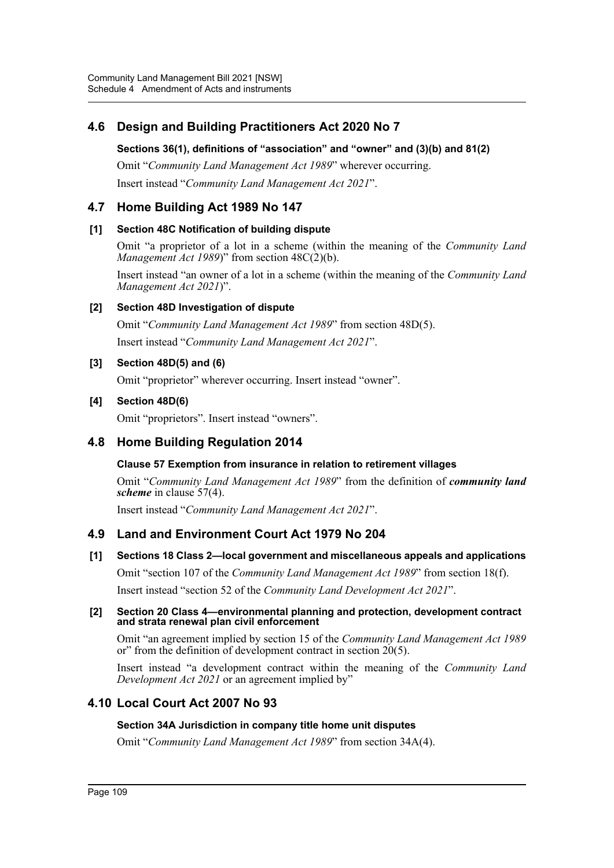## **4.6 Design and Building Practitioners Act 2020 No 7**

## **Sections 36(1), definitions of "association" and "owner" and (3)(b) and 81(2)**

Omit "*Community Land Management Act 1989*" wherever occurring. Insert instead "*Community Land Management Act 2021*".

## **4.7 Home Building Act 1989 No 147**

## **[1] Section 48C Notification of building dispute**

Omit "a proprietor of a lot in a scheme (within the meaning of the *Community Land Management Act 1989*)" from section 48C(2)(b).

Insert instead "an owner of a lot in a scheme (within the meaning of the *Community Land Management Act 2021*)".

## **[2] Section 48D Investigation of dispute**

Omit "*Community Land Management Act 1989*" from section 48D(5). Insert instead "*Community Land Management Act 2021*".

## **[3] Section 48D(5) and (6)**

Omit "proprietor" wherever occurring. Insert instead "owner".

## **[4] Section 48D(6)**

Omit "proprietors". Insert instead "owners".

## **4.8 Home Building Regulation 2014**

## **Clause 57 Exemption from insurance in relation to retirement villages**

Omit "*Community Land Management Act 1989*" from the definition of *community land scheme* in clause 57(4).

Insert instead "*Community Land Management Act 2021*".

## **4.9 Land and Environment Court Act 1979 No 204**

## **[1] Sections 18 Class 2—local government and miscellaneous appeals and applications**

Omit "section 107 of the *Community Land Management Act 1989*" from section 18(f).

Insert instead "section 52 of the *Community Land Development Act 2021*".

#### **[2] Section 20 Class 4—environmental planning and protection, development contract and strata renewal plan civil enforcement**

Omit "an agreement implied by section 15 of the *Community Land Management Act 1989* or" from the definition of development contract in section 20(5).

Insert instead "a development contract within the meaning of the *Community Land Development Act 2021* or an agreement implied by"

## **4.10 Local Court Act 2007 No 93**

## **Section 34A Jurisdiction in company title home unit disputes**

Omit "*Community Land Management Act 1989*" from section 34A(4).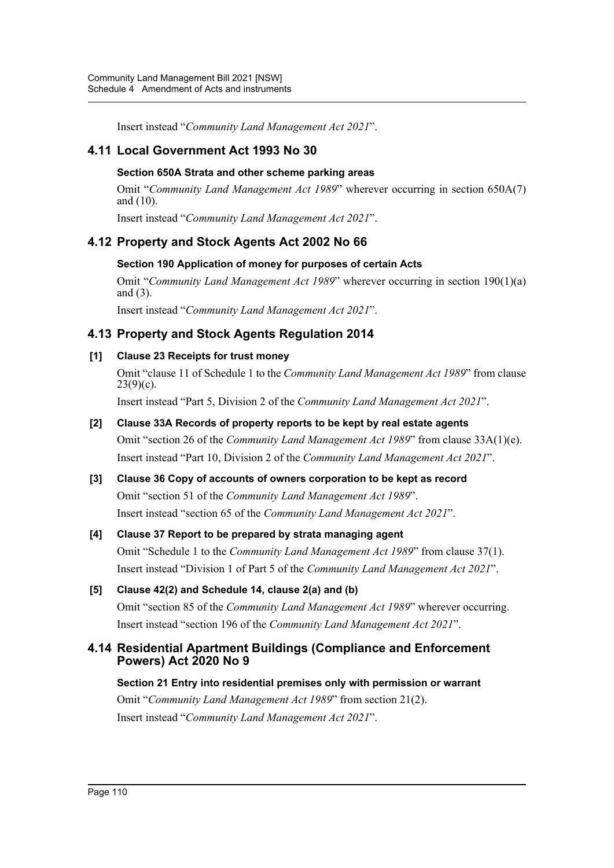Insert instead "*Community Land Management Act 2021*".

## **4.11 Local Government Act 1993 No 30**

### **Section 650A Strata and other scheme parking areas**

Omit "*Community Land Management Act 1989*" wherever occurring in section 650A(7) and (10).

Insert instead "*Community Land Management Act 2021*".

## **4.12 Property and Stock Agents Act 2002 No 66**

## **Section 190 Application of money for purposes of certain Acts**

Omit "*Community Land Management Act 1989*" wherever occurring in section 190(1)(a) and (3).

Insert instead "*Community Land Management Act 2021*".

## **4.13 Property and Stock Agents Regulation 2014**

## **[1] Clause 23 Receipts for trust money**

Omit "clause 11 of Schedule 1 to the *Community Land Management Act 1989*" from clause  $23(9)(c)$ .

Insert instead "Part 5, Division 2 of the *Community Land Management Act 2021*".

## **[2] Clause 33A Records of property reports to be kept by real estate agents**

Omit "section 26 of the *Community Land Management Act 1989*" from clause 33A(1)(e). Insert instead "Part 10, Division 2 of the *Community Land Management Act 2021*".

## **[3] Clause 36 Copy of accounts of owners corporation to be kept as record** Omit "section 51 of the *Community Land Management Act 1989*". Insert instead "section 65 of the *Community Land Management Act 2021*".

## **[4] Clause 37 Report to be prepared by strata managing agent**

Omit "Schedule 1 to the *Community Land Management Act 1989*" from clause 37(1). Insert instead "Division 1 of Part 5 of the *Community Land Management Act 2021*".

## **[5] Clause 42(2) and Schedule 14, clause 2(a) and (b)** Omit "section 85 of the *Community Land Management Act 1989*" wherever occurring. Insert instead "section 196 of the *Community Land Management Act 2021*".

## **4.14 Residential Apartment Buildings (Compliance and Enforcement Powers) Act 2020 No 9**

**Section 21 Entry into residential premises only with permission or warrant** Omit "*Community Land Management Act 1989*" from section 21(2). Insert instead "*Community Land Management Act 2021*".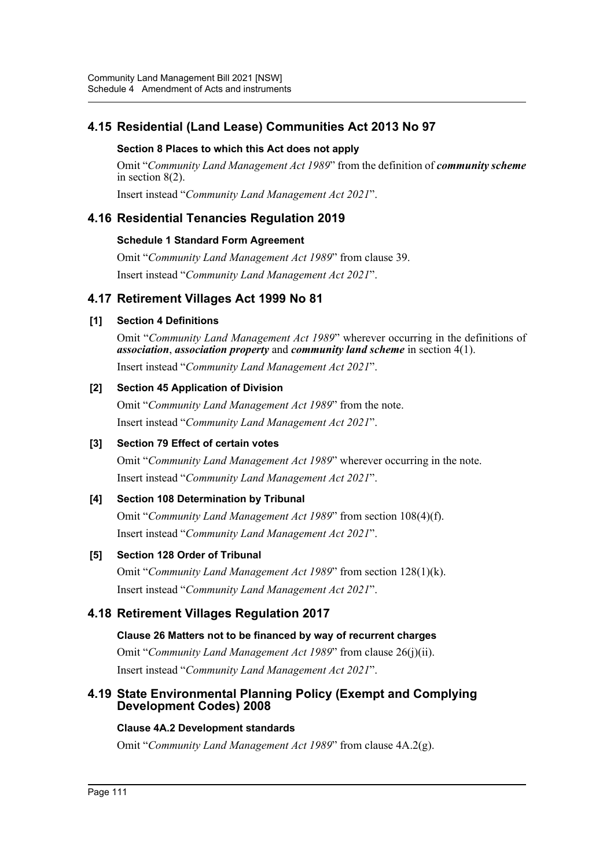## **4.15 Residential (Land Lease) Communities Act 2013 No 97**

## **Section 8 Places to which this Act does not apply**

Omit "*Community Land Management Act 1989*" from the definition of *community scheme* in section 8(2).

Insert instead "*Community Land Management Act 2021*".

## **4.16 Residential Tenancies Regulation 2019**

#### **Schedule 1 Standard Form Agreement**

Omit "*Community Land Management Act 1989*" from clause 39. Insert instead "*Community Land Management Act 2021*".

## **4.17 Retirement Villages Act 1999 No 81**

## **[1] Section 4 Definitions**

Omit "*Community Land Management Act 1989*" wherever occurring in the definitions of *association*, *association property* and *community land scheme* in section 4(1). Insert instead "*Community Land Management Act 2021*".

## **[2] Section 45 Application of Division**

Omit "*Community Land Management Act 1989*" from the note. Insert instead "*Community Land Management Act 2021*".

## **[3] Section 79 Effect of certain votes**

Omit "*Community Land Management Act 1989*" wherever occurring in the note. Insert instead "*Community Land Management Act 2021*".

## **[4] Section 108 Determination by Tribunal**

Omit "*Community Land Management Act 1989*" from section 108(4)(f). Insert instead "*Community Land Management Act 2021*".

## **[5] Section 128 Order of Tribunal**

Omit "*Community Land Management Act 1989*" from section 128(1)(k). Insert instead "*Community Land Management Act 2021*".

## **4.18 Retirement Villages Regulation 2017**

## **Clause 26 Matters not to be financed by way of recurrent charges**

Omit "*Community Land Management Act 1989*" from clause 26(j)(ii). Insert instead "*Community Land Management Act 2021*".

## **4.19 State Environmental Planning Policy (Exempt and Complying Development Codes) 2008**

## **Clause 4A.2 Development standards**

Omit "*Community Land Management Act 1989*" from clause 4A.2(g).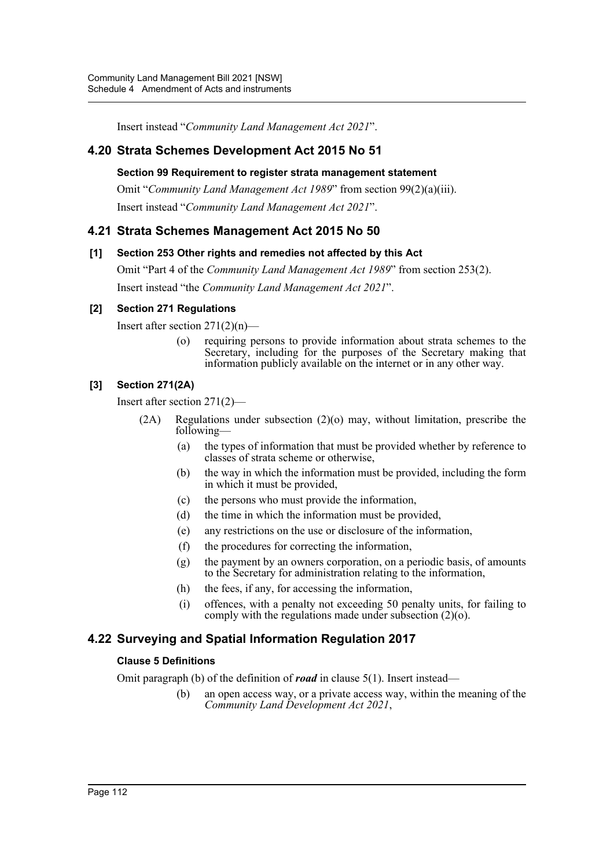Insert instead "*Community Land Management Act 2021*".

## **4.20 Strata Schemes Development Act 2015 No 51**

#### **Section 99 Requirement to register strata management statement**

Omit "*Community Land Management Act 1989*" from section 99(2)(a)(iii). Insert instead "*Community Land Management Act 2021*".

## **4.21 Strata Schemes Management Act 2015 No 50**

#### **[1] Section 253 Other rights and remedies not affected by this Act**

Omit "Part 4 of the *Community Land Management Act 1989*" from section 253(2). Insert instead "the *Community Land Management Act 2021*".

#### **[2] Section 271 Regulations**

Insert after section  $271(2)(n)$ —

(o) requiring persons to provide information about strata schemes to the Secretary, including for the purposes of the Secretary making that information publicly available on the internet or in any other way.

## **[3] Section 271(2A)**

Insert after section 271(2)—

- (2A) Regulations under subsection (2)(o) may, without limitation, prescribe the following—
	- (a) the types of information that must be provided whether by reference to classes of strata scheme or otherwise,
	- (b) the way in which the information must be provided, including the form in which it must be provided,
	- (c) the persons who must provide the information,
	- (d) the time in which the information must be provided,
	- (e) any restrictions on the use or disclosure of the information,
	- (f) the procedures for correcting the information,
	- $(g)$  the payment by an owners corporation, on a periodic basis, of amounts to the Secretary for administration relating to the information,
	- (h) the fees, if any, for accessing the information,
	- (i) offences, with a penalty not exceeding 50 penalty units, for failing to comply with the regulations made under subsection (2)(o).

## **4.22 Surveying and Spatial Information Regulation 2017**

#### **Clause 5 Definitions**

Omit paragraph (b) of the definition of *road* in clause 5(1). Insert instead—

(b) an open access way, or a private access way, within the meaning of the *Community Land Development Act 2021*,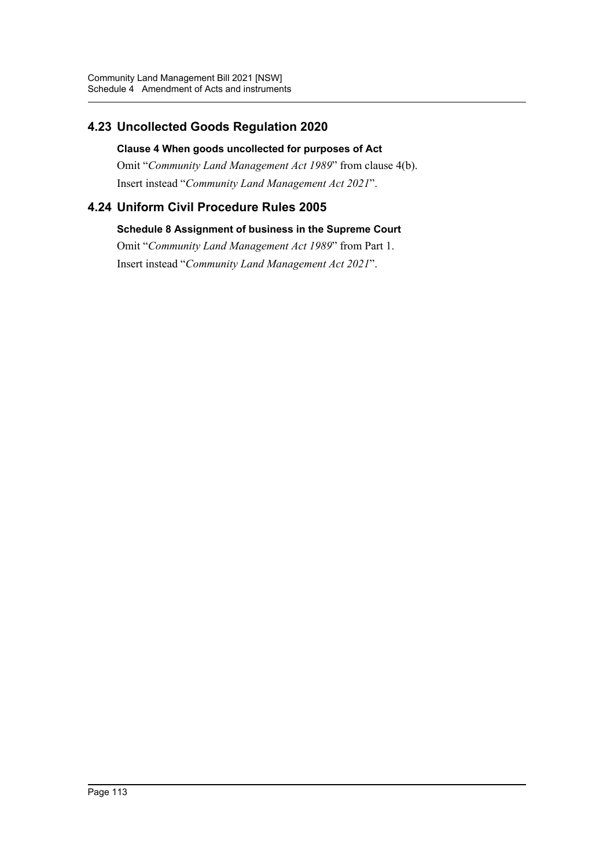## **4.23 Uncollected Goods Regulation 2020**

## **Clause 4 When goods uncollected for purposes of Act**

Omit "*Community Land Management Act 1989*" from clause 4(b). Insert instead "*Community Land Management Act 2021*".

## **4.24 Uniform Civil Procedure Rules 2005**

## **Schedule 8 Assignment of business in the Supreme Court**

Omit "*Community Land Management Act 1989*" from Part 1. Insert instead "*Community Land Management Act 2021*".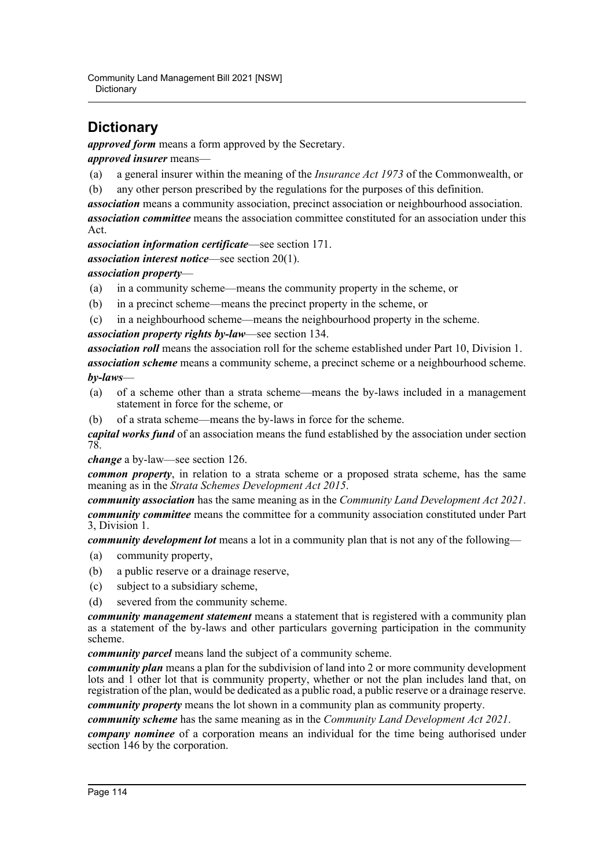Community Land Management Bill 2021 [NSW] **Dictionary** 

# **Dictionary**

*approved form* means a form approved by the Secretary.

*approved insurer* means—

- (a) a general insurer within the meaning of the *Insurance Act 1973* of the Commonwealth, or
- (b) any other person prescribed by the regulations for the purposes of this definition.

*association* means a community association, precinct association or neighbourhood association. *association committee* means the association committee constituted for an association under this Act.

*association information certificate*—see section 171.

*association interest notice*—see section 20(1).

*association property*—

- (a) in a community scheme—means the community property in the scheme, or
- (b) in a precinct scheme—means the precinct property in the scheme, or
- (c) in a neighbourhood scheme—means the neighbourhood property in the scheme.

*association property rights by-law*—see section 134.

*association roll* means the association roll for the scheme established under Part 10, Division 1. *association scheme* means a community scheme, a precinct scheme or a neighbourhood scheme. *by-laws*—

- (a) of a scheme other than a strata scheme—means the by-laws included in a management statement in force for the scheme, or
- (b) of a strata scheme—means the by-laws in force for the scheme.

*capital works fund* of an association means the fund established by the association under section 78.

*change* a by-law—see section 126.

*common property*, in relation to a strata scheme or a proposed strata scheme, has the same meaning as in the *Strata Schemes Development Act 2015*.

*community association* has the same meaning as in the *Community Land Development Act 2021*. *community committee* means the committee for a community association constituted under Part 3, Division 1.

*community development lot* means a lot in a community plan that is not any of the following—

- (a) community property,
- (b) a public reserve or a drainage reserve,
- (c) subject to a subsidiary scheme,
- (d) severed from the community scheme.

*community management statement* means a statement that is registered with a community plan as a statement of the by-laws and other particulars governing participation in the community scheme.

*community parcel* means land the subject of a community scheme.

*community plan* means a plan for the subdivision of land into 2 or more community development lots and 1 other lot that is community property, whether or not the plan includes land that, on registration of the plan, would be dedicated as a public road, a public reserve or a drainage reserve.

*community property* means the lot shown in a community plan as community property.

*community scheme* has the same meaning as in the *Community Land Development Act 2021*.

*company nominee* of a corporation means an individual for the time being authorised under section 146 by the corporation.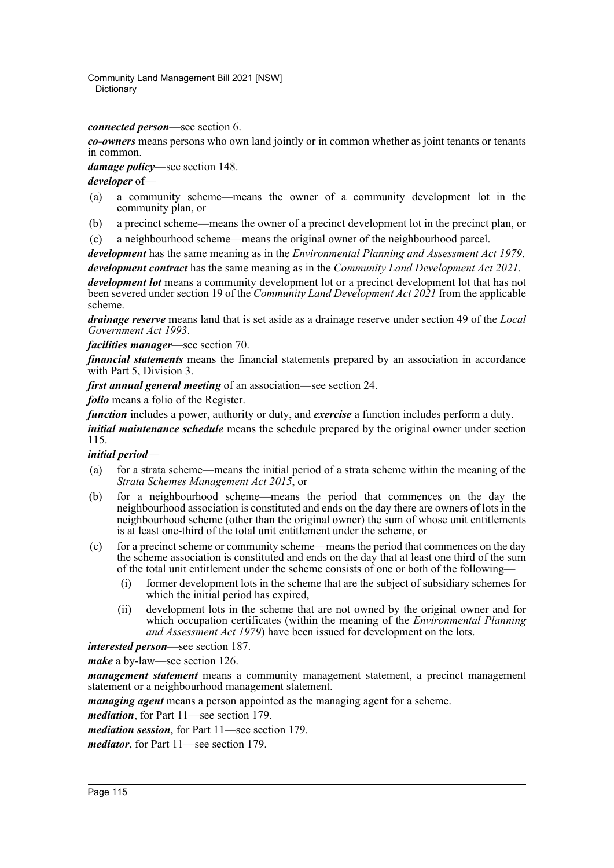*connected person*—see section 6.

*co-owners* means persons who own land jointly or in common whether as joint tenants or tenants in common.

*damage policy*—see section 148.

*developer* of—

- (a) a community scheme—means the owner of a community development lot in the community plan, or
- (b) a precinct scheme—means the owner of a precinct development lot in the precinct plan, or
- (c) a neighbourhood scheme—means the original owner of the neighbourhood parcel.

*development* has the same meaning as in the *Environmental Planning and Assessment Act 1979*. *development contract* has the same meaning as in the *Community Land Development Act 2021*.

*development lot* means a community development lot or a precinct development lot that has not been severed under section 19 of the *Community Land Development Act 2021* from the applicable scheme.

*drainage reserve* means land that is set aside as a drainage reserve under section 49 of the *Local Government Act 1993*.

*facilities manager*—see section 70.

*financial statements* means the financial statements prepared by an association in accordance with Part 5, Division 3.

*first annual general meeting* of an association—see section 24.

*folio* means a folio of the Register.

*function* includes a power, authority or duty, and *exercise* a function includes perform a duty. *initial maintenance schedule* means the schedule prepared by the original owner under section 115.

#### *initial period*—

- (a) for a strata scheme—means the initial period of a strata scheme within the meaning of the *Strata Schemes Management Act 2015*, or
- (b) for a neighbourhood scheme—means the period that commences on the day the neighbourhood association is constituted and ends on the day there are owners of lots in the neighbourhood scheme (other than the original owner) the sum of whose unit entitlements is at least one-third of the total unit entitlement under the scheme, or
- (c) for a precinct scheme or community scheme—means the period that commences on the day the scheme association is constituted and ends on the day that at least one third of the sum of the total unit entitlement under the scheme consists of one or both of the following—
	- (i) former development lots in the scheme that are the subject of subsidiary schemes for which the initial period has expired,
	- (ii) development lots in the scheme that are not owned by the original owner and for which occupation certificates (within the meaning of the *Environmental Planning and Assessment Act 1979*) have been issued for development on the lots.

*interested person*—see section 187.

*make* a by-law—see section 126.

*management statement* means a community management statement, a precinct management statement or a neighbourhood management statement.

*managing agent* means a person appointed as the managing agent for a scheme.

*mediation*, for Part 11—see section 179.

*mediation session*, for Part 11—see section 179.

*mediator*, for Part 11—see section 179.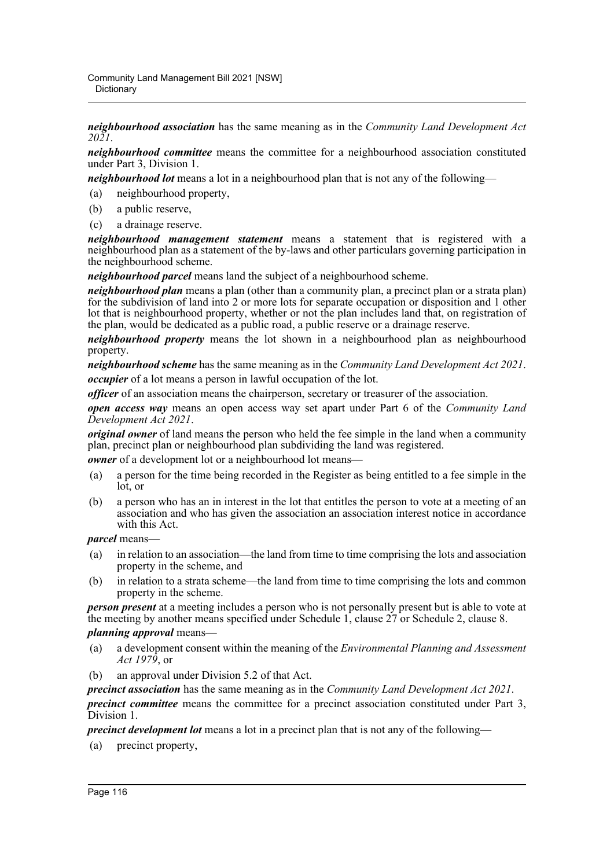*neighbourhood association* has the same meaning as in the *Community Land Development Act 2021*.

*neighbourhood committee* means the committee for a neighbourhood association constituted under Part 3, Division 1.

*neighbourhood lot* means a lot in a neighbourhood plan that is not any of the following—

- (a) neighbourhood property,
- (b) a public reserve,
- (c) a drainage reserve.

*neighbourhood management statement* means a statement that is registered with a neighbourhood plan as a statement of the by-laws and other particulars governing participation in the neighbourhood scheme.

*neighbourhood parcel* means land the subject of a neighbourhood scheme.

*neighbourhood plan* means a plan (other than a community plan, a precinct plan or a strata plan) for the subdivision of land into 2 or more lots for separate occupation or disposition and 1 other lot that is neighbourhood property, whether or not the plan includes land that, on registration of the plan, would be dedicated as a public road, a public reserve or a drainage reserve.

*neighbourhood property* means the lot shown in a neighbourhood plan as neighbourhood property.

*neighbourhood scheme* has the same meaning as in the *Community Land Development Act 2021*. *occupier* of a lot means a person in lawful occupation of the lot.

*officer* of an association means the chairperson, secretary or treasurer of the association.

*open access way* means an open access way set apart under Part 6 of the *Community Land Development Act 2021*.

*original owner* of land means the person who held the fee simple in the land when a community plan, precinct plan or neighbourhood plan subdividing the land was registered.

*owner* of a development lot or a neighbourhood lot means—

- (a) a person for the time being recorded in the Register as being entitled to a fee simple in the lot, or
- (b) a person who has an in interest in the lot that entitles the person to vote at a meeting of an association and who has given the association an association interest notice in accordance with this Act.

*parcel* means—

- (a) in relation to an association—the land from time to time comprising the lots and association property in the scheme, and
- (b) in relation to a strata scheme—the land from time to time comprising the lots and common property in the scheme.

*person present* at a meeting includes a person who is not personally present but is able to vote at the meeting by another means specified under Schedule 1, clause 27 or Schedule 2, clause 8.

#### *planning approval* means—

- (a) a development consent within the meaning of the *Environmental Planning and Assessment Act 1979*, or
- (b) an approval under Division 5.2 of that Act.

*precinct association* has the same meaning as in the *Community Land Development Act 2021*.

*precinct committee* means the committee for a precinct association constituted under Part 3, Division 1.

*precinct development lot* means a lot in a precinct plan that is not any of the following—

(a) precinct property,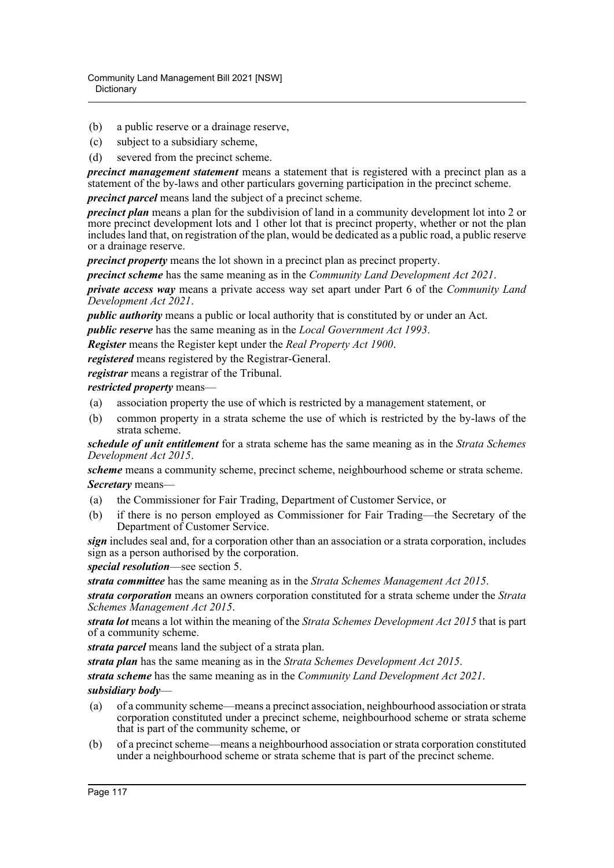- (b) a public reserve or a drainage reserve,
- (c) subject to a subsidiary scheme,
- (d) severed from the precinct scheme.

*precinct management statement* means a statement that is registered with a precinct plan as a statement of the by-laws and other particulars governing participation in the precinct scheme.

*precinct parcel* means land the subject of a precinct scheme.

*precinct plan* means a plan for the subdivision of land in a community development lot into 2 or more precinct development lots and 1 other lot that is precinct property, whether or not the plan includes land that, on registration of the plan, would be dedicated as a public road, a public reserve or a drainage reserve.

*precinct property* means the lot shown in a precinct plan as precinct property.

*precinct scheme* has the same meaning as in the *Community Land Development Act 2021*.

*private access way* means a private access way set apart under Part 6 of the *Community Land Development Act 2021*.

*public authority* means a public or local authority that is constituted by or under an Act.

*public reserve* has the same meaning as in the *Local Government Act 1993*.

*Register* means the Register kept under the *Real Property Act 1900*.

*registered* means registered by the Registrar-General.

*registrar* means a registrar of the Tribunal.

*restricted property* means—

- (a) association property the use of which is restricted by a management statement, or
- (b) common property in a strata scheme the use of which is restricted by the by-laws of the strata scheme.

*schedule of unit entitlement* for a strata scheme has the same meaning as in the *Strata Schemes Development Act 2015*.

*scheme* means a community scheme, precinct scheme, neighbourhood scheme or strata scheme. *Secretary* means—

- (a) the Commissioner for Fair Trading, Department of Customer Service, or
- (b) if there is no person employed as Commissioner for Fair Trading—the Secretary of the Department of Customer Service.

*sign* includes seal and, for a corporation other than an association or a strata corporation, includes sign as a person authorised by the corporation.

*special resolution*—see section 5.

*strata committee* has the same meaning as in the *Strata Schemes Management Act 2015*.

*strata corporation* means an owners corporation constituted for a strata scheme under the *Strata Schemes Management Act 2015*.

*strata lot* means a lot within the meaning of the *Strata Schemes Development Act 2015* that is part of a community scheme.

*strata parcel* means land the subject of a strata plan.

*strata plan* has the same meaning as in the *Strata Schemes Development Act 2015*.

*strata scheme* has the same meaning as in the *Community Land Development Act 2021*.

*subsidiary body*—

- (a) of a community scheme—means a precinct association, neighbourhood association or strata corporation constituted under a precinct scheme, neighbourhood scheme or strata scheme that is part of the community scheme, or
- (b) of a precinct scheme—means a neighbourhood association or strata corporation constituted under a neighbourhood scheme or strata scheme that is part of the precinct scheme.